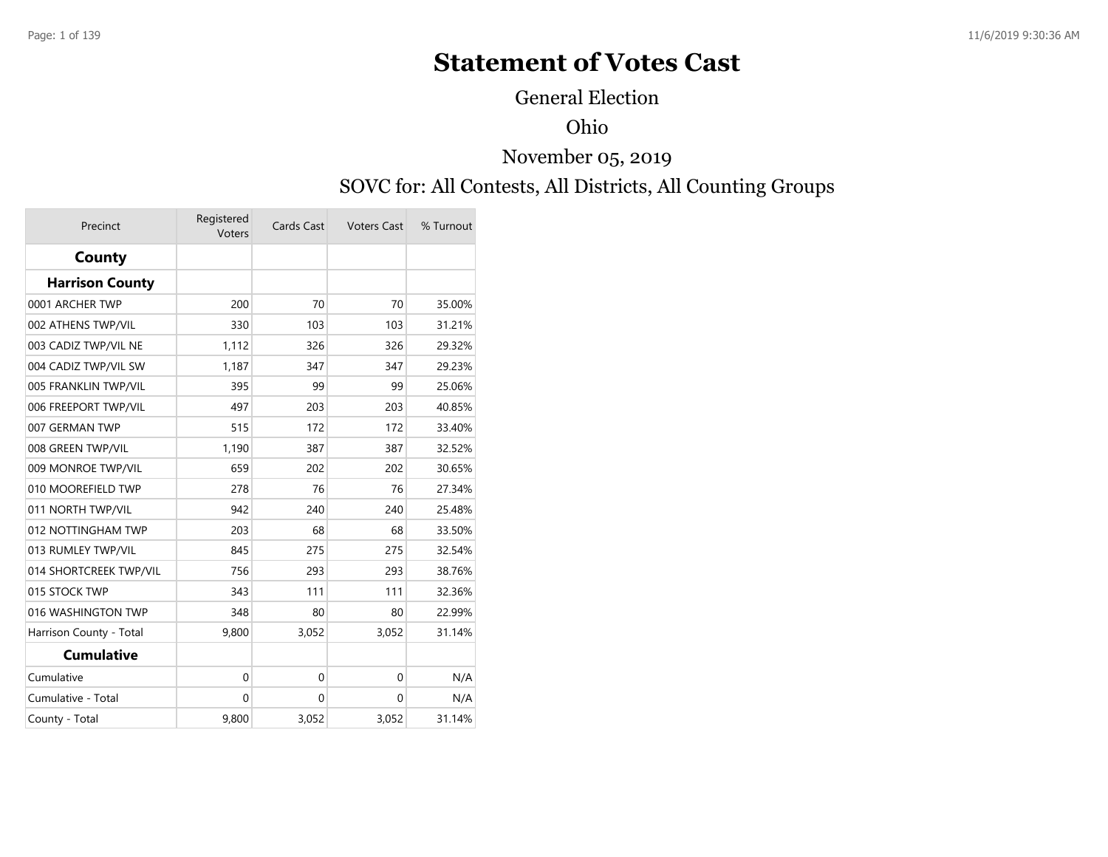# **Statement of Votes Cast**

General Election

#### Ohio

#### November 05, 2019

#### SOVC for: All Contests, All Districts, All Counting Groups

| Precinct                | Registered<br>Voters | Cards Cast | <b>Voters Cast</b> | % Turnout |
|-------------------------|----------------------|------------|--------------------|-----------|
| County                  |                      |            |                    |           |
| <b>Harrison County</b>  |                      |            |                    |           |
| 0001 ARCHER TWP         | 200                  | 70         | 70                 | 35.00%    |
| 002 ATHENS TWP/VIL      | 330                  | 103        | 103                | 31.21%    |
| 003 CADIZ TWP/VIL NE    | 1,112                | 326        | 326                | 29.32%    |
| 004 CADIZ TWP/VIL SW    | 1,187                | 347        | 347                | 29.23%    |
| 005 FRANKLIN TWP/VIL    | 395                  | 99         | 99                 | 25.06%    |
| 006 FREEPORT TWP/VIL    | 497                  | 203        | 203                | 40.85%    |
| 007 GERMAN TWP          | 515                  | 172        | 172                | 33.40%    |
| 008 GREEN TWP/VIL       | 1,190                | 387        | 387                | 32.52%    |
| 009 MONROE TWP/VIL      | 659                  | 202        | 202                | 30.65%    |
| 010 MOOREFIELD TWP      | 278                  | 76         | 76                 | 27.34%    |
| 011 NORTH TWP/VIL       | 942                  | 240        | 240                | 25.48%    |
| 012 NOTTINGHAM TWP      | 203                  | 68         | 68                 | 33.50%    |
| 013 RUMLEY TWP/VIL      | 845                  | 275        | 275                | 32.54%    |
| 014 SHORTCREEK TWP/VIL  | 756                  | 293        | 293                | 38.76%    |
| 015 STOCK TWP           | 343                  | 111        | 111                | 32.36%    |
| 016 WASHINGTON TWP      | 348                  | 80         | 80                 | 22.99%    |
| Harrison County - Total | 9,800                | 3,052      | 3,052              | 31.14%    |
| <b>Cumulative</b>       |                      |            |                    |           |
| Cumulative              | 0                    | 0          | $\Omega$           | N/A       |
| Cumulative - Total      | 0                    | 0          | 0                  | N/A       |
| County - Total          | 9,800                | 3,052      | 3,052              | 31.14%    |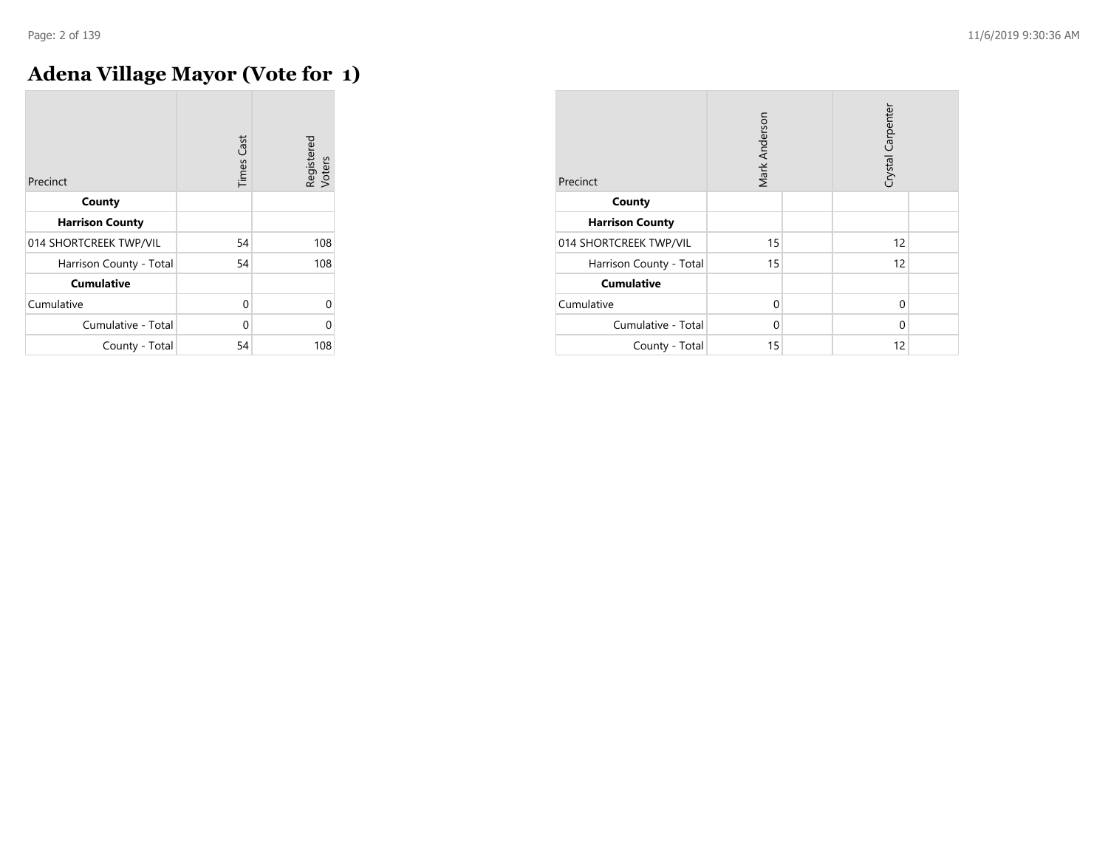## **Adena Village Mayor (Vote for 1)**

| Precinct                | <b>Times Cast</b> | Registered<br>Voters |
|-------------------------|-------------------|----------------------|
| County                  |                   |                      |
| <b>Harrison County</b>  |                   |                      |
| 014 SHORTCREEK TWP/VIL  | 54                | 108                  |
| Harrison County - Total | 54                | 108                  |
| <b>Cumulative</b>       |                   |                      |
| Cumulative              | 0                 | n                    |
| Cumulative - Total      | 0                 |                      |
| County - Total          | 54                | 108                  |

| Precinct                | Mark Anderson |  | Crystal Carpenter |  |
|-------------------------|---------------|--|-------------------|--|
| County                  |               |  |                   |  |
| <b>Harrison County</b>  |               |  |                   |  |
| 014 SHORTCREEK TWP/VIL  | 15            |  | 12                |  |
| Harrison County - Total | 15            |  | 12                |  |
| <b>Cumulative</b>       |               |  |                   |  |
| Cumulative              | $\Omega$      |  | $\Omega$          |  |
| Cumulative - Total      | 0             |  | $\Omega$          |  |
| County - Total          | 15            |  | 12                |  |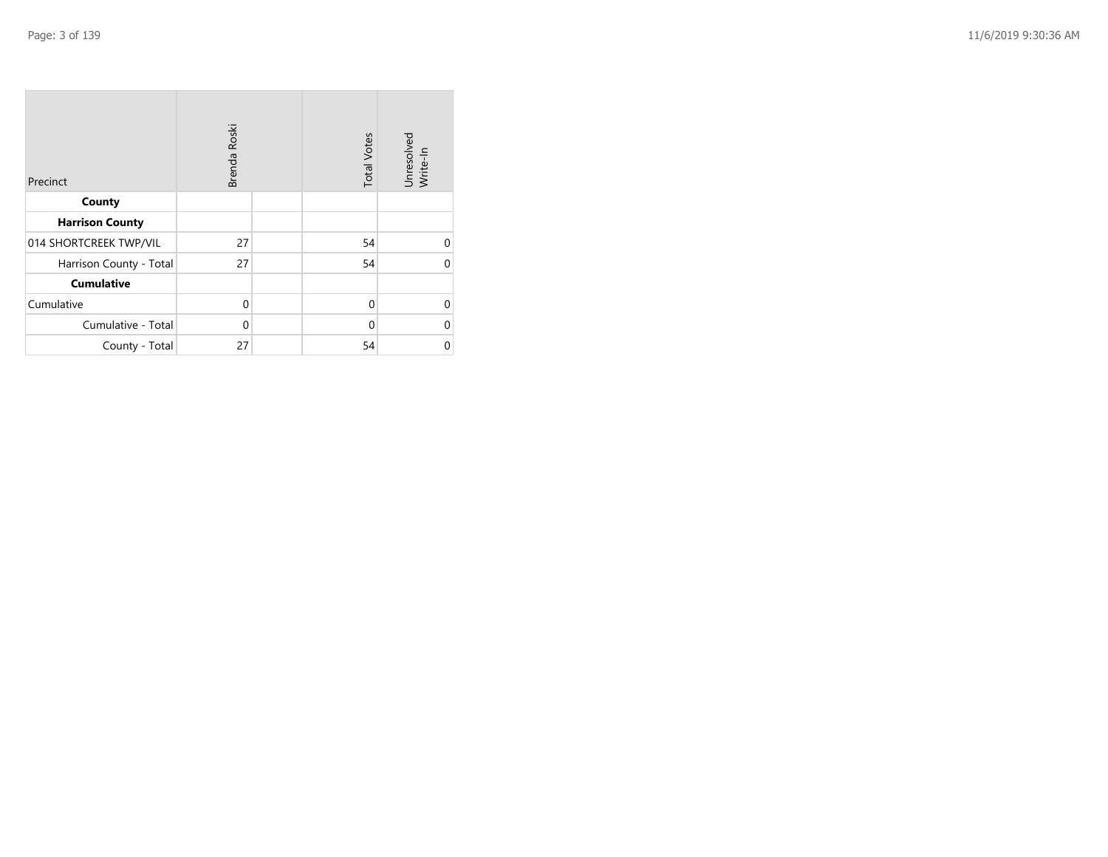| Precinct                | Brenda Roski |  | <b>Total Votes</b> | Unresolved<br>Write-In |
|-------------------------|--------------|--|--------------------|------------------------|
| County                  |              |  |                    |                        |
| <b>Harrison County</b>  |              |  |                    |                        |
| 014 SHORTCREEK TWP/VIL  | 27           |  | 54                 | 0                      |
| Harrison County - Total | 27           |  | 54                 | 0                      |
| <b>Cumulative</b>       |              |  |                    |                        |
| Cumulative              | 0            |  | $\Omega$           | 0                      |
| Cumulative - Total      | 0            |  | $\Omega$           | 0                      |
| County - Total          | 27           |  | 54                 | 0                      |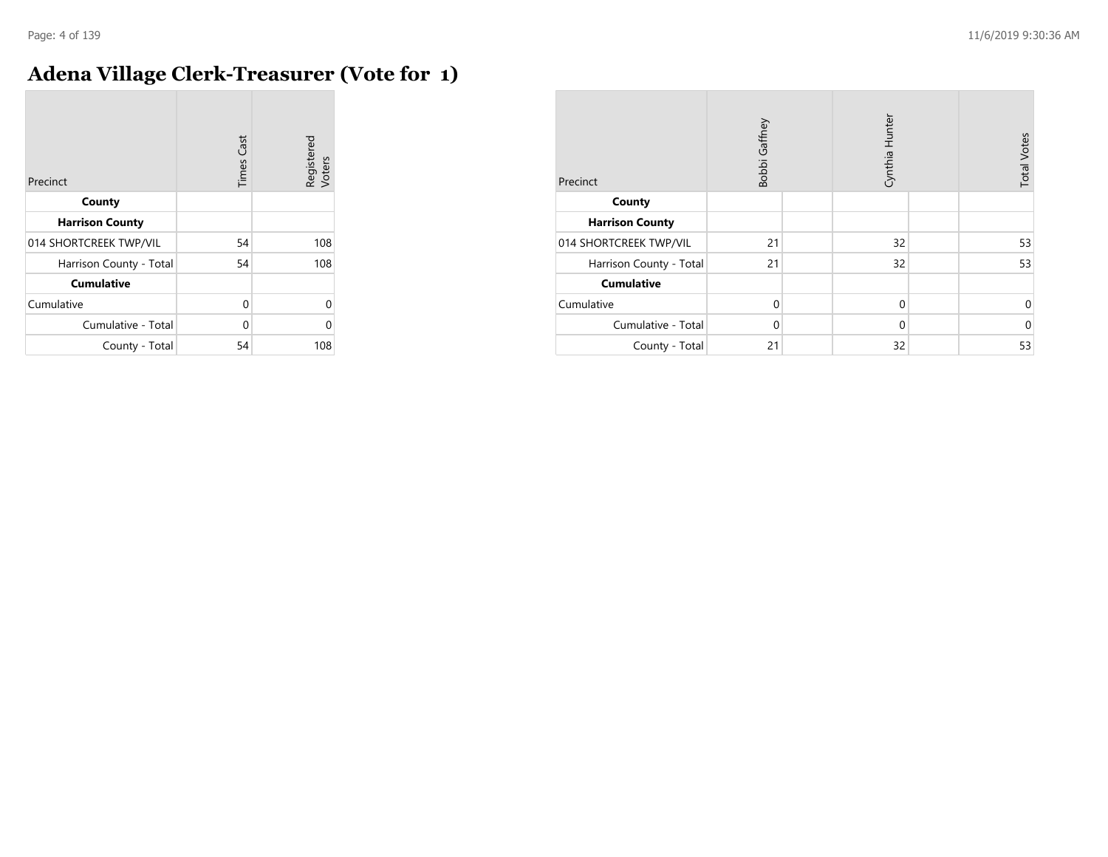#### **Adena Village Clerk-Treasurer (Vote for 1)**

| Precinct                | <b>Times Cast</b> | Registered<br>Voters |
|-------------------------|-------------------|----------------------|
| County                  |                   |                      |
| <b>Harrison County</b>  |                   |                      |
| 014 SHORTCREEK TWP/VIL  | 54                | 108                  |
| Harrison County - Total | 54                | 108                  |
| <b>Cumulative</b>       |                   |                      |
| Cumulative              | $\Omega$          | $\Omega$             |
| Cumulative - Total      | $\Omega$          | $\Omega$             |
| County - Total          | 54                | 108                  |

| Precinct                | Bobbi Gaffney |  | Cynthia Hunter |  | <b>Total Votes</b> |
|-------------------------|---------------|--|----------------|--|--------------------|
| County                  |               |  |                |  |                    |
| <b>Harrison County</b>  |               |  |                |  |                    |
| 014 SHORTCREEK TWP/VIL  | 21            |  | 32             |  | 53                 |
| Harrison County - Total | 21            |  | 32             |  | 53                 |
| <b>Cumulative</b>       |               |  |                |  |                    |
| Cumulative              | $\Omega$      |  | $\mathbf 0$    |  | $\mathbf 0$        |
| Cumulative - Total      | $\Omega$      |  | $\Omega$       |  | $\mathbf 0$        |
| County - Total          | 21            |  | 32             |  | 53                 |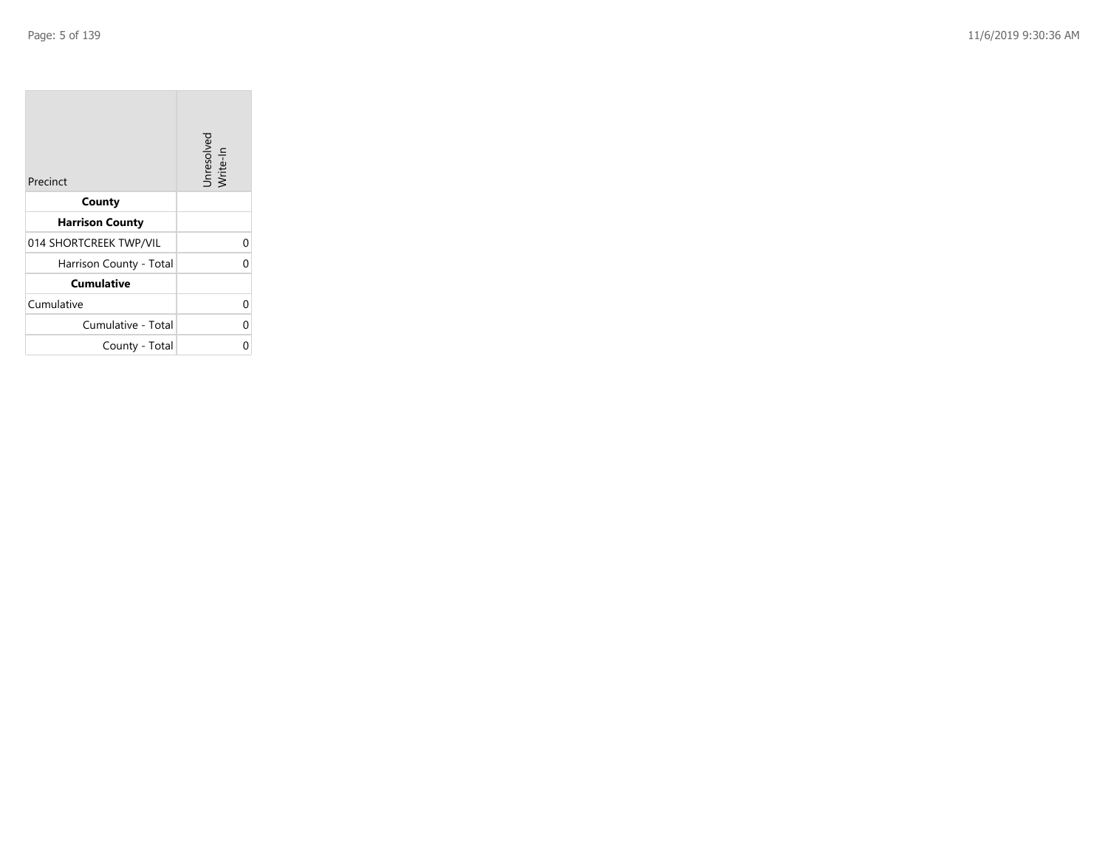| Precinct                | Unresolved<br>Write-In |
|-------------------------|------------------------|
| County                  |                        |
| <b>Harrison County</b>  |                        |
| 014 SHORTCREEK TWP/VIL  | 0                      |
| Harrison County - Total | U                      |
| Cumulative              |                        |
| Cumulative              | 0                      |
| Cumulative - Total      | 0                      |
| County - Total          |                        |

the property of the con-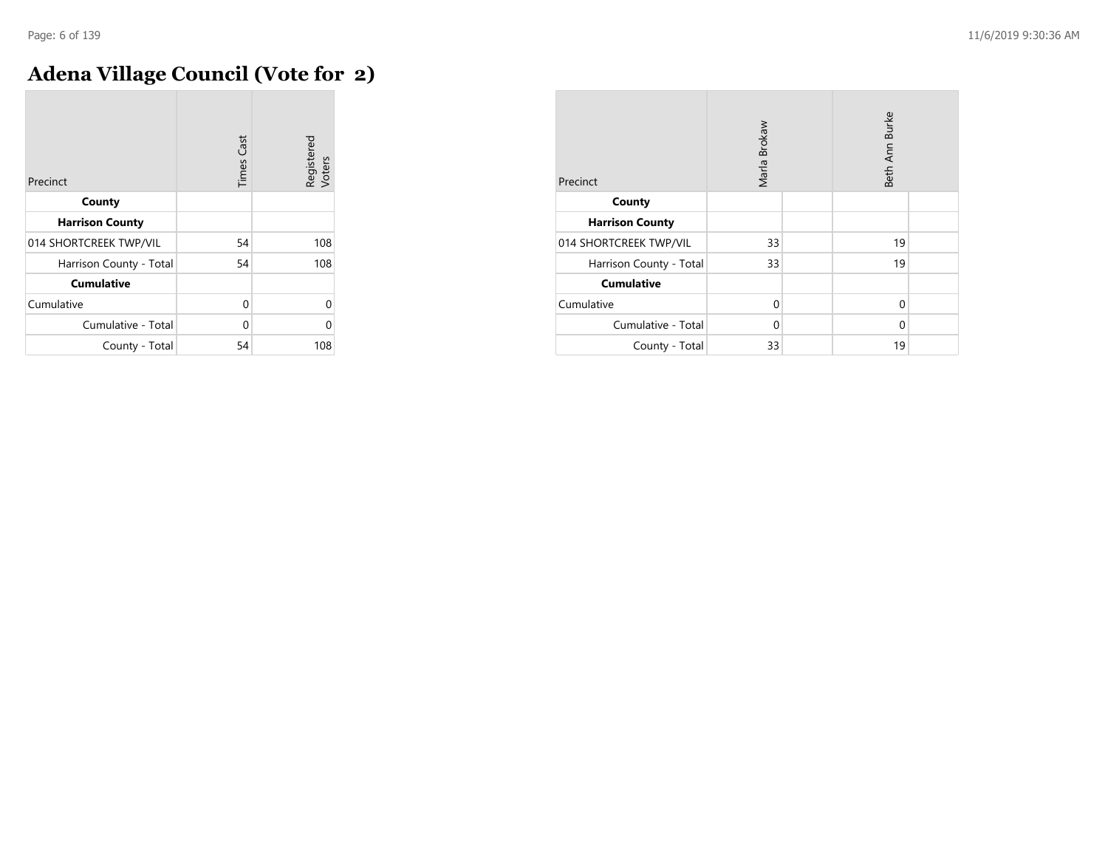m.

## **Adena Village Council (Vote for 2)**

| Precinct                | <b>Times Cast</b> | Registered<br>Voters |
|-------------------------|-------------------|----------------------|
| County                  |                   |                      |
| <b>Harrison County</b>  |                   |                      |
| 014 SHORTCREEK TWP/VIL  | 54                | 108                  |
| Harrison County - Total | 54                | 108                  |
| <b>Cumulative</b>       |                   |                      |
| Cumulative              | 0                 | Λ                    |
| Cumulative - Total      | 0                 | በ                    |
| County - Total          | 54                | 108                  |

| Precinct                | Marla Brokaw |  | Beth Ann Burke |  |
|-------------------------|--------------|--|----------------|--|
| County                  |              |  |                |  |
| <b>Harrison County</b>  |              |  |                |  |
| 014 SHORTCREEK TWP/VIL  | 33           |  | 19             |  |
| Harrison County - Total | 33           |  | 19             |  |
| <b>Cumulative</b>       |              |  |                |  |
| Cumulative              | $\Omega$     |  | 0              |  |
| Cumulative - Total      | 0            |  | $\Omega$       |  |
| County - Total          | 33           |  | 19             |  |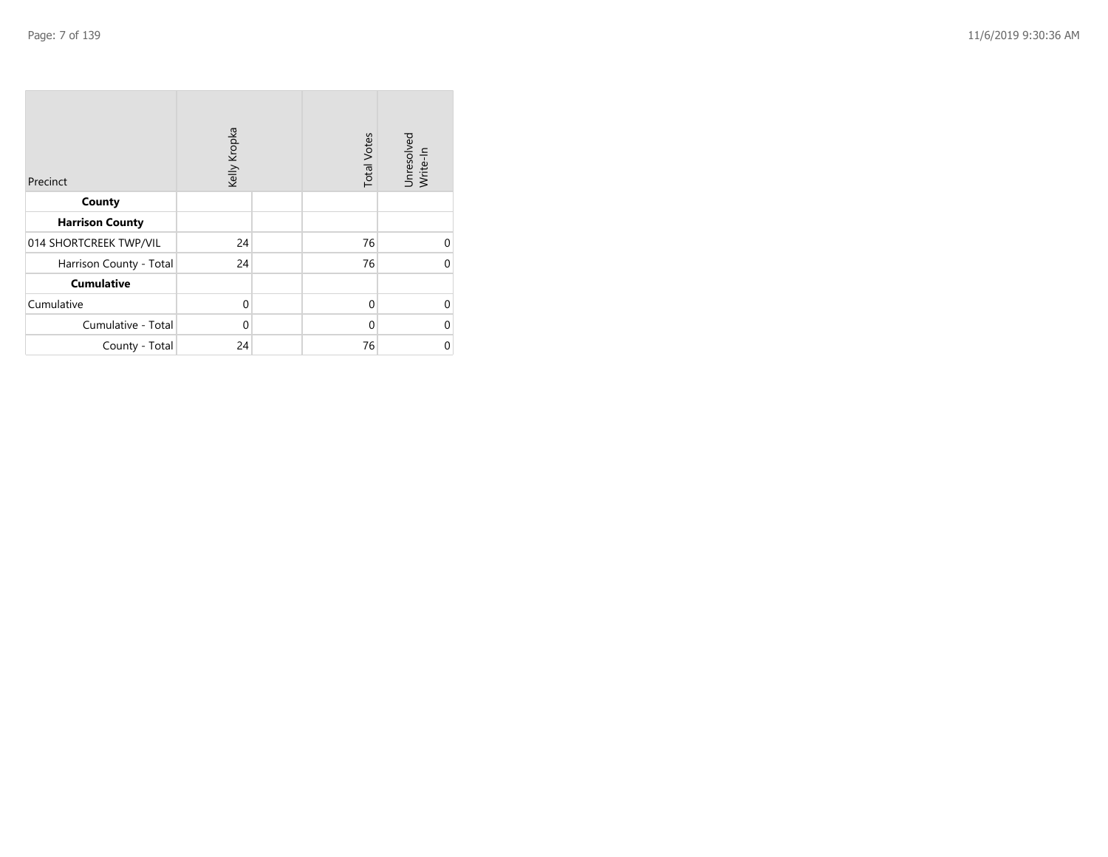| Precinct                | Kelly Kropka |  | <b>Total Votes</b> | Unresolved<br>Write-In |
|-------------------------|--------------|--|--------------------|------------------------|
| County                  |              |  |                    |                        |
| <b>Harrison County</b>  |              |  |                    |                        |
| 014 SHORTCREEK TWP/VIL  | 24           |  | 76                 | $\Omega$               |
| Harrison County - Total | 24           |  | 76                 | 0                      |
| <b>Cumulative</b>       |              |  |                    |                        |
| Cumulative              | 0            |  | $\Omega$           | 0                      |
| Cumulative - Total      | 0            |  | 0                  | 0                      |
| County - Total          | 24           |  | 76                 | 0                      |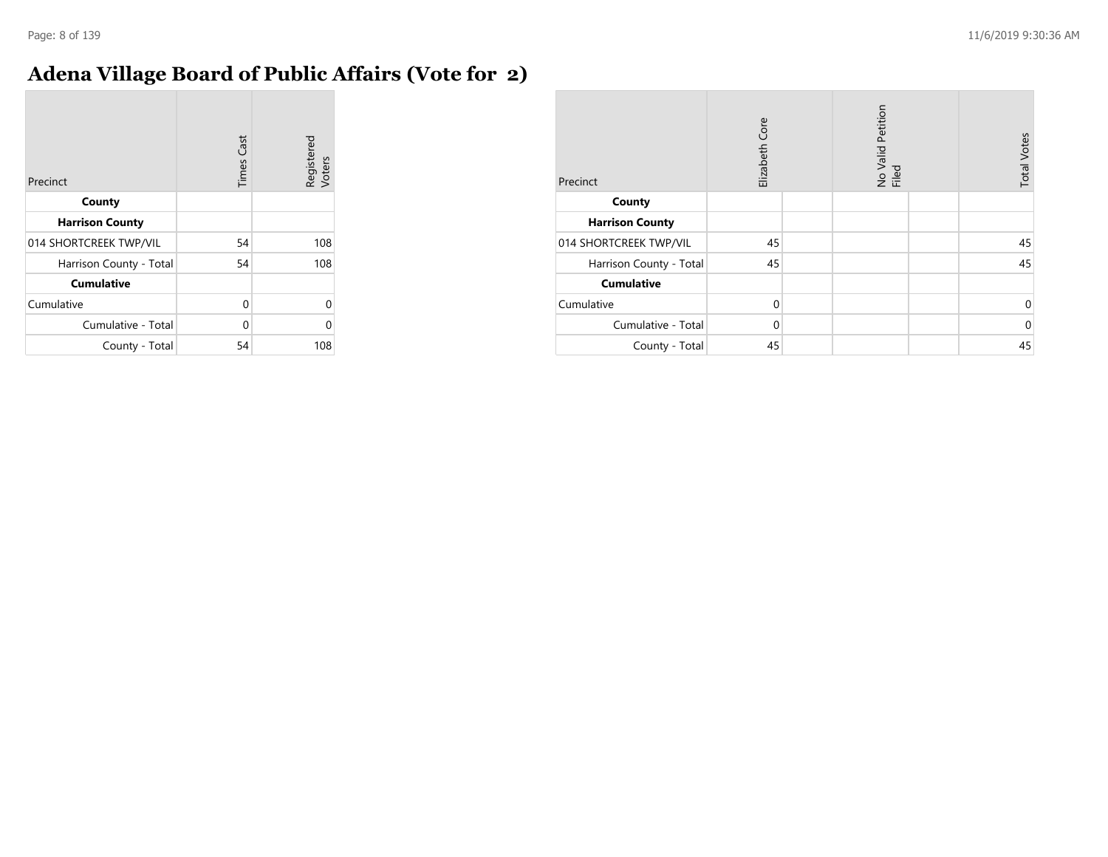#### **Adena Village Board of Public Affairs (Vote for 2)**

| Precinct                | <b>Times Cast</b> | Registered<br>Voters |
|-------------------------|-------------------|----------------------|
| County                  |                   |                      |
| <b>Harrison County</b>  |                   |                      |
| 014 SHORTCREEK TWP/VIL  | 54                | 108                  |
| Harrison County - Total | 54                | 108                  |
| <b>Cumulative</b>       |                   |                      |
| Cumulative              | 0                 |                      |
| Cumulative - Total      | 0                 |                      |
| County - Total          | 54                | 108                  |

| Precinct                | Elizabeth Core |  | No Valid Petition<br>Filed |  | <b>Total Votes</b> |
|-------------------------|----------------|--|----------------------------|--|--------------------|
| County                  |                |  |                            |  |                    |
| <b>Harrison County</b>  |                |  |                            |  |                    |
| 014 SHORTCREEK TWP/VIL  | 45             |  |                            |  | 45                 |
| Harrison County - Total | 45             |  |                            |  | 45                 |
| <b>Cumulative</b>       |                |  |                            |  |                    |
| Cumulative              | $\Omega$       |  |                            |  | 0                  |
| Cumulative - Total      | $\Omega$       |  |                            |  | $\mathbf 0$        |
| County - Total          | 45             |  |                            |  | 45                 |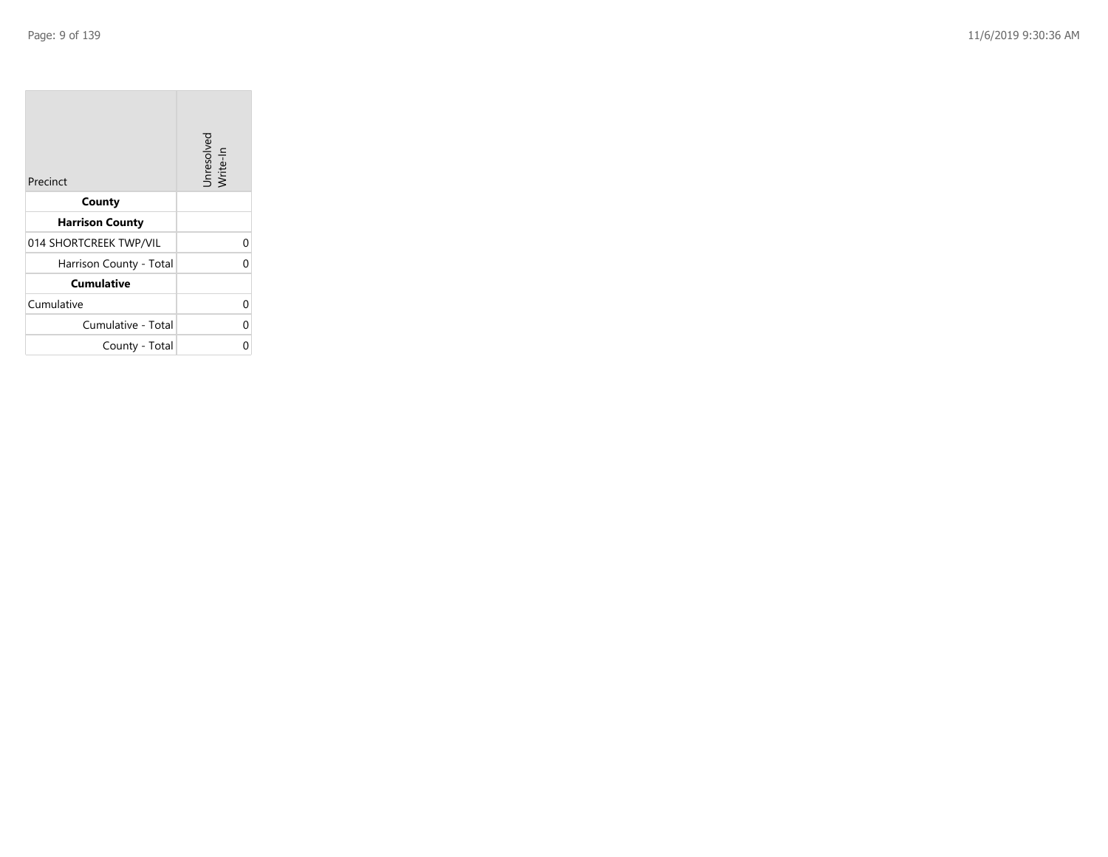| Precinct                | Unresolved<br>Write-In |
|-------------------------|------------------------|
| County                  |                        |
| <b>Harrison County</b>  |                        |
| 014 SHORTCREEK TWP/VIL  | 0                      |
| Harrison County - Total | U                      |
| Cumulative              |                        |
| Cumulative              | 0                      |
| Cumulative - Total      | 0                      |
| County - Total          |                        |

the property of the con-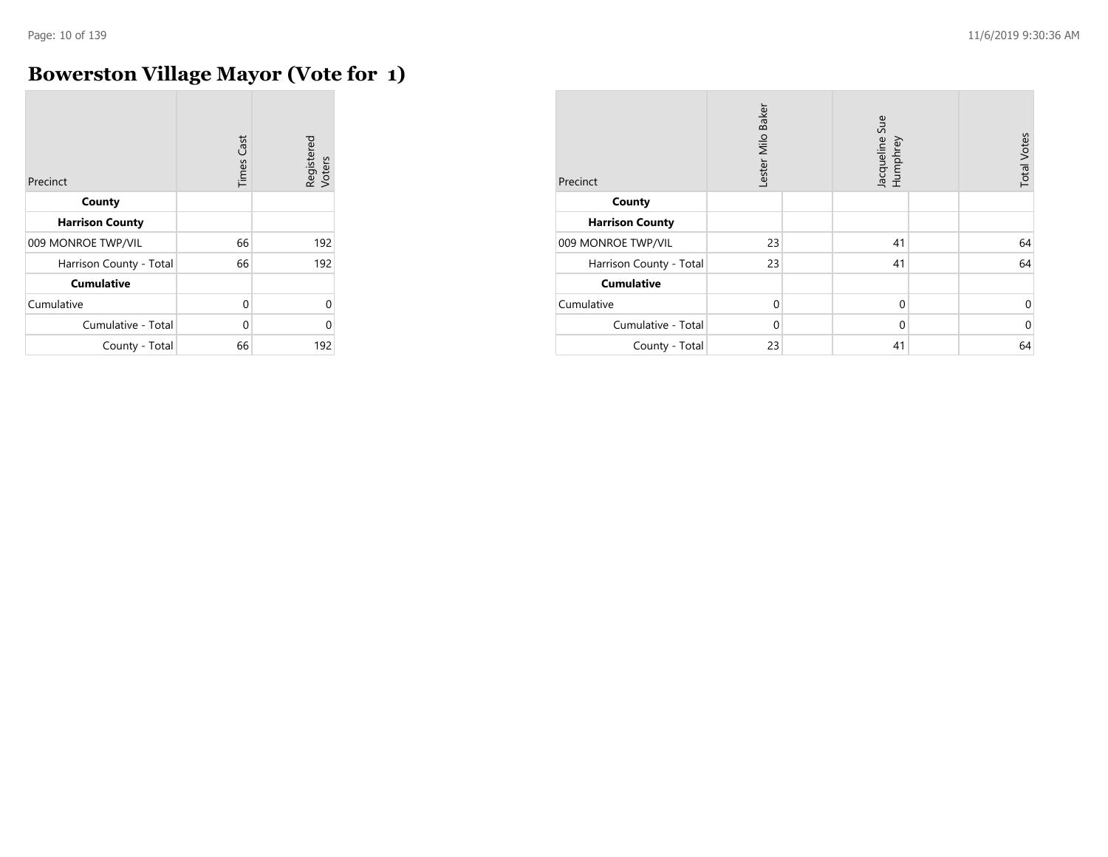$\overline{a}$ 

## **Bowerston Village Mayor (Vote for 1)**

| Precinct                | <b>Times Cast</b> | Registered<br>Voters |
|-------------------------|-------------------|----------------------|
| County                  |                   |                      |
| <b>Harrison County</b>  |                   |                      |
| 009 MONROE TWP/VIL      | 66                | 192                  |
| Harrison County - Total | 66                | 192                  |
| <b>Cumulative</b>       |                   |                      |
| Cumulative              | $\Omega$          | 0                    |
| Cumulative - Total      | U                 | ⋂                    |
| County - Total          | 66                | 192                  |

| Precinct                | Lester Milo Baker | Jacqueline Sue<br>Humphrey | <b>Total Votes</b> |
|-------------------------|-------------------|----------------------------|--------------------|
| County                  |                   |                            |                    |
| <b>Harrison County</b>  |                   |                            |                    |
| 009 MONROE TWP/VIL      | 23                | 41                         | 64                 |
| Harrison County - Total | 23                | 41                         | 64                 |
| <b>Cumulative</b>       |                   |                            |                    |
| Cumulative              | $\mathbf 0$       | $\mathbf 0$                | 0                  |
| Cumulative - Total      | $\Omega$          | $\mathbf 0$                | $\mathbf 0$        |
| County - Total          | 23                | 41                         | 64                 |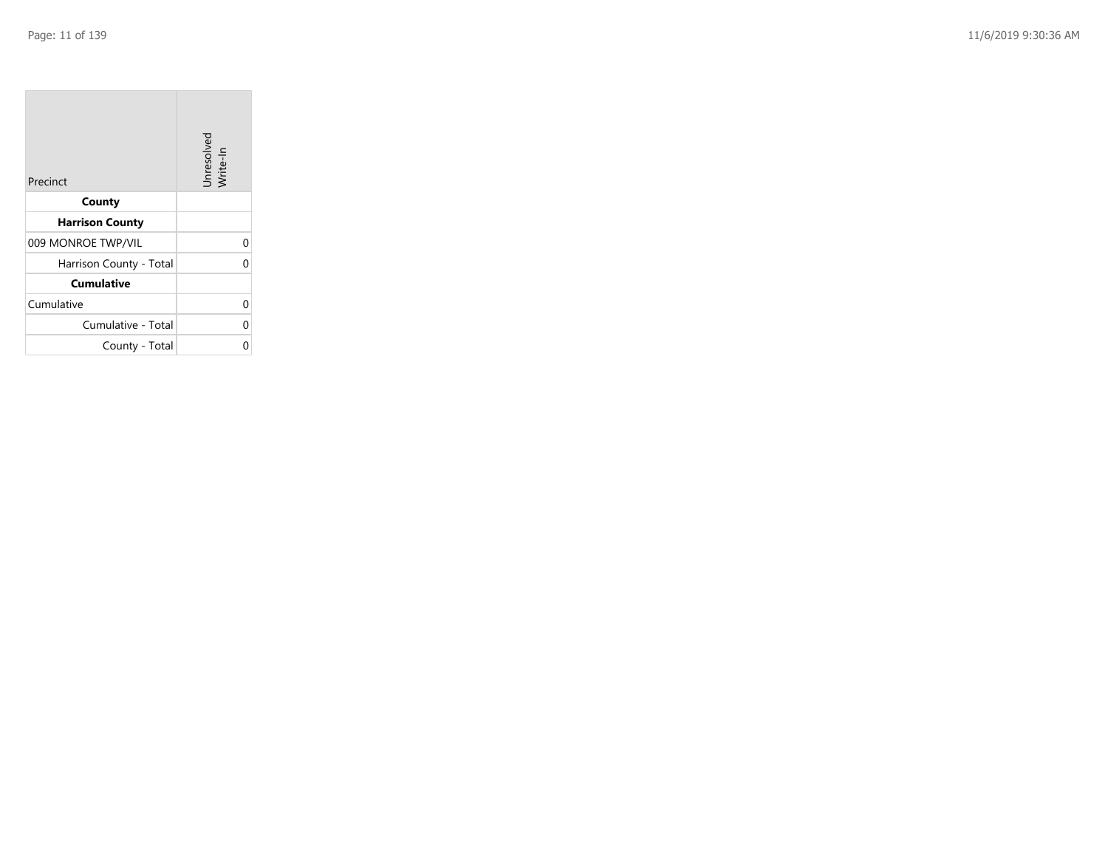| Precinct                | Unresolved<br>Write-In |
|-------------------------|------------------------|
| County                  |                        |
| <b>Harrison County</b>  |                        |
| 009 MONROE TWP/VIL      | 0                      |
| Harrison County - Total | 0                      |
| <b>Cumulative</b>       |                        |
| Cumulative              | 0                      |
| Cumulative - Total      | 0                      |
| County - Total          |                        |

the property of the con-

 $\overline{\phantom{a}}$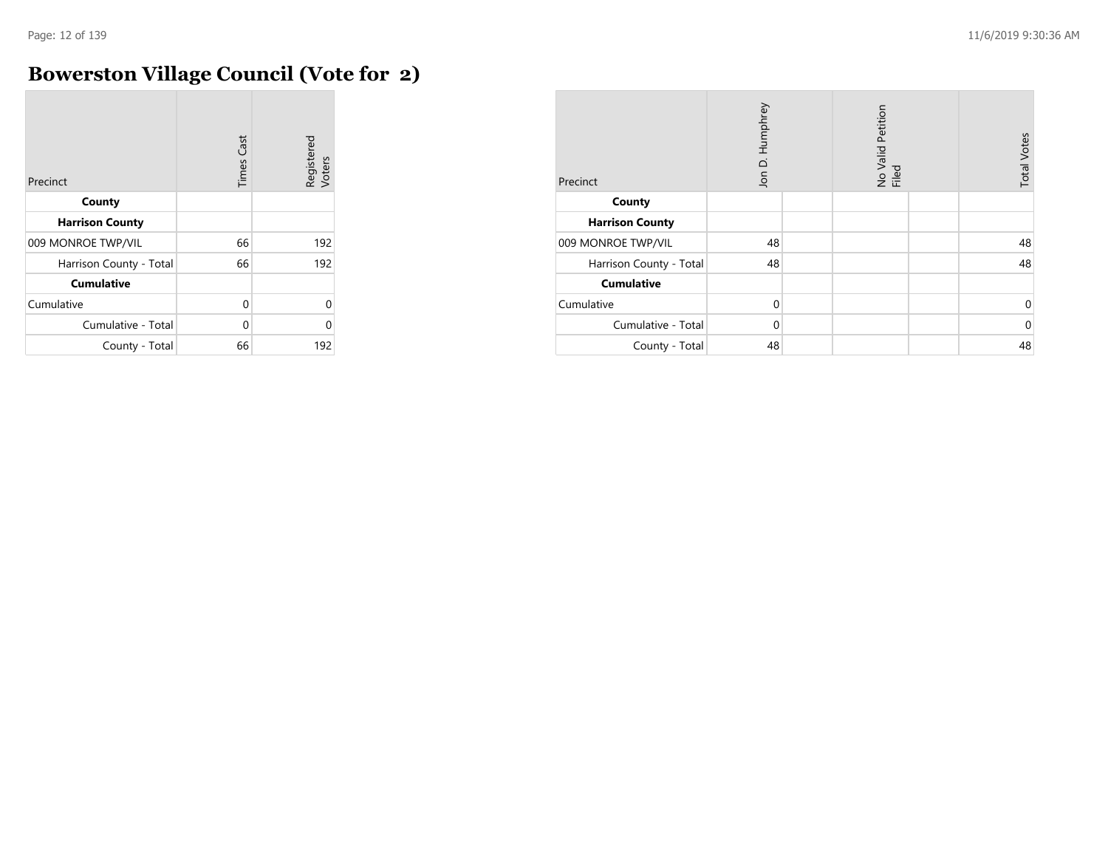## **Bowerston Village Council (Vote for 2)**

| Precinct                | <b>Times Cast</b> | Registered<br>Voters |
|-------------------------|-------------------|----------------------|
| County                  |                   |                      |
| <b>Harrison County</b>  |                   |                      |
| 009 MONROE TWP/VIL      | 66                | 192                  |
| Harrison County - Total | 66                | 192                  |
| <b>Cumulative</b>       |                   |                      |
| Cumulative              | $\Omega$          | 0                    |
| Cumulative - Total      | U                 | C                    |
| County - Total          | 66                | 192                  |

| Precinct                | Jon D. Humphrey | No Valid Petition<br>Filed | <b>Total Votes</b> |
|-------------------------|-----------------|----------------------------|--------------------|
| County                  |                 |                            |                    |
| <b>Harrison County</b>  |                 |                            |                    |
| 009 MONROE TWP/VIL      | 48              |                            | 48                 |
| Harrison County - Total | 48              |                            | 48                 |
| <b>Cumulative</b>       |                 |                            |                    |
| Cumulative              | $\Omega$        |                            | 0                  |
| Cumulative - Total      | $\Omega$        |                            | $\mathbf 0$        |
| County - Total          | 48              |                            | 48                 |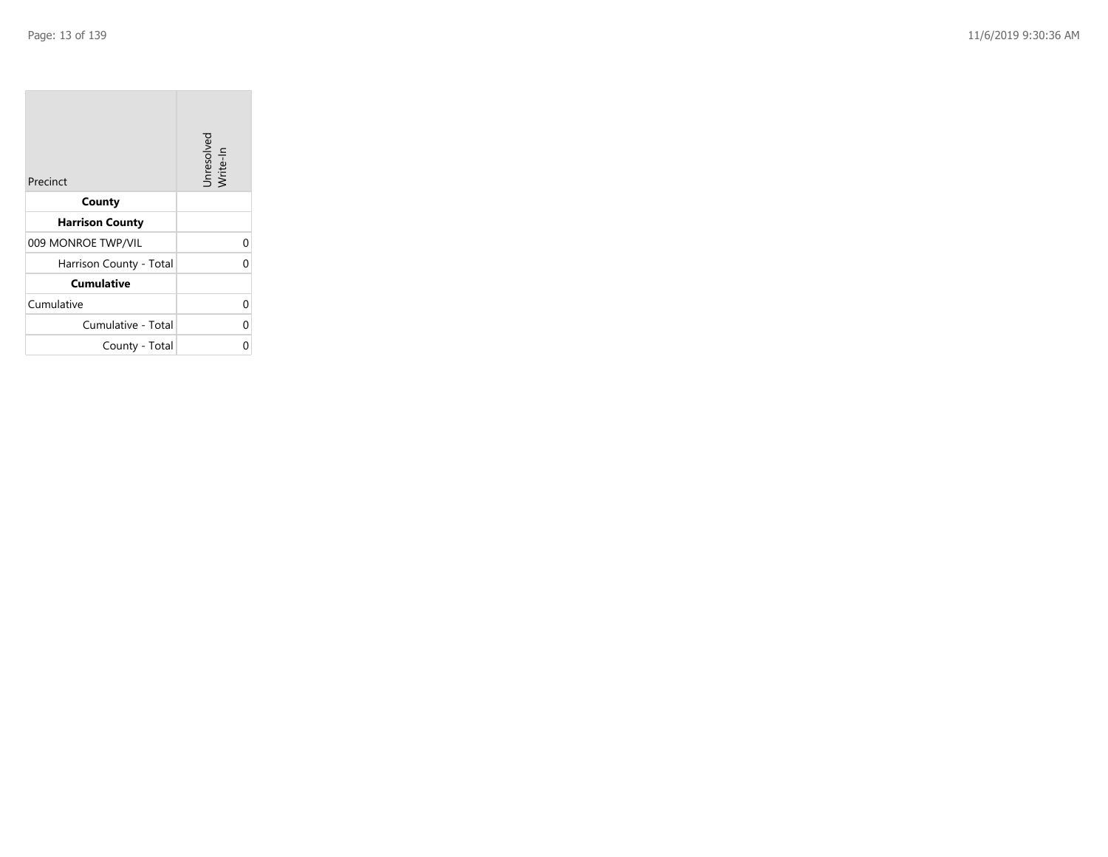| Precinct                | Unresolved<br>Write-In |
|-------------------------|------------------------|
| County                  |                        |
| <b>Harrison County</b>  |                        |
| 009 MONROE TWP/VIL      | 0                      |
| Harrison County - Total | 0                      |
| <b>Cumulative</b>       |                        |
| Cumulative              | 0                      |
| Cumulative - Total      | 0                      |
| County - Total          |                        |

the property of the con-

 $\overline{\phantom{a}}$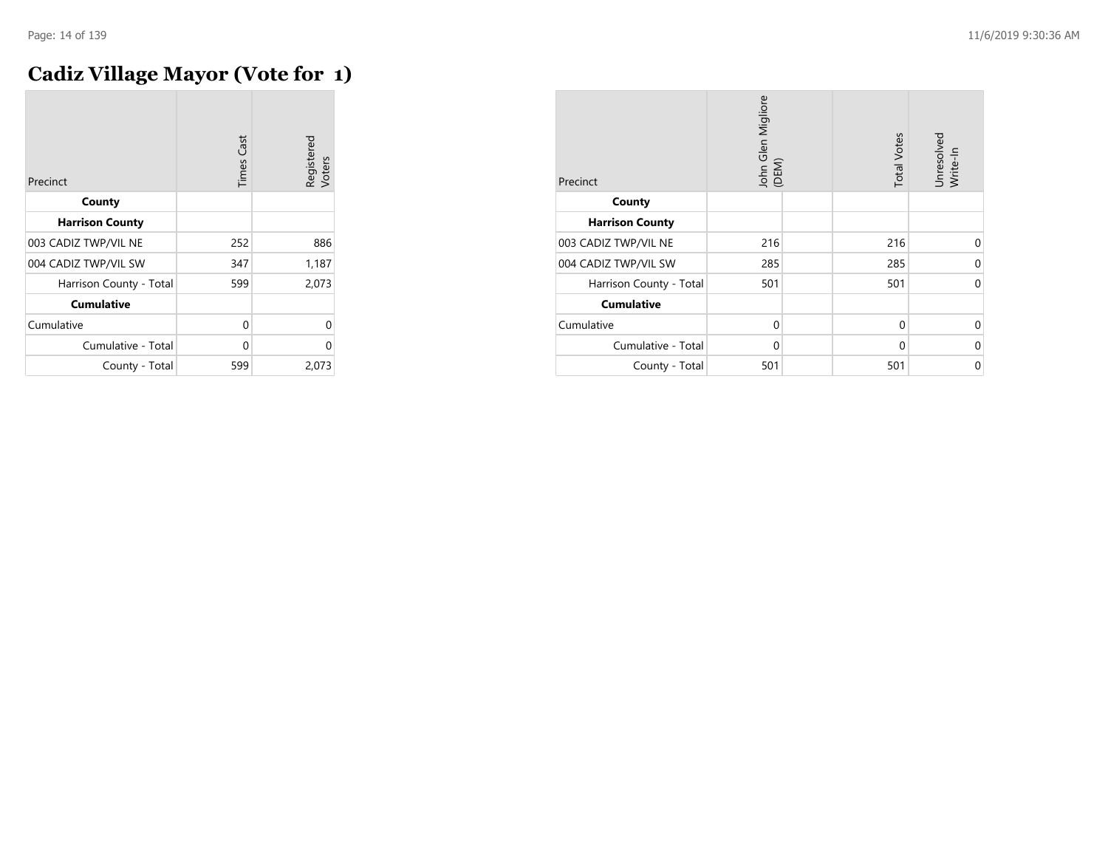## **Cadiz Village Mayor (Vote for 1)**

| Precinct                | <b>Times Cast</b> | Registered<br>Voters |
|-------------------------|-------------------|----------------------|
| County                  |                   |                      |
| <b>Harrison County</b>  |                   |                      |
| 003 CADIZ TWP/VIL NE    | 252               | 886                  |
| 004 CADIZ TWP/VIL SW    | 347               | 1,187                |
| Harrison County - Total | 599               | 2,073                |
| <b>Cumulative</b>       |                   |                      |
| Cumulative              | 0                 | 0                    |
| Cumulative - Total      | 0                 | 0                    |
| County - Total          | 599               | 2,073                |

| Precinct                | John Glen Migliore<br>(DEM) | <b>Total Votes</b> | Unresolved<br>Write-In |
|-------------------------|-----------------------------|--------------------|------------------------|
| County                  |                             |                    |                        |
| <b>Harrison County</b>  |                             |                    |                        |
| 003 CADIZ TWP/VIL NE    | 216                         | 216                | $\Omega$               |
| 004 CADIZ TWP/VIL SW    | 285                         | 285                | 0                      |
| Harrison County - Total | 501                         | 501                | $\Omega$               |
| <b>Cumulative</b>       |                             |                    |                        |
| Cumulative              | 0                           | $\mathbf 0$        | $\Omega$               |
| Cumulative - Total      | 0                           | 0                  | 0                      |
| County - Total          | 501                         | 501                | 0                      |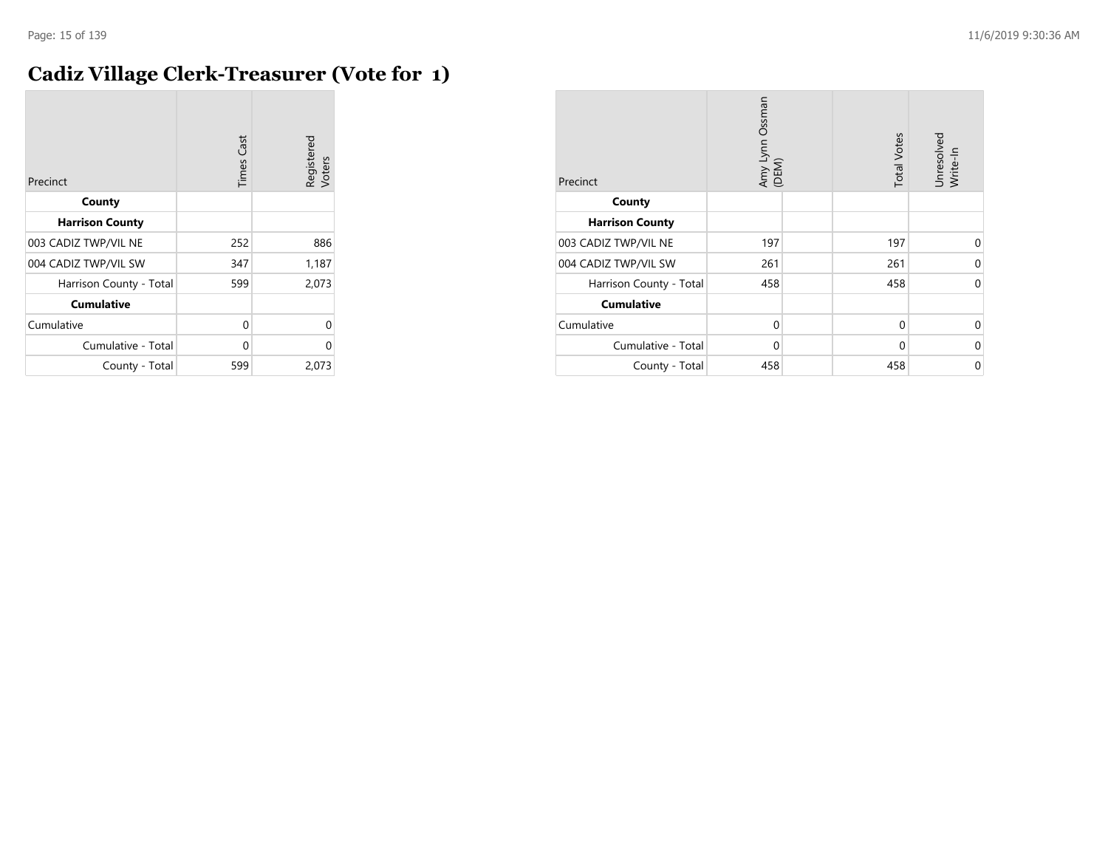#### **Cadiz Village Clerk-Treasurer (Vote for 1)**

| Precinct                | <b>Times Cast</b> | Registered<br>Voters |
|-------------------------|-------------------|----------------------|
| County                  |                   |                      |
| <b>Harrison County</b>  |                   |                      |
| 003 CADIZ TWP/VIL NE    | 252               | 886                  |
| 004 CADIZ TWP/VIL SW    | 347               | 1,187                |
| Harrison County - Total | 599               | 2,073                |
| <b>Cumulative</b>       |                   |                      |
| Cumulative              | 0                 | 0                    |
| Cumulative - Total      | 0                 | 0                    |
| County - Total          | 599               | 2,073                |

| Precinct                | Amy Lynn Ossman<br>(DEM) | <b>Total Votes</b> | Unresolved<br>Write-In |
|-------------------------|--------------------------|--------------------|------------------------|
| County                  |                          |                    |                        |
| <b>Harrison County</b>  |                          |                    |                        |
| 003 CADIZ TWP/VIL NE    | 197                      | 197                | $\Omega$               |
| 004 CADIZ TWP/VIL SW    | 261                      | 261                | 0                      |
| Harrison County - Total | 458                      | 458                | 0                      |
| <b>Cumulative</b>       |                          |                    |                        |
| Cumulative              | 0                        | 0                  | $\Omega$               |
| Cumulative - Total      | 0                        | 0                  | 0                      |
| County - Total          | 458                      | 458                | 0                      |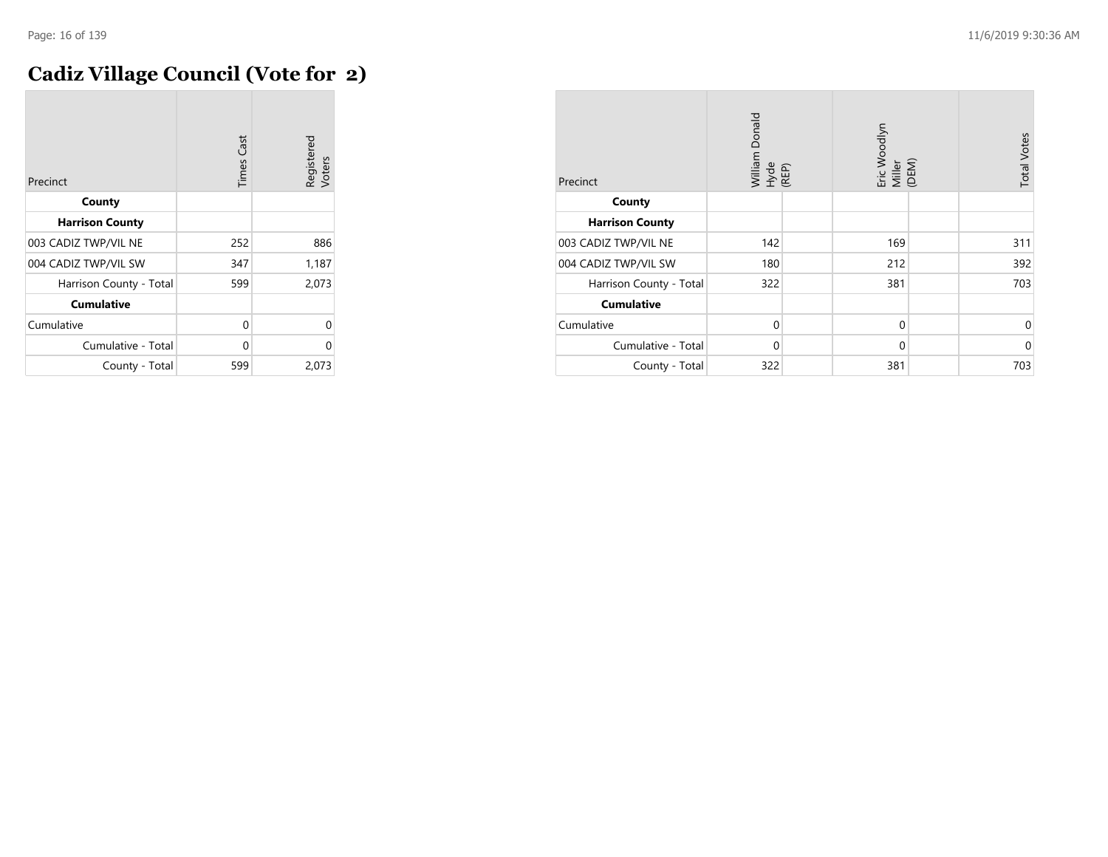## **Cadiz Village Council (Vote for 2)**

| Precinct                | <b>Times Cast</b> | Registered<br>Voters |
|-------------------------|-------------------|----------------------|
| County                  |                   |                      |
| <b>Harrison County</b>  |                   |                      |
| 003 CADIZ TWP/VIL NE    | 252               | 886                  |
| 004 CADIZ TWP/VIL SW    | 347               | 1,187                |
| Harrison County - Total | 599               | 2,073                |
| <b>Cumulative</b>       |                   |                      |
| Cumulative              | 0                 | $\Omega$             |
| Cumulative - Total      | 0                 | $\Omega$             |
| County - Total          | 599               | 2,073                |

| Precinct                | William Donald<br>Hyde<br>(REP) |  | Eric Woodlyn<br>Miller<br>(DEM) |  | <b>Total Votes</b> |
|-------------------------|---------------------------------|--|---------------------------------|--|--------------------|
| County                  |                                 |  |                                 |  |                    |
| <b>Harrison County</b>  |                                 |  |                                 |  |                    |
| 003 CADIZ TWP/VIL NE    | 142                             |  | 169                             |  | 311                |
| 004 CADIZ TWP/VIL SW    | 180                             |  | 212                             |  | 392                |
| Harrison County - Total | 322                             |  | 381                             |  | 703                |
| <b>Cumulative</b>       |                                 |  |                                 |  |                    |
| Cumulative              | $\mathbf 0$                     |  | $\mathbf 0$                     |  | 0                  |
| Cumulative - Total      | $\mathbf 0$                     |  | $\mathbf 0$                     |  | $\mathbf 0$        |
| County - Total          | 322                             |  | 381                             |  | 703                |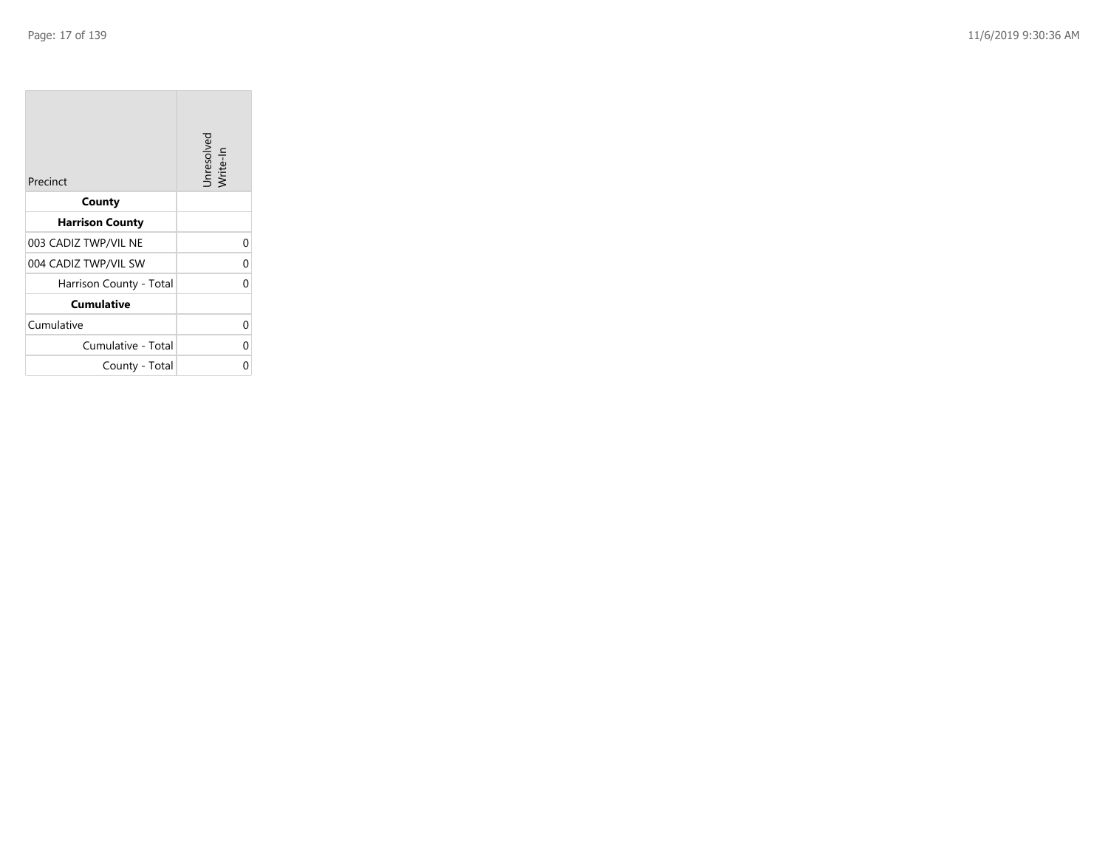| Precinct                | Unresolved<br>Write-In |
|-------------------------|------------------------|
| County                  |                        |
| <b>Harrison County</b>  |                        |
| 003 CADIZ TWP/VIL NE    | 0                      |
| 004 CADIZ TWP/VIL SW    | 0                      |
| Harrison County - Total | O                      |
| <b>Cumulative</b>       |                        |
| Cumulative              | O                      |
| Cumulative - Total      | 0                      |
| County - Total          | ი                      |

the company of the company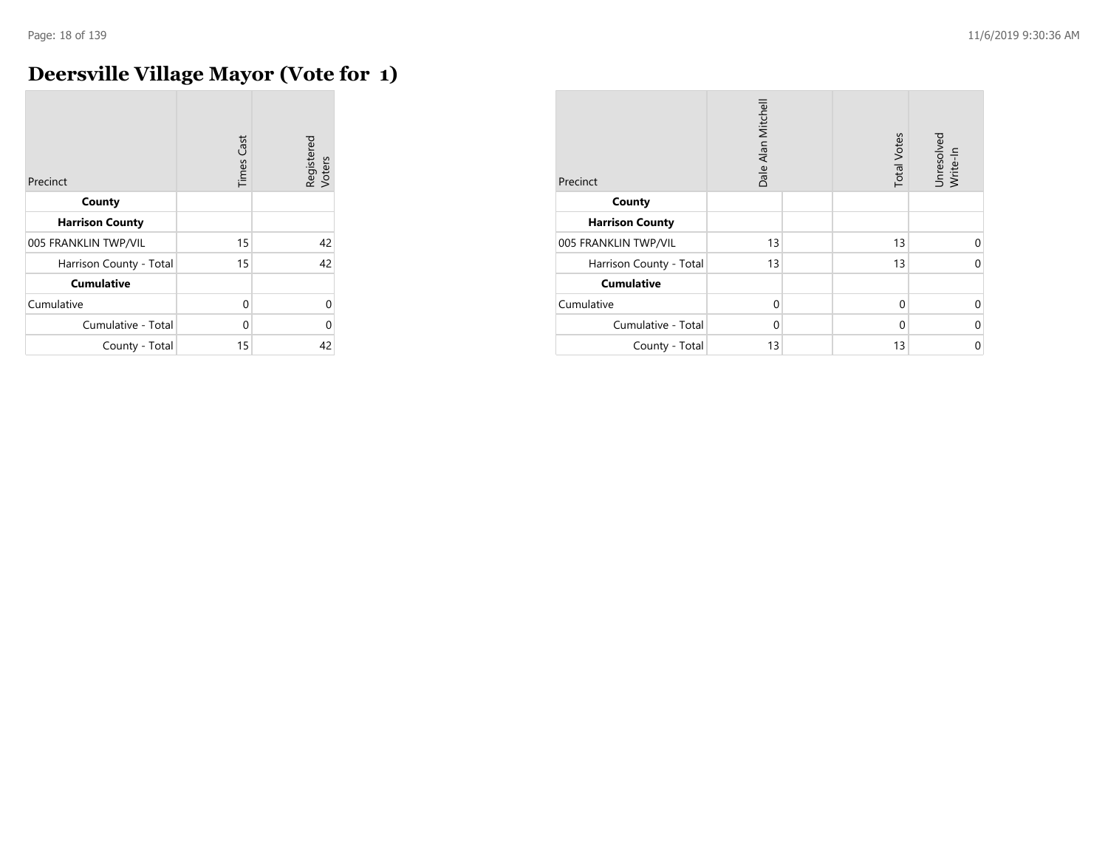## **Deersville Village Mayor (Vote for 1)**

| Precinct                | <b>Times Cast</b> | Registered<br>Voters |
|-------------------------|-------------------|----------------------|
| County                  |                   |                      |
| <b>Harrison County</b>  |                   |                      |
| 005 FRANKLIN TWP/VIL    | 15                | 42                   |
| Harrison County - Total | 15                | 42                   |
| <b>Cumulative</b>       |                   |                      |
| Cumulative              | U                 | $\Omega$             |
| Cumulative - Total      | U                 | 0                    |
| County - Total          | 15                | 42                   |

| Precinct                | Dale Alan Mitchell |  | <b>Total Votes</b> | Unresolved<br>Write-In |
|-------------------------|--------------------|--|--------------------|------------------------|
| County                  |                    |  |                    |                        |
| <b>Harrison County</b>  |                    |  |                    |                        |
| 005 FRANKLIN TWP/VIL    | 13                 |  | 13                 | $\Omega$               |
| Harrison County - Total | 13                 |  | 13                 | $\Omega$               |
| <b>Cumulative</b>       |                    |  |                    |                        |
| Cumulative              | $\Omega$           |  | $\Omega$           | $\Omega$               |
| Cumulative - Total      | $\Omega$           |  | $\Omega$           | 0                      |
| County - Total          | 13                 |  | 13                 | $\mathbf 0$            |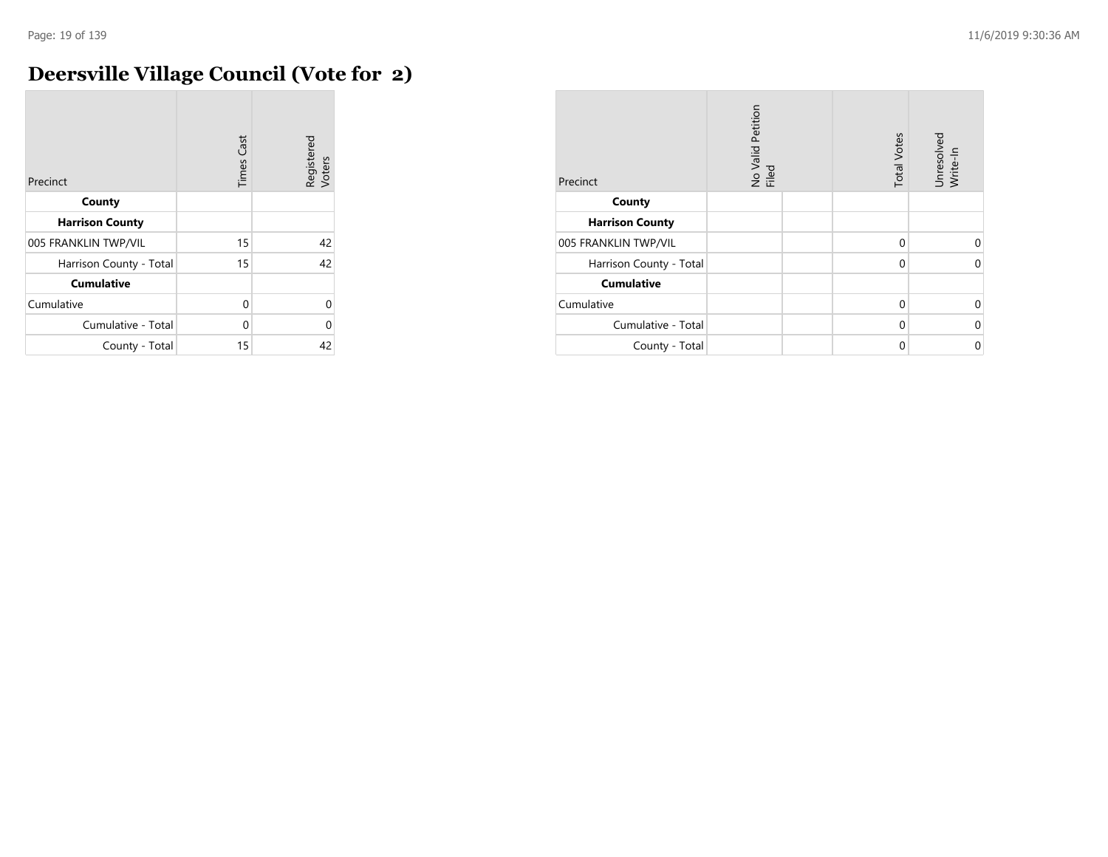## **Deersville Village Council (Vote for 2)**

| Precinct                | <b>Times Cast</b> | Registered<br>Voters |
|-------------------------|-------------------|----------------------|
| County                  |                   |                      |
| <b>Harrison County</b>  |                   |                      |
| 005 FRANKLIN TWP/VIL    | 15                | 42                   |
| Harrison County - Total | 15                | 42                   |
| <b>Cumulative</b>       |                   |                      |
| Cumulative              | $\Omega$          | 0                    |
| Cumulative - Total      | U                 | 0                    |
| County - Total          | 15                | 42                   |

| Precinct                | No Valid Petition<br>Filed |  | <b>Total Votes</b> | Unresolved<br>Write-In |
|-------------------------|----------------------------|--|--------------------|------------------------|
| County                  |                            |  |                    |                        |
| <b>Harrison County</b>  |                            |  |                    |                        |
| 005 FRANKLIN TWP/VIL    |                            |  | 0                  | $\Omega$               |
| Harrison County - Total |                            |  | $\Omega$           | $\Omega$               |
| <b>Cumulative</b>       |                            |  |                    |                        |
| Cumulative              |                            |  | $\Omega$           | $\Omega$               |
| Cumulative - Total      |                            |  | $\Omega$           | 0                      |
| County - Total          |                            |  | $\Omega$           | $\Omega$               |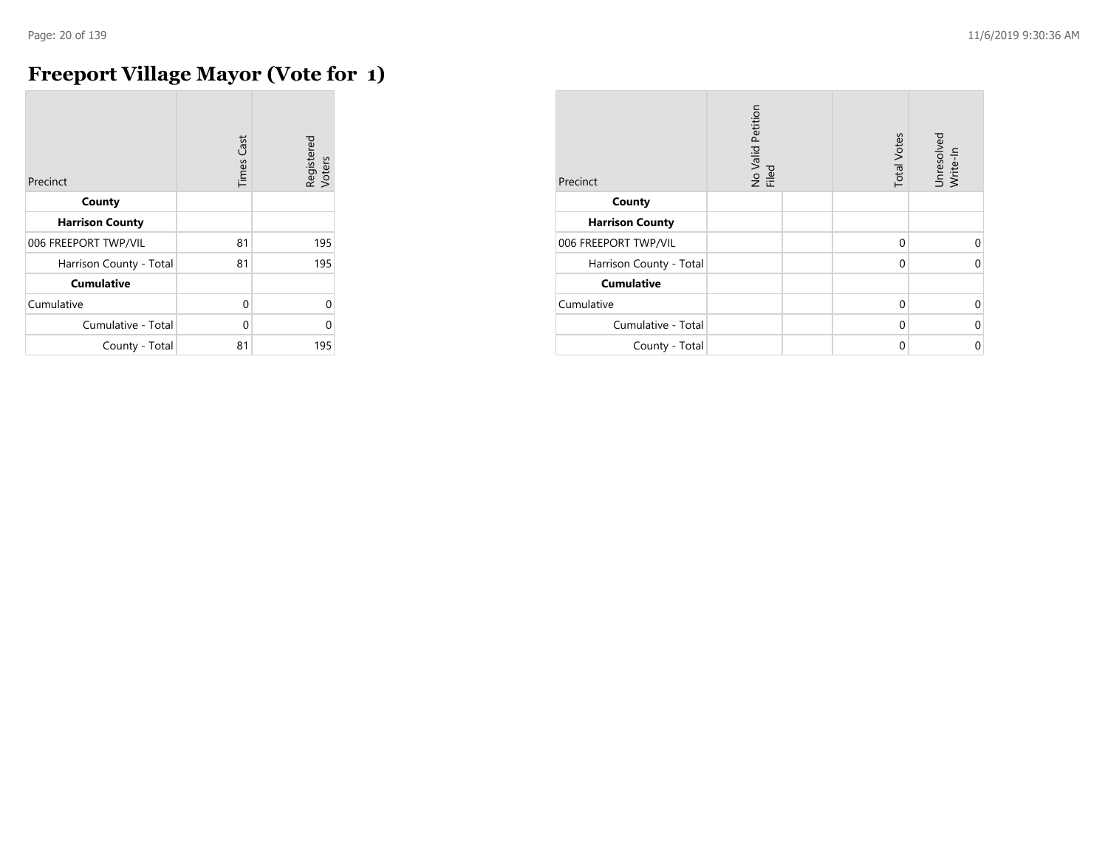## **Freeport Village Mayor (Vote for 1)**

| Precinct                | <b>Times Cast</b> | Registered<br>Voters |
|-------------------------|-------------------|----------------------|
| County                  |                   |                      |
| <b>Harrison County</b>  |                   |                      |
| 006 FREEPORT TWP/VIL    | 81                | 195                  |
| Harrison County - Total | 81                | 195                  |
| <b>Cumulative</b>       |                   |                      |
| Cumulative              | 0                 | U                    |
| Cumulative - Total      | $\Omega$          | U                    |
| County - Total          | 81                | 195                  |

| Precinct                | No Valid Petition<br>Filed | <b>Total Votes</b> | Unresolved<br>Write-In |
|-------------------------|----------------------------|--------------------|------------------------|
| County                  |                            |                    |                        |
| <b>Harrison County</b>  |                            |                    |                        |
| 006 FREEPORT TWP/VIL    |                            | $\Omega$           | U                      |
| Harrison County - Total |                            | $\mathbf 0$        | $\Omega$               |
| <b>Cumulative</b>       |                            |                    |                        |
| Cumulative              |                            | $\Omega$           | $\Omega$               |
| Cumulative - Total      |                            | $\Omega$           | $\Omega$               |
| County - Total          |                            | 0                  | 0                      |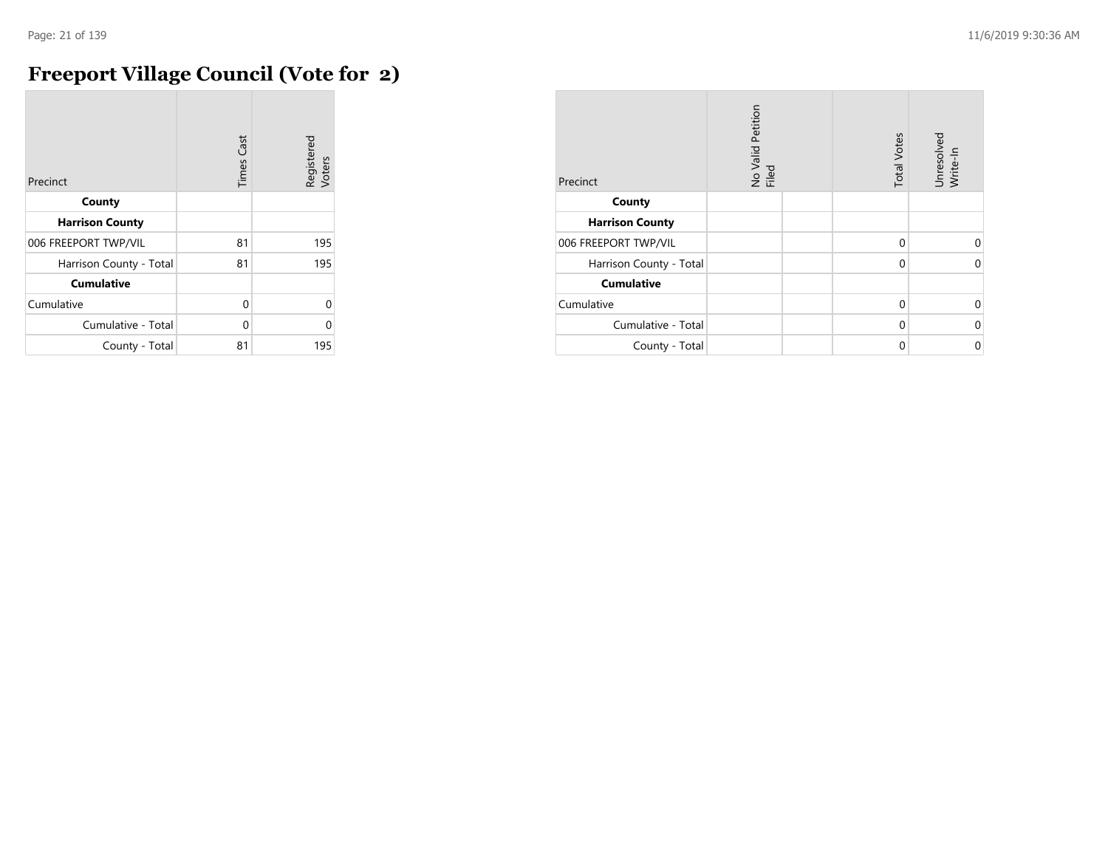## **Freeport Village Council (Vote for 2)**

| Precinct                | <b>Times Cast</b> | Registered<br>Voters |
|-------------------------|-------------------|----------------------|
| County                  |                   |                      |
| <b>Harrison County</b>  |                   |                      |
| 006 FREEPORT TWP/VIL    | 81                | 195                  |
| Harrison County - Total | 81                | 195                  |
| <b>Cumulative</b>       |                   |                      |
| Cumulative              | O                 | 0                    |
| Cumulative - Total      | U                 | C                    |
| County - Total          | 81                | 195                  |

| Precinct                | No Valid Petition<br>Filed | <b>Total Votes</b> | Unresolved<br>Write-In |
|-------------------------|----------------------------|--------------------|------------------------|
| County                  |                            |                    |                        |
| <b>Harrison County</b>  |                            |                    |                        |
| 006 FREEPORT TWP/VIL    |                            | 0                  | $\Omega$               |
| Harrison County - Total |                            | $\Omega$           | 0                      |
| <b>Cumulative</b>       |                            |                    |                        |
| Cumulative              |                            | $\Omega$           | 0                      |
| Cumulative - Total      |                            | $\Omega$           | $\Omega$               |
| County - Total          |                            | $\Omega$           | 0                      |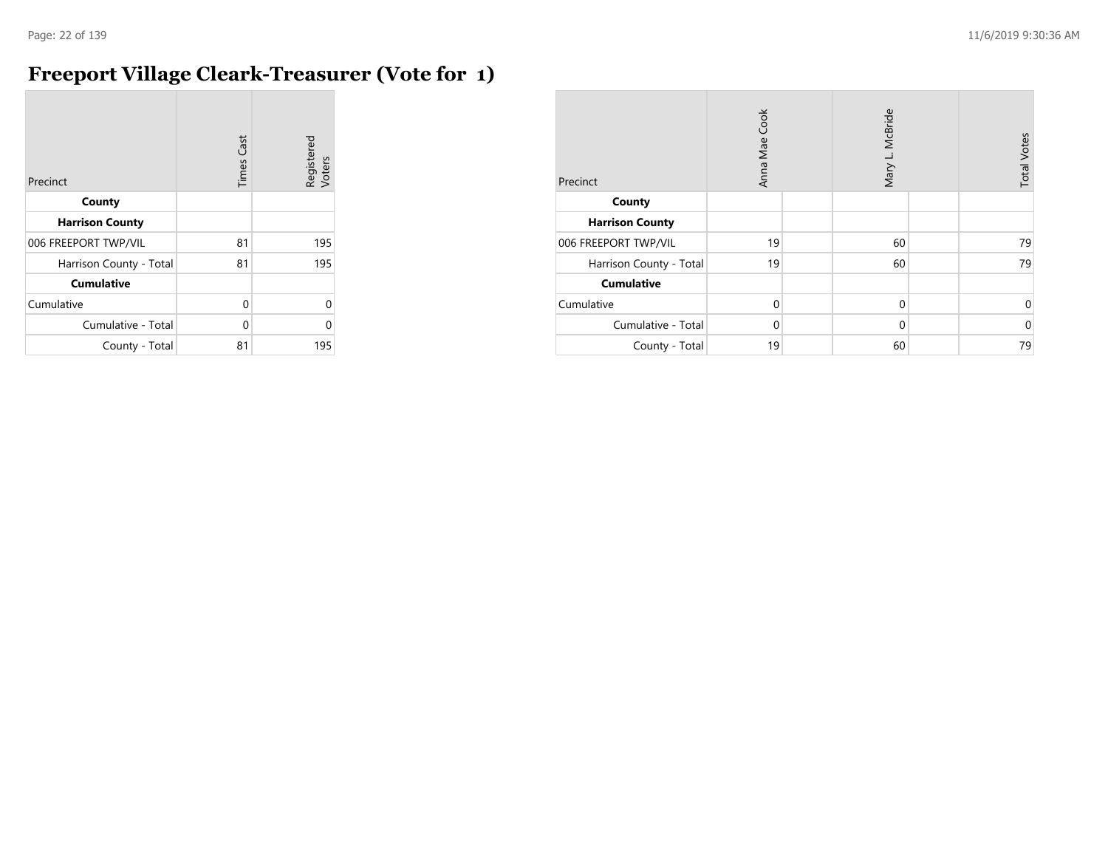#### **Freeport Village Cleark-Treasurer (Vote for 1)**

| Precinct                | Cast<br>Times | Registered<br>Voters |
|-------------------------|---------------|----------------------|
| County                  |               |                      |
| <b>Harrison County</b>  |               |                      |
| 006 FREEPORT TWP/VIL    | 81            | 195                  |
| Harrison County - Total | 81            | 195                  |
| <b>Cumulative</b>       |               |                      |
| Cumulative              | 0             | U                    |
| Cumulative - Total      | 0             | Λ                    |
| County - Total          | 81            | 195                  |

| Precinct                | Anna Mae Cook |  | Mary L. McBride |  | <b>Total Votes</b> |
|-------------------------|---------------|--|-----------------|--|--------------------|
| County                  |               |  |                 |  |                    |
| <b>Harrison County</b>  |               |  |                 |  |                    |
| 006 FREEPORT TWP/VIL    | 19            |  | 60              |  | 79                 |
| Harrison County - Total | 19            |  | 60              |  | 79                 |
| <b>Cumulative</b>       |               |  |                 |  |                    |
| Cumulative              | $\Omega$      |  | $\mathbf 0$     |  | 0                  |
| Cumulative - Total      | $\Omega$      |  | $\mathbf 0$     |  | $\mathbf 0$        |
| County - Total          | 19            |  | 60              |  | 79                 |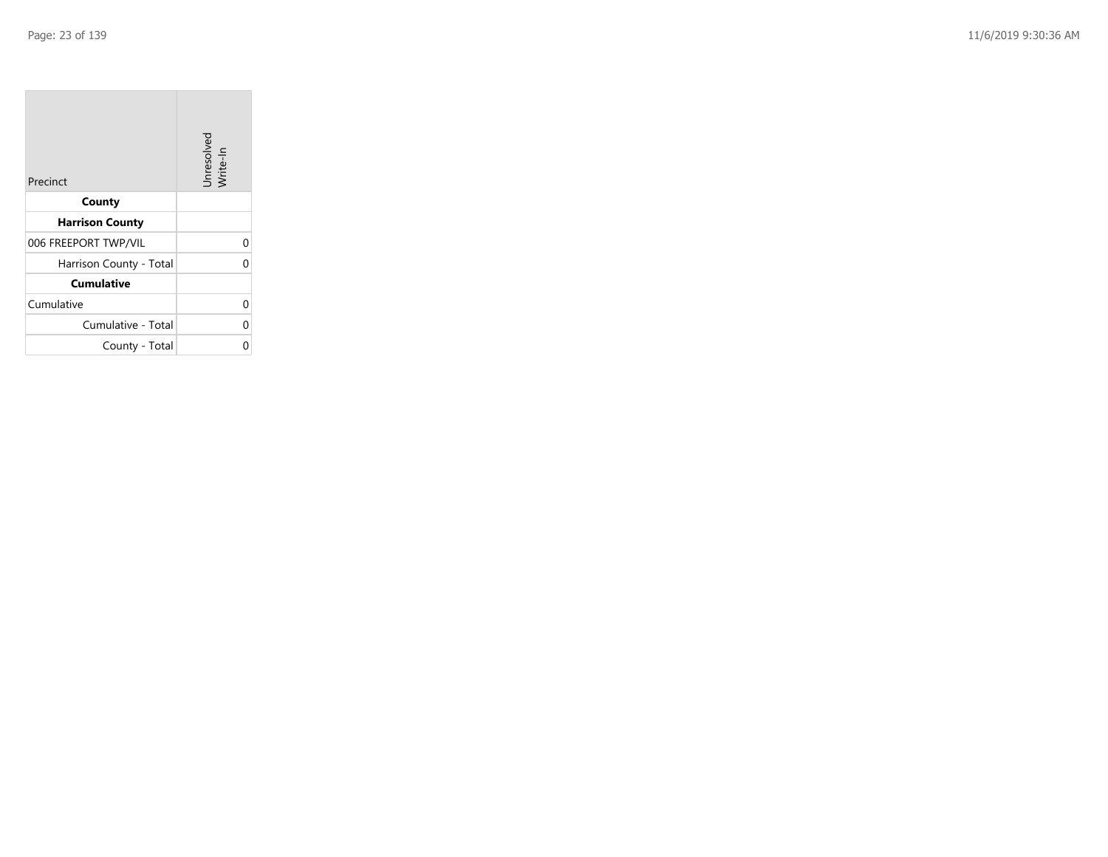| Precinct                | Unresolved<br>Write-In |
|-------------------------|------------------------|
| County                  |                        |
| <b>Harrison County</b>  |                        |
| 006 FREEPORT TWP/VIL    | 0                      |
| Harrison County - Total |                        |
| <b>Cumulative</b>       |                        |
| Cumulative              | 0                      |
| Cumulative - Total      | U                      |
| County - Total          |                        |

the property of the con-

 $\overline{\phantom{a}}$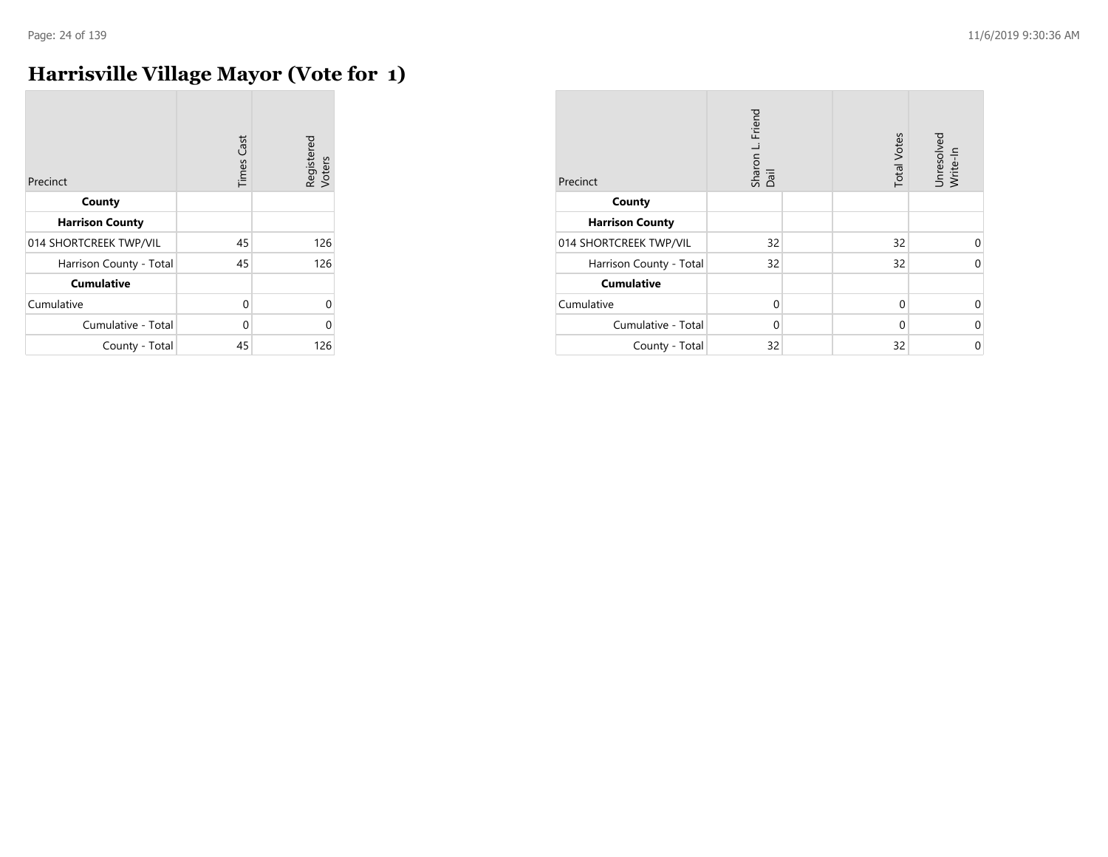## **Harrisville Village Mayor (Vote for 1)**

| Precinct                | <b>Times Cast</b> | Registered<br>Voters |
|-------------------------|-------------------|----------------------|
| County                  |                   |                      |
| <b>Harrison County</b>  |                   |                      |
| 014 SHORTCREEK TWP/VIL  | 45                | 126                  |
| Harrison County - Total | 45                | 126                  |
| <b>Cumulative</b>       |                   |                      |
| Cumulative              | 0                 | $\Omega$             |
| Cumulative - Total      | 0                 | O                    |
| County - Total          | 45                | 126                  |

| Precinct                | Friend<br>Sharon L. I<br>Dail | <b>Total Votes</b> | Unresolved<br>Write-In |
|-------------------------|-------------------------------|--------------------|------------------------|
| County                  |                               |                    |                        |
| <b>Harrison County</b>  |                               |                    |                        |
| 014 SHORTCREEK TWP/VIL  | 32                            | 32                 | U                      |
| Harrison County - Total | 32                            | 32                 | $\Omega$               |
| <b>Cumulative</b>       |                               |                    |                        |
| Cumulative              | $\Omega$                      | $\Omega$           | $\Omega$               |
| Cumulative - Total      | $\Omega$                      | $\Omega$           | $\Omega$               |
| County - Total          | 32                            | 32                 | 0                      |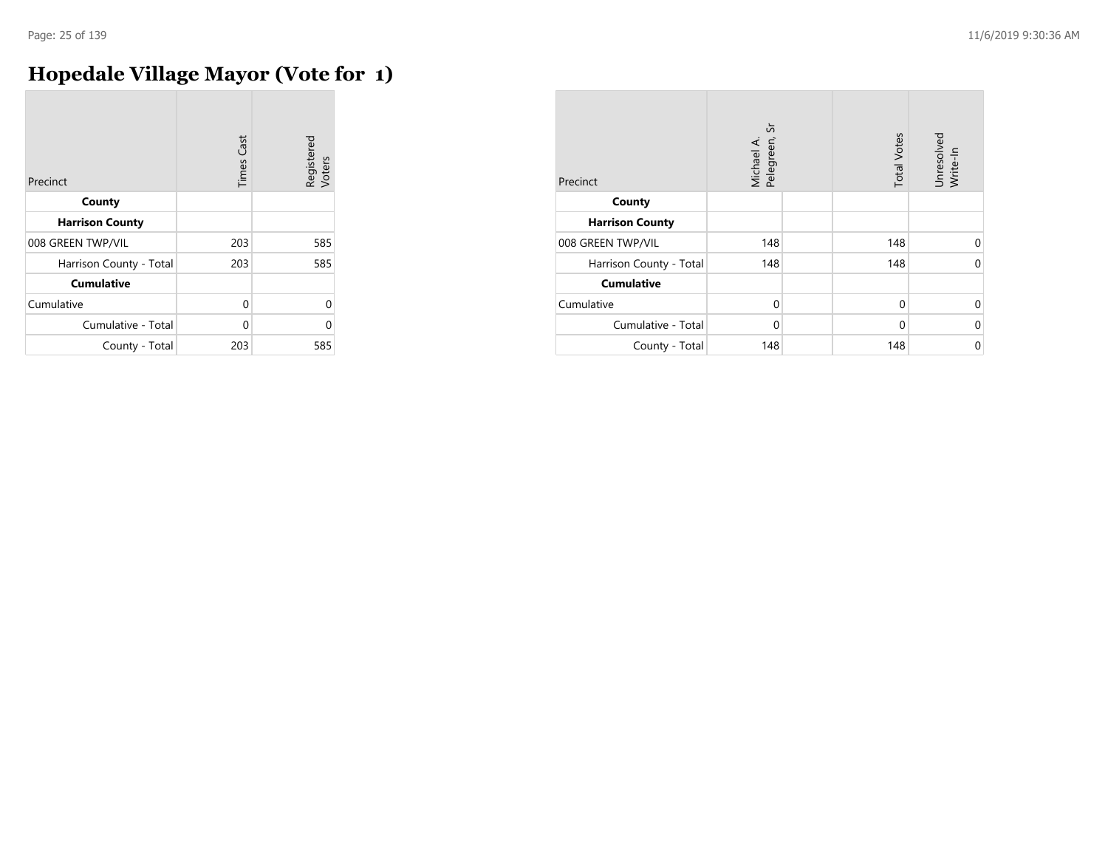## **Hopedale Village Mayor (Vote for 1)**

| Precinct                | <b>Times Cast</b> | Registered<br>Voters |
|-------------------------|-------------------|----------------------|
| County                  |                   |                      |
| <b>Harrison County</b>  |                   |                      |
| 008 GREEN TWP/VIL       | 203               | 585                  |
| Harrison County - Total | 203               | 585                  |
| <b>Cumulative</b>       |                   |                      |
| Cumulative              | $\Omega$          | 0                    |
| Cumulative - Total      | U                 | U                    |
| County - Total          | 203               | 585                  |

| Precinct                | Michael A.<br>Pelegreen, Sr | <b>Total Votes</b> | Unresolved<br>Write-In |
|-------------------------|-----------------------------|--------------------|------------------------|
| County                  |                             |                    |                        |
| <b>Harrison County</b>  |                             |                    |                        |
| 008 GREEN TWP/VIL       | 148                         | 148                | $\Omega$               |
| Harrison County - Total | 148                         | 148                | $\Omega$               |
| <b>Cumulative</b>       |                             |                    |                        |
| Cumulative              | $\Omega$                    | $\Omega$           | $\Omega$               |
| Cumulative - Total      | $\Omega$                    | $\Omega$           | 0                      |
| County - Total          | 148                         | 148                | 0                      |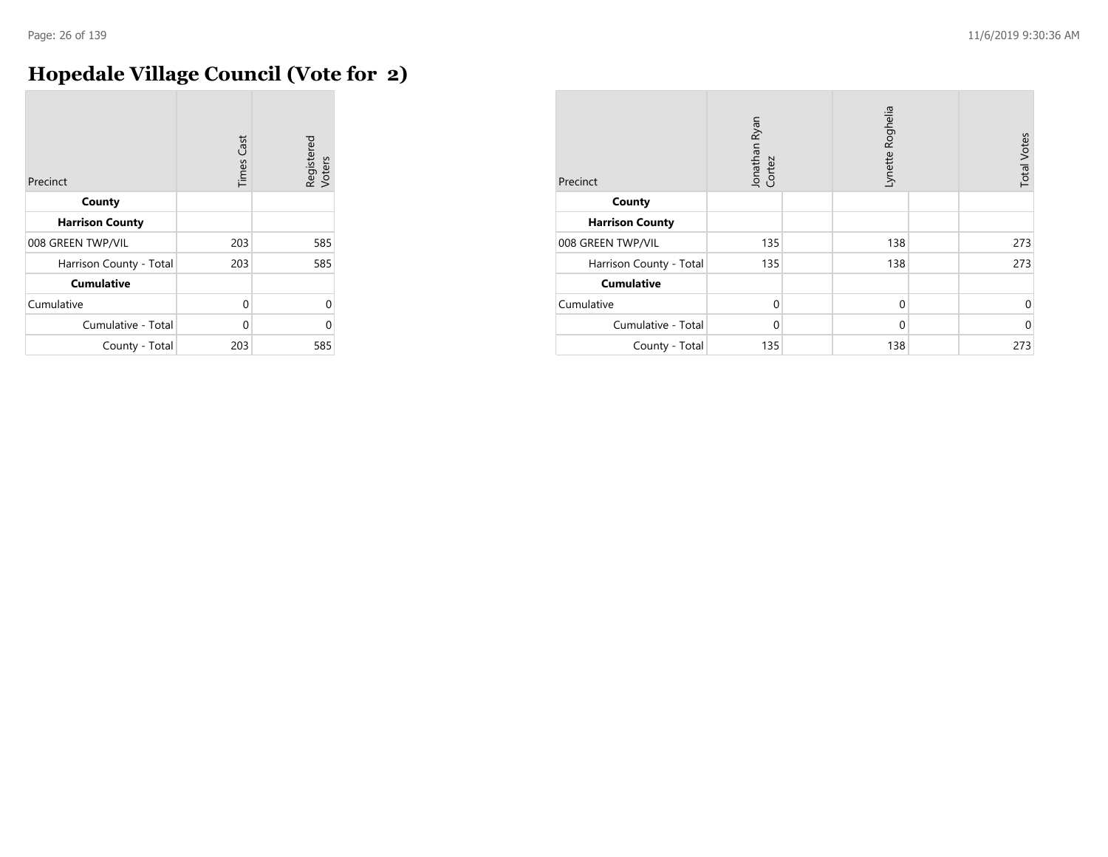## **Hopedale Village Council (Vote for 2)**

| Precinct                | <b>Times Cast</b> | Registered<br>Voters |
|-------------------------|-------------------|----------------------|
| County                  |                   |                      |
| <b>Harrison County</b>  |                   |                      |
| 008 GREEN TWP/VIL       | 203               | 585                  |
| Harrison County - Total | 203               | 585                  |
| <b>Cumulative</b>       |                   |                      |
| Cumulative              | 0                 | 0                    |
| Cumulative - Total      | U                 | C                    |
| County - Total          | 203               | 585                  |

| Precinct                | Jonathan Ryan<br>Cortez | Lynette Roghelia | <b>Total Votes</b> |
|-------------------------|-------------------------|------------------|--------------------|
| County                  |                         |                  |                    |
| <b>Harrison County</b>  |                         |                  |                    |
| 008 GREEN TWP/VIL       | 135                     | 138              | 273                |
| Harrison County - Total | 135                     | 138              | 273                |
| <b>Cumulative</b>       |                         |                  |                    |
| Cumulative              | $\mathbf 0$             | $\mathbf 0$      | 0                  |
| Cumulative - Total      | $\Omega$                | $\Omega$         | $\mathbf 0$        |
| County - Total          | 135                     | 138              | 273                |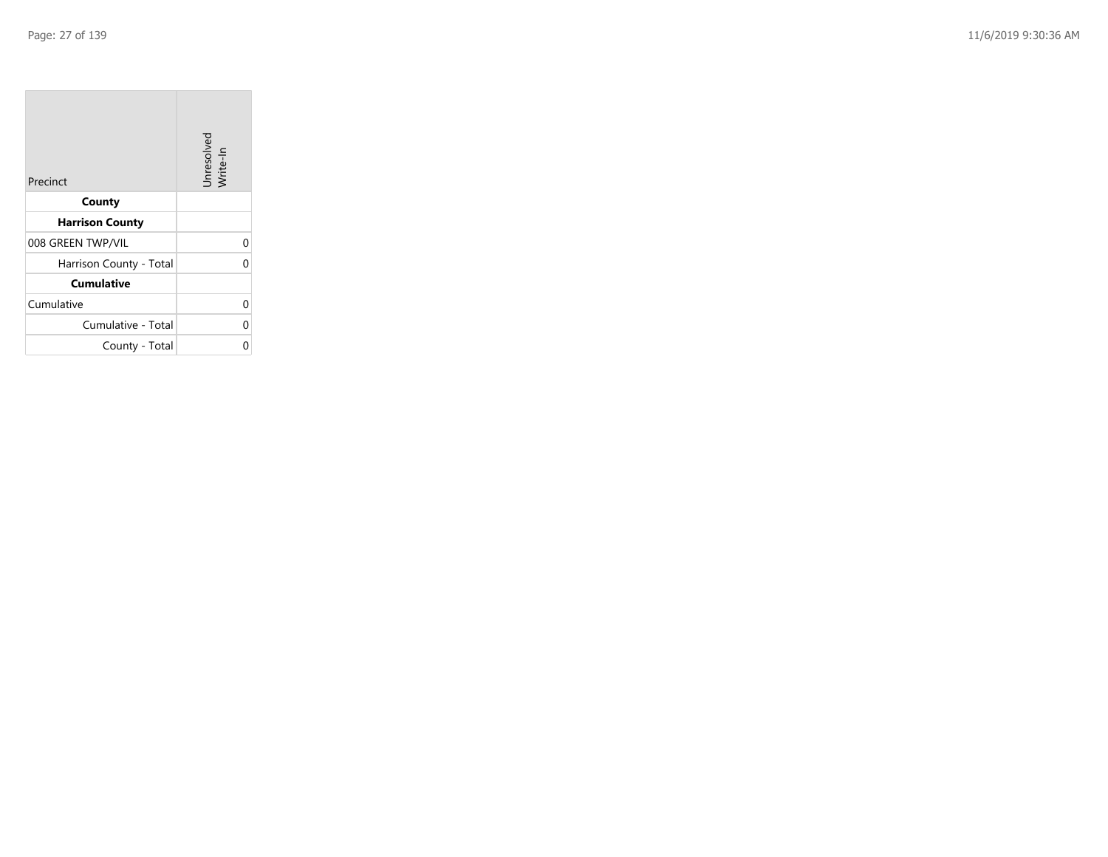| Precinct                | Unresolved<br>Write-In |
|-------------------------|------------------------|
| County                  |                        |
| <b>Harrison County</b>  |                        |
| 008 GREEN TWP/VIL       | 0                      |
| Harrison County - Total | 0                      |
| <b>Cumulative</b>       |                        |
| Cumulative              | 0                      |
| Cumulative - Total      | 0                      |
| County - Total          | ი                      |

the control of the con-

 $\overline{\phantom{a}}$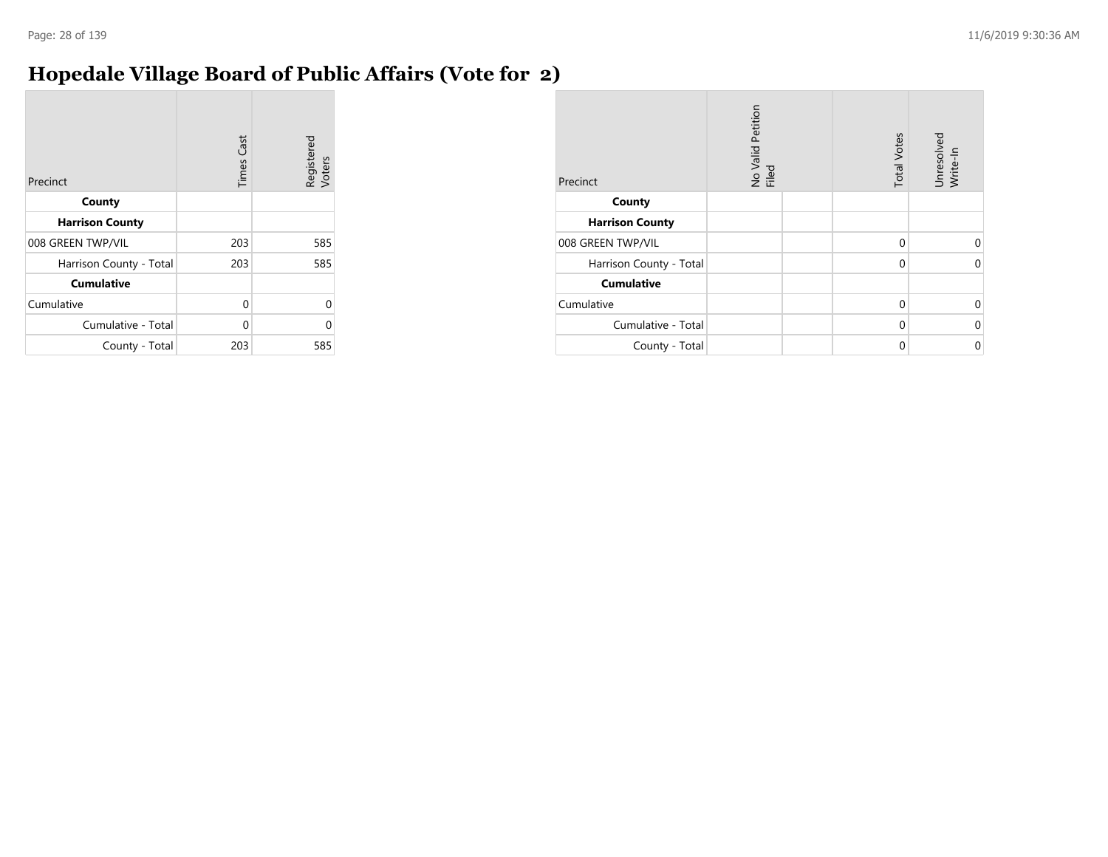#### **Hopedale Village Board of Public Affairs (Vote for 2)**

| Precinct                | <b>Times Cast</b> | Registered<br>Voters |
|-------------------------|-------------------|----------------------|
| County                  |                   |                      |
| <b>Harrison County</b>  |                   |                      |
| 008 GREEN TWP/VIL       | 203               | 585                  |
| Harrison County - Total | 203               | 585                  |
| <b>Cumulative</b>       |                   |                      |
| Cumulative              | 0                 | U                    |
| Cumulative - Total      | $\Omega$          |                      |
| County - Total          | 203               | 585                  |

| Precinct                | No Valid Petition<br>Filed | <b>Total Votes</b> | Unresolved<br>Write-In |
|-------------------------|----------------------------|--------------------|------------------------|
| County                  |                            |                    |                        |
| <b>Harrison County</b>  |                            |                    |                        |
| 008 GREEN TWP/VIL       |                            | $\mathbf 0$        | $\Omega$               |
| Harrison County - Total |                            | 0                  | 0                      |
| <b>Cumulative</b>       |                            |                    |                        |
| Cumulative              |                            | $\mathbf 0$        | $\Omega$               |
| Cumulative - Total      |                            | 0                  | $\Omega$               |
| County - Total          |                            | 0                  | 0                      |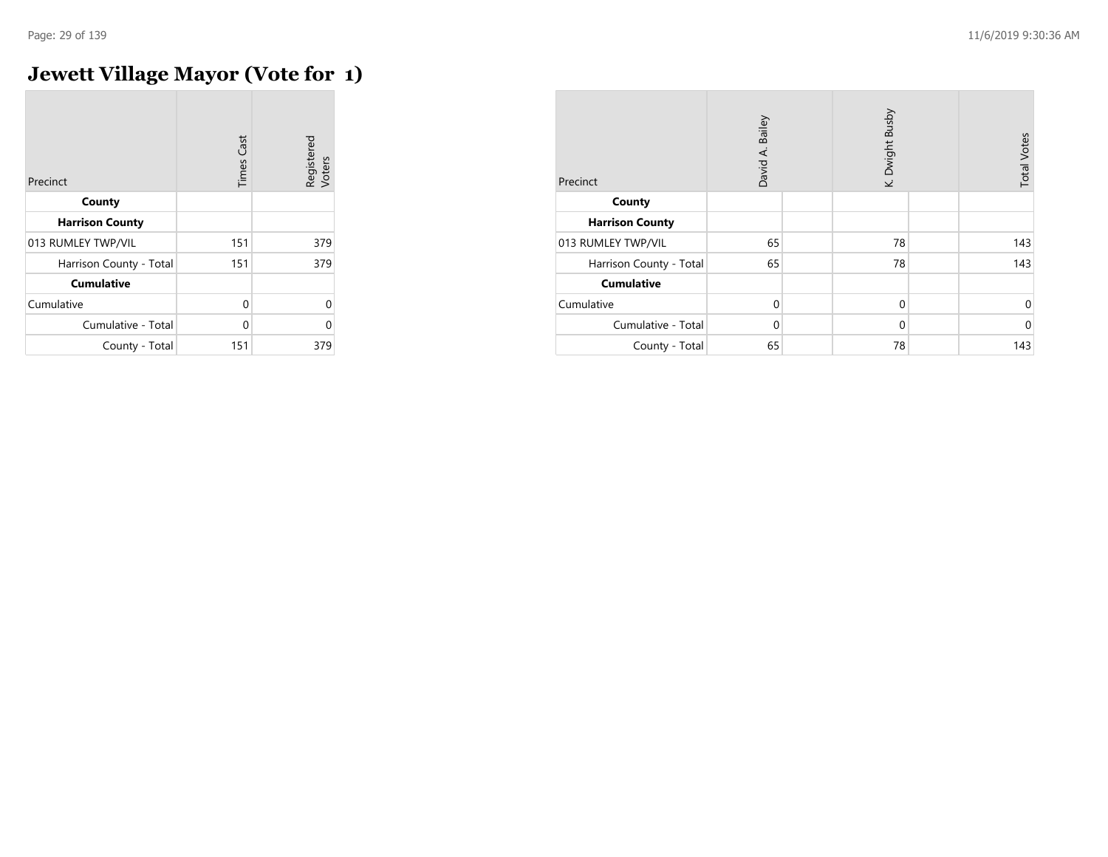## **Jewett Village Mayor (Vote for 1)**

| Precinct                | <b>Times Cast</b> | Registered<br>Voters |
|-------------------------|-------------------|----------------------|
| County                  |                   |                      |
| <b>Harrison County</b>  |                   |                      |
| 013 RUMLEY TWP/VIL      | 151               | 379                  |
| Harrison County - Total | 151               | 379                  |
| <b>Cumulative</b>       |                   |                      |
| Cumulative              | 0                 | U                    |
| Cumulative - Total      | 0                 | U                    |
| County - Total          | 151               | 379                  |

| Precinct                | Bailey<br>David A. | K. Dwight Busby | <b>Total Votes</b> |
|-------------------------|--------------------|-----------------|--------------------|
| County                  |                    |                 |                    |
| <b>Harrison County</b>  |                    |                 |                    |
| 013 RUMLEY TWP/VIL      | 65                 | 78              | 143                |
| Harrison County - Total | 65                 | 78              | 143                |
| <b>Cumulative</b>       |                    |                 |                    |
| Cumulative              | $\mathbf 0$        | $\mathbf 0$     | 0                  |
| Cumulative - Total      | $\Omega$           | $\mathbf 0$     | $\mathbf 0$        |
| County - Total          | 65                 | 78              | 143                |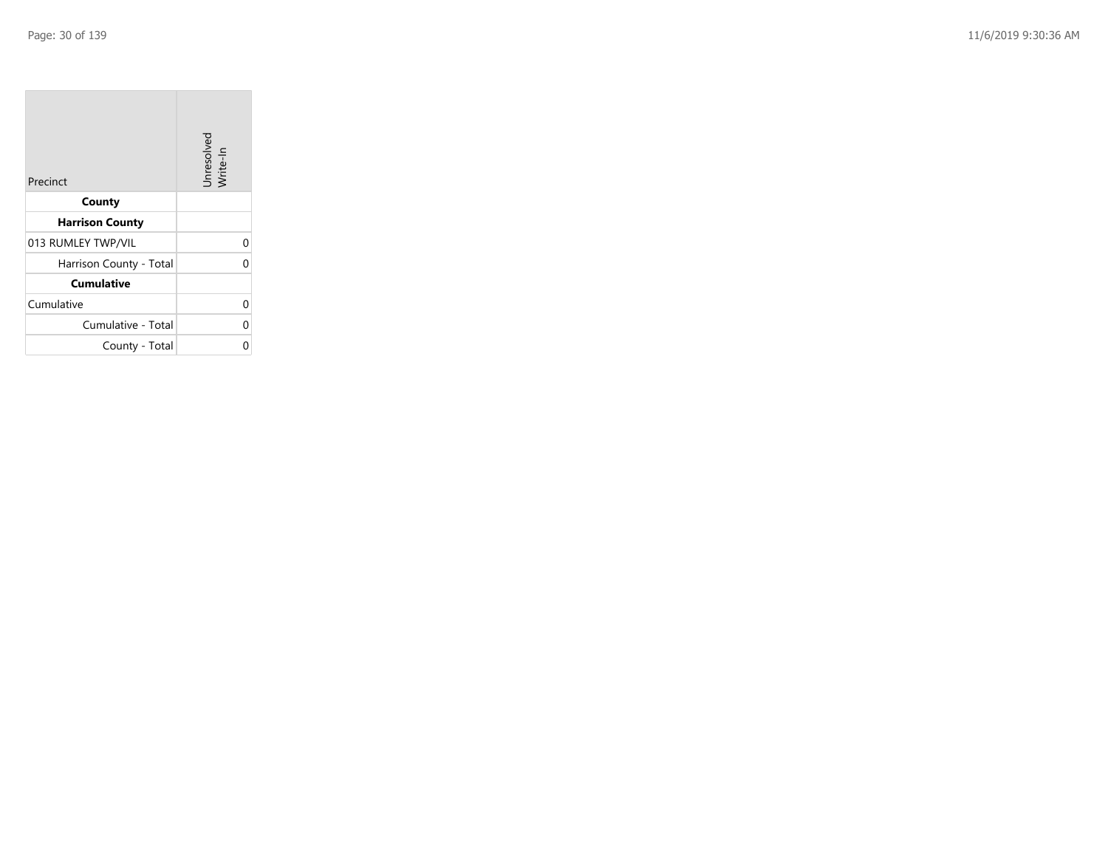| Precinct                | Unresolved<br>Write-In |
|-------------------------|------------------------|
| County                  |                        |
| <b>Harrison County</b>  |                        |
| 013 RUMLEY TWP/VIL      | 0                      |
| Harrison County - Total | 0                      |
| <b>Cumulative</b>       |                        |
| Cumulative              | 0                      |
| Cumulative - Total      | 0                      |
| County - Total          | ი                      |

the control of the con-

 $\overline{\phantom{a}}$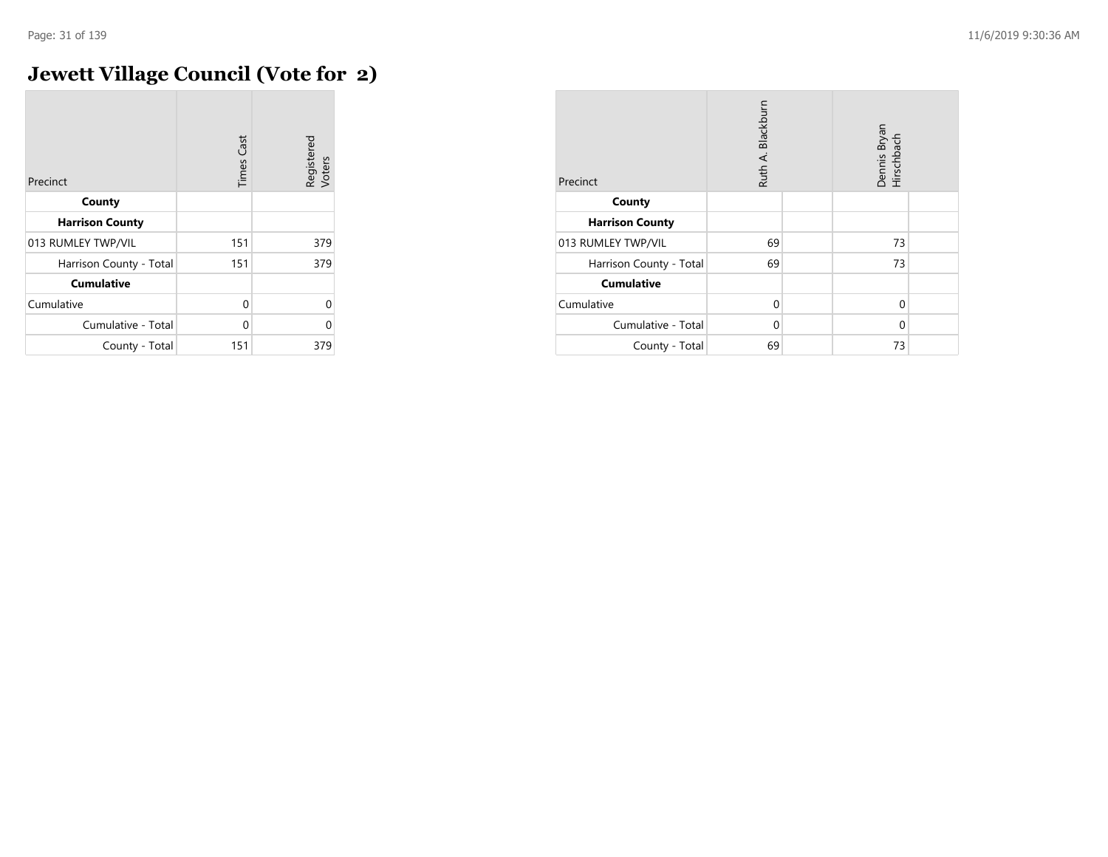## **Jewett Village Council (Vote for 2)**

| Precinct                | <b>Times Cast</b> | Registered<br>Voters |
|-------------------------|-------------------|----------------------|
| County                  |                   |                      |
| <b>Harrison County</b>  |                   |                      |
| 013 RUMLEY TWP/VIL      | 151               | 379                  |
| Harrison County - Total | 151               | 379                  |
| <b>Cumulative</b>       |                   |                      |
| Cumulative              | $\Omega$          | $\Omega$             |
| Cumulative - Total      | U                 | O                    |
| County - Total          | 151               | 379                  |

| Precinct                | Ruth A. Blackburn | Dennis Bryan<br>Hirschbach |  |
|-------------------------|-------------------|----------------------------|--|
| County                  |                   |                            |  |
| <b>Harrison County</b>  |                   |                            |  |
| 013 RUMLEY TWP/VIL      | 69                | 73                         |  |
| Harrison County - Total | 69                | 73                         |  |
| <b>Cumulative</b>       |                   |                            |  |
| Cumulative              | $\Omega$          | $\Omega$                   |  |
| Cumulative - Total      | $\Omega$          | $\Omega$                   |  |
| County - Total          | 69                | 73                         |  |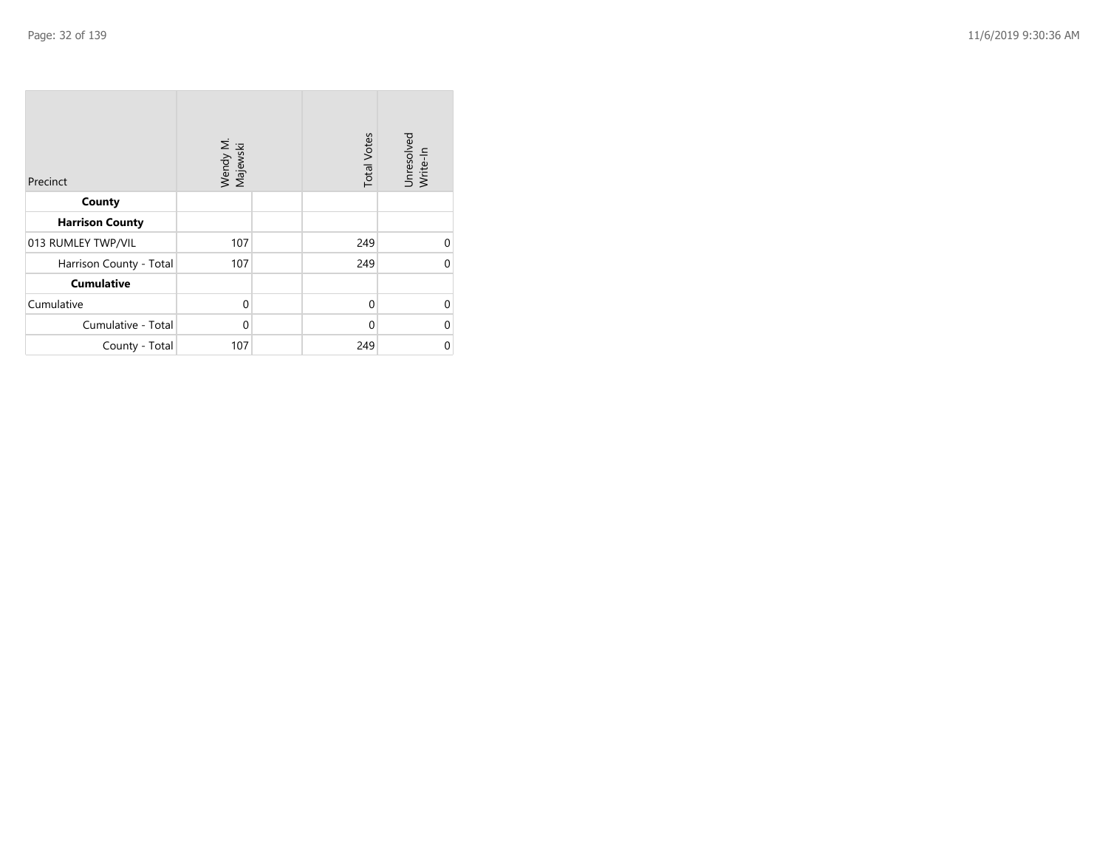| Precinct                | Wendy M.<br>Majewski | <b>Total Votes</b> | Unresolved<br>Write-In |
|-------------------------|----------------------|--------------------|------------------------|
| County                  |                      |                    |                        |
| <b>Harrison County</b>  |                      |                    |                        |
| 013 RUMLEY TWP/VIL      | 107                  | 249                | $\Omega$               |
| Harrison County - Total | 107                  | 249                | $\Omega$               |
| <b>Cumulative</b>       |                      |                    |                        |
| Cumulative              | $\mathbf 0$          | $\mathbf{0}$       | $\Omega$               |
| Cumulative - Total      | 0                    | 0                  | 0                      |
| County - Total          | 107                  | 249                | 0                      |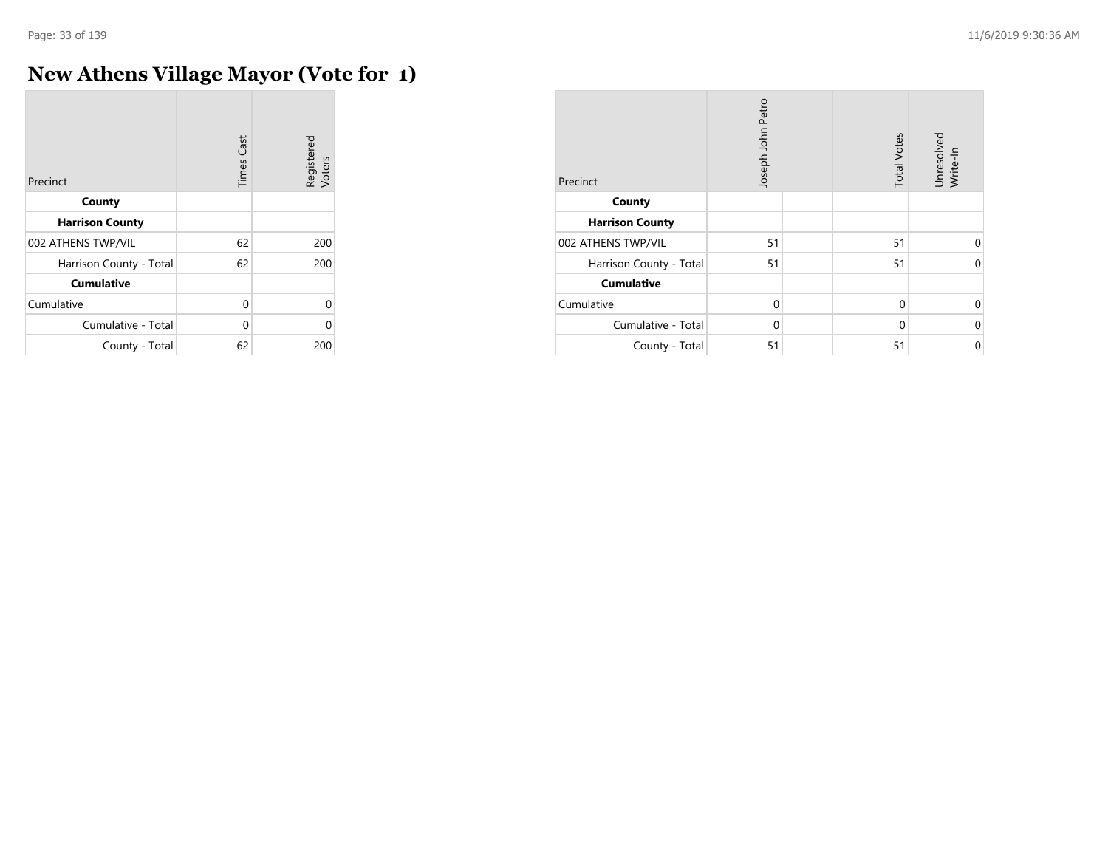÷

## **New Athens Village Mayor (Vote for 1)**

| Precinct                | <b>Times Cast</b> | Registered<br>Voters |
|-------------------------|-------------------|----------------------|
| County                  |                   |                      |
| <b>Harrison County</b>  |                   |                      |
| 002 ATHENS TWP/VIL      | 62                | 200                  |
| Harrison County - Total | 62                | 200                  |
| <b>Cumulative</b>       |                   |                      |
| Cumulative              | $\Omega$          | $\Omega$             |
| Cumulative - Total      | U                 | Λ                    |
| County - Total          | 62                | 200                  |

| Precinct                | Joseph John Petro |  | <b>Total Votes</b> | Unresolved<br>Write-In |
|-------------------------|-------------------|--|--------------------|------------------------|
| County                  |                   |  |                    |                        |
| <b>Harrison County</b>  |                   |  |                    |                        |
| 002 ATHENS TWP/VIL      | 51                |  | 51                 | 0                      |
| Harrison County - Total | 51                |  | 51                 | $\Omega$               |
| <b>Cumulative</b>       |                   |  |                    |                        |
| Cumulative              | $\Omega$          |  | $\Omega$           | 0                      |
| Cumulative - Total      | $\Omega$          |  | $\Omega$           | $\Omega$               |
| County - Total          | 51                |  | 51                 | 0                      |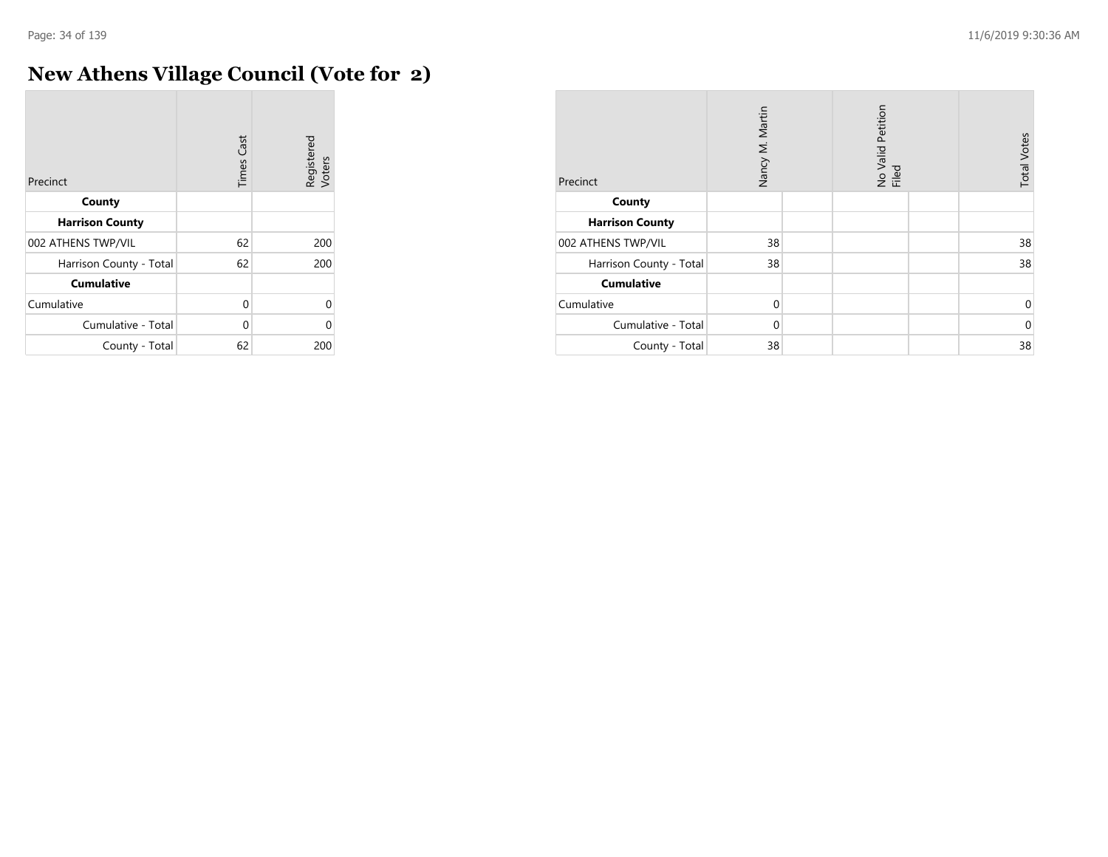#### **New Athens Village Council (Vote for 2)**

| Precinct                | <b>Times Cast</b> | Registered<br>Voters |
|-------------------------|-------------------|----------------------|
| County                  |                   |                      |
| <b>Harrison County</b>  |                   |                      |
| 002 ATHENS TWP/VIL      | 62                | 200                  |
| Harrison County - Total | 62                | 200                  |
| <b>Cumulative</b>       |                   |                      |
| Cumulative              | 0                 | $\Omega$             |
| Cumulative - Total      | 0                 | O                    |
| County - Total          | 62                | 200                  |

| Precinct                | Nancy M. Martin | No Valid Petition<br>Filed | <b>Total Votes</b> |
|-------------------------|-----------------|----------------------------|--------------------|
| County                  |                 |                            |                    |
| <b>Harrison County</b>  |                 |                            |                    |
| 002 ATHENS TWP/VIL      | 38              |                            | 38                 |
| Harrison County - Total | 38              |                            | 38                 |
| <b>Cumulative</b>       |                 |                            |                    |
| Cumulative              | $\mathbf 0$     |                            | 0                  |
| Cumulative - Total      | $\Omega$        |                            | $\mathbf 0$        |
| County - Total          | 38              |                            | 38                 |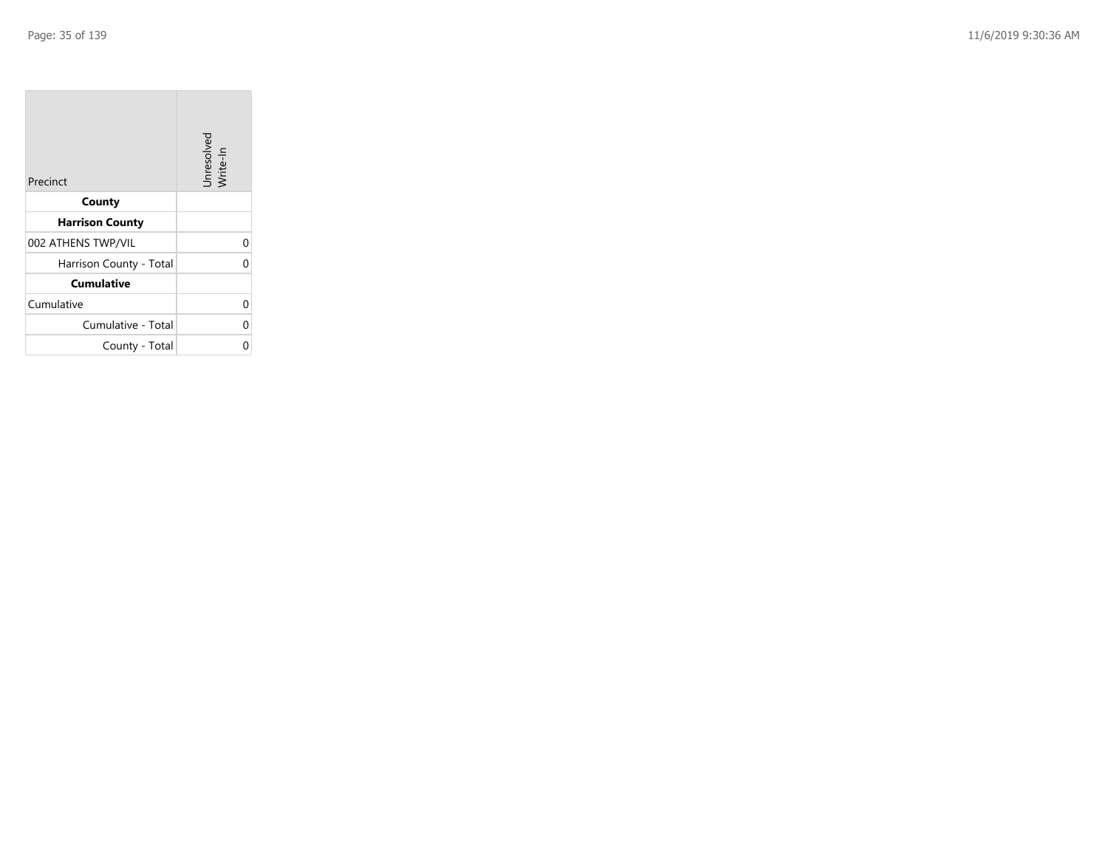| Precinct                | Unresolved<br>Write-In |
|-------------------------|------------------------|
| County                  |                        |
| <b>Harrison County</b>  |                        |
| 002 ATHENS TWP/VIL      | 0                      |
| Harrison County - Total | 0                      |
| <b>Cumulative</b>       |                        |
| Cumulative              | 0                      |
| Cumulative - Total      | 0                      |
| County - Total          | ი                      |

the property of the con-

 $\overline{\phantom{a}}$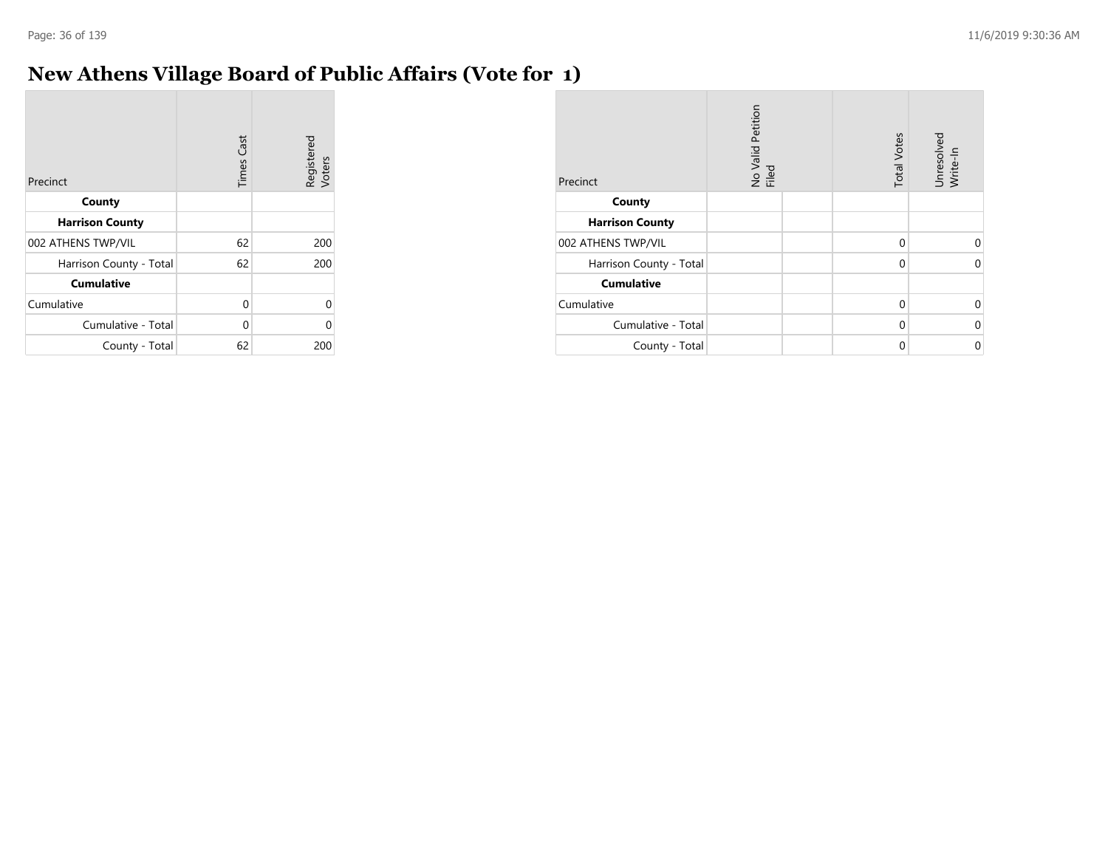#### **New Athens Village Board of Public Affairs (Vote for 1)**

| Precinct                | <b>Times Cast</b> | Registered<br>Voters |
|-------------------------|-------------------|----------------------|
| County                  |                   |                      |
| <b>Harrison County</b>  |                   |                      |
| 002 ATHENS TWP/VIL      | 62                | 200                  |
| Harrison County - Total | 62                | 200                  |
| <b>Cumulative</b>       |                   |                      |
| Cumulative              | 0                 | U                    |
| Cumulative - Total      | 0                 | U                    |
| County - Total          | 62                | 200                  |

| Precinct                | No Valid Petition<br>Filed | <b>Total Votes</b> | Unresolved<br>Write-In |
|-------------------------|----------------------------|--------------------|------------------------|
| County                  |                            |                    |                        |
| <b>Harrison County</b>  |                            |                    |                        |
| 002 ATHENS TWP/VIL      |                            | $\mathbf 0$        | $\Omega$               |
| Harrison County - Total |                            | $\Omega$           | 0                      |
| <b>Cumulative</b>       |                            |                    |                        |
| Cumulative              |                            | $\Omega$           | $\Omega$               |
| Cumulative - Total      |                            | $\Omega$           | $\mathbf 0$            |
| County - Total          |                            | $\Omega$           | $\mathbf 0$            |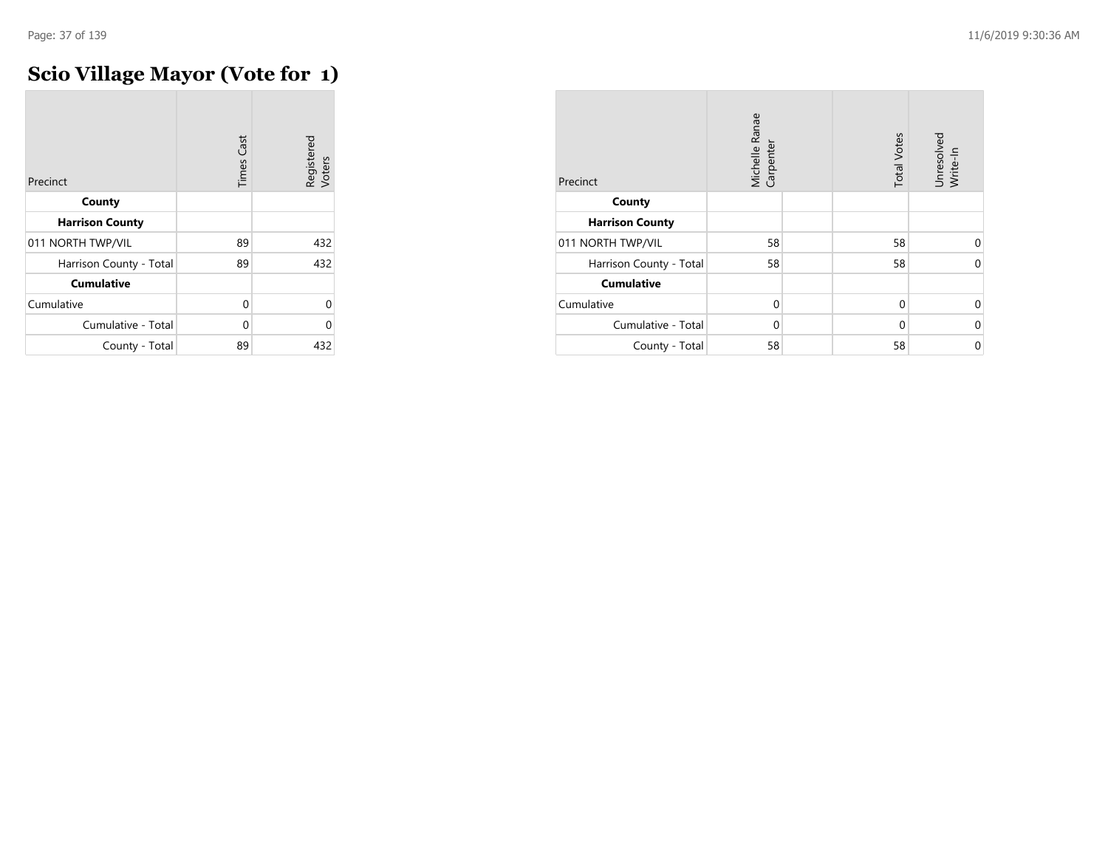## **Scio Village Mayor (Vote for 1)**

| Precinct                | <b>Times Cast</b> | Registered<br>Voters |
|-------------------------|-------------------|----------------------|
| County                  |                   |                      |
| <b>Harrison County</b>  |                   |                      |
| 011 NORTH TWP/VIL       | 89                | 432                  |
| Harrison County - Total | 89                | 432                  |
| <b>Cumulative</b>       |                   |                      |
| Cumulative              | 0                 | Λ                    |
| Cumulative - Total      | 0                 | Λ                    |
| County - Total          | 89                | 432                  |

| Precinct                | Michelle Ranae<br>Carpenter | <b>Total Votes</b> | Unresolved<br>Write-In |
|-------------------------|-----------------------------|--------------------|------------------------|
| County                  |                             |                    |                        |
| <b>Harrison County</b>  |                             |                    |                        |
| 011 NORTH TWP/VIL       | 58                          | 58                 | $\Omega$               |
| Harrison County - Total | 58                          | 58                 | $\Omega$               |
| <b>Cumulative</b>       |                             |                    |                        |
| Cumulative              | $\Omega$                    | 0                  | $\Omega$               |
| Cumulative - Total      | $\Omega$                    | $\Omega$           | $\Omega$               |
| County - Total          | 58                          | 58                 | 0                      |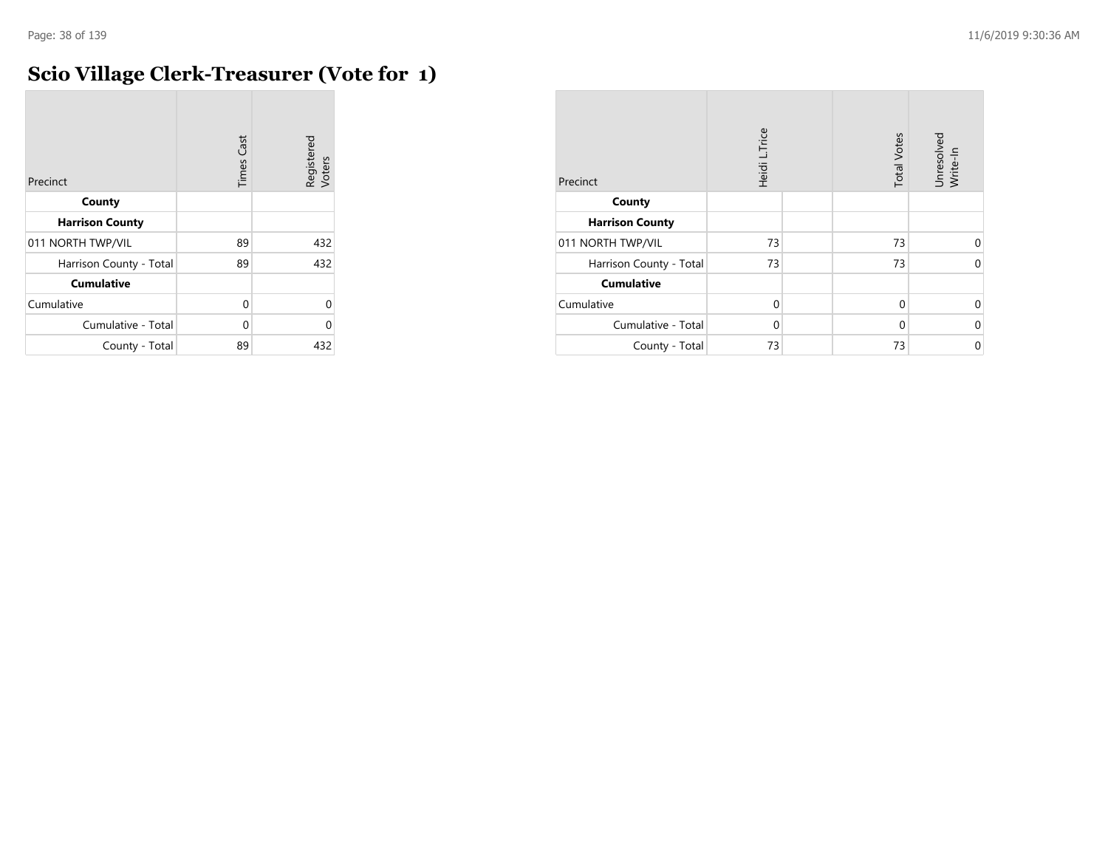# **Scio Village Clerk-Treasurer (Vote for 1)**

| Precinct                | <b>Times Cast</b> | Registered<br>Voters |
|-------------------------|-------------------|----------------------|
| County                  |                   |                      |
| <b>Harrison County</b>  |                   |                      |
| 011 NORTH TWP/VIL       | 89                | 432                  |
| Harrison County - Total | 89                | 432                  |
| <b>Cumulative</b>       |                   |                      |
| Cumulative              | $\Omega$          | 0                    |
| Cumulative - Total      | U                 | O                    |
| County - Total          | 89                | 432                  |

| Precinct                | Heidi L.Trice | <b>Total Votes</b> | Unresolved<br>Write-In |
|-------------------------|---------------|--------------------|------------------------|
| County                  |               |                    |                        |
| <b>Harrison County</b>  |               |                    |                        |
| 011 NORTH TWP/VIL       | 73            | 73                 | $\Omega$               |
| Harrison County - Total | 73            | 73                 | $\Omega$               |
| <b>Cumulative</b>       |               |                    |                        |
| Cumulative              | $\Omega$      | $\Omega$           | $\Omega$               |
| Cumulative - Total      | $\Omega$      | $\Omega$           | 0                      |
| County - Total          | 73            | 73                 | $\mathbf 0$            |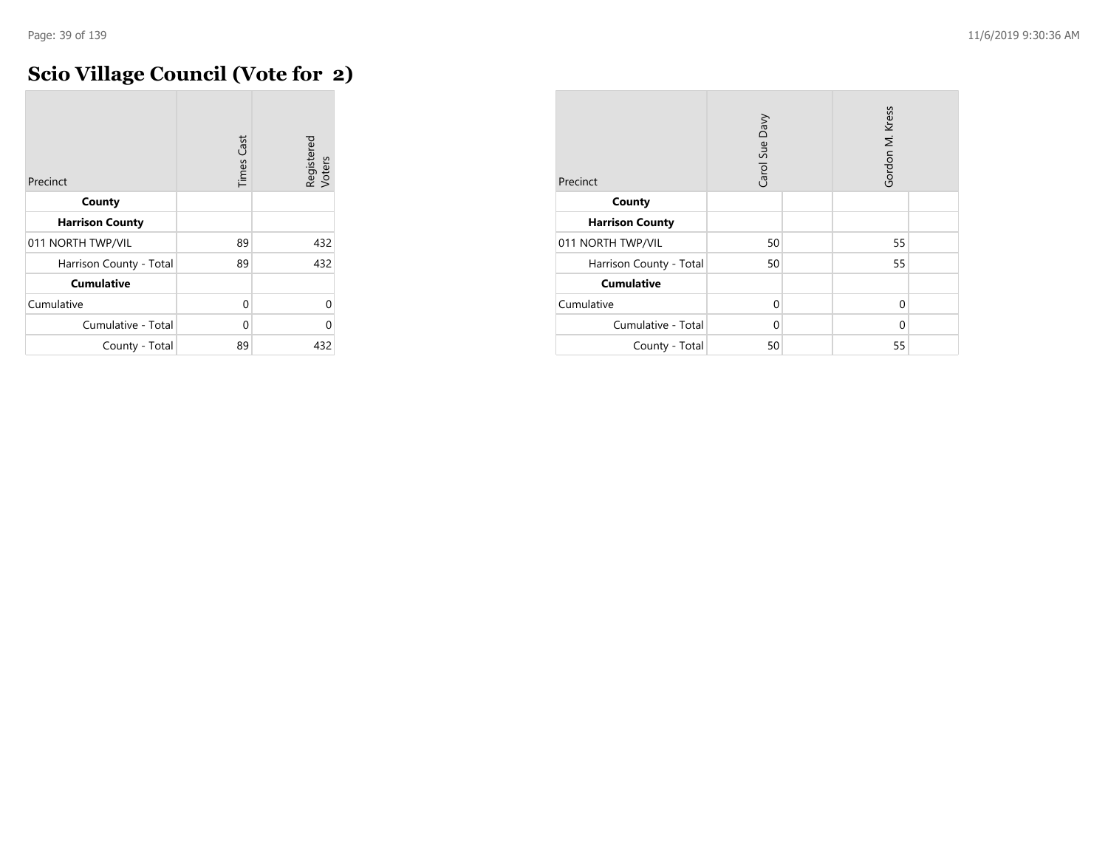# **Scio Village Council (Vote for 2)**

| Precinct                | <b>Times Cast</b> | Registered<br>Voters |
|-------------------------|-------------------|----------------------|
| County                  |                   |                      |
| <b>Harrison County</b>  |                   |                      |
| 011 NORTH TWP/VIL       | 89                | 432                  |
| Harrison County - Total | 89                | 432                  |
| <b>Cumulative</b>       |                   |                      |
| Cumulative              | 0                 | $\Omega$             |
| Cumulative - Total      | 0                 | O                    |
| County - Total          | 89                | 432                  |

| Precinct                | Carol Sue Davy |  | Gordon M. Kress |  |
|-------------------------|----------------|--|-----------------|--|
| County                  |                |  |                 |  |
| <b>Harrison County</b>  |                |  |                 |  |
| 011 NORTH TWP/VIL       | 50             |  | 55              |  |
| Harrison County - Total | 50             |  | 55              |  |
| <b>Cumulative</b>       |                |  |                 |  |
| Cumulative              | $\Omega$       |  | 0               |  |
| Cumulative - Total      | $\Omega$       |  | $\Omega$        |  |
| County - Total          | 50             |  | 55              |  |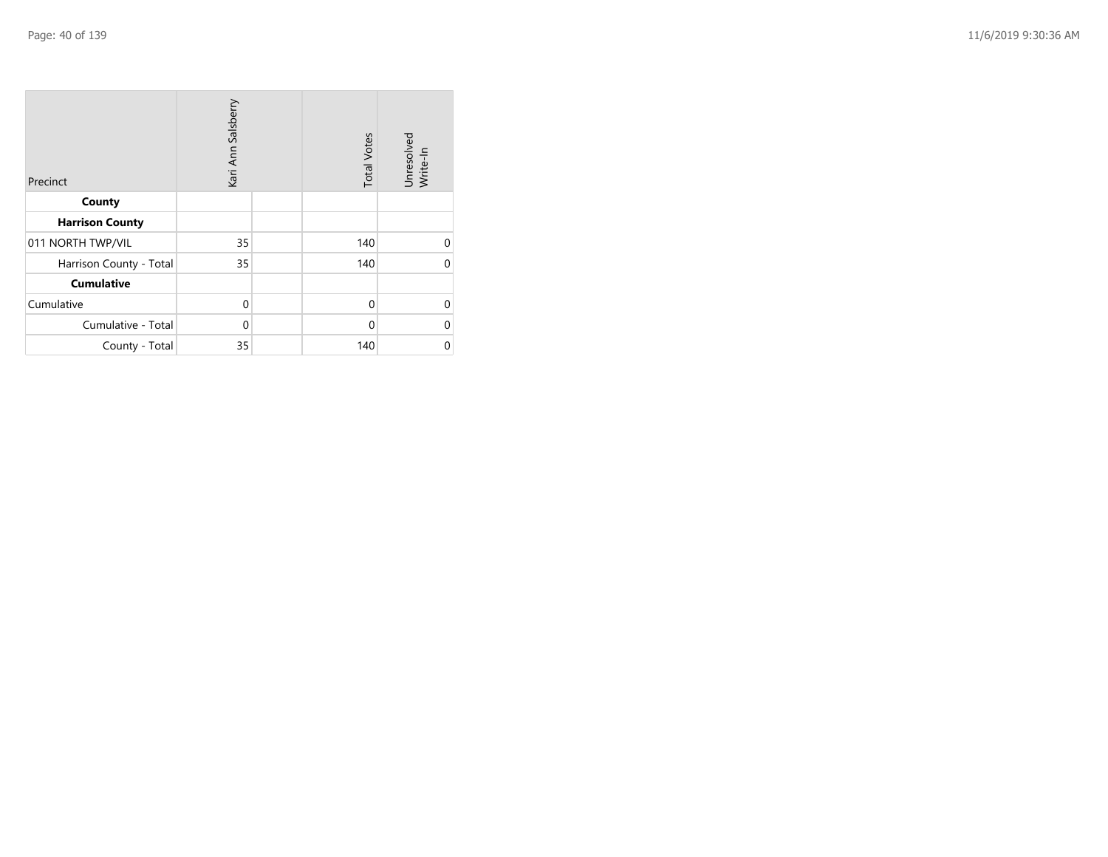| Precinct                | Kari Ann Salsberry |  | <b>Total Votes</b> | Unresolved<br>Write-In |
|-------------------------|--------------------|--|--------------------|------------------------|
| County                  |                    |  |                    |                        |
| <b>Harrison County</b>  |                    |  |                    |                        |
| 011 NORTH TWP/VIL       | 35                 |  | 140                | 0                      |
| Harrison County - Total | 35                 |  | 140                | 0                      |
| <b>Cumulative</b>       |                    |  |                    |                        |
| Cumulative              | 0                  |  | $\Omega$           | 0                      |
| Cumulative - Total      | $\mathbf 0$        |  | 0                  | 0                      |
| County - Total          | 35                 |  | 140                | 0                      |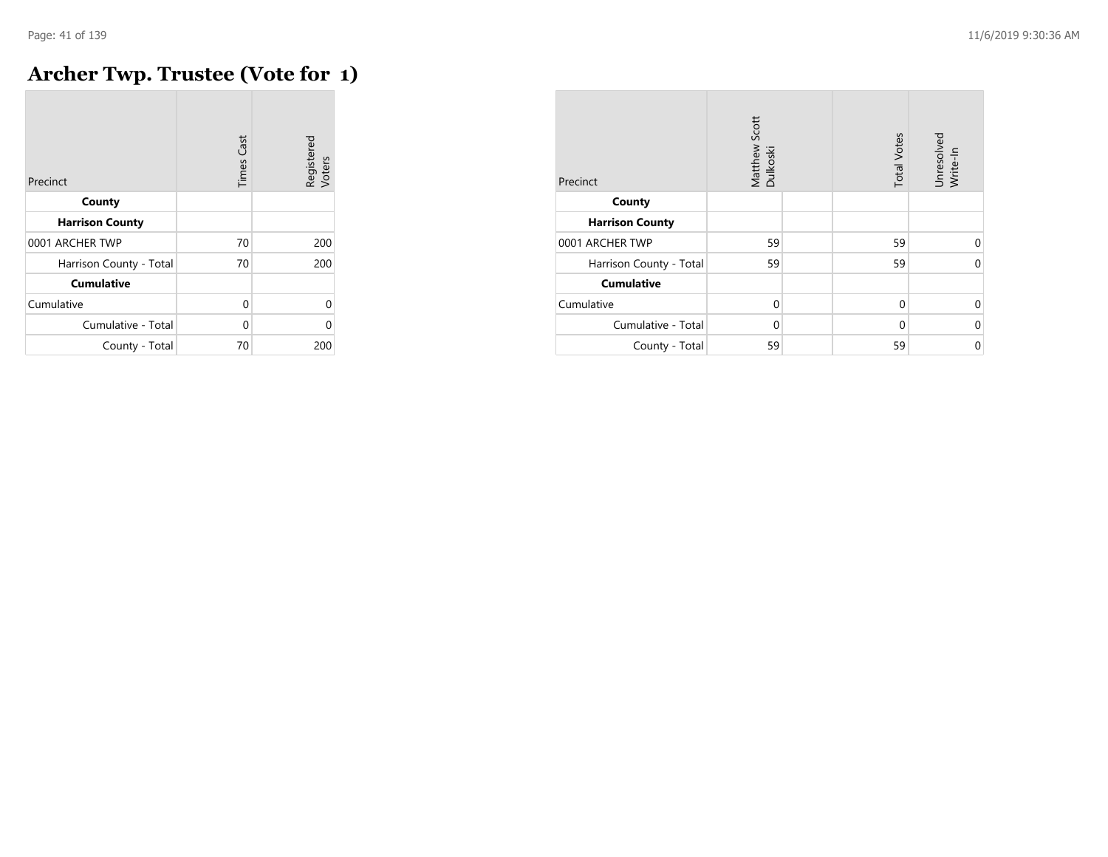## **Archer Twp. Trustee (Vote for 1)**

| Precinct                | <b>Times Cast</b> | Registered<br>Voters |
|-------------------------|-------------------|----------------------|
| County                  |                   |                      |
| <b>Harrison County</b>  |                   |                      |
| 0001 ARCHER TWP         | 70                | 200                  |
| Harrison County - Total | 70                | 200                  |
| <b>Cumulative</b>       |                   |                      |
| Cumulative              | 0                 | U                    |
| Cumulative - Total      | 0                 | በ                    |
| County - Total          | 70                | 200                  |

| Precinct                | Matthew Scott<br>Dulkoski | <b>Total Votes</b> | Unresolved<br>Write-In |
|-------------------------|---------------------------|--------------------|------------------------|
| County                  |                           |                    |                        |
| <b>Harrison County</b>  |                           |                    |                        |
| 0001 ARCHER TWP         | 59                        | 59                 | $\Omega$               |
| Harrison County - Total | 59                        | 59                 | $\Omega$               |
| <b>Cumulative</b>       |                           |                    |                        |
| Cumulative              | $\Omega$                  | $\Omega$           | 0                      |
| Cumulative - Total      | $\Omega$                  | $\Omega$           | $\Omega$               |
| County - Total          | 59                        | 59                 | $\mathbf 0$            |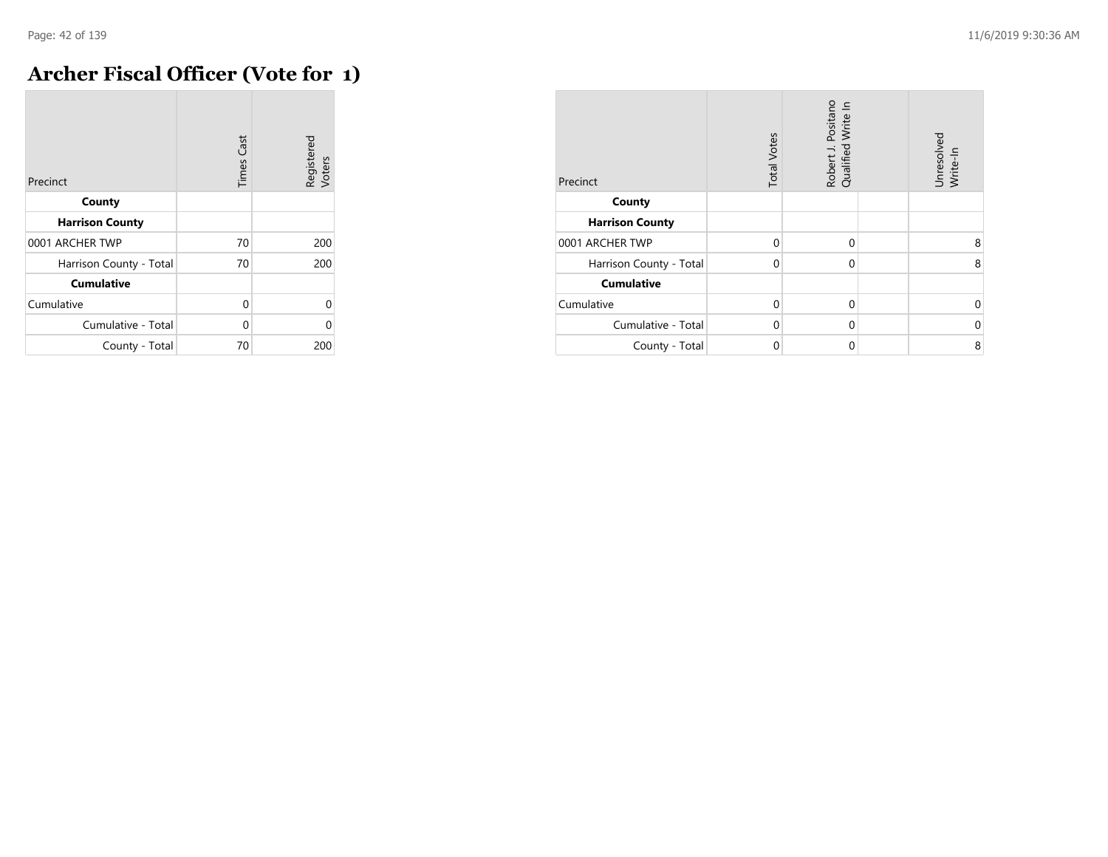## **Archer Fiscal Officer (Vote for 1)**

| Precinct                | <b>Times Cast</b> | Registered<br>Voters |
|-------------------------|-------------------|----------------------|
| County                  |                   |                      |
| <b>Harrison County</b>  |                   |                      |
| 0001 ARCHER TWP         | 70                | 200                  |
| Harrison County - Total | 70                | 200                  |
| <b>Cumulative</b>       |                   |                      |
| Cumulative              | $\Omega$          | $\Omega$             |
| Cumulative - Total      | $\Omega$          | $\Omega$             |
| County - Total          | 70                | 200                  |

| Precinct                | <b>Total Votes</b> | Robert J. Positano<br>Qualified Write In | Unresolved<br>Write-In |
|-------------------------|--------------------|------------------------------------------|------------------------|
| County                  |                    |                                          |                        |
| <b>Harrison County</b>  |                    |                                          |                        |
| 0001 ARCHER TWP         | $\Omega$           | $\Omega$                                 | 8                      |
| Harrison County - Total | $\Omega$           | 0                                        | 8                      |
| <b>Cumulative</b>       |                    |                                          |                        |
| Cumulative              | $\Omega$           | $\Omega$                                 | U                      |
| Cumulative - Total      | $\Omega$           | $\Omega$                                 | $\Omega$               |
| County - Total          | 0                  | 0                                        | 8                      |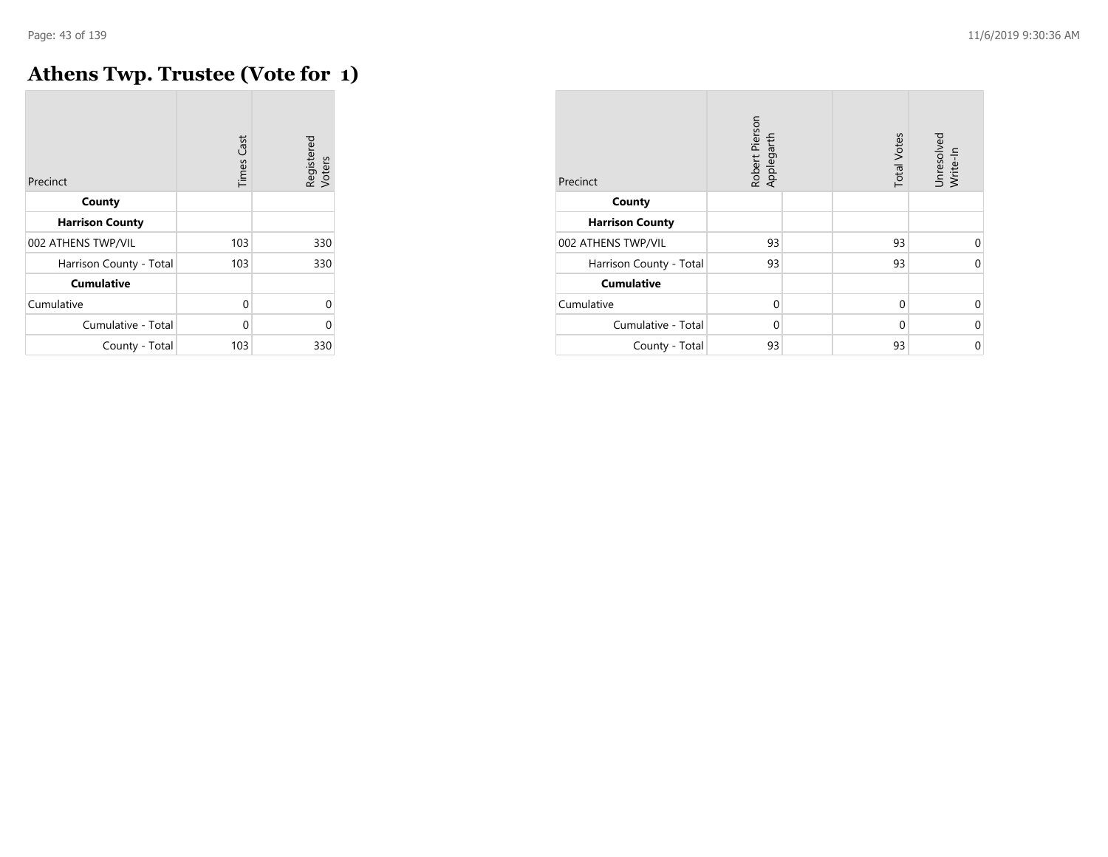# **Athens Twp. Trustee (Vote for 1)**

| Precinct                | <b>Times Cast</b> | Registered<br>Voters |
|-------------------------|-------------------|----------------------|
| County                  |                   |                      |
| <b>Harrison County</b>  |                   |                      |
| 002 ATHENS TWP/VIL      | 103               | 330                  |
| Harrison County - Total | 103               | 330                  |
| <b>Cumulative</b>       |                   |                      |
| Cumulative              | 0                 | U                    |
| Cumulative - Total      | 0                 | በ                    |
| County - Total          | 103               | 330                  |

| Precinct                | Robert Pierson<br>Applegarth | <b>Total Votes</b> | Unresolved<br>Write-In |
|-------------------------|------------------------------|--------------------|------------------------|
| County                  |                              |                    |                        |
| <b>Harrison County</b>  |                              |                    |                        |
| 002 ATHENS TWP/VIL      | 93                           | 93                 | $\Omega$               |
| Harrison County - Total | 93                           | 93                 | $\Omega$               |
| <b>Cumulative</b>       |                              |                    |                        |
| Cumulative              | $\Omega$                     | $\Omega$           | $\Omega$               |
| Cumulative - Total      | $\Omega$                     | $\Omega$           | 0                      |
| County - Total          | 93                           | 93                 | 0                      |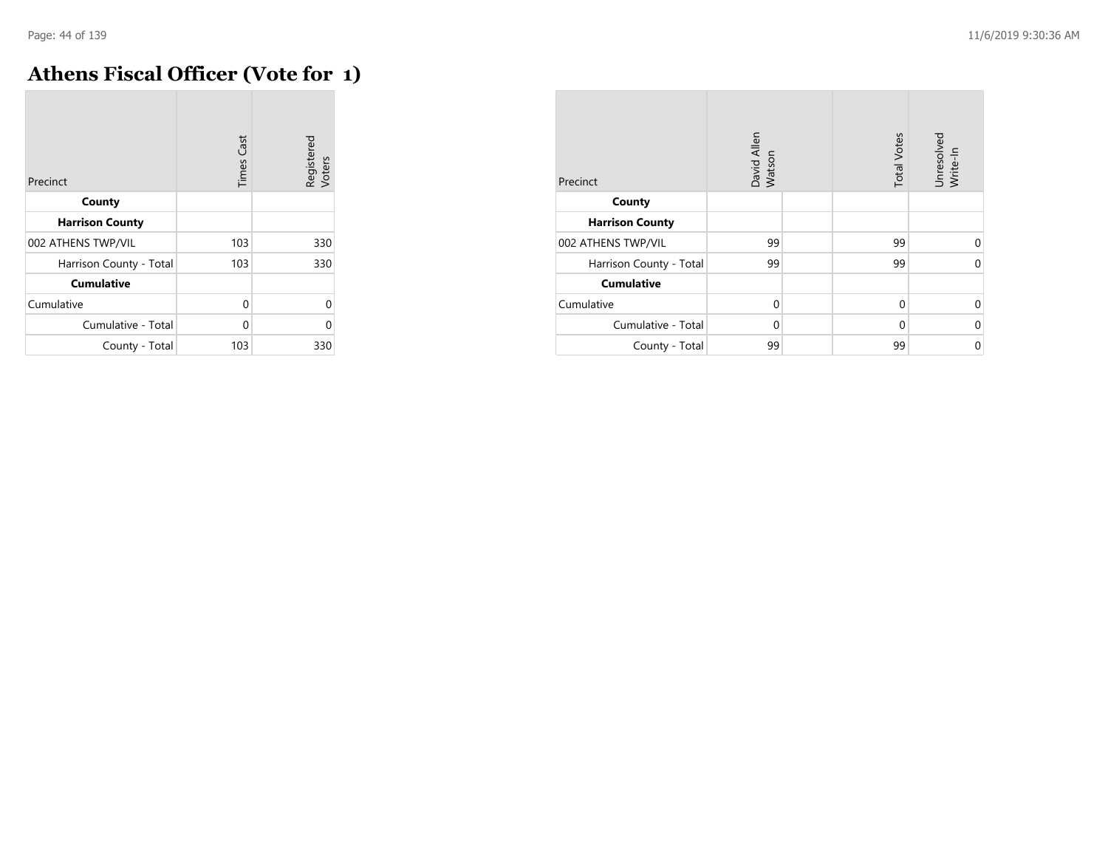## **Athens Fiscal Officer (Vote for 1)**

| Precinct                | Cast<br>Times | Registered<br>Voters |
|-------------------------|---------------|----------------------|
| County                  |               |                      |
| <b>Harrison County</b>  |               |                      |
| 002 ATHENS TWP/VIL      | 103           | 330                  |
| Harrison County - Total | 103           | 330                  |
| <b>Cumulative</b>       |               |                      |
| Cumulative              | 0             | U                    |
| Cumulative - Total      | 0             | በ                    |
| County - Total          | 103           | 330                  |

| Precinct                | David Allen<br>Watson | <b>Total Votes</b> | Unresolved<br>Write-In |
|-------------------------|-----------------------|--------------------|------------------------|
| County                  |                       |                    |                        |
| <b>Harrison County</b>  |                       |                    |                        |
| 002 ATHENS TWP/VIL      | 99                    | 99                 | $\Omega$               |
| Harrison County - Total | 99                    | 99                 | $\Omega$               |
| <b>Cumulative</b>       |                       |                    |                        |
| Cumulative              | $\Omega$              | $\Omega$           | $\Omega$               |
| Cumulative - Total      | $\Omega$              | $\Omega$           | 0                      |
| County - Total          | 99                    | 99                 | 0                      |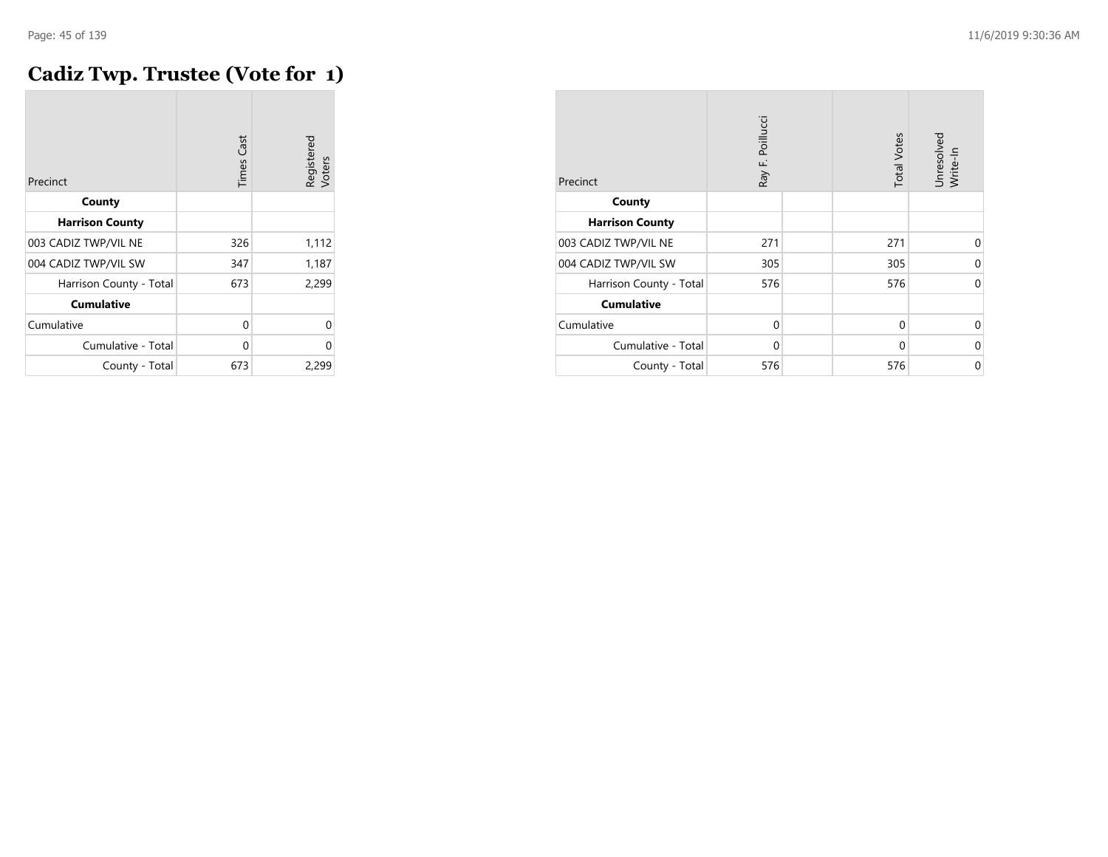## **Cadiz Twp. Trustee (Vote for 1)**

| Precinct                | <b>Times Cast</b> | Registered<br>Voters |
|-------------------------|-------------------|----------------------|
| County                  |                   |                      |
| <b>Harrison County</b>  |                   |                      |
| 003 CADIZ TWP/VIL NE    | 326               | 1,112                |
| 004 CADIZ TWP/VIL SW    | 347               | 1,187                |
| Harrison County - Total | 673               | 2,299                |
| <b>Cumulative</b>       |                   |                      |
| Cumulative              | 0                 | 0                    |
| Cumulative - Total      | 0                 | 0                    |
| County - Total          | 673               | 2,299                |

| Precinct                | Ray F. Poillucci | <b>Total Votes</b> | Unresolved<br>Write-In |
|-------------------------|------------------|--------------------|------------------------|
| County                  |                  |                    |                        |
| <b>Harrison County</b>  |                  |                    |                        |
| 003 CADIZ TWP/VIL NE    | 271              | 271                | $\Omega$               |
| 004 CADIZ TWP/VIL SW    | 305              | 305                | 0                      |
| Harrison County - Total | 576              | 576                | 0                      |
| <b>Cumulative</b>       |                  |                    |                        |
| Cumulative              | $\mathbf 0$      | $\mathbf 0$        | $\Omega$               |
| Cumulative - Total      | 0                | 0                  | 0                      |
| County - Total          | 576              | 576                | 0                      |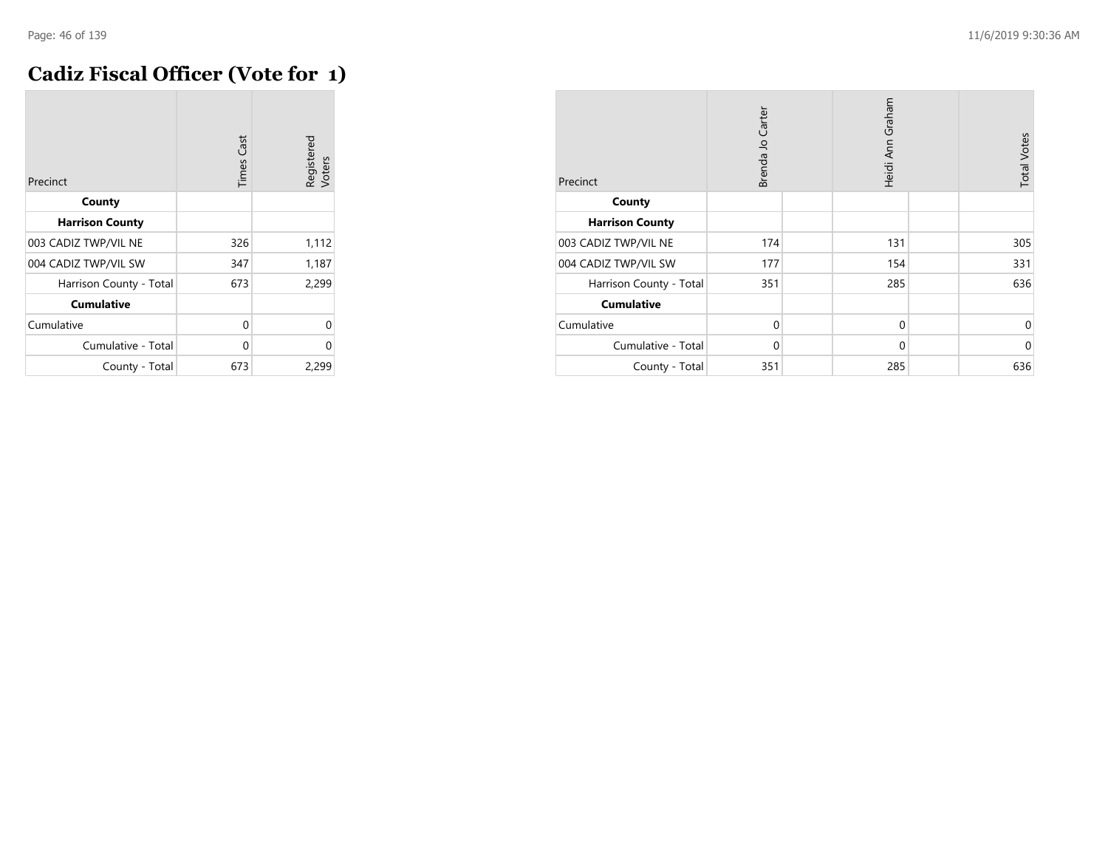## **Cadiz Fiscal Officer (Vote for 1)**

| Precinct                | <b>Times Cast</b> | Registered<br>Voters |
|-------------------------|-------------------|----------------------|
| County                  |                   |                      |
| <b>Harrison County</b>  |                   |                      |
| 003 CADIZ TWP/VIL NE    | 326               | 1,112                |
| 004 CADIZ TWP/VIL SW    | 347               | 1,187                |
| Harrison County - Total | 673               | 2,299                |
| <b>Cumulative</b>       |                   |                      |
| Cumulative              | 0                 | 0                    |
| Cumulative - Total      | 0                 | 0                    |
| County - Total          | 673               | 2,299                |

| Precinct                | Brenda Jo Carter | Heidi Ann Graham | <b>Total Votes</b> |
|-------------------------|------------------|------------------|--------------------|
| County                  |                  |                  |                    |
| <b>Harrison County</b>  |                  |                  |                    |
| 003 CADIZ TWP/VIL NE    | 174              | 131              | 305                |
| 004 CADIZ TWP/VIL SW    | 177              | 154              | 331                |
| Harrison County - Total | 351              | 285              | 636                |
| <b>Cumulative</b>       |                  |                  |                    |
| Cumulative              | $\mathbf 0$      | $\mathbf 0$      | 0                  |
| Cumulative - Total      | $\Omega$         | $\mathbf 0$      | $\mathbf 0$        |
| County - Total          | 351              | 285              | 636                |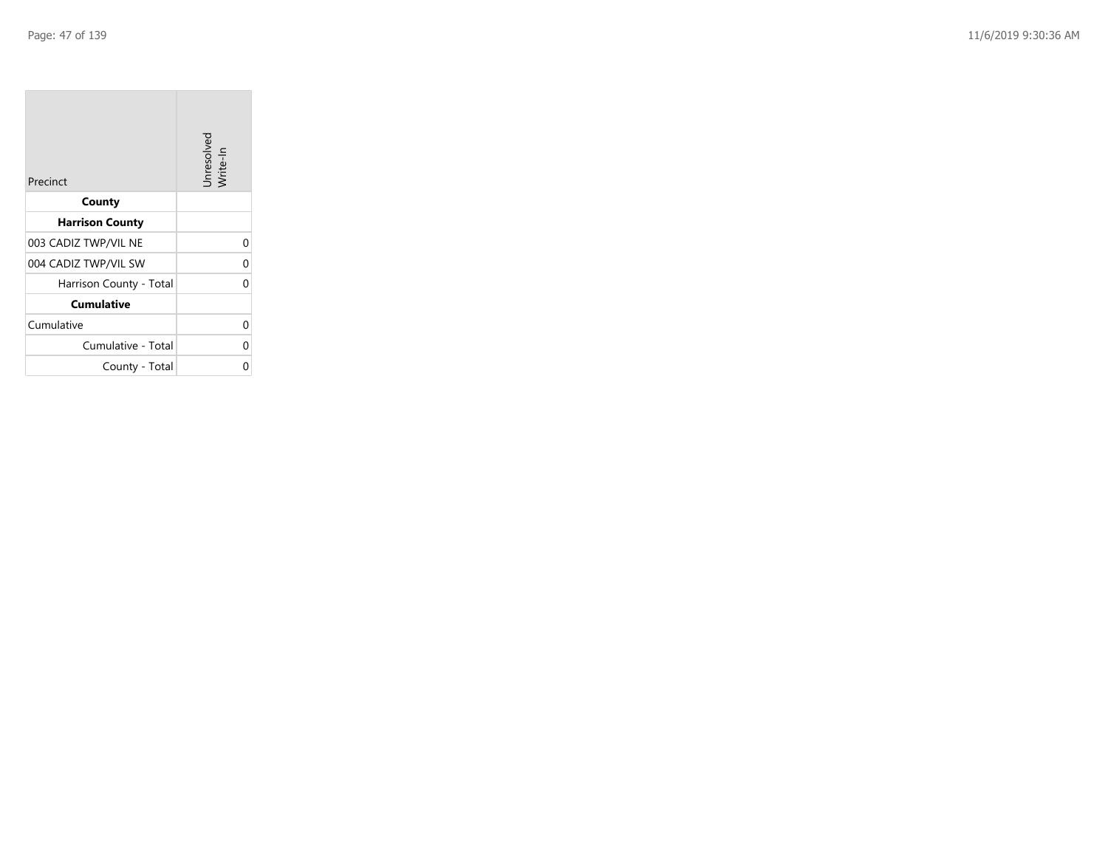| Precinct                | Unresolved<br>Write-In |
|-------------------------|------------------------|
| County                  |                        |
| <b>Harrison County</b>  |                        |
| 003 CADIZ TWP/VIL NE    | 0                      |
| 004 CADIZ TWP/VIL SW    | 0                      |
| Harrison County - Total | O                      |
| <b>Cumulative</b>       |                        |
| Cumulative              | 0                      |
| Cumulative - Total      | 0                      |
| County - Total          | 0                      |

the company of the company

m.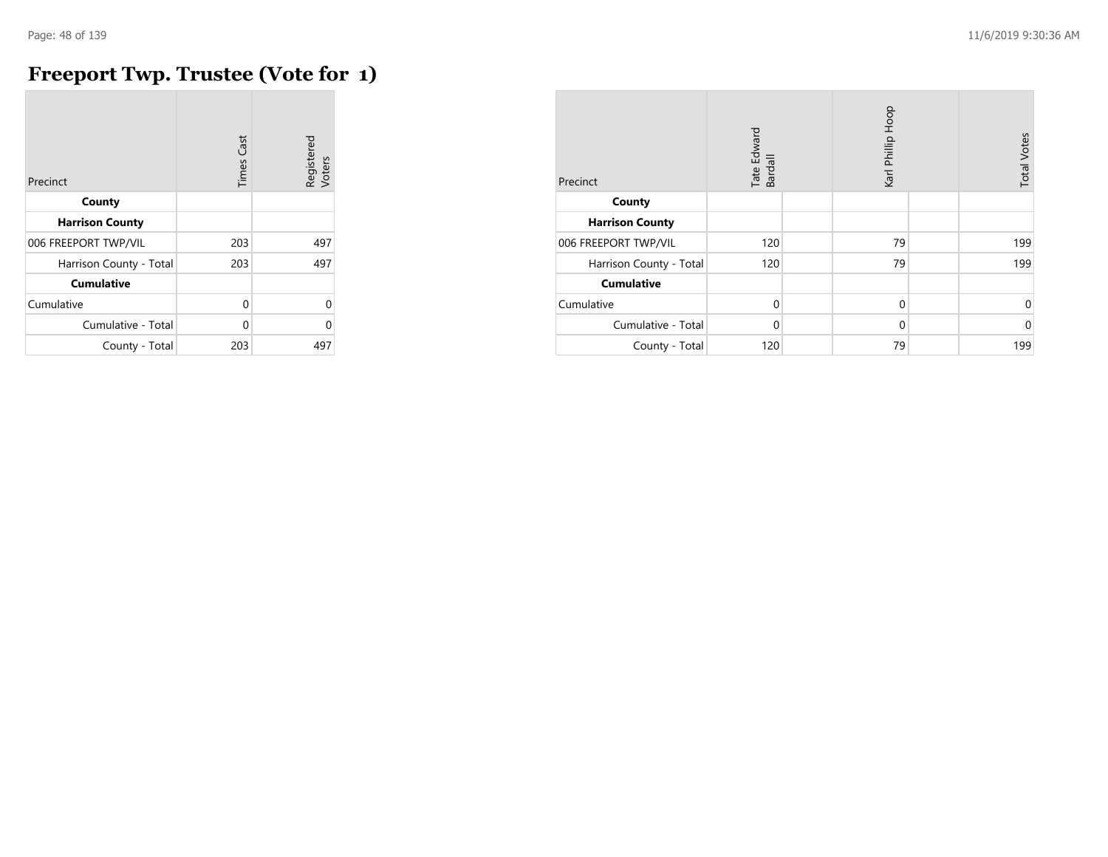# **Freeport Twp. Trustee (Vote for 1)**

| Precinct                | <b>Times Cast</b> | Registered<br>Voters |
|-------------------------|-------------------|----------------------|
| County                  |                   |                      |
| <b>Harrison County</b>  |                   |                      |
| 006 FREEPORT TWP/VIL    | 203               | 497                  |
| Harrison County - Total | 203               | 497                  |
| <b>Cumulative</b>       |                   |                      |
| Cumulative              | 0                 | U                    |
| Cumulative - Total      | $\Omega$          | Λ                    |
| County - Total          | 203               | 497                  |

| Precinct                | Tate Edward<br>Bardall | Karl Phillip Hoop | <b>Total Votes</b> |
|-------------------------|------------------------|-------------------|--------------------|
| County                  |                        |                   |                    |
| <b>Harrison County</b>  |                        |                   |                    |
| 006 FREEPORT TWP/VIL    | 120                    | 79                | 199                |
| Harrison County - Total | 120                    | 79                | 199                |
| <b>Cumulative</b>       |                        |                   |                    |
| Cumulative              | $\mathbf 0$            | $\mathbf 0$       | 0                  |
| Cumulative - Total      | $\Omega$               | $\Omega$          | $\mathbf 0$        |
| County - Total          | 120                    | 79                | 199                |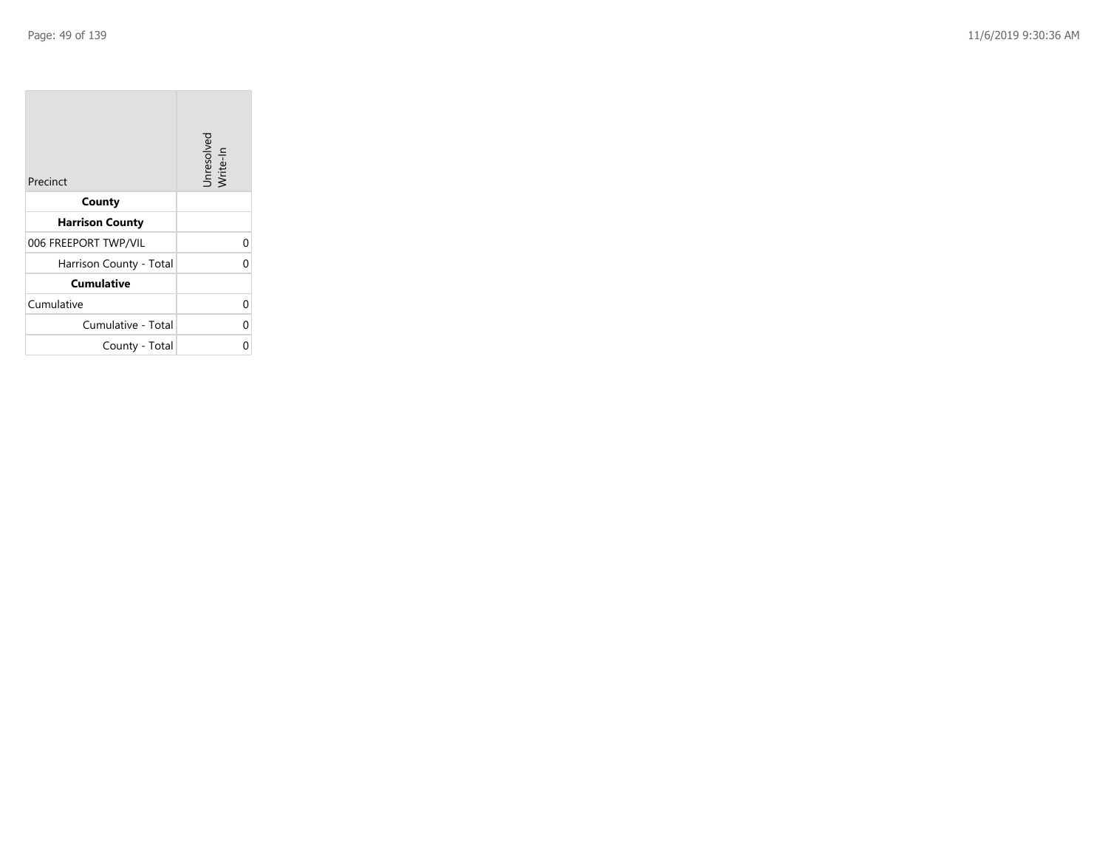| Precinct                | Unresolved<br>Write-In |
|-------------------------|------------------------|
| County                  |                        |
| <b>Harrison County</b>  |                        |
| 006 FREEPORT TWP/VIL    | 0                      |
| Harrison County - Total |                        |
| <b>Cumulative</b>       |                        |
| Cumulative              | 0                      |
| Cumulative - Total      | 0                      |
| County - Total          |                        |

the control of the con-

 $\overline{\phantom{a}}$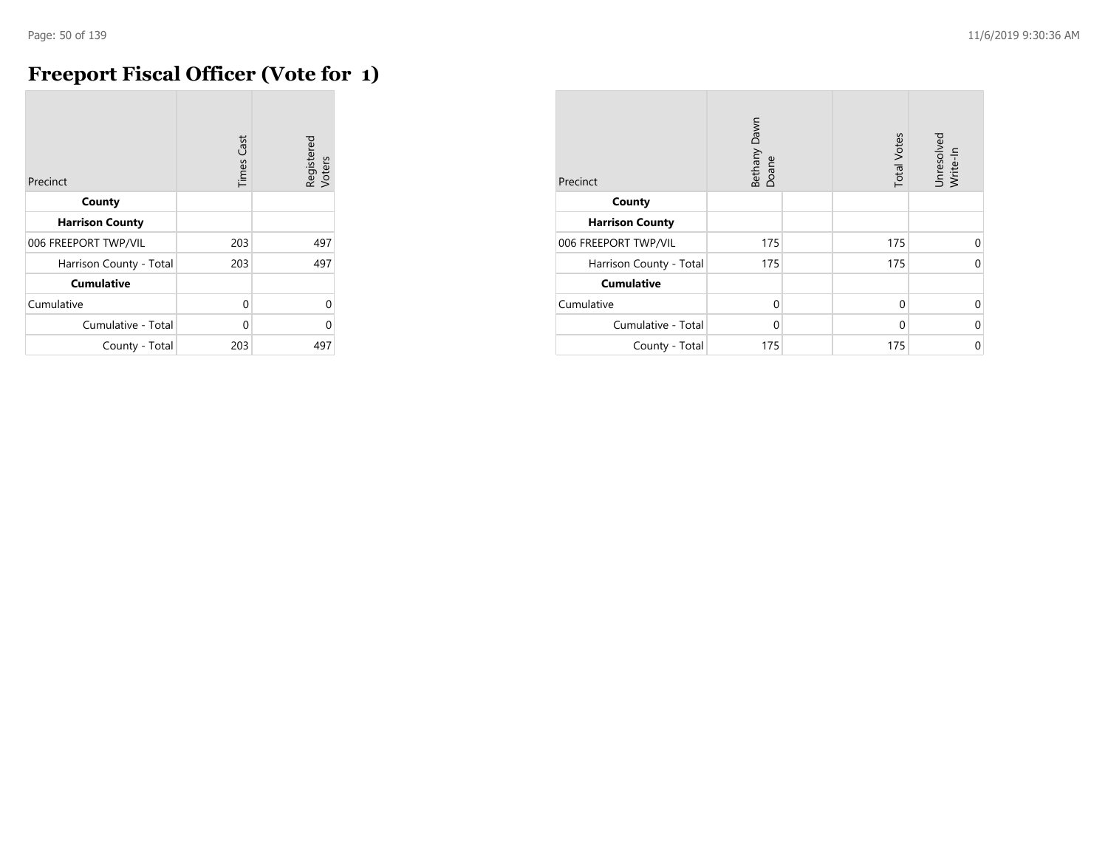# **Freeport Fiscal Officer (Vote for 1)**

| Precinct                | <b>Times Cast</b> | Registered<br>Voters |
|-------------------------|-------------------|----------------------|
| County                  |                   |                      |
| <b>Harrison County</b>  |                   |                      |
| 006 FREEPORT TWP/VIL    | 203               | 497                  |
| Harrison County - Total | 203               | 497                  |
| <b>Cumulative</b>       |                   |                      |
| Cumulative              | $\Omega$          | 0                    |
| Cumulative - Total      | U                 | O                    |
| County - Total          | 203               | 497                  |

| Precinct                | Bethany Dawn<br>Doane | <b>Total Votes</b> | Unresolved<br>Write-In |
|-------------------------|-----------------------|--------------------|------------------------|
| County                  |                       |                    |                        |
| <b>Harrison County</b>  |                       |                    |                        |
| 006 FREEPORT TWP/VIL    | 175                   | 175                | $\Omega$               |
| Harrison County - Total | 175                   | 175                | $\Omega$               |
| <b>Cumulative</b>       |                       |                    |                        |
| Cumulative              | $\Omega$              | $\Omega$           | $\Omega$               |
| Cumulative - Total      | $\Omega$              | $\Omega$           | 0                      |
| County - Total          | 175                   | 175                | 0                      |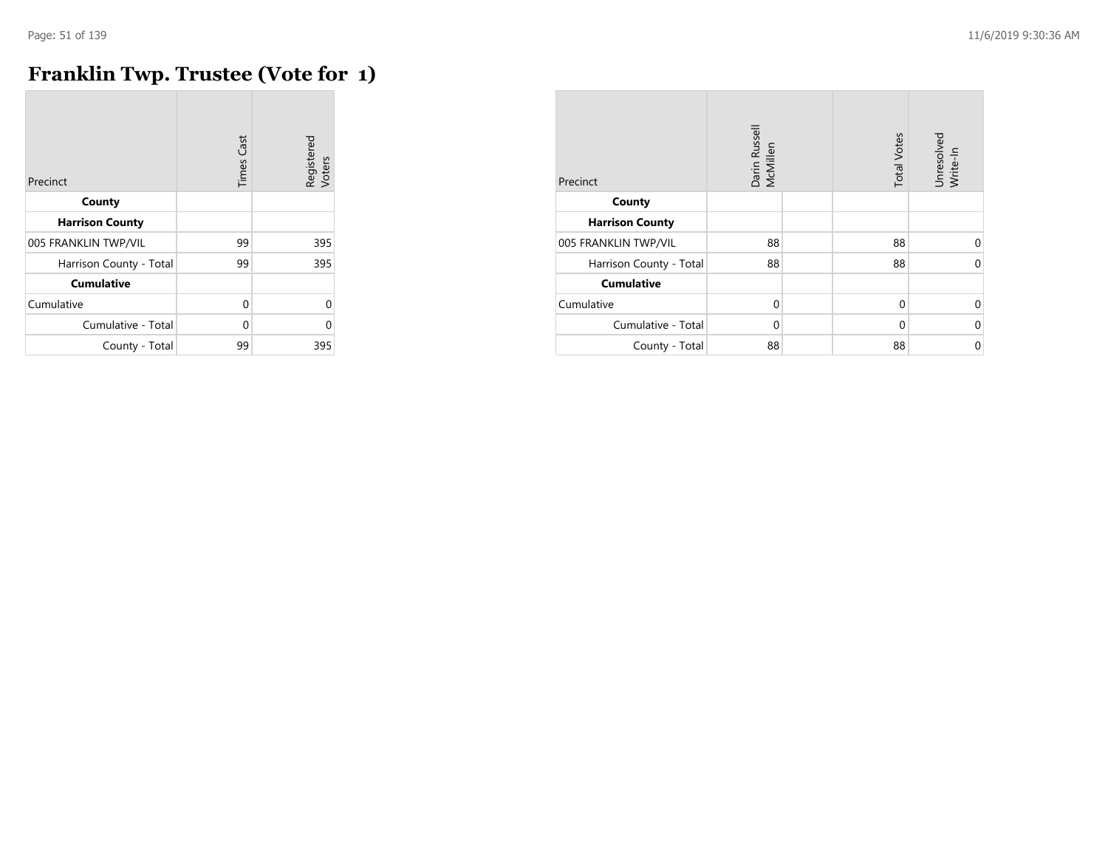# **Franklin Twp. Trustee (Vote for 1)**

| Precinct                | <b>Times Cast</b> | Registered<br>Voters |
|-------------------------|-------------------|----------------------|
| County                  |                   |                      |
| <b>Harrison County</b>  |                   |                      |
| 005 FRANKLIN TWP/VIL    | 99                | 395                  |
| Harrison County - Total | 99                | 395                  |
| <b>Cumulative</b>       |                   |                      |
| Cumulative              | 0                 | U                    |
| Cumulative - Total      | $\Omega$          | U                    |
| County - Total          | 99                | 395                  |

| Precinct                | Darin Russell<br>McMillen | <b>Total Votes</b> | Unresolved<br>Write-In |
|-------------------------|---------------------------|--------------------|------------------------|
| County                  |                           |                    |                        |
| <b>Harrison County</b>  |                           |                    |                        |
| 005 FRANKLIN TWP/VIL    | 88                        | 88                 | $\Omega$               |
| Harrison County - Total | 88                        | 88                 | 0                      |
| <b>Cumulative</b>       |                           |                    |                        |
| Cumulative              | $\Omega$                  | $\Omega$           | $\Omega$               |
| Cumulative - Total      | $\Omega$                  | $\Omega$           | 0                      |
| County - Total          | 88                        | 88                 | 0                      |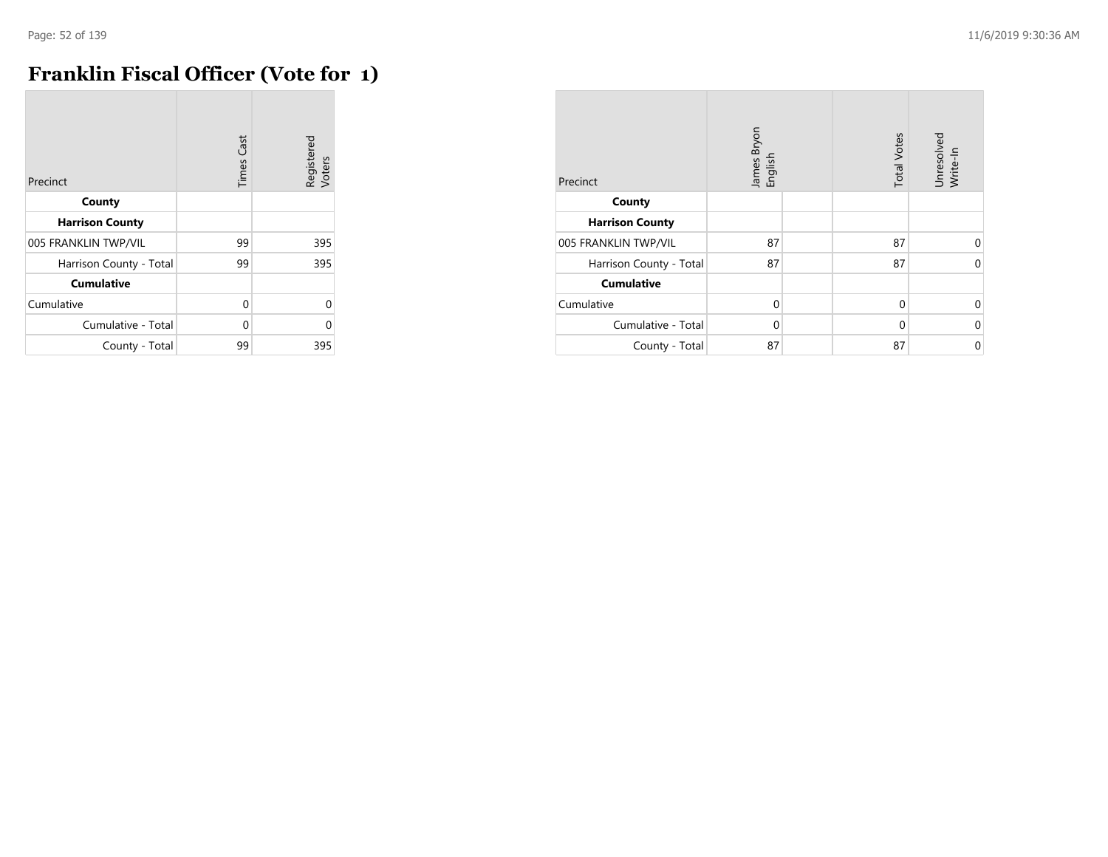# **Franklin Fiscal Officer (Vote for 1)**

| Precinct                | <b>Times Cast</b> | Registered<br>Voters |
|-------------------------|-------------------|----------------------|
| County                  |                   |                      |
| <b>Harrison County</b>  |                   |                      |
| 005 FRANKLIN TWP/VIL    | 99                | 395                  |
| Harrison County - Total | 99                | 395                  |
| <b>Cumulative</b>       |                   |                      |
| Cumulative              | $\Omega$          | 0                    |
| Cumulative - Total      | U                 | O                    |
| County - Total          | 99                | 395                  |

| Precinct                | James Bryon<br>English | <b>Total Votes</b> | Unresolved<br>Write-In |
|-------------------------|------------------------|--------------------|------------------------|
| County                  |                        |                    |                        |
| <b>Harrison County</b>  |                        |                    |                        |
| 005 FRANKLIN TWP/VIL    | 87                     | 87                 | $\Omega$               |
| Harrison County - Total | 87                     | 87                 | $\Omega$               |
| <b>Cumulative</b>       |                        |                    |                        |
| Cumulative              | $\Omega$               | 0                  | $\Omega$               |
| Cumulative - Total      | $\Omega$               | $\Omega$           | 0                      |
| County - Total          | 87                     | 87                 | 0                      |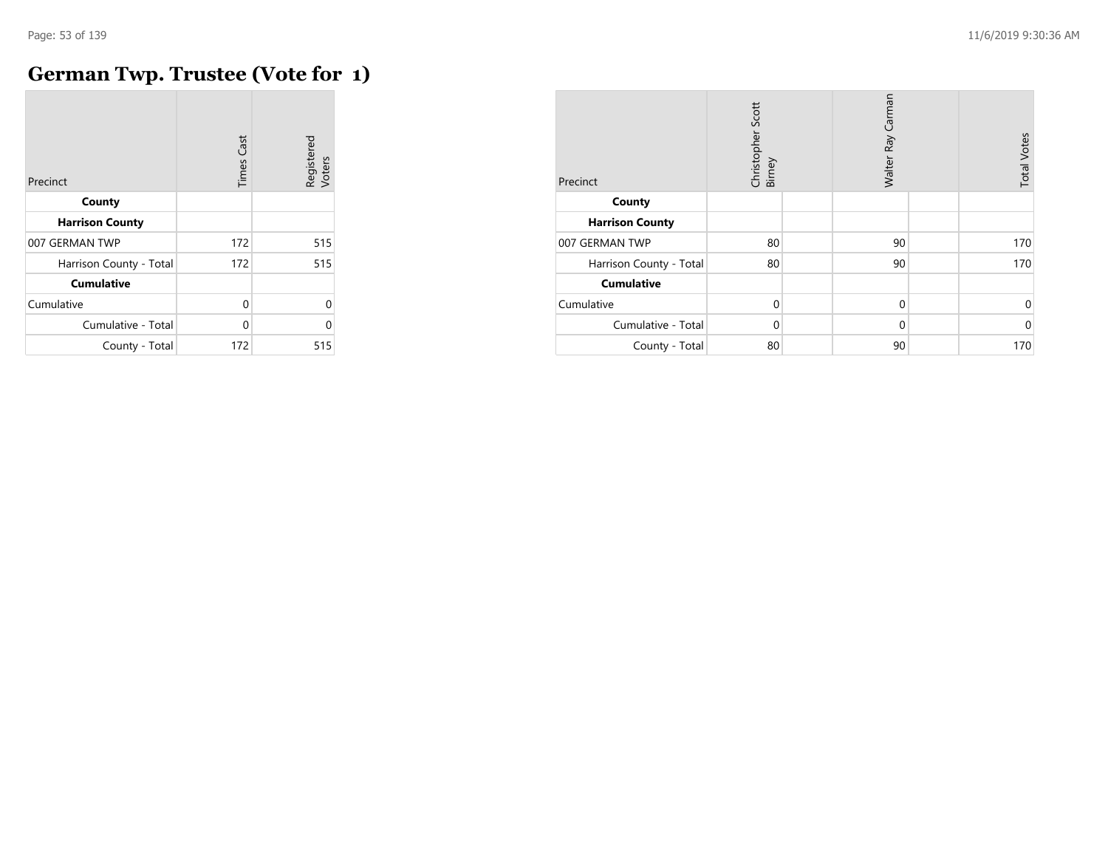#### **German Twp. Trustee (Vote for 1)**

| Precinct                | <b>Times Cast</b> | Registered<br>Voters |
|-------------------------|-------------------|----------------------|
| County                  |                   |                      |
| <b>Harrison County</b>  |                   |                      |
| 007 GERMAN TWP          | 172               | 515                  |
| Harrison County - Total | 172               | 515                  |
| <b>Cumulative</b>       |                   |                      |
| Cumulative              | $\Omega$          | $\Omega$             |
| Cumulative - Total      | 0                 | $\Omega$             |
| County - Total          | 172               | 515                  |

| Precinct                | Christopher Scott<br>Birney | Walter Ray Carman | <b>Total Votes</b> |
|-------------------------|-----------------------------|-------------------|--------------------|
| County                  |                             |                   |                    |
| <b>Harrison County</b>  |                             |                   |                    |
| 007 GERMAN TWP          | 80                          | 90                | 170                |
| Harrison County - Total | 80                          | 90                | 170                |
| <b>Cumulative</b>       |                             |                   |                    |
| Cumulative              | $\mathbf 0$                 | $\mathbf 0$       | 0                  |
| Cumulative - Total      | $\Omega$                    | $\Omega$          | $\mathbf 0$        |
| County - Total          | 80                          | 90                | 170                |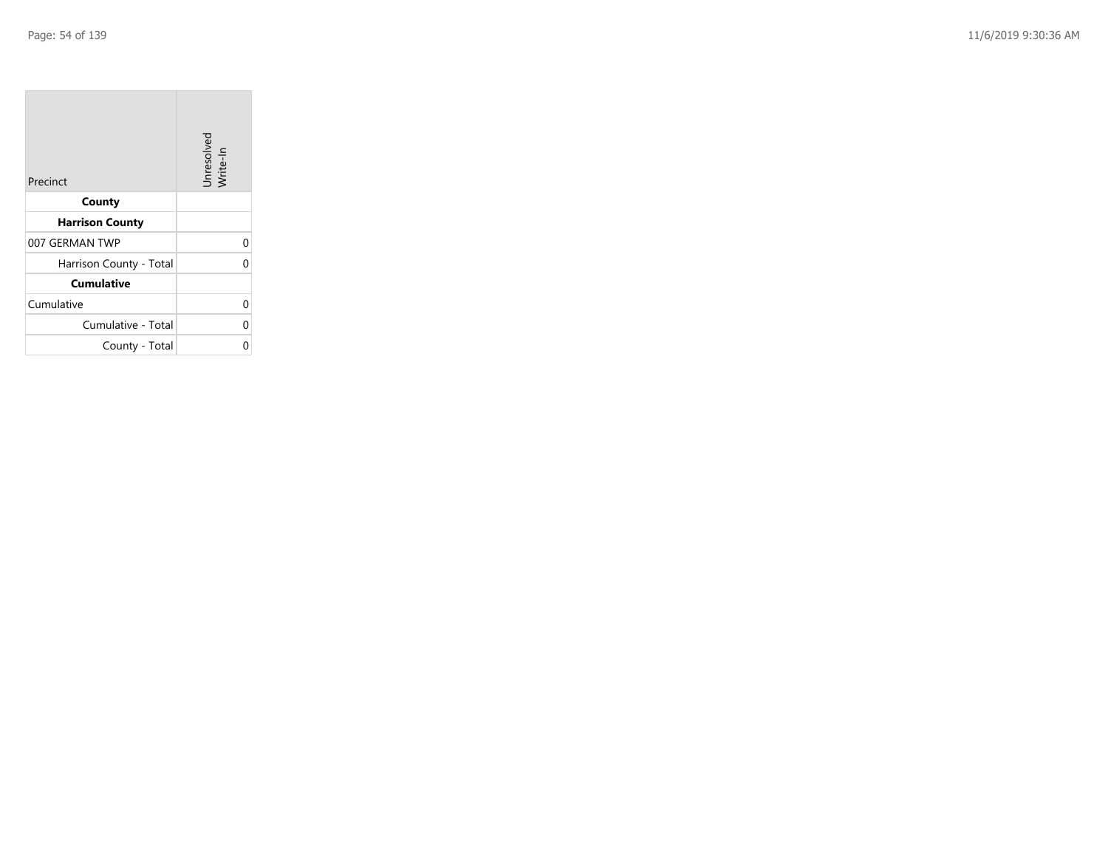| Precinct                | Unresolved<br>Write-In |
|-------------------------|------------------------|
| County                  |                        |
| <b>Harrison County</b>  |                        |
| 007 GERMAN TWP          | 0                      |
| Harrison County - Total | 0                      |
| <b>Cumulative</b>       |                        |
| Cumulative              | 0                      |
| Cumulative - Total      | 0                      |
| County - Total          | ი                      |

the property of the con-

 $\overline{\phantom{a}}$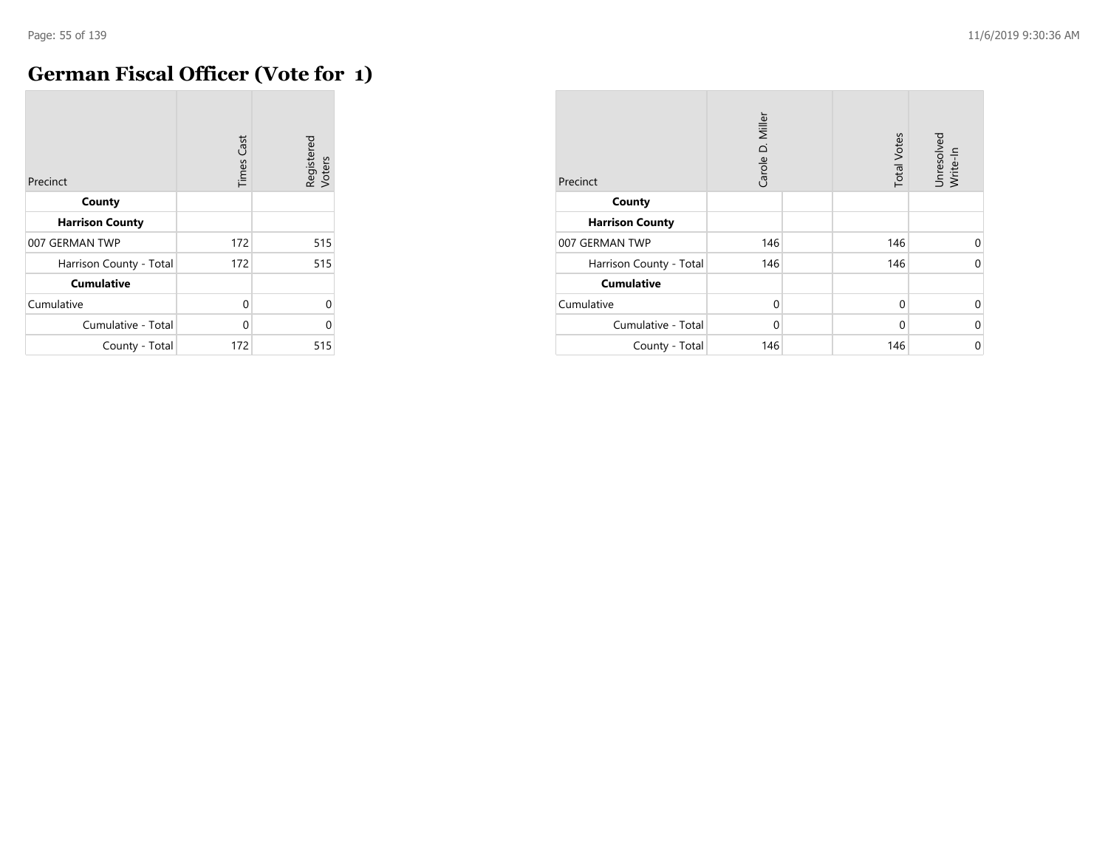## **German Fiscal Officer (Vote for 1)**

| Precinct                | <b>Times Cast</b> | Registered<br>Voters |
|-------------------------|-------------------|----------------------|
| County                  |                   |                      |
| <b>Harrison County</b>  |                   |                      |
| 007 GERMAN TWP          | 172               | 515                  |
| Harrison County - Total | 172               | 515                  |
| <b>Cumulative</b>       |                   |                      |
| Cumulative              | $\Omega$          | $\Omega$             |
| Cumulative - Total      | $\Omega$          | $\Omega$             |
| County - Total          | 172               | 515                  |

| Precinct                | Carole D. Miller | <b>Total Votes</b> | Unresolved<br>Write-In |
|-------------------------|------------------|--------------------|------------------------|
| County                  |                  |                    |                        |
| <b>Harrison County</b>  |                  |                    |                        |
| 007 GERMAN TWP          | 146              | 146                | $\Omega$               |
| Harrison County - Total | 146              | 146                | $\Omega$               |
| <b>Cumulative</b>       |                  |                    |                        |
| Cumulative              | $\Omega$         | $\Omega$           | $\Omega$               |
| Cumulative - Total      | $\Omega$         | $\Omega$           | 0                      |
| County - Total          | 146              | 146                | 0                      |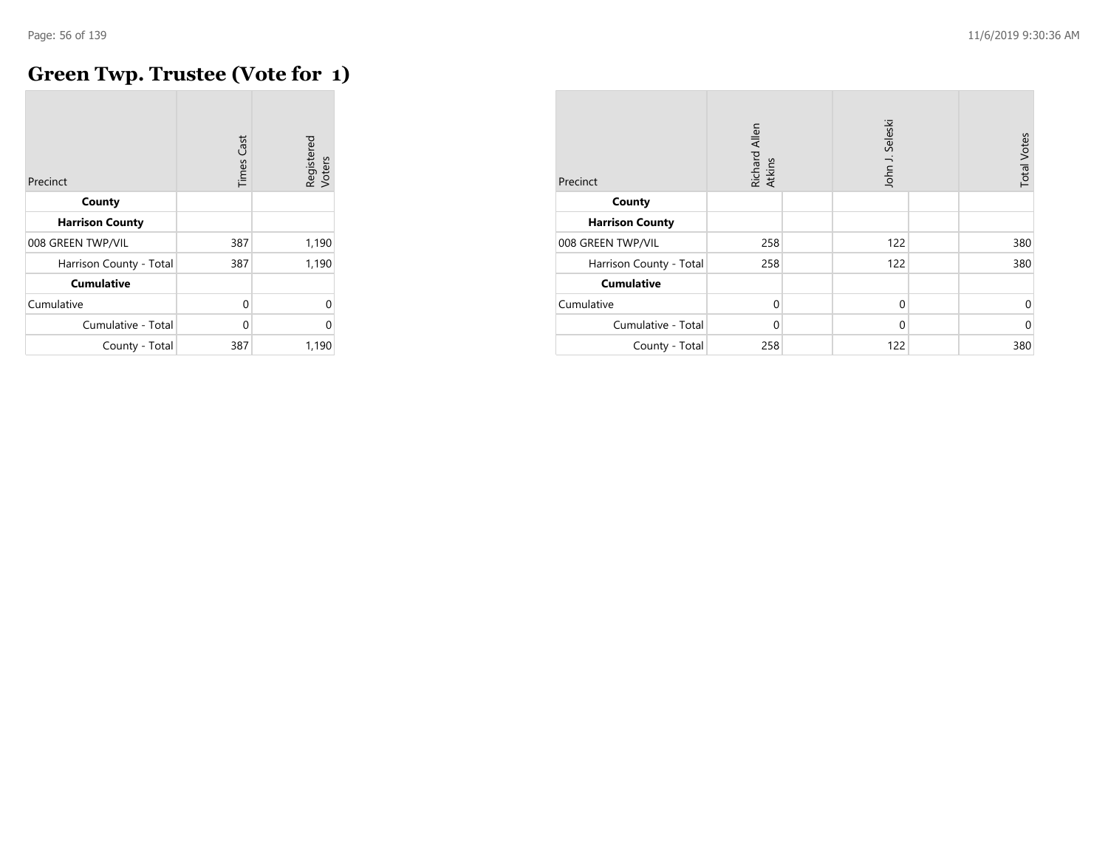#### **Green Twp. Trustee (Vote for 1)**

| Precinct                | Cast<br>Times | Registered<br>Voters |
|-------------------------|---------------|----------------------|
| County                  |               |                      |
| <b>Harrison County</b>  |               |                      |
| 008 GREEN TWP/VIL       | 387           | 1,190                |
| Harrison County - Total | 387           | 1,190                |
| <b>Cumulative</b>       |               |                      |
| Cumulative              | 0             |                      |
| Cumulative - Total      | 0             |                      |
| County - Total          | 387           | 1,190                |

| Precinct                | Richard Allen<br>Atkins |  | John J. Seleski |  | <b>Total Votes</b> |
|-------------------------|-------------------------|--|-----------------|--|--------------------|
| County                  |                         |  |                 |  |                    |
| <b>Harrison County</b>  |                         |  |                 |  |                    |
| 008 GREEN TWP/VIL       | 258                     |  | 122             |  | 380                |
| Harrison County - Total | 258                     |  | 122             |  | 380                |
| <b>Cumulative</b>       |                         |  |                 |  |                    |
| Cumulative              | $\mathbf 0$             |  | $\mathbf 0$     |  | 0                  |
| Cumulative - Total      | $\Omega$                |  | $\Omega$        |  | $\Omega$           |
| County - Total          | 258                     |  | 122             |  | 380                |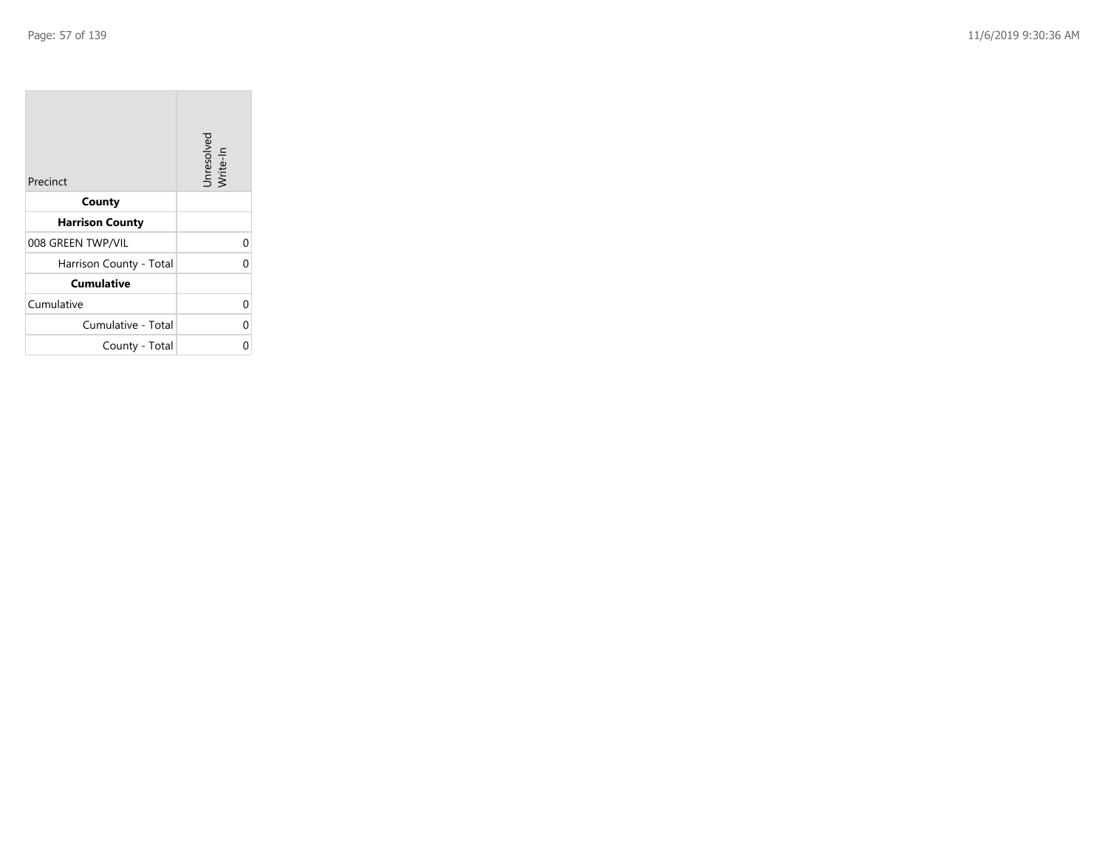| Precinct                | Unresolved<br>Write-In |
|-------------------------|------------------------|
| County                  |                        |
| <b>Harrison County</b>  |                        |
| 008 GREEN TWP/VIL       | 0                      |
| Harrison County - Total | 0                      |
| <b>Cumulative</b>       |                        |
| Cumulative              | 0                      |
| Cumulative - Total      | 0                      |
| County - Total          | ი                      |

the property of the con-

 $\overline{\phantom{a}}$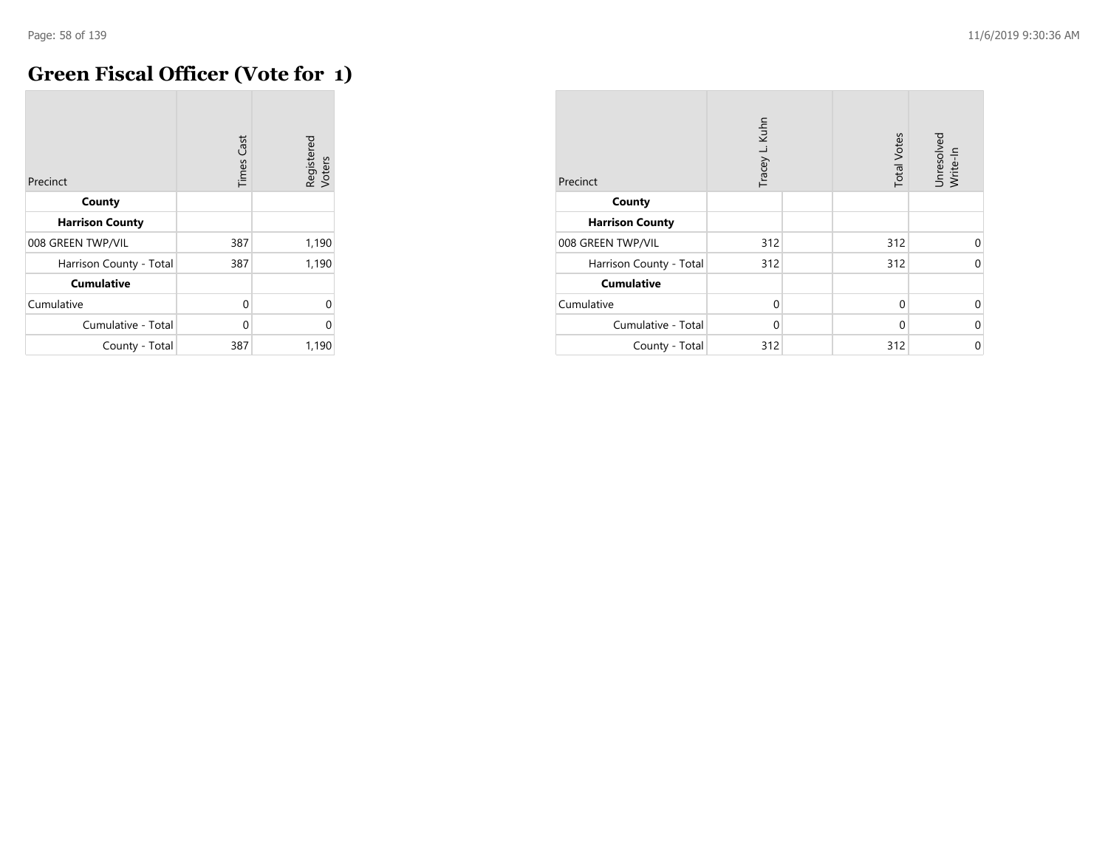## **Green Fiscal Officer (Vote for 1)**

| Precinct                | <b>Times Cast</b> | Registered<br>Voters |
|-------------------------|-------------------|----------------------|
| County                  |                   |                      |
| <b>Harrison County</b>  |                   |                      |
| 008 GREEN TWP/VIL       | 387               | 1,190                |
| Harrison County - Total | 387               | 1,190                |
| <b>Cumulative</b>       |                   |                      |
| Cumulative              | 0                 | U                    |
| Cumulative - Total      | 0                 | በ                    |
| County - Total          | 387               | 1,190                |

| Precinct                | Tracey L. Kuhn | <b>Total Votes</b> | Unresolved<br>Write-In |
|-------------------------|----------------|--------------------|------------------------|
| County                  |                |                    |                        |
| <b>Harrison County</b>  |                |                    |                        |
| 008 GREEN TWP/VIL       | 312            | 312                | $\Omega$               |
| Harrison County - Total | 312            | 312                | $\Omega$               |
| <b>Cumulative</b>       |                |                    |                        |
| Cumulative              | $\Omega$       | $\Omega$           | $\Omega$               |
| Cumulative - Total      | $\Omega$       | $\Omega$           | 0                      |
| County - Total          | 312            | 312                | 0                      |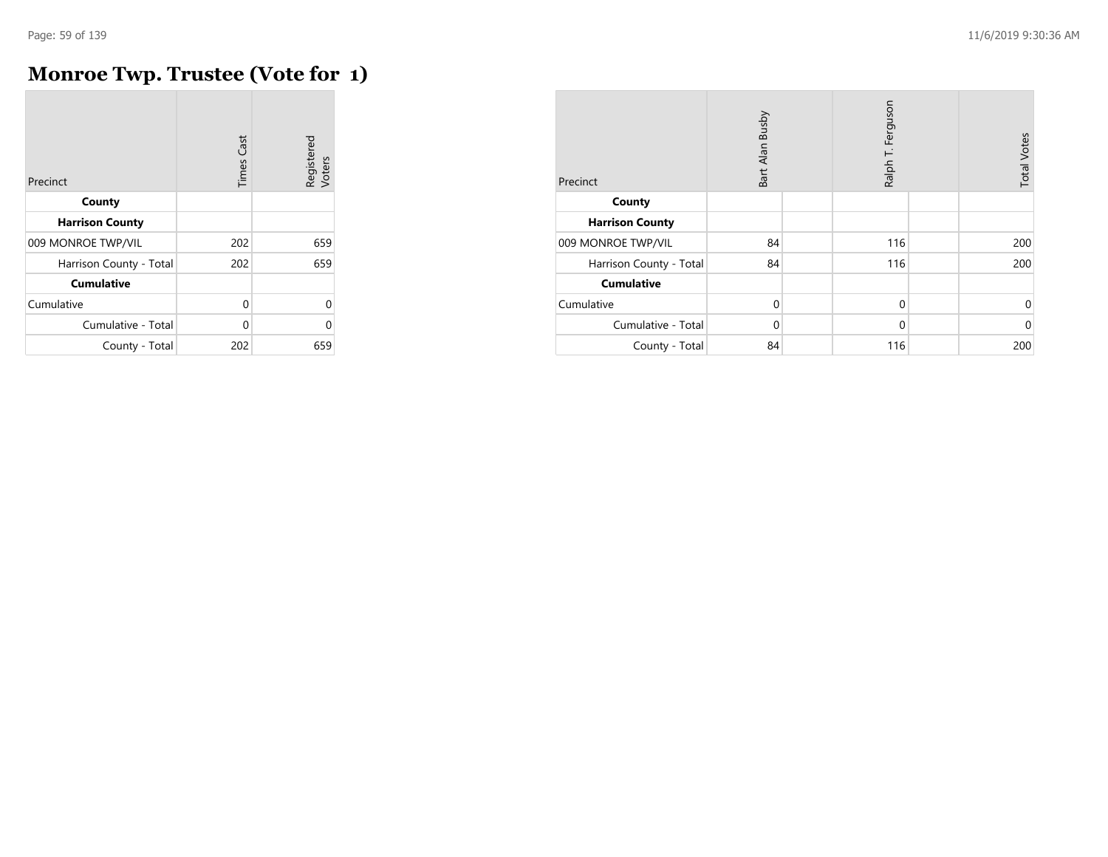# **Monroe Twp. Trustee (Vote for 1)**

| Precinct                | <b>Times Cast</b> | Registered<br>Voters |
|-------------------------|-------------------|----------------------|
| County                  |                   |                      |
| <b>Harrison County</b>  |                   |                      |
| 009 MONROE TWP/VIL      | 202               | 659                  |
| Harrison County - Total | 202               | 659                  |
| <b>Cumulative</b>       |                   |                      |
| Cumulative              | $\Omega$          | 0                    |
| Cumulative - Total      | U                 | O                    |
| County - Total          | 202               | 659                  |

| Precinct                | Bart Alan Busby | Ralph T. Ferguson | <b>Total Votes</b> |
|-------------------------|-----------------|-------------------|--------------------|
| County                  |                 |                   |                    |
| <b>Harrison County</b>  |                 |                   |                    |
| 009 MONROE TWP/VIL      | 84              | 116               | 200                |
| Harrison County - Total | 84              | 116               | 200                |
| <b>Cumulative</b>       |                 |                   |                    |
| Cumulative              | $\mathbf 0$     | $\mathbf 0$       | 0                  |
| Cumulative - Total      | 0               | 0                 | $\mathbf 0$        |
| County - Total          | 84              | 116               | 200                |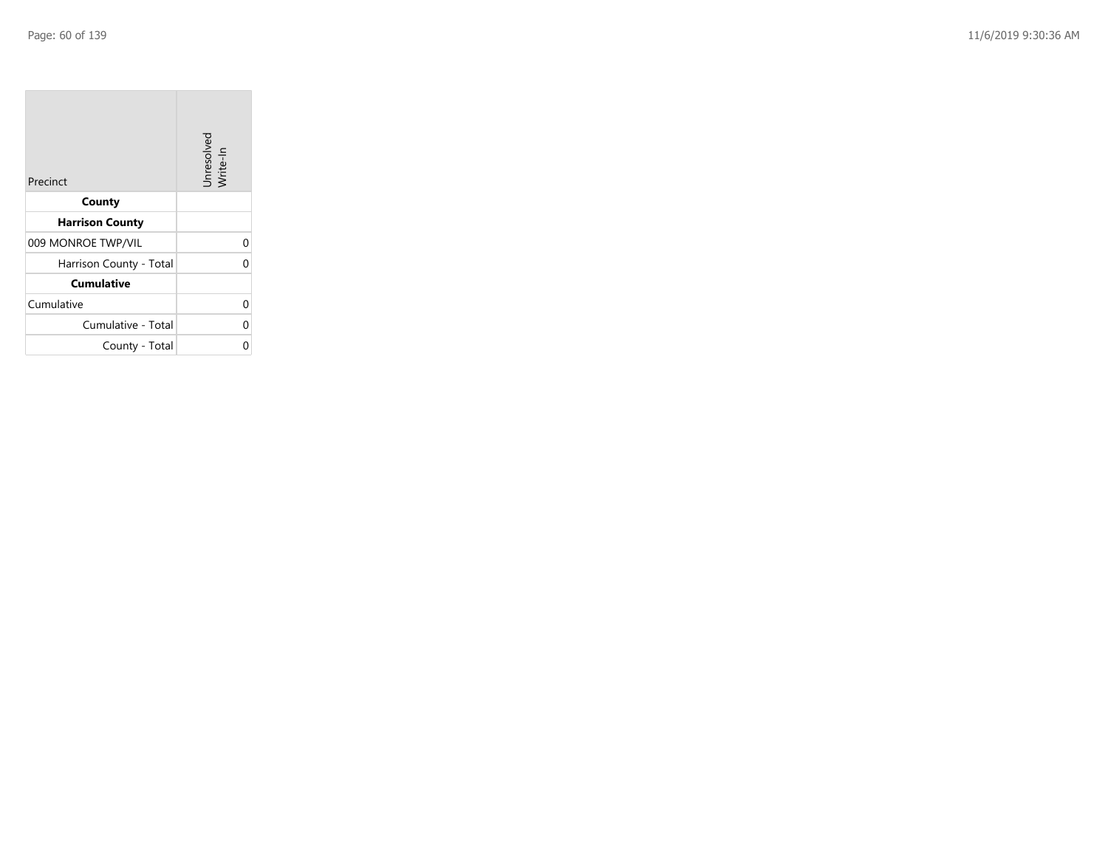| Precinct                | Unresolved<br>Write-In |
|-------------------------|------------------------|
| County                  |                        |
| <b>Harrison County</b>  |                        |
| 009 MONROE TWP/VIL      | 0                      |
| Harrison County - Total | 0                      |
| <b>Cumulative</b>       |                        |
| Cumulative              | 0                      |
| Cumulative - Total      | 0                      |
| County - Total          |                        |

the control of the con-

 $\overline{\phantom{a}}$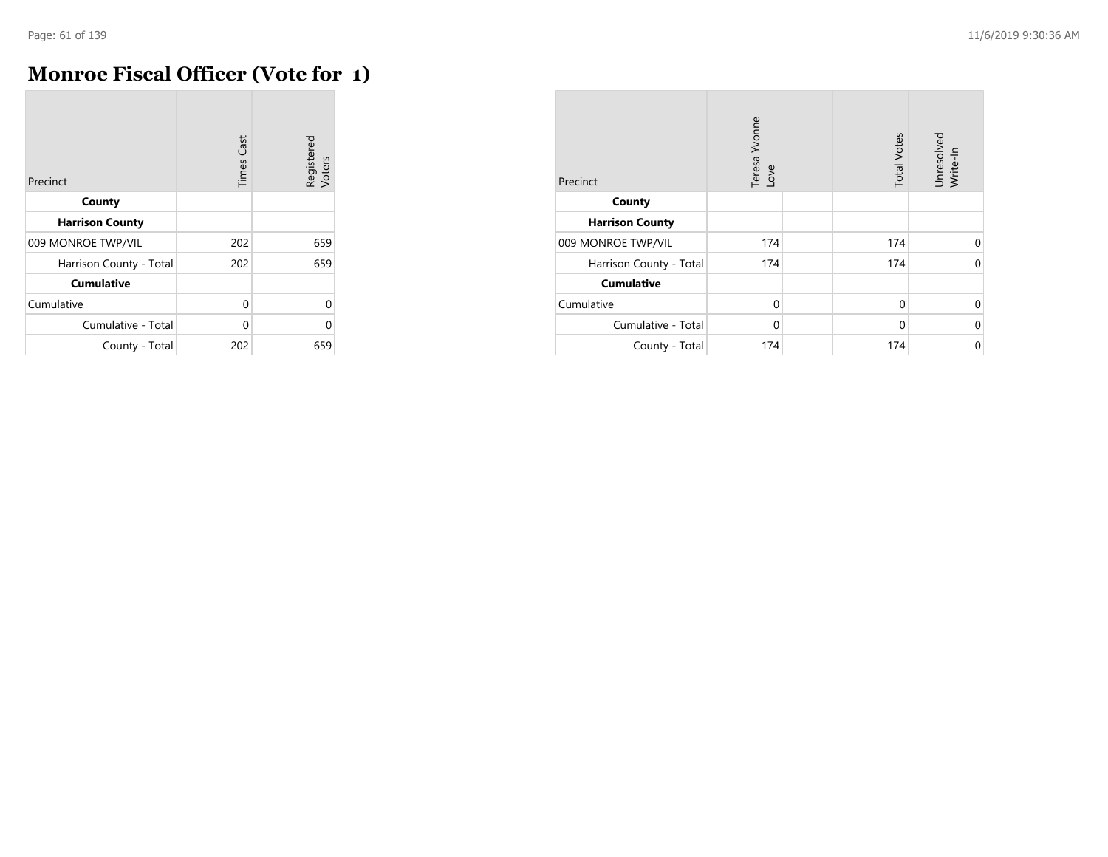# **Monroe Fiscal Officer (Vote for 1)**

| Precinct                | <b>Times Cast</b> | Registered<br>Voters |
|-------------------------|-------------------|----------------------|
| County                  |                   |                      |
| <b>Harrison County</b>  |                   |                      |
| 009 MONROE TWP/VIL      | 202               | 659                  |
| Harrison County - Total | 202               | 659                  |
| <b>Cumulative</b>       |                   |                      |
| Cumulative              | $\Omega$          | 0                    |
| Cumulative - Total      | U                 | O                    |
| County - Total          | 202               | 659                  |

| Precinct                | Teresa Yvonne<br>Love | <b>Total Votes</b> | Unresolved<br>Write-In |
|-------------------------|-----------------------|--------------------|------------------------|
| County                  |                       |                    |                        |
| <b>Harrison County</b>  |                       |                    |                        |
| 009 MONROE TWP/VIL      | 174                   | 174                | $\Omega$               |
| Harrison County - Total | 174                   | 174                | $\Omega$               |
| <b>Cumulative</b>       |                       |                    |                        |
| Cumulative              | $\Omega$              | $\Omega$           | 0                      |
| Cumulative - Total      | $\Omega$              | $\Omega$           | 0                      |
| County - Total          | 174                   | 174                | $\mathbf 0$            |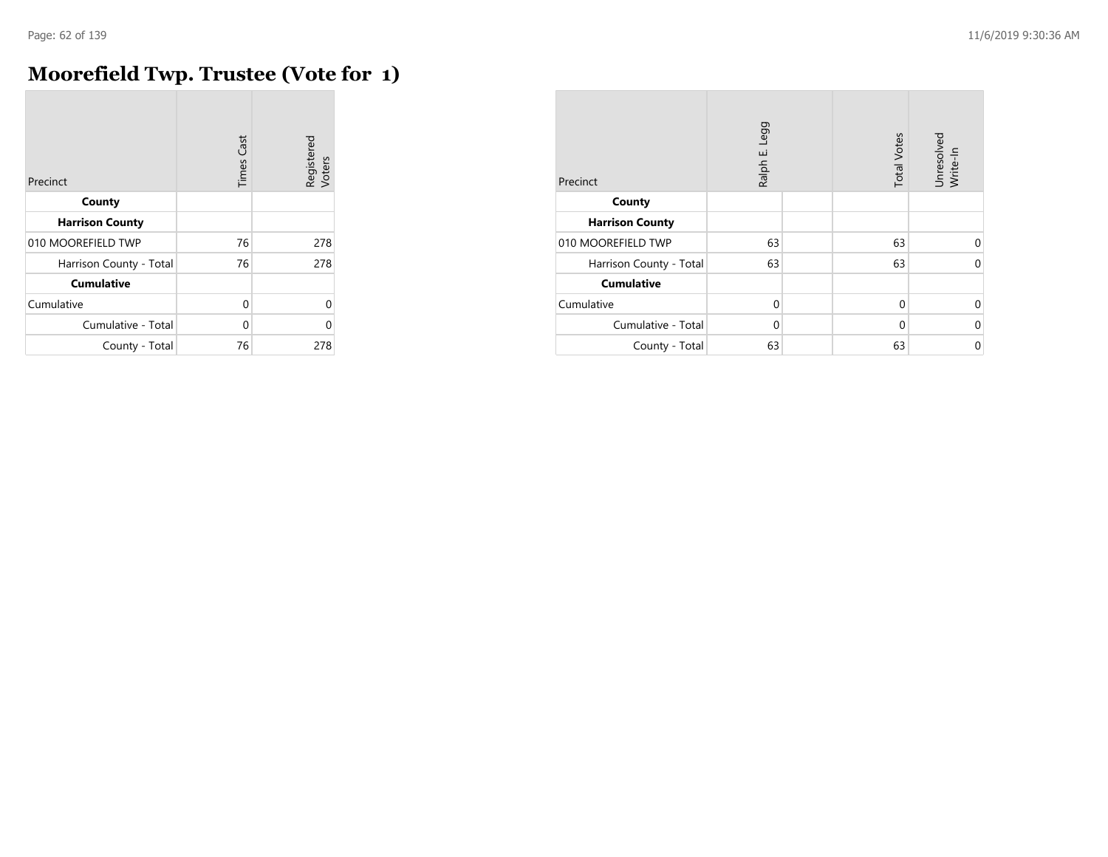# **Moorefield Twp. Trustee (Vote for 1)**

| Precinct                | <b>Times Cast</b> | Registered<br>Voters |
|-------------------------|-------------------|----------------------|
| County                  |                   |                      |
| <b>Harrison County</b>  |                   |                      |
| 010 MOOREFIELD TWP      | 76                | 278                  |
| Harrison County - Total | 76                | 278                  |
| <b>Cumulative</b>       |                   |                      |
| Cumulative              | $\Omega$          | U                    |
| Cumulative - Total      | U                 | U                    |
| County - Total          | 76                | 278                  |

| Precinct                | Ralph E. Legg |  | <b>Total Votes</b> | Unresolved<br>Write-In |
|-------------------------|---------------|--|--------------------|------------------------|
| County                  |               |  |                    |                        |
| <b>Harrison County</b>  |               |  |                    |                        |
| 010 MOOREFIELD TWP      | 63            |  | 63                 | 0                      |
| Harrison County - Total | 63            |  | 63                 | $\Omega$               |
| <b>Cumulative</b>       |               |  |                    |                        |
| Cumulative              | $\Omega$      |  | $\Omega$           | 0                      |
| Cumulative - Total      | $\Omega$      |  | $\Omega$           | $\mathbf 0$            |
| County - Total          | 63            |  | 63                 | $\mathbf 0$            |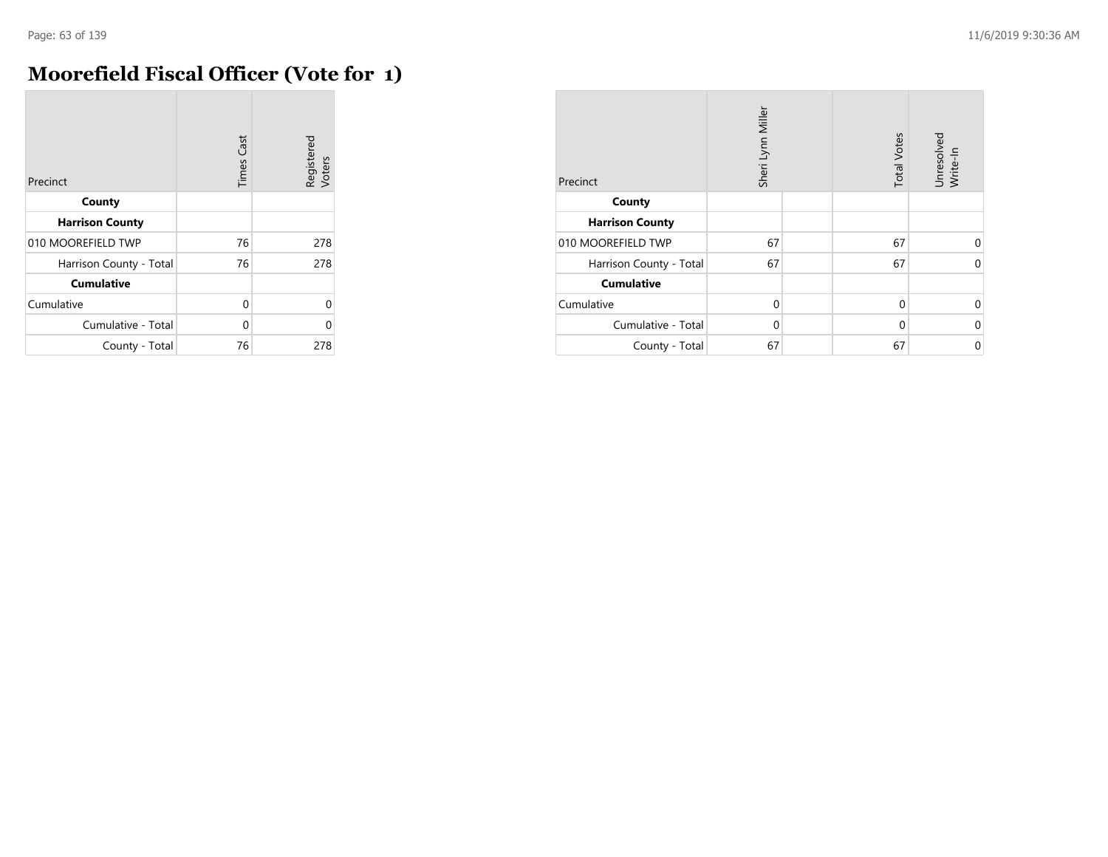# **Moorefield Fiscal Officer (Vote for 1)**

| Precinct                | <b>Times Cast</b> | Registered<br>Voters |
|-------------------------|-------------------|----------------------|
| County                  |                   |                      |
| <b>Harrison County</b>  |                   |                      |
| 010 MOOREFIELD TWP      | 76                | 278                  |
| Harrison County - Total | 76                | 278                  |
| <b>Cumulative</b>       |                   |                      |
| Cumulative              | $\Omega$          | $\Omega$             |
| Cumulative - Total      | U                 | O                    |
| County - Total          | 76                | 278                  |

| Precinct                | Sheri Lynn Miller | <b>Total Votes</b> | Unresolved<br>Write-In |
|-------------------------|-------------------|--------------------|------------------------|
| County                  |                   |                    |                        |
| <b>Harrison County</b>  |                   |                    |                        |
| 010 MOOREFIELD TWP      | 67                | 67                 | 0                      |
| Harrison County - Total | 67                | 67                 | $\Omega$               |
| <b>Cumulative</b>       |                   |                    |                        |
| Cumulative              | $\Omega$          | $\Omega$           | $\Omega$               |
| Cumulative - Total      | $\Omega$          | 0                  | 0                      |
| County - Total          | 67                | 67                 | $\mathbf 0$            |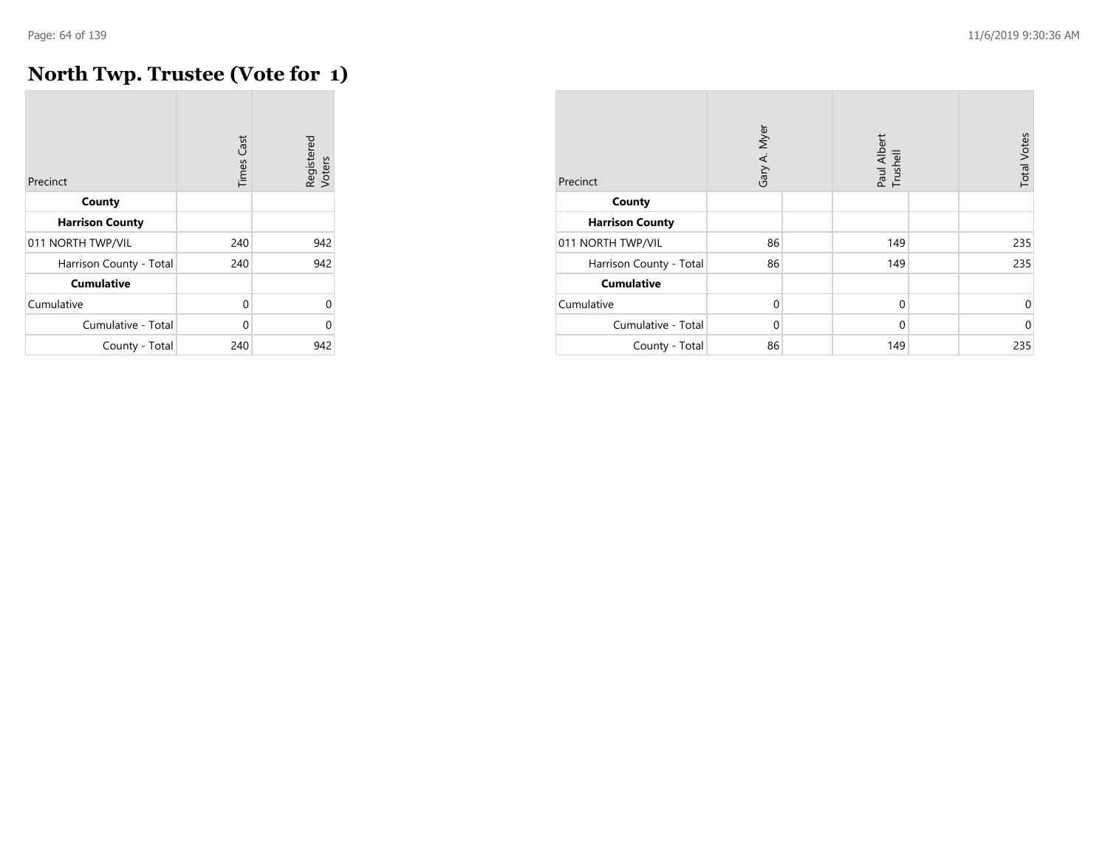## **North Twp. Trustee (Vote for 1)**

| Precinct                | Cast<br>Times | Registered<br>Voters |
|-------------------------|---------------|----------------------|
| County                  |               |                      |
| <b>Harrison County</b>  |               |                      |
| 011 NORTH TWP/VIL       | 240           | 942                  |
| Harrison County - Total | 240           | 942                  |
| <b>Cumulative</b>       |               |                      |
| Cumulative              | $\Omega$      | $\Omega$             |
| Cumulative - Total      | $\Omega$      | O                    |
| County - Total          | 240           | 942                  |

| Precinct                | Gary A. Myer | Paul Albert<br>Trushell | <b>Total Votes</b> |
|-------------------------|--------------|-------------------------|--------------------|
| County                  |              |                         |                    |
| <b>Harrison County</b>  |              |                         |                    |
| 011 NORTH TWP/VIL       | 86           | 149                     | 235                |
| Harrison County - Total | 86           | 149                     | 235                |
| <b>Cumulative</b>       |              |                         |                    |
| Cumulative              | $\Omega$     | $\mathbf 0$             | $\Omega$           |
| Cumulative - Total      | $\Omega$     | $\mathbf 0$             | $\Omega$           |
| County - Total          | 86           | 149                     | 235                |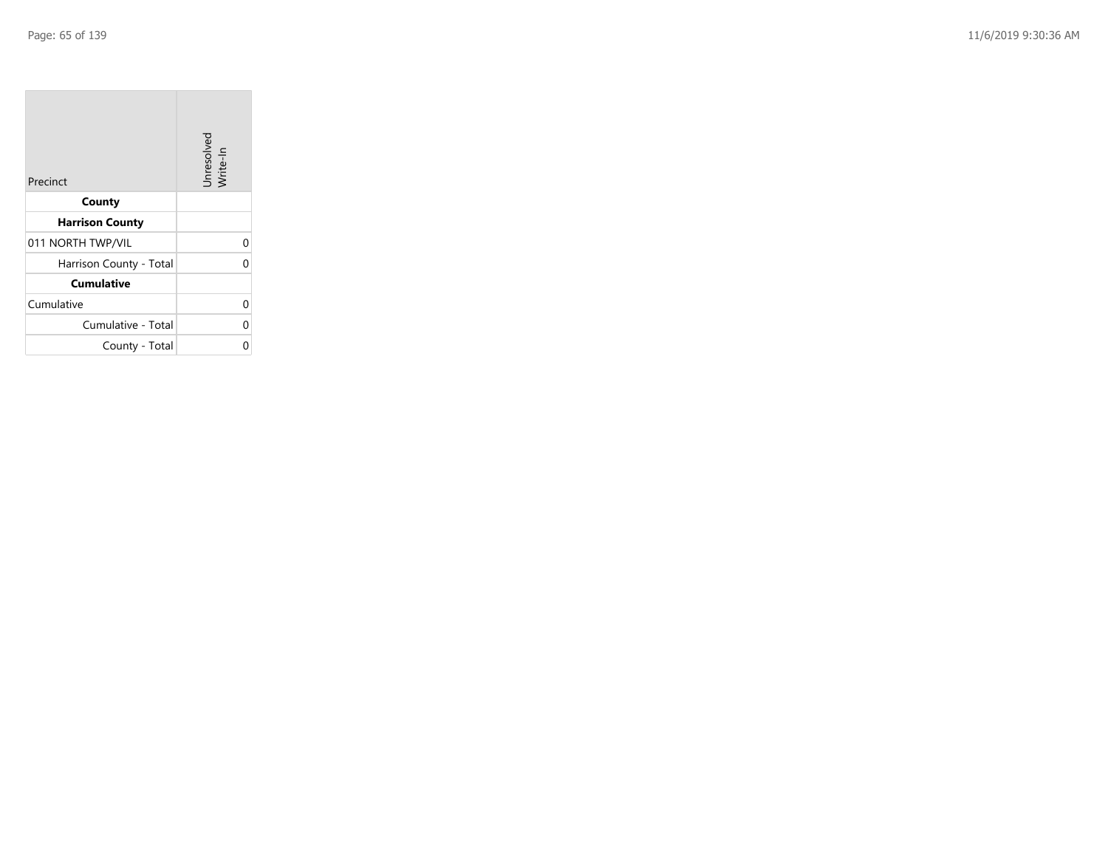| Precinct                | Unresolved<br>Write-In |
|-------------------------|------------------------|
| County                  |                        |
| <b>Harrison County</b>  |                        |
| 011 NORTH TWP/VIL       | 0                      |
| Harrison County - Total | 0                      |
| <b>Cumulative</b>       |                        |
| Cumulative              | 0                      |
| Cumulative - Total      | 0                      |
| County - Total          | ი                      |

the property of the con-

 $\overline{\phantom{a}}$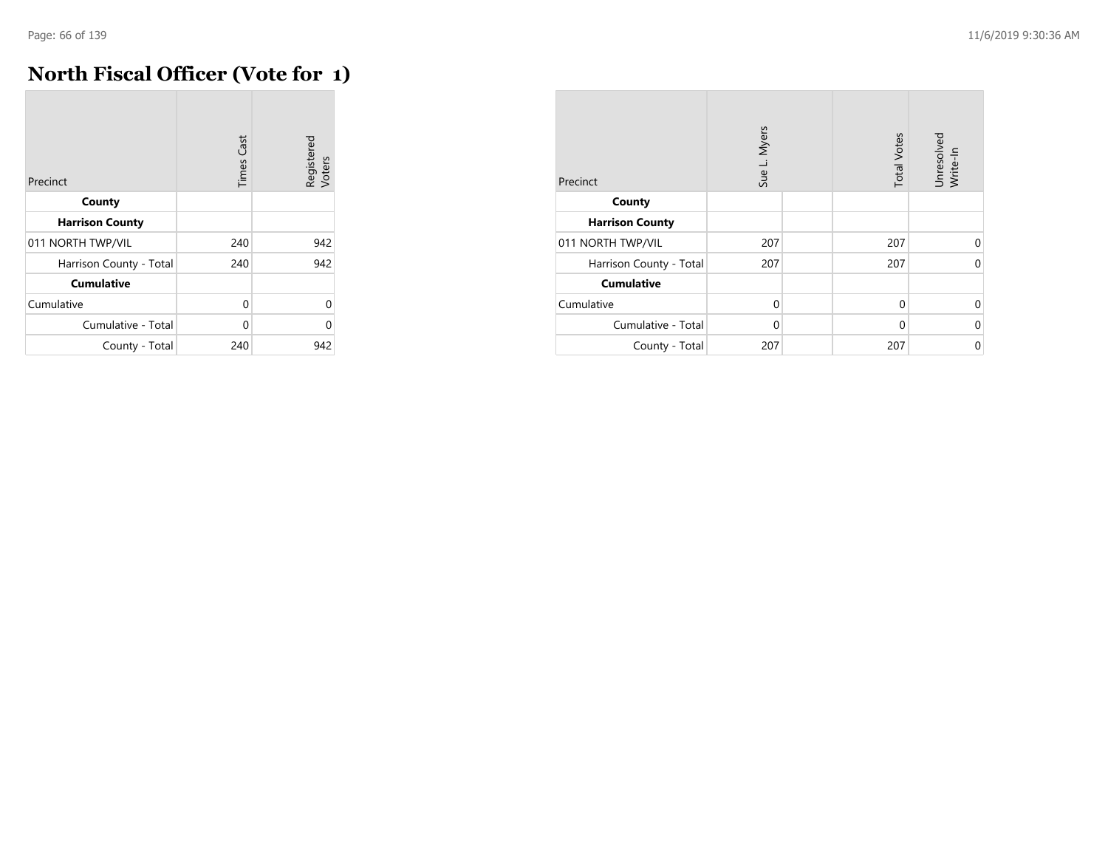## **North Fiscal Officer (Vote for 1)**

| Precinct                | <b>Times Cast</b> | Registered<br>Voters |
|-------------------------|-------------------|----------------------|
| County                  |                   |                      |
| <b>Harrison County</b>  |                   |                      |
| 011 NORTH TWP/VIL       | 240               | 942                  |
| Harrison County - Total | 240               | 942                  |
| <b>Cumulative</b>       |                   |                      |
| Cumulative              | 0                 | U                    |
| Cumulative - Total      | 0                 | በ                    |
| County - Total          | 240               | 942                  |

| Precinct                | Sue L. Myers | <b>Total Votes</b> | Unresolved<br>Write-In |
|-------------------------|--------------|--------------------|------------------------|
| County                  |              |                    |                        |
| <b>Harrison County</b>  |              |                    |                        |
| 011 NORTH TWP/VIL       | 207          | 207                | 0                      |
| Harrison County - Total | 207          | 207                | $\Omega$               |
| <b>Cumulative</b>       |              |                    |                        |
| Cumulative              | $\Omega$     | $\Omega$           | $\Omega$               |
| Cumulative - Total      | $\Omega$     | $\Omega$           | $\Omega$               |
| County - Total          | 207          | 207                | $\Omega$               |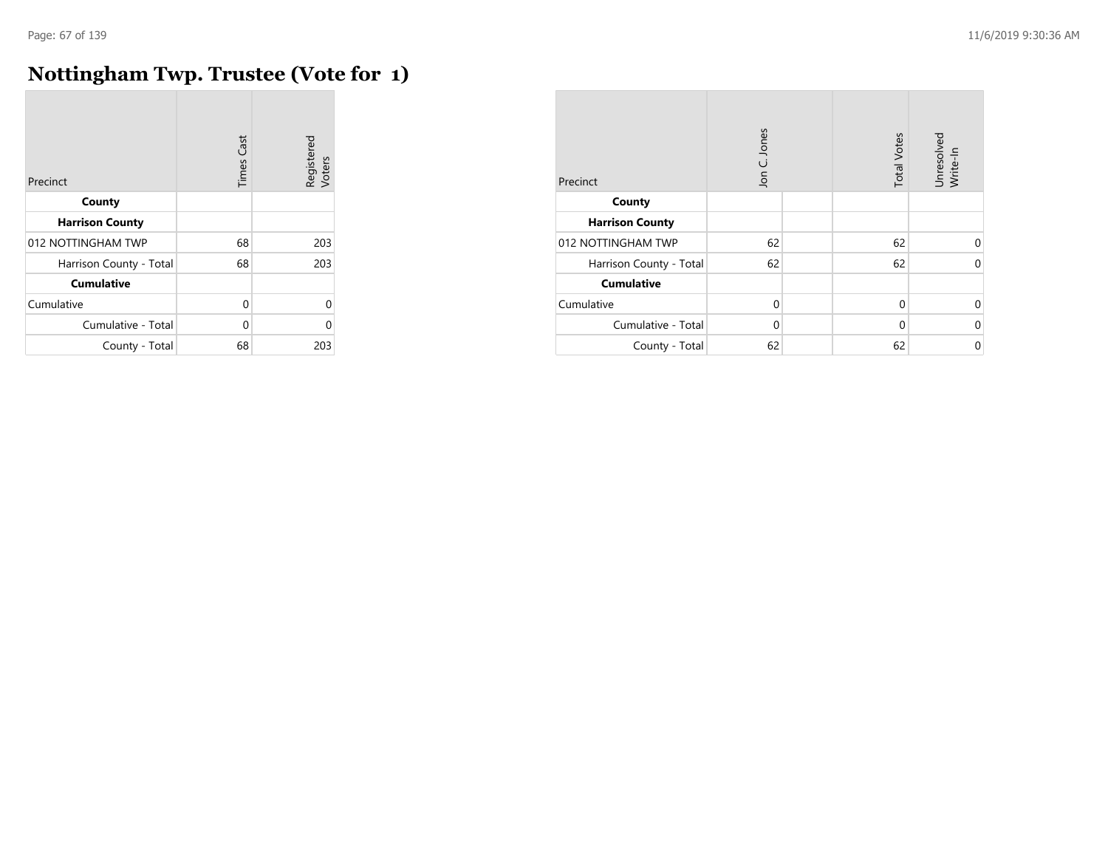## **Nottingham Twp. Trustee (Vote for 1)**

| Precinct                | <b>Times Cast</b> | Registered<br>Voters |
|-------------------------|-------------------|----------------------|
| County                  |                   |                      |
| <b>Harrison County</b>  |                   |                      |
| 012 NOTTINGHAM TWP      | 68                | 203                  |
| Harrison County - Total | 68                | 203                  |
| <b>Cumulative</b>       |                   |                      |
| Cumulative              | 0                 | $\Omega$             |
| Cumulative - Total      | $\Omega$          | U                    |
| County - Total          | 68                | 203                  |

| Precinct                | Jon C. Jones | <b>Total Votes</b> | Unresolved<br>Write-In |
|-------------------------|--------------|--------------------|------------------------|
| County                  |              |                    |                        |
| <b>Harrison County</b>  |              |                    |                        |
| 012 NOTTINGHAM TWP      | 62           | 62                 | 0                      |
| Harrison County - Total | 62           | 62                 | $\Omega$               |
| <b>Cumulative</b>       |              |                    |                        |
| Cumulative              | $\Omega$     | $\Omega$           | 0                      |
| Cumulative - Total      | $\Omega$     | 0                  | $\mathbf 0$            |
| County - Total          | 62           | 62                 | $\mathbf 0$            |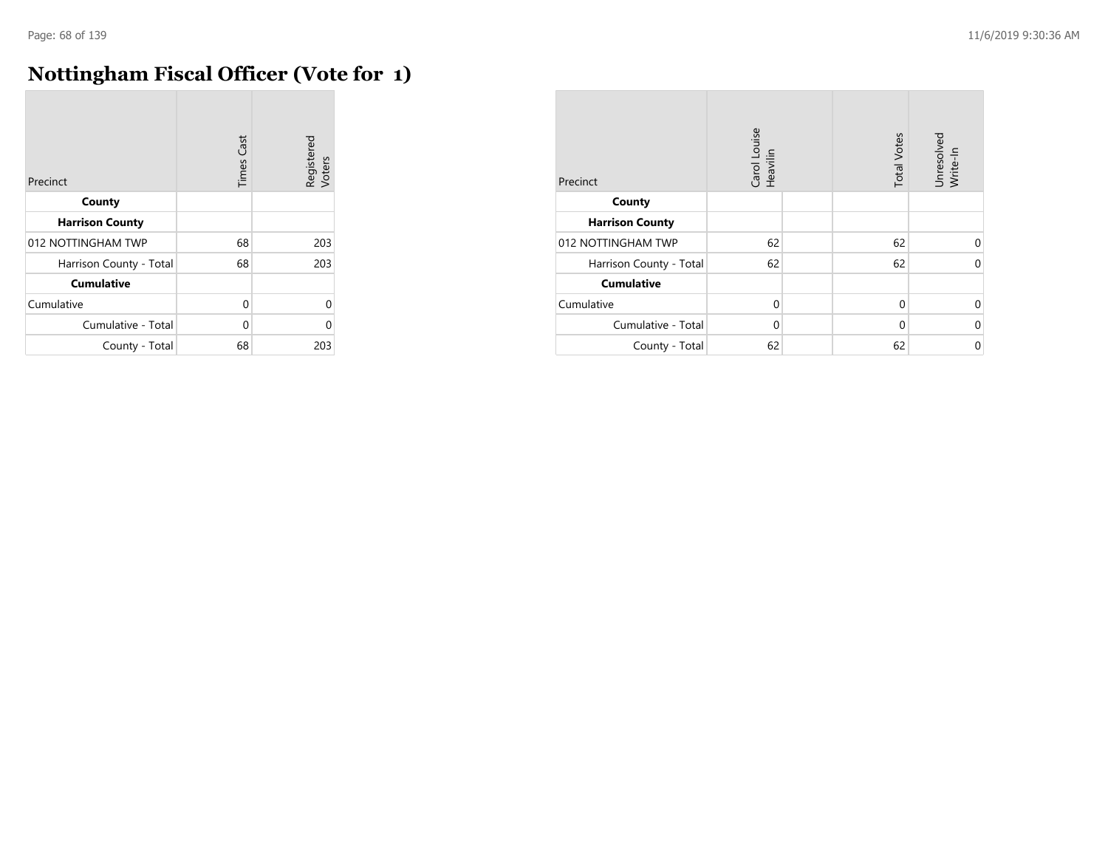## **Nottingham Fiscal Officer (Vote for 1)**

| Precinct                | <b>Times Cast</b> | Registered<br>Voters |
|-------------------------|-------------------|----------------------|
| County                  |                   |                      |
| <b>Harrison County</b>  |                   |                      |
| 012 NOTTINGHAM TWP      | 68                | 203                  |
| Harrison County - Total | 68                | 203                  |
| <b>Cumulative</b>       |                   |                      |
| Cumulative              | $\Omega$          | 0                    |
| Cumulative - Total      | $\Omega$          | U                    |
| County - Total          | 68                | 203                  |

| Precinct                | Carol Louise<br>Heavilin | <b>Total Votes</b> | Unresolved<br>Write-In |
|-------------------------|--------------------------|--------------------|------------------------|
| County                  |                          |                    |                        |
| <b>Harrison County</b>  |                          |                    |                        |
| 012 NOTTINGHAM TWP      | 62                       | 62                 | $\Omega$               |
| Harrison County - Total | 62                       | 62                 | $\Omega$               |
| <b>Cumulative</b>       |                          |                    |                        |
| Cumulative              | $\Omega$                 | $\Omega$           | $\Omega$               |
| Cumulative - Total      | $\Omega$                 | $\Omega$           | 0                      |
| County - Total          | 62                       | 62                 | 0                      |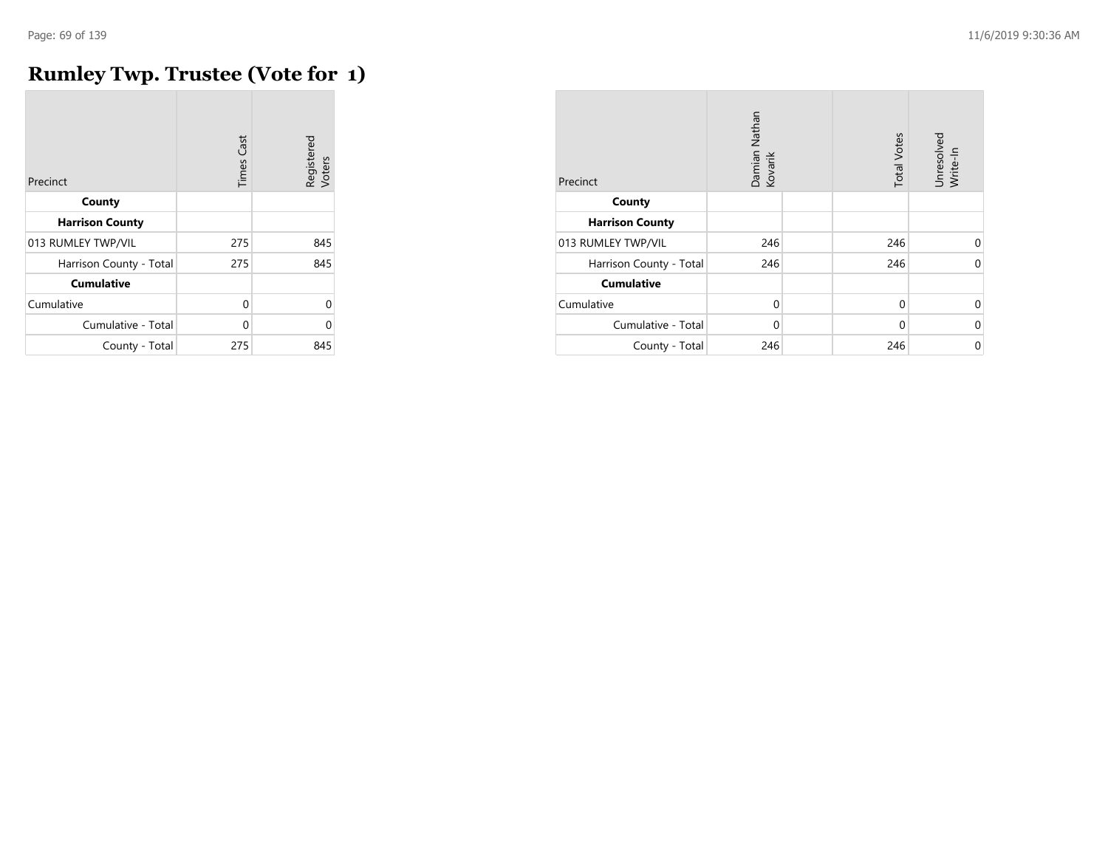# **Rumley Twp. Trustee (Vote for 1)**

| Precinct                | <b>Times Cast</b> | Registered<br>Voters |
|-------------------------|-------------------|----------------------|
| County                  |                   |                      |
| <b>Harrison County</b>  |                   |                      |
| 013 RUMLEY TWP/VIL      | 275               | 845                  |
| Harrison County - Total | 275               | 845                  |
| <b>Cumulative</b>       |                   |                      |
| Cumulative              | 0                 | $\Omega$             |
| Cumulative - Total      | $\Omega$          | U                    |
| County - Total          | 275               | 845                  |

| Precinct                | Damian Nathan<br>Kovarik | <b>Total Votes</b> | Unresolved<br>Write-In |
|-------------------------|--------------------------|--------------------|------------------------|
| County                  |                          |                    |                        |
| <b>Harrison County</b>  |                          |                    |                        |
| 013 RUMLEY TWP/VIL      | 246                      | 246                | 0                      |
| Harrison County - Total | 246                      | 246                | $\Omega$               |
| <b>Cumulative</b>       |                          |                    |                        |
| Cumulative              | $\Omega$                 | $\Omega$           | $\Omega$               |
| Cumulative - Total      | $\Omega$                 | $\Omega$           | 0                      |
| County - Total          | 246                      | 246                | 0                      |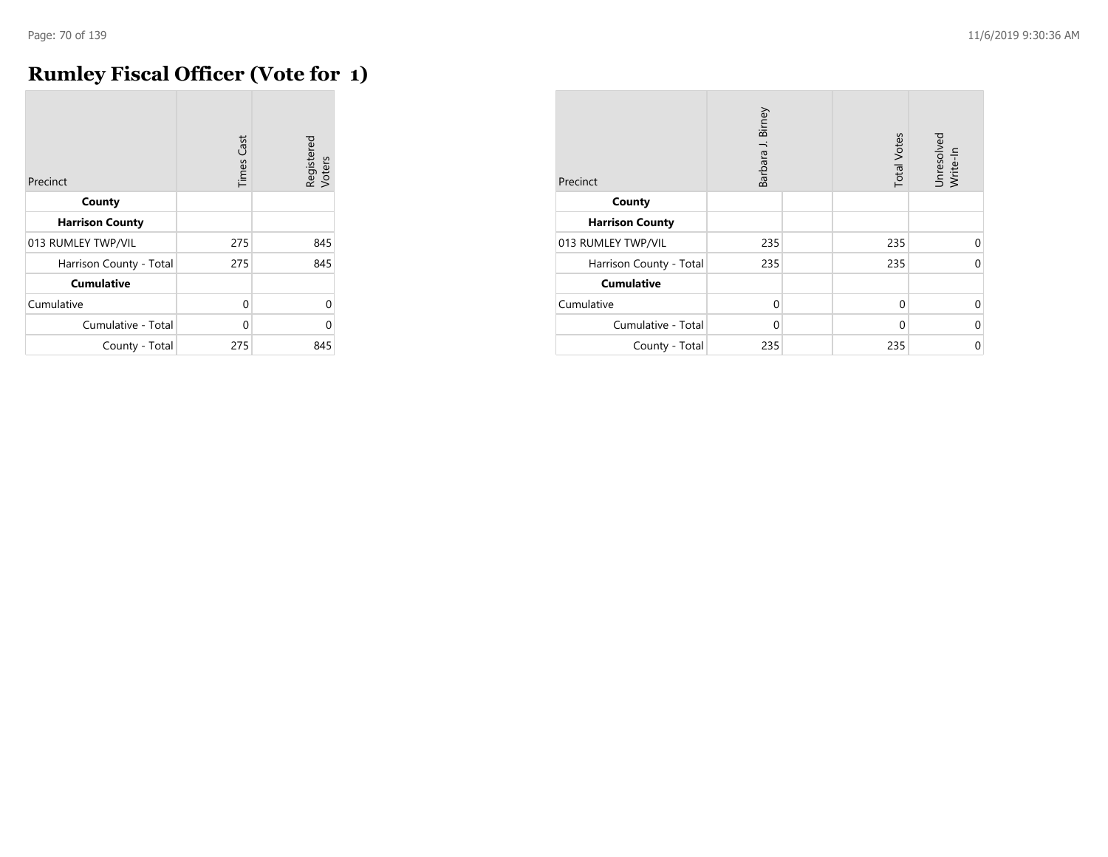# **Rumley Fiscal Officer (Vote for 1)**

| Precinct                | <b>Times Cast</b> | Registered<br>Voters |
|-------------------------|-------------------|----------------------|
| County                  |                   |                      |
| <b>Harrison County</b>  |                   |                      |
| 013 RUMLEY TWP/VIL      | 275               | 845                  |
| Harrison County - Total | 275               | 845                  |
| <b>Cumulative</b>       |                   |                      |
| Cumulative              | $\Omega$          | 0                    |
| Cumulative - Total      | U                 | C                    |
| County - Total          | 275               | 845                  |

| Precinct                | Barbara J. Birney |  | <b>Total Votes</b> | Unresolved<br>Write-In |
|-------------------------|-------------------|--|--------------------|------------------------|
| County                  |                   |  |                    |                        |
| <b>Harrison County</b>  |                   |  |                    |                        |
| 013 RUMLEY TWP/VIL      | 235               |  | 235                | 0                      |
| Harrison County - Total | 235               |  | 235                | $\Omega$               |
| <b>Cumulative</b>       |                   |  |                    |                        |
| Cumulative              | $\Omega$          |  | $\Omega$           | 0                      |
| Cumulative - Total      | $\Omega$          |  | $\Omega$           | $\Omega$               |
| County - Total          | 235               |  | 235                | $\Omega$               |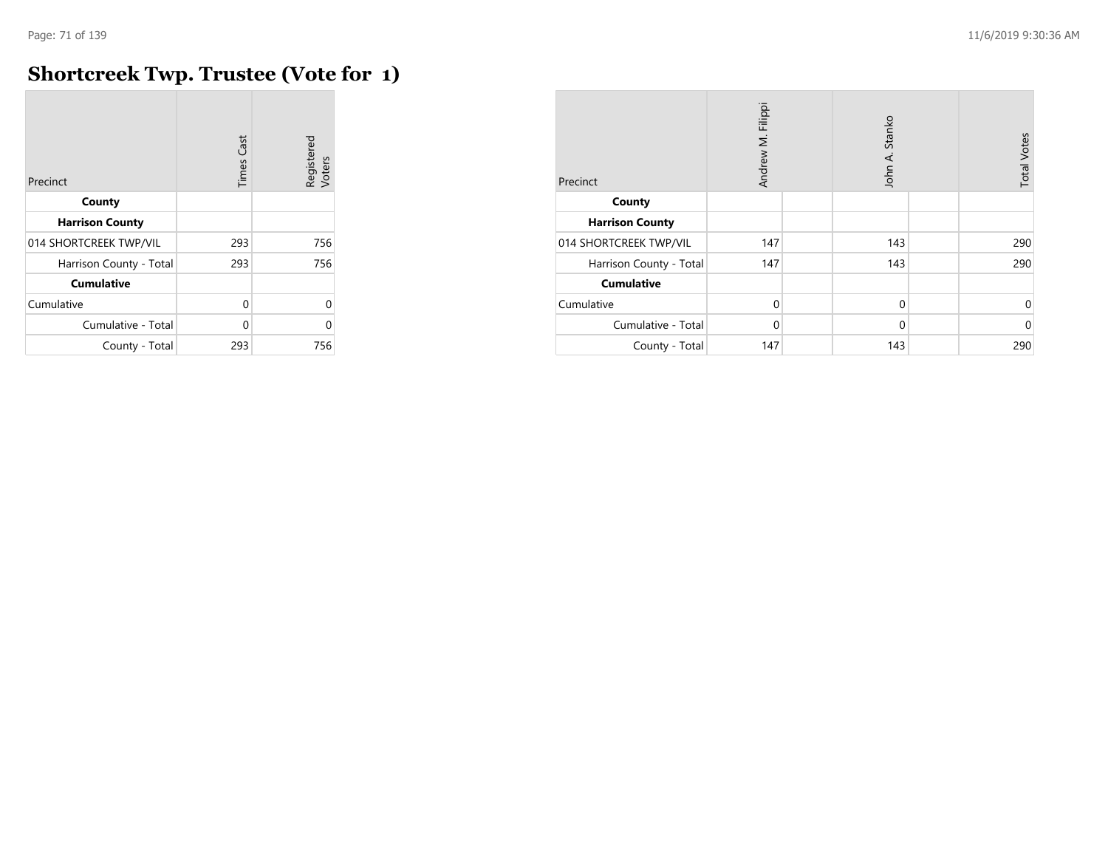# **Shortcreek Twp. Trustee (Vote for 1)**

| Precinct                | <b>Times Cast</b> | Registered<br>Voters |
|-------------------------|-------------------|----------------------|
| County                  |                   |                      |
| <b>Harrison County</b>  |                   |                      |
| 014 SHORTCREEK TWP/VIL  | 293               | 756                  |
| Harrison County - Total | 293               | 756                  |
| <b>Cumulative</b>       |                   |                      |
| Cumulative              | $\Omega$          | 0                    |
| Cumulative - Total      | U                 | U                    |
| County - Total          | 293               | 756                  |

| Precinct                | Andrew M. Filippi | John A. Stanko | <b>Total Votes</b> |
|-------------------------|-------------------|----------------|--------------------|
| County                  |                   |                |                    |
| <b>Harrison County</b>  |                   |                |                    |
| 014 SHORTCREEK TWP/VIL  | 147               | 143            | 290                |
| Harrison County - Total | 147               | 143            | 290                |
| <b>Cumulative</b>       |                   |                |                    |
| Cumulative              | $\Omega$          | $\mathbf 0$    | 0                  |
| Cumulative - Total      | $\Omega$          | $\Omega$       | $\mathbf 0$        |
| County - Total          | 147               | 143            | 290                |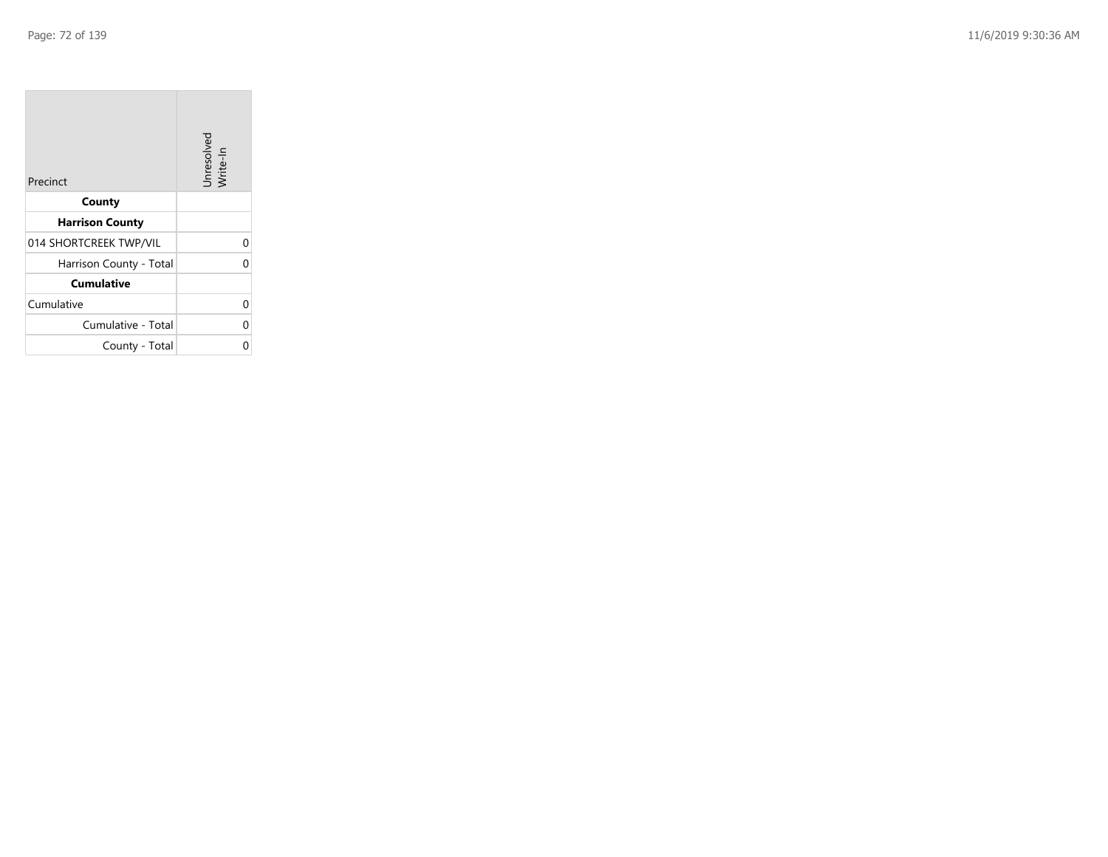| Precinct                | Unresolved<br>Write-In |
|-------------------------|------------------------|
| County                  |                        |
| <b>Harrison County</b>  |                        |
| 014 SHORTCREEK TWP/VIL  | 0                      |
| Harrison County - Total | 0                      |
| <b>Cumulative</b>       |                        |
| Cumulative              | 0                      |
| Cumulative - Total      | 0                      |
| County - Total          | ი                      |

the control of the con-

 $\overline{\phantom{a}}$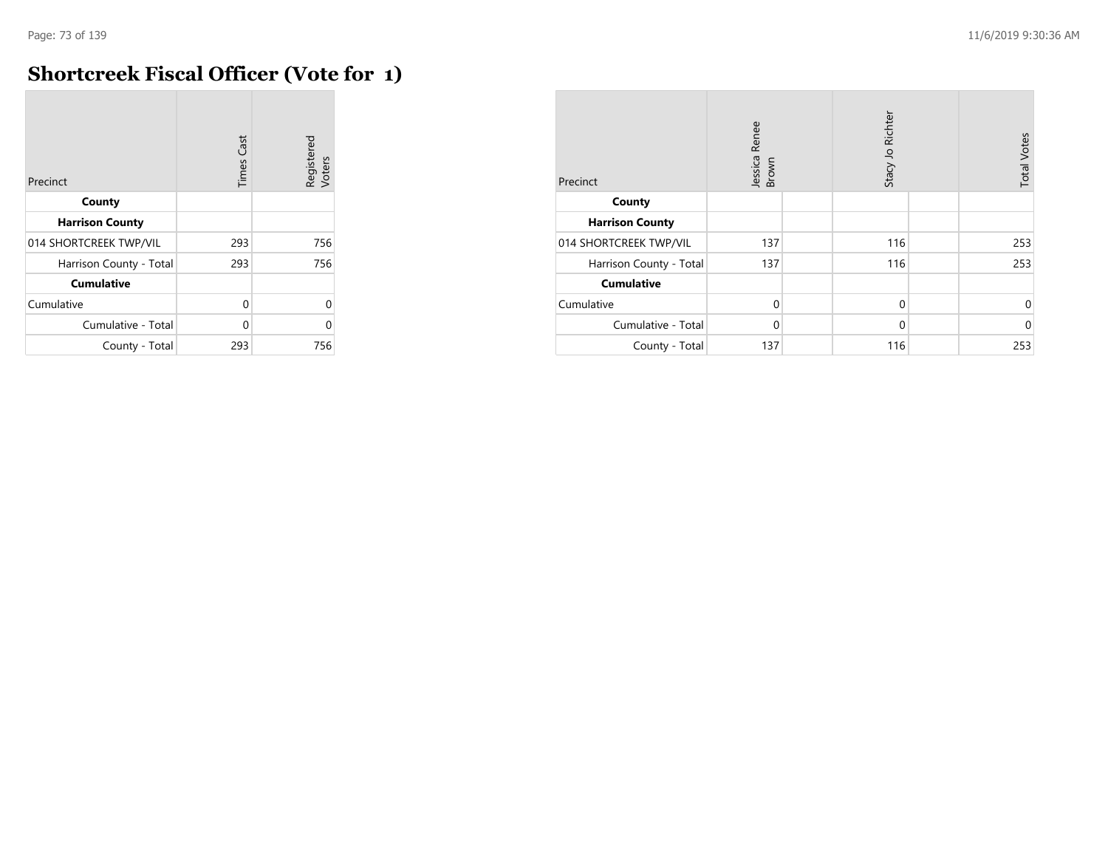$\overline{a}$ 

## **Shortcreek Fiscal Officer (Vote for 1)**

| Precinct                | <b>Times Cast</b> | Registered<br>Voters |
|-------------------------|-------------------|----------------------|
| County                  |                   |                      |
| <b>Harrison County</b>  |                   |                      |
| 014 SHORTCREEK TWP/VIL  | 293               | 756                  |
| Harrison County - Total | 293               | 756                  |
| <b>Cumulative</b>       |                   |                      |
| Cumulative              | $\Omega$          | 0                    |
| Cumulative - Total      | U                 | U                    |
| County - Total          | 293               | 756                  |

| Precinct                | Jessica Renee<br>Brown | Stacy Jo Richter | <b>Total Votes</b> |
|-------------------------|------------------------|------------------|--------------------|
| County                  |                        |                  |                    |
| <b>Harrison County</b>  |                        |                  |                    |
| 014 SHORTCREEK TWP/VIL  | 137                    | 116              | 253                |
| Harrison County - Total | 137                    | 116              | 253                |
| <b>Cumulative</b>       |                        |                  |                    |
| Cumulative              | $\Omega$               | $\mathbf 0$      | 0                  |
| Cumulative - Total      | $\Omega$               | $\mathbf 0$      | $\mathbf 0$        |
| County - Total          | 137                    | 116              | 253                |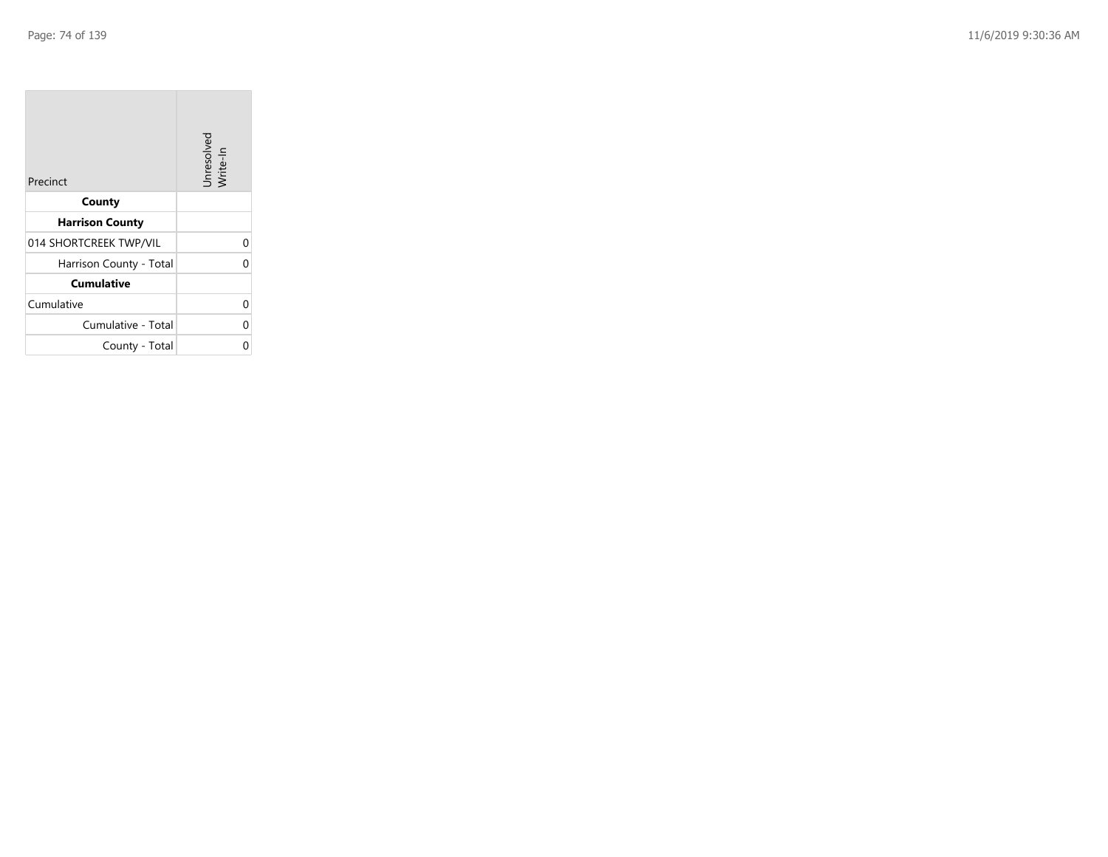| Precinct                | Unresolved<br>Write-In |
|-------------------------|------------------------|
| County                  |                        |
| <b>Harrison County</b>  |                        |
| 014 SHORTCREEK TWP/VIL  | 0                      |
| Harrison County - Total | 0                      |
| <b>Cumulative</b>       |                        |
| Cumulative              | 0                      |
| Cumulative - Total      | 0                      |
| County - Total          |                        |

**Contract Contract** 

 $\overline{\phantom{a}}$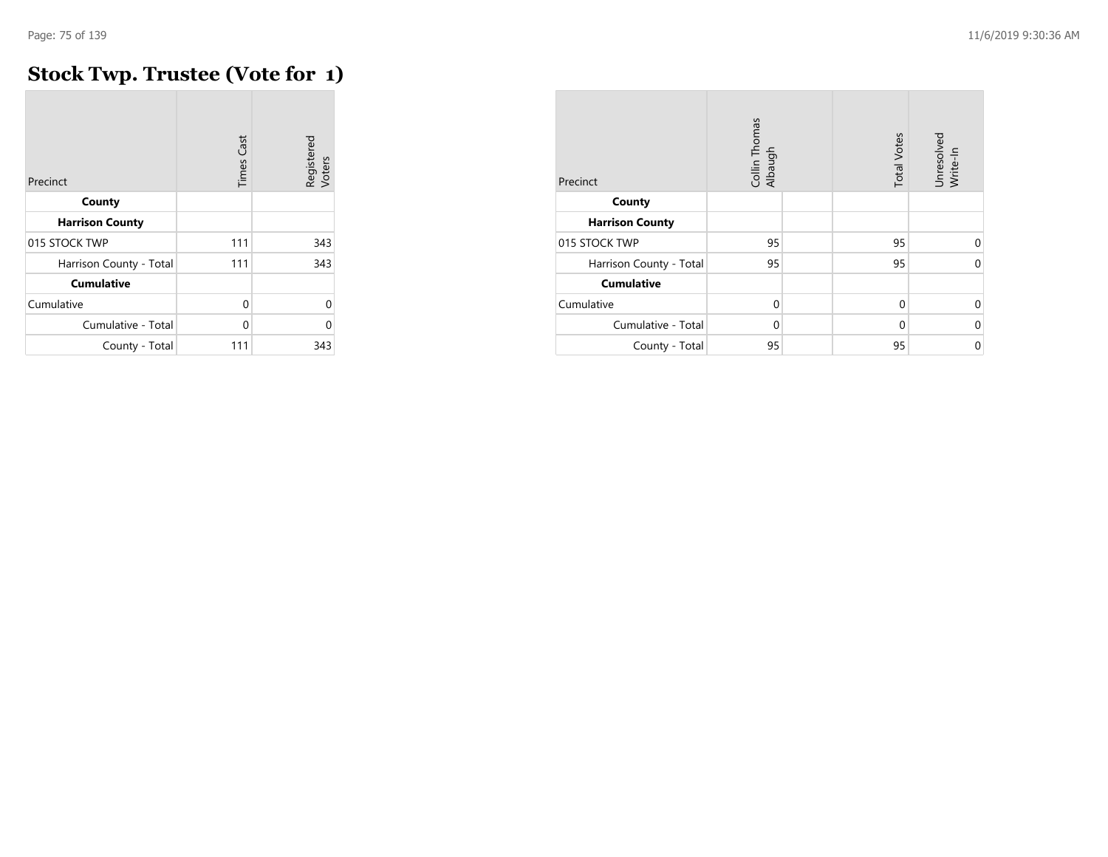## **Stock Twp. Trustee (Vote for 1)**

| Precinct                | <b>Times Cast</b> | Registered<br>Voters |
|-------------------------|-------------------|----------------------|
| County                  |                   |                      |
| <b>Harrison County</b>  |                   |                      |
| 015 STOCK TWP           | 111               | 343                  |
| Harrison County - Total | 111               | 343                  |
| <b>Cumulative</b>       |                   |                      |
| Cumulative              | $\Omega$          | U                    |
| Cumulative - Total      | $\Omega$          | Λ                    |
| County - Total          | 111               | 343                  |

| Precinct                | Collin Thomas<br>Albaugh | <b>Total Votes</b> | Unresolved<br>Write-In |
|-------------------------|--------------------------|--------------------|------------------------|
| County                  |                          |                    |                        |
| <b>Harrison County</b>  |                          |                    |                        |
| 015 STOCK TWP           | 95                       | 95                 | $\Omega$               |
| Harrison County - Total | 95                       | 95                 | $\Omega$               |
| <b>Cumulative</b>       |                          |                    |                        |
| Cumulative              | $\Omega$                 | $\Omega$           | $\Omega$               |
| Cumulative - Total      | $\Omega$                 | $\Omega$           | 0                      |
| County - Total          | 95                       | 95                 | 0                      |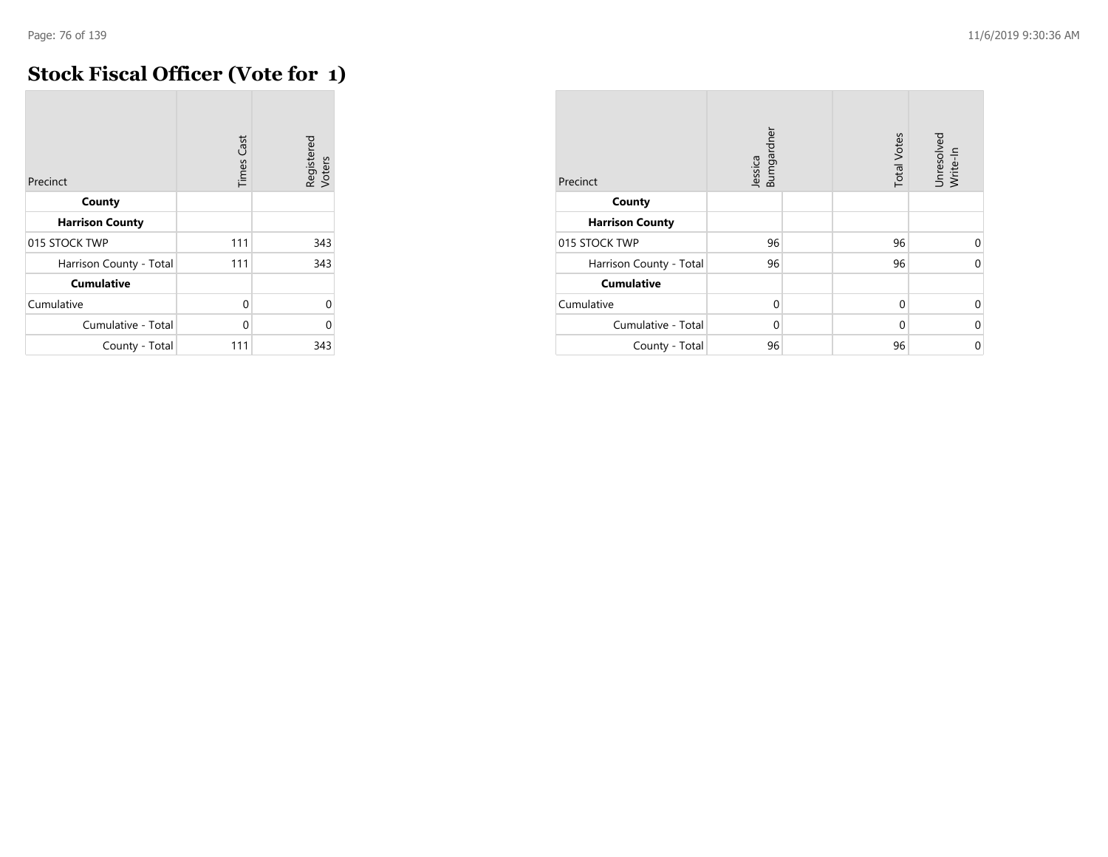## **Stock Fiscal Officer (Vote for 1)**

| Precinct                | Cast<br>Times | Registered<br>Voters |
|-------------------------|---------------|----------------------|
| County                  |               |                      |
| <b>Harrison County</b>  |               |                      |
| 015 STOCK TWP           | 111           | 343                  |
| Harrison County - Total | 111           | 343                  |
| <b>Cumulative</b>       |               |                      |
| Cumulative              | 0             | U                    |
| Cumulative - Total      | 0             | Λ                    |
| County - Total          | 111           | 343                  |

| Precinct                | Jessica<br>Bumgardner | <b>Total Votes</b> | Unresolved<br>Write-In |
|-------------------------|-----------------------|--------------------|------------------------|
| County                  |                       |                    |                        |
| <b>Harrison County</b>  |                       |                    |                        |
| 015 STOCK TWP           | 96                    | 96                 | $\Omega$               |
| Harrison County - Total | 96                    | 96                 | $\Omega$               |
| <b>Cumulative</b>       |                       |                    |                        |
| Cumulative              | $\Omega$              | $\mathbf 0$        | 0                      |
| Cumulative - Total      | $\Omega$              | $\Omega$           | $\Omega$               |
| County - Total          | 96                    | 96                 | 0                      |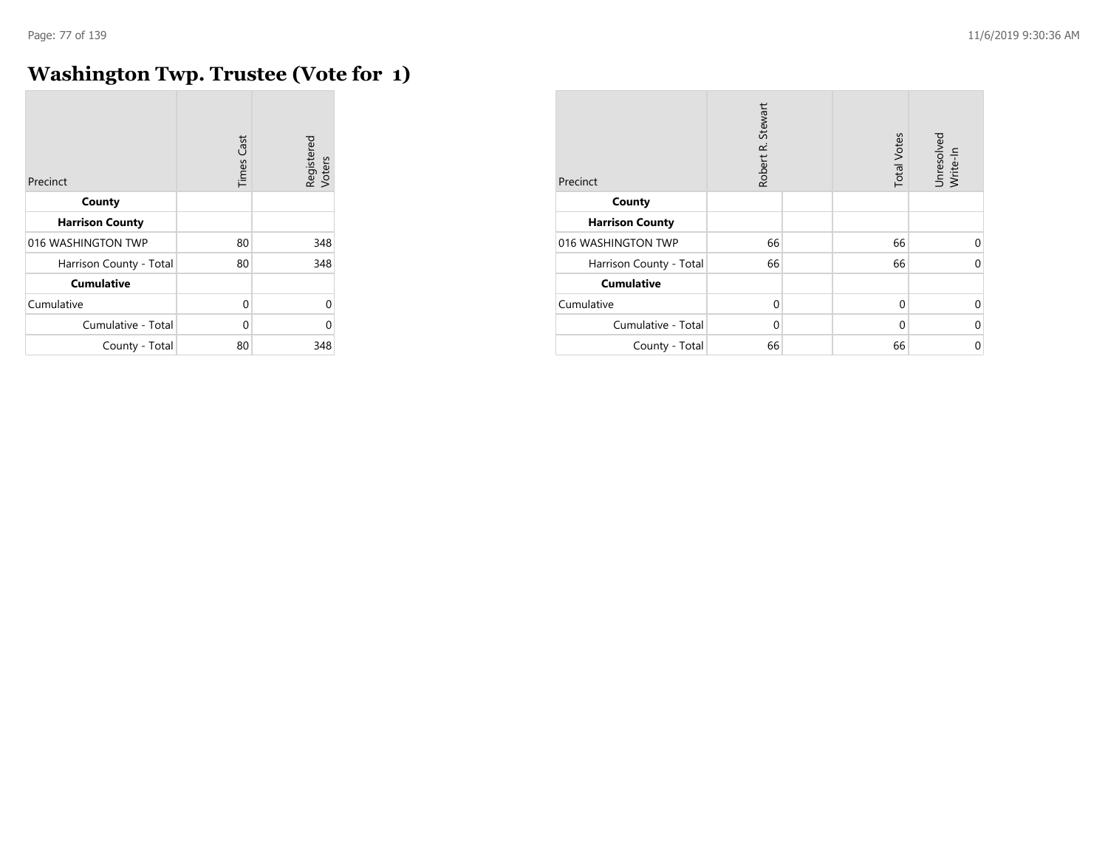$\overline{\phantom{a}}$ 

## **Washington Twp. Trustee (Vote for 1)**

| Precinct                | <b>Times Cast</b> | Registered<br>Voters |
|-------------------------|-------------------|----------------------|
| County                  |                   |                      |
| <b>Harrison County</b>  |                   |                      |
| 016 WASHINGTON TWP      | 80                | 348                  |
| Harrison County - Total | 80                | 348                  |
| <b>Cumulative</b>       |                   |                      |
| Cumulative              | 0                 | 0                    |
| Cumulative - Total      | U                 | O                    |
| County - Total          | 80                | 348                  |

| Precinct                | Robert R. Stewart | <b>Total Votes</b> | Unresolved<br>Write-In |
|-------------------------|-------------------|--------------------|------------------------|
| County                  |                   |                    |                        |
| <b>Harrison County</b>  |                   |                    |                        |
| 016 WASHINGTON TWP      | 66                | 66                 | $\Omega$               |
| Harrison County - Total | 66                | 66                 | $\Omega$               |
| <b>Cumulative</b>       |                   |                    |                        |
| Cumulative              | $\mathbf 0$       | $\Omega$           | $\Omega$               |
| Cumulative - Total      | $\Omega$          | $\Omega$           | 0                      |
| County - Total          | 66                | 66                 | $\mathbf 0$            |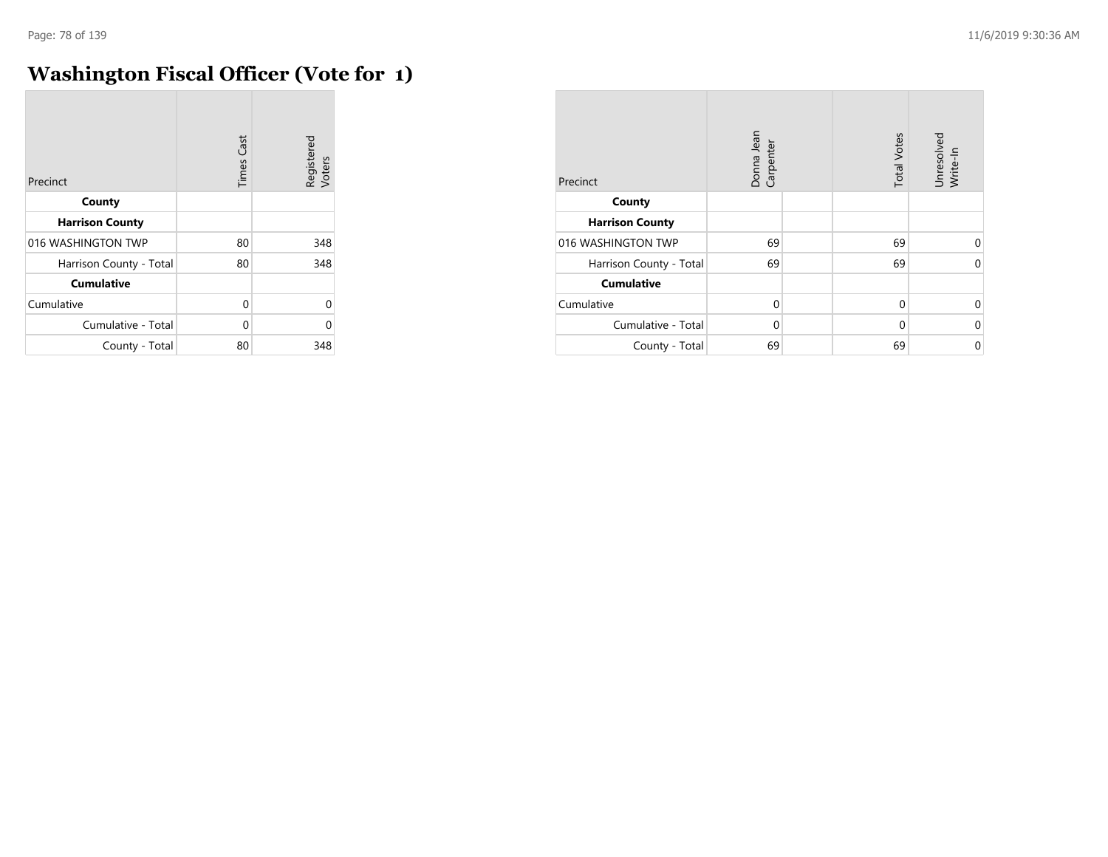## **Washington Fiscal Officer (Vote for 1)**

| Precinct                | <b>Times Cast</b> | Registered<br>Voters |
|-------------------------|-------------------|----------------------|
| County                  |                   |                      |
| <b>Harrison County</b>  |                   |                      |
| 016 WASHINGTON TWP      | 80                | 348                  |
| Harrison County - Total | 80                | 348                  |
| <b>Cumulative</b>       |                   |                      |
| Cumulative              | $\Omega$          | 0                    |
| Cumulative - Total      | U                 | O                    |
| County - Total          | 80                | 348                  |

| Precinct                | Donna Jean<br>Carpenter | <b>Total Votes</b> | Unresolved<br>Write-In |
|-------------------------|-------------------------|--------------------|------------------------|
| County                  |                         |                    |                        |
| <b>Harrison County</b>  |                         |                    |                        |
| 016 WASHINGTON TWP      | 69                      | 69                 | $\Omega$               |
| Harrison County - Total | 69                      | 69                 | $\Omega$               |
| <b>Cumulative</b>       |                         |                    |                        |
| Cumulative              | $\Omega$                | $\mathbf 0$        | $\Omega$               |
| Cumulative - Total      | $\Omega$                | $\Omega$           | $\Omega$               |
| County - Total          | 69                      | 69                 | $\mathbf 0$            |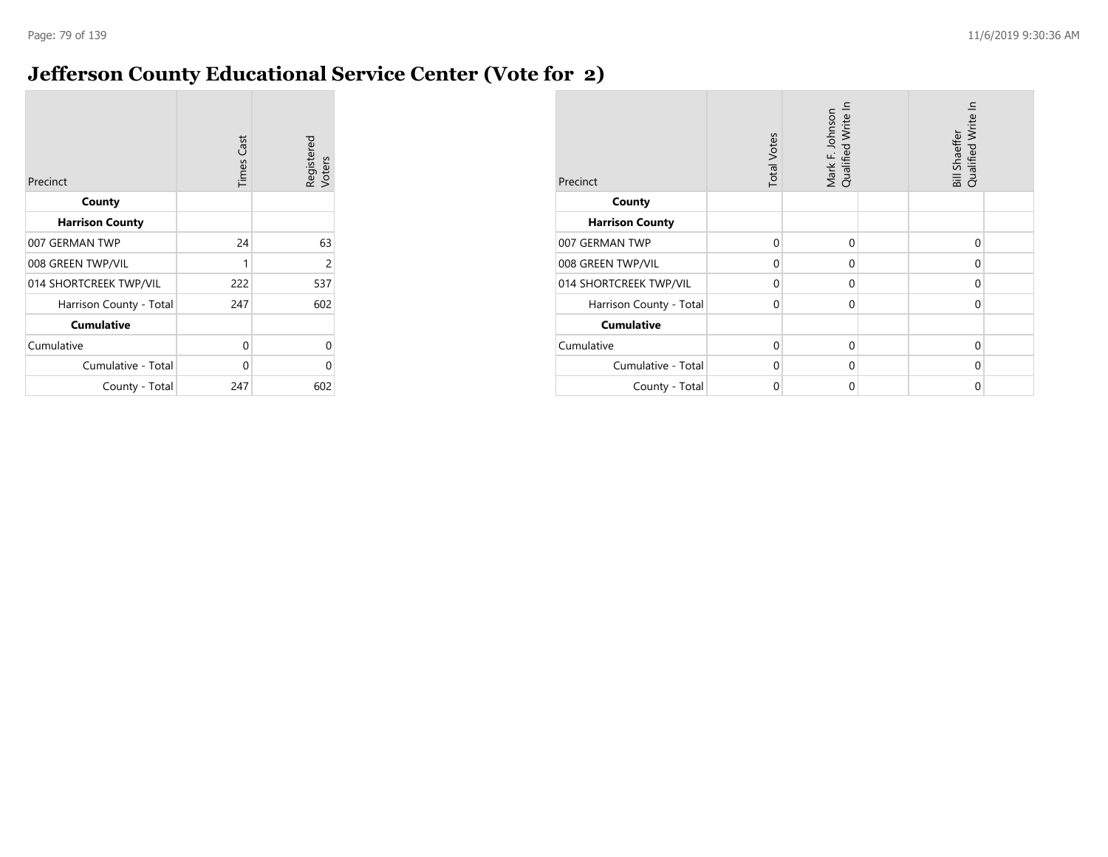## **Jefferson County Educational Service Center (Vote for 2)**

| Precinct                | <b>Times Cast</b> | Registered<br>Voters |
|-------------------------|-------------------|----------------------|
| County                  |                   |                      |
| <b>Harrison County</b>  |                   |                      |
| 007 GERMAN TWP          | 24                | 63                   |
| 008 GREEN TWP/VIL       | 1                 | 2                    |
| 014 SHORTCREEK TWP/VIL  | 222               | 537                  |
| Harrison County - Total | 247               | 602                  |
| <b>Cumulative</b>       |                   |                      |
| Cumulative              | 0                 | 0                    |
| Cumulative - Total      | 0                 | ი                    |
| County - Total          | 247               | 602                  |

| Precinct                | <b>Total Votes</b> | Mark F. Johnson<br>Qualified Write In | Bill Shaeffer<br>Qualified Write In |  |
|-------------------------|--------------------|---------------------------------------|-------------------------------------|--|
| County                  |                    |                                       |                                     |  |
| <b>Harrison County</b>  |                    |                                       |                                     |  |
| 007 GERMAN TWP          | $\Omega$           | $\mathbf 0$                           | $\Omega$                            |  |
| 008 GREEN TWP/VIL       | $\Omega$           | $\Omega$                              | $\Omega$                            |  |
| 014 SHORTCREEK TWP/VIL  | $\Omega$           | $\mathbf 0$                           | $\Omega$                            |  |
| Harrison County - Total | $\Omega$           | $\Omega$                              | $\Omega$                            |  |
| <b>Cumulative</b>       |                    |                                       |                                     |  |
| Cumulative              | $\Omega$           | $\Omega$                              | $\Omega$                            |  |
| Cumulative - Total      | $\Omega$           | $\mathbf 0$                           | $\Omega$                            |  |
| County - Total          | 0                  | $\mathbf 0$                           | 0                                   |  |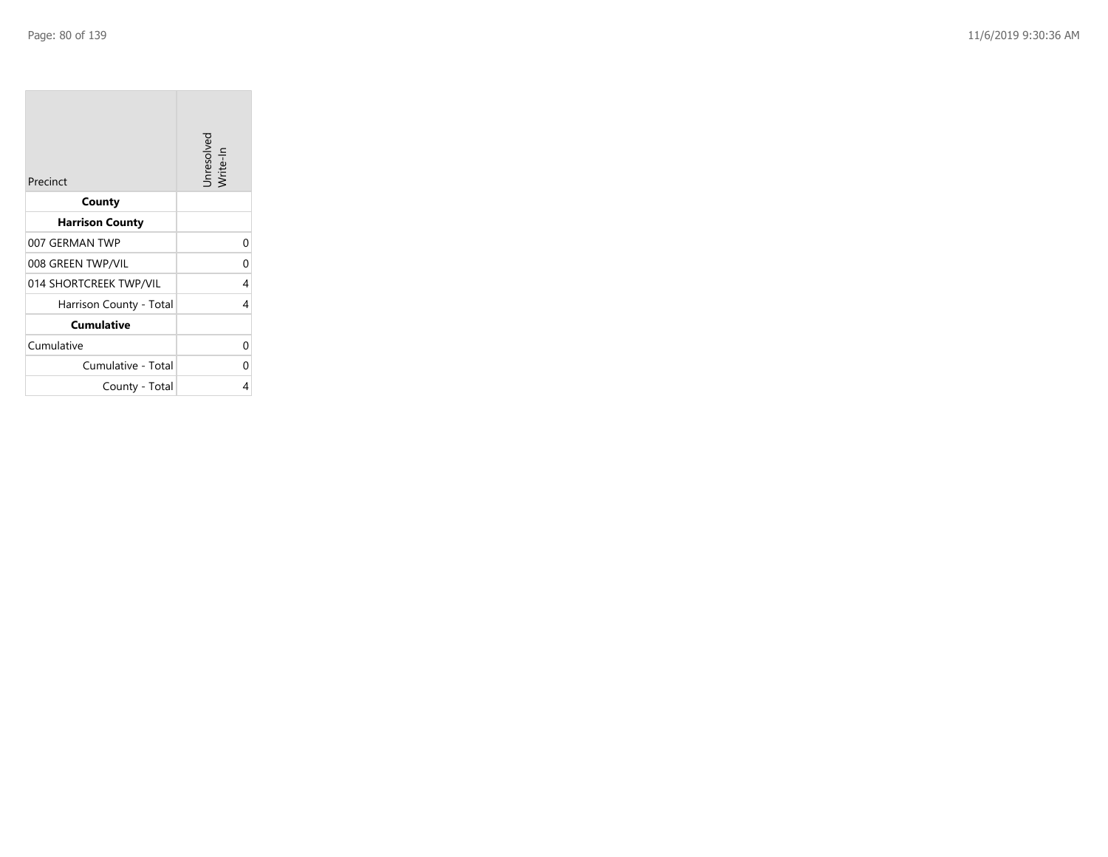**College** 

| Precinct                | Unresolved<br>Write-In |
|-------------------------|------------------------|
| County                  |                        |
| <b>Harrison County</b>  |                        |
| 007 GERMAN TWP          | 0                      |
| 008 GREEN TWP/VIL       | 0                      |
| 014 SHORTCREEK TWP/VIL  | 4                      |
| Harrison County - Total | 4                      |
| <b>Cumulative</b>       |                        |
| Cumulative              | O                      |
| Cumulative - Total      | ი                      |
| County - Total          | 4                      |

the property of the control of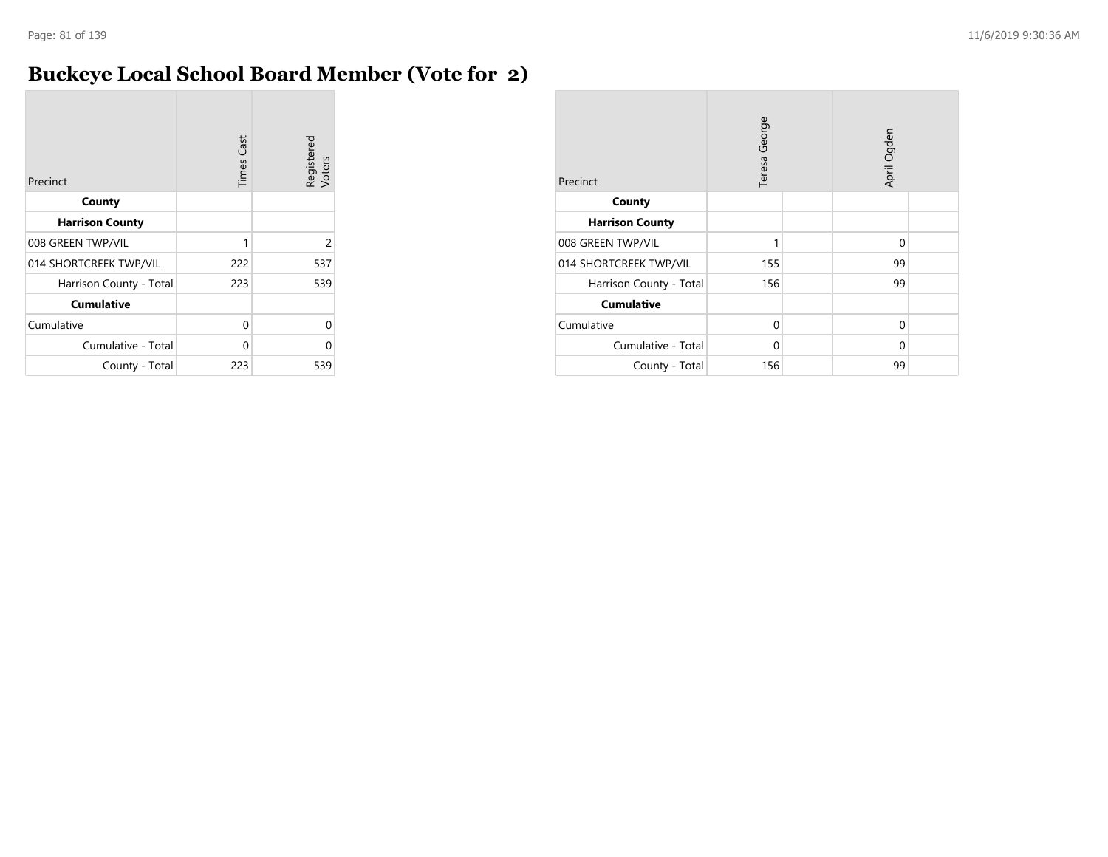## **Buckeye Local School Board Member (Vote for 2)**

| Precinct                | <b>Times</b> Cast | Registered<br>Voters |
|-------------------------|-------------------|----------------------|
| County                  |                   |                      |
| <b>Harrison County</b>  |                   |                      |
| 008 GREEN TWP/VIL       | 1                 | $\overline{2}$       |
| 014 SHORTCREEK TWP/VIL  | 222               | 537                  |
| Harrison County - Total | 223               | 539                  |
| <b>Cumulative</b>       |                   |                      |
| Cumulative              | 0                 | U                    |
| Cumulative - Total      | 0                 | U                    |
| County - Total          | 223               | 539                  |

| Precinct                | Teresa George |  | April Ogden |  |
|-------------------------|---------------|--|-------------|--|
| County                  |               |  |             |  |
| <b>Harrison County</b>  |               |  |             |  |
| 008 GREEN TWP/VIL       | 1             |  | 0           |  |
| 014 SHORTCREEK TWP/VIL  | 155           |  | 99          |  |
| Harrison County - Total | 156           |  | 99          |  |
| <b>Cumulative</b>       |               |  |             |  |
| Cumulative              | $\Omega$      |  | 0           |  |
| Cumulative - Total      | 0             |  | 0           |  |
| County - Total          | 156           |  | 99          |  |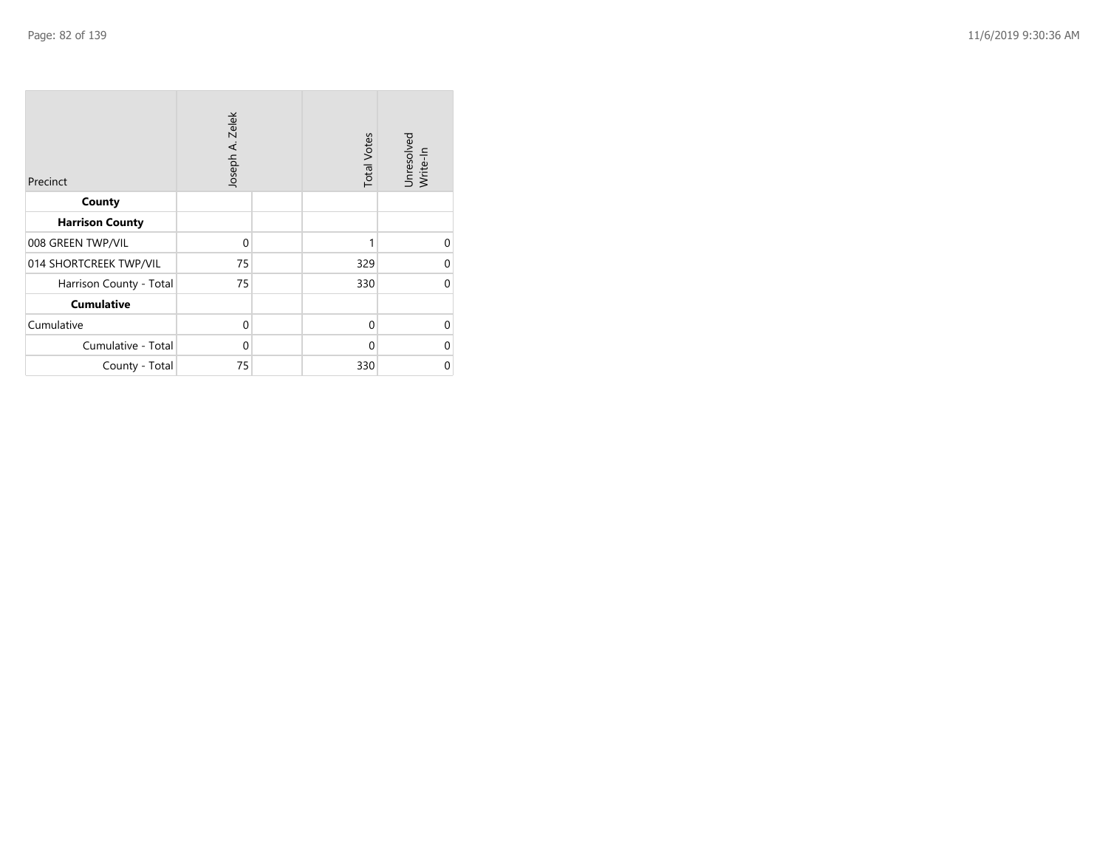| Precinct                | Joseph A. Zelek | <b>Total Votes</b> | Unresolved<br>Write-In |
|-------------------------|-----------------|--------------------|------------------------|
| County                  |                 |                    |                        |
| <b>Harrison County</b>  |                 |                    |                        |
| 008 GREEN TWP/VIL       | $\mathbf 0$     |                    | ∩                      |
| 014 SHORTCREEK TWP/VIL  | 75              | 329                | $\Omega$               |
| Harrison County - Total | 75              | 330                | $\Omega$               |
| <b>Cumulative</b>       |                 |                    |                        |
| Cumulative              | $\mathbf 0$     | $\mathbf 0$        | $\Omega$               |
| Cumulative - Total      | 0               | $\Omega$           | U                      |
| County - Total          | 75              | 330                | 0                      |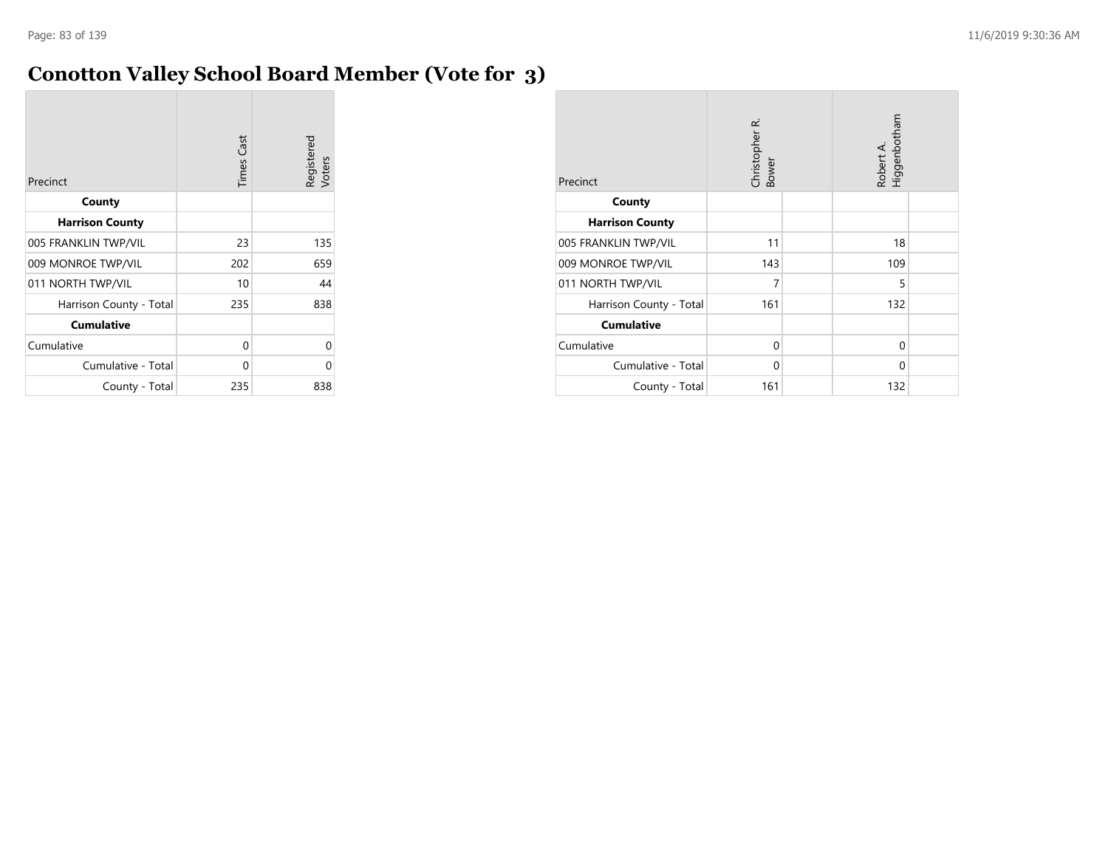## **Conotton Valley School Board Member (Vote for 3)**

| Precinct                | <b>Times</b> Cast | Registered<br>Voters |
|-------------------------|-------------------|----------------------|
| County                  |                   |                      |
| <b>Harrison County</b>  |                   |                      |
| 005 FRANKLIN TWP/VIL    | 23                | 135                  |
| 009 MONROE TWP/VIL      | 202               | 659                  |
| 011 NORTH TWP/VIL       | 10                | 44                   |
| Harrison County - Total | 235               | 838                  |
| <b>Cumulative</b>       |                   |                      |
| Cumulative              | 0                 | Ω                    |
| Cumulative - Total      | 0                 |                      |
| County - Total          | 235               | 838                  |

| Precinct                | Christopher R.<br>Bower |  | Robert A.<br>Higgenbotham |  |
|-------------------------|-------------------------|--|---------------------------|--|
| County                  |                         |  |                           |  |
| <b>Harrison County</b>  |                         |  |                           |  |
| 005 FRANKLIN TWP/VIL    | 11                      |  | 18                        |  |
| 009 MONROE TWP/VIL      | 143                     |  | 109                       |  |
| 011 NORTH TWP/VIL       | 7                       |  | 5                         |  |
| Harrison County - Total | 161                     |  | 132                       |  |
| <b>Cumulative</b>       |                         |  |                           |  |
| Cumulative              | $\Omega$                |  | 0                         |  |
| Cumulative - Total      | 0                       |  | 0                         |  |
| County - Total          | 161                     |  | 132                       |  |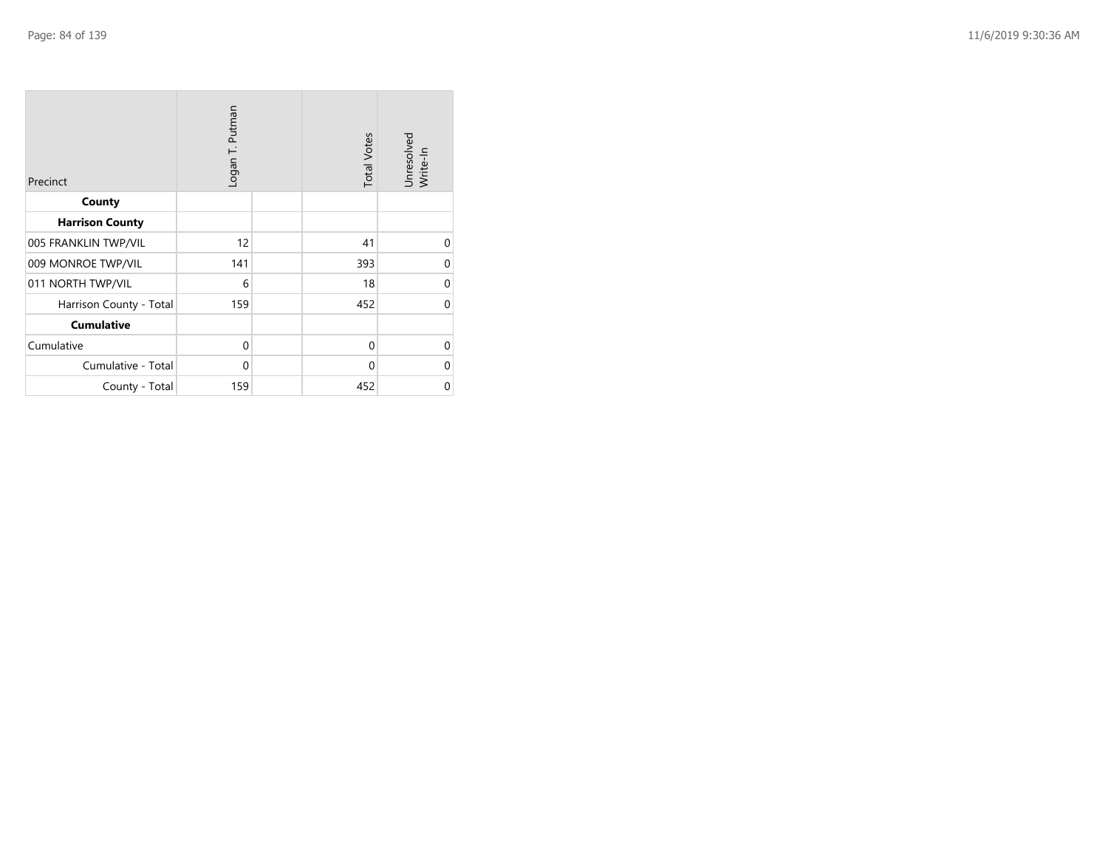| Precinct                | Logan T. Putman | <b>Total Votes</b> | Unresolved<br>Write-In |
|-------------------------|-----------------|--------------------|------------------------|
| County                  |                 |                    |                        |
| <b>Harrison County</b>  |                 |                    |                        |
| 005 FRANKLIN TWP/VIL    | 12              | 41                 | $\Omega$               |
| 009 MONROE TWP/VIL      | 141             | 393                | $\Omega$               |
| 011 NORTH TWP/VIL       | 6               | 18                 | $\Omega$               |
| Harrison County - Total | 159             | 452                | $\Omega$               |
| <b>Cumulative</b>       |                 |                    |                        |
| Cumulative              | $\mathbf 0$     | $\Omega$           | $\Omega$               |
| Cumulative - Total      | $\mathbf 0$     | $\Omega$           | $\Omega$               |
| County - Total          | 159             | 452                | $\mathbf 0$            |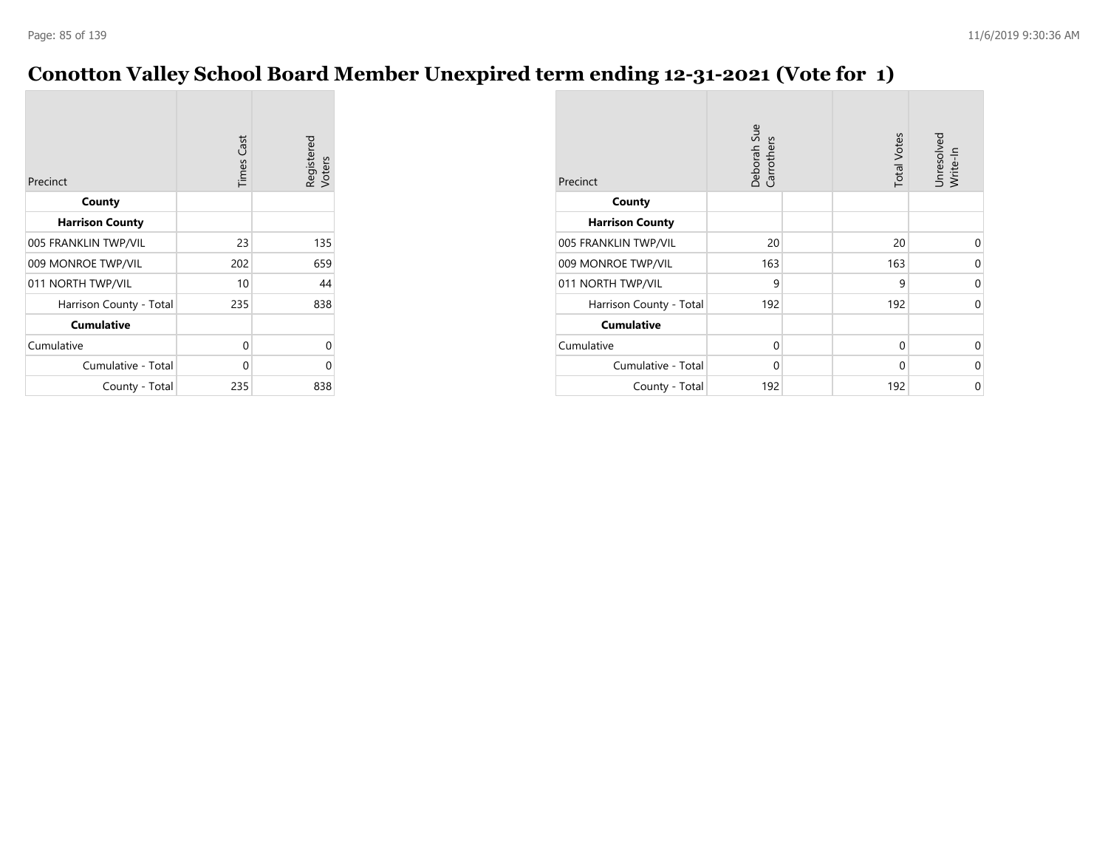## **Conotton Valley School Board Member Unexpired term ending 12-31-2021 (Vote for 1)**

| Precinct                | <b>Times Cast</b> | Registered<br>Voters |
|-------------------------|-------------------|----------------------|
| County                  |                   |                      |
| <b>Harrison County</b>  |                   |                      |
| 005 FRANKLIN TWP/VIL    | 23                | 135                  |
| 009 MONROE TWP/VIL      | 202               | 659                  |
| 011 NORTH TWP/VIL       | 10                | 44                   |
| Harrison County - Total | 235               | 838                  |
| <b>Cumulative</b>       |                   |                      |
| Cumulative              | 0                 | 0                    |
| Cumulative - Total      | 0                 | 0                    |
| County - Total          | 235               | 838                  |

| Precinct                | Deborah Sue<br>Carrothers | <b>Total Votes</b> | Unresolved<br>Write-In |
|-------------------------|---------------------------|--------------------|------------------------|
| County                  |                           |                    |                        |
| <b>Harrison County</b>  |                           |                    |                        |
| 005 FRANKLIN TWP/VIL    | 20                        | 20                 | $\Omega$               |
| 009 MONROE TWP/VIL      | 163                       | 163                | 0                      |
| 011 NORTH TWP/VIL       | 9                         | 9                  | $\mathbf 0$            |
| Harrison County - Total | 192                       | 192                | 0                      |
| <b>Cumulative</b>       |                           |                    |                        |
| Cumulative              | 0                         | 0                  | 0                      |
| Cumulative - Total      | 0                         | 0                  | 0                      |
| County - Total          | 192                       | 192                | 0                      |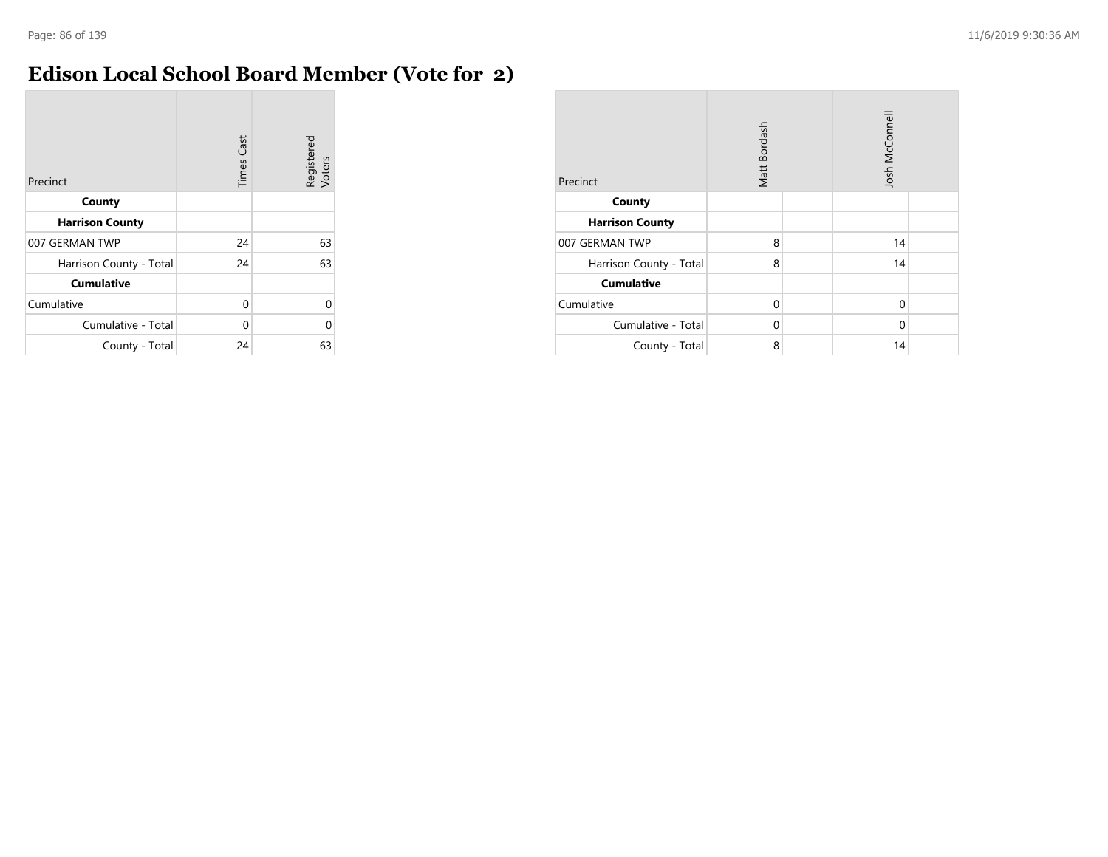## **Edison Local School Board Member (Vote for 2)**

| Precinct                | <b>Times Cast</b> | Registered<br>Voters |
|-------------------------|-------------------|----------------------|
| County                  |                   |                      |
| <b>Harrison County</b>  |                   |                      |
| 007 GERMAN TWP          | 24                | 63                   |
| Harrison County - Total | 24                | 63                   |
| <b>Cumulative</b>       |                   |                      |
| Cumulative              | 0                 | U                    |
| Cumulative - Total      | $\Omega$          | Λ                    |
| County - Total          | 24                | 63                   |

| Precinct                | Matt Bordash |  | Josh McConnell |  |  |
|-------------------------|--------------|--|----------------|--|--|
| County                  |              |  |                |  |  |
| <b>Harrison County</b>  |              |  |                |  |  |
| 007 GERMAN TWP          | 8            |  | 14             |  |  |
| Harrison County - Total | 8            |  | 14             |  |  |
| <b>Cumulative</b>       |              |  |                |  |  |
| Cumulative              | $\Omega$     |  | 0              |  |  |
| Cumulative - Total      | 0            |  | $\Omega$       |  |  |
| County - Total          | 8            |  | 14             |  |  |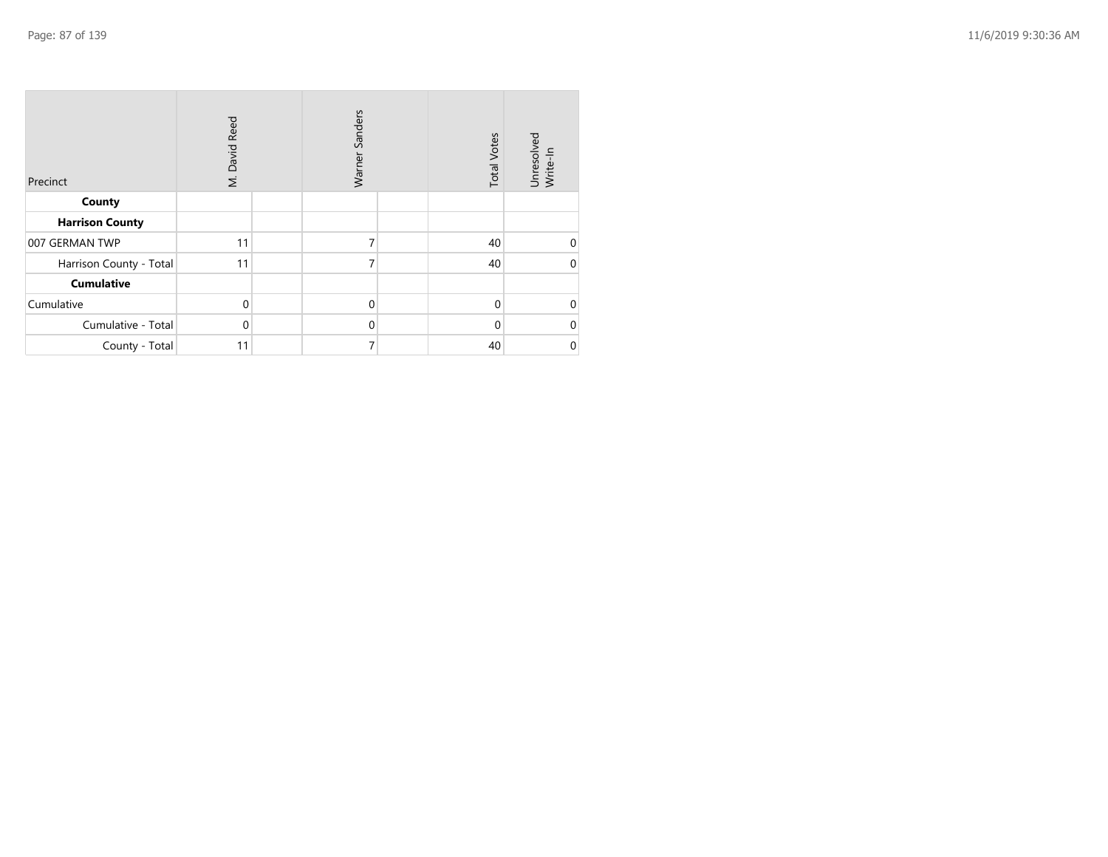| Precinct                | M. David Reed | Sanders<br>Warner | <b>Total Votes</b> | Unresolved<br>Write-In |
|-------------------------|---------------|-------------------|--------------------|------------------------|
| County                  |               |                   |                    |                        |
| <b>Harrison County</b>  |               |                   |                    |                        |
| 007 GERMAN TWP          | 11            | 7                 | 40                 | 0                      |
| Harrison County - Total | 11            | 7                 | 40                 | $\mathbf 0$            |
| <b>Cumulative</b>       |               |                   |                    |                        |
| Cumulative              | $\mathbf 0$   | $\mathbf 0$       | $\mathbf{0}$       | $\mathbf 0$            |
| Cumulative - Total      | $\mathbf 0$   | $\mathbf 0$       | $\Omega$           | $\mathbf 0$            |
| County - Total          | 11            | 7                 | 40                 | $\pmb{0}$              |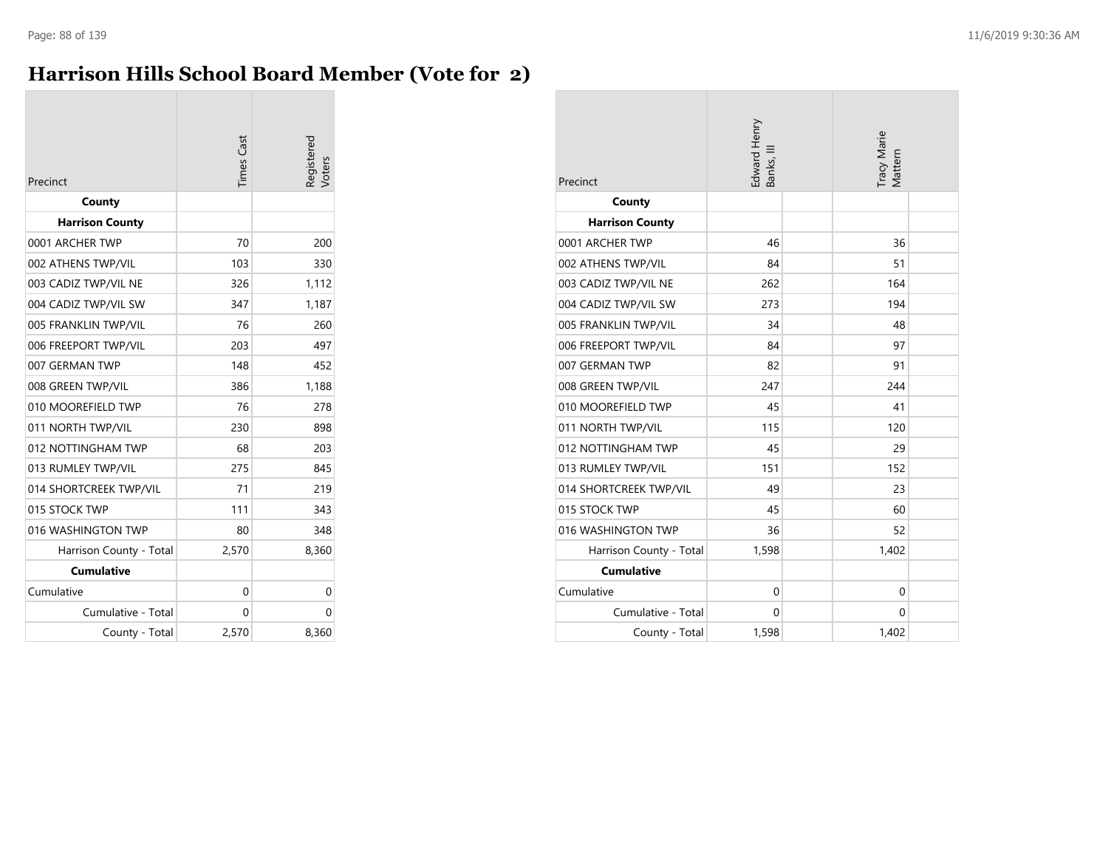## **Harrison Hills School Board Member (Vote for 2)**

| Precinct                | <b>Times</b> Cast | legistered<br>/oters |
|-------------------------|-------------------|----------------------|
| County                  |                   |                      |
| <b>Harrison County</b>  |                   |                      |
| 0001 ARCHER TWP         | 70                | 200                  |
| 002 ATHENS TWP/VIL      | 103               | 330                  |
| 003 CADIZ TWP/VIL NE    | 326               | 1,112                |
| 004 CADIZ TWP/VIL SW    | 347               | 1,187                |
| 005 FRANKLIN TWP/VIL    | 76                | 260                  |
| 006 FREEPORT TWP/VIL    | 203               | 497                  |
| 007 GERMAN TWP          | 148               | 452                  |
| 008 GREEN TWP/VIL       | 386               | 1,188                |
| 010 MOOREFIELD TWP      | 76                | 278                  |
| 011 NORTH TWP/VIL       | 230               | 898                  |
| 012 NOTTINGHAM TWP      | 68                | 203                  |
| 013 RUMLEY TWP/VIL      | 275               | 845                  |
| 014 SHORTCREEK TWP/VIL  | 71                | 219                  |
| 015 STOCK TWP           | 111               | 343                  |
| 016 WASHINGTON TWP      | 80                | 348                  |
| Harrison County - Total | 2,570             | 8,360                |
| <b>Cumulative</b>       |                   |                      |
| Cumulative              | $\Omega$          | 0                    |
| Cumulative - Total      | 0                 | 0                    |
| County - Total          | 2,570             | 8,360                |

| Precinct                | Edward Henry<br>Banks, III |  | Tracy Marie<br>Mattern |  |
|-------------------------|----------------------------|--|------------------------|--|
| County                  |                            |  |                        |  |
| <b>Harrison County</b>  |                            |  |                        |  |
| 0001 ARCHER TWP         | 46                         |  | 36                     |  |
| 002 ATHENS TWP/VIL      | 84                         |  | 51                     |  |
| 003 CADIZ TWP/VIL NE    | 262                        |  | 164                    |  |
| 004 CADIZ TWP/VIL SW    | 273                        |  | 194                    |  |
| 005 FRANKLIN TWP/VIL    | 34                         |  | 48                     |  |
| 006 FREEPORT TWP/VIL    | 84                         |  | 97                     |  |
| 007 GERMAN TWP          | 82                         |  | 91                     |  |
| 008 GREEN TWP/VIL       | 247                        |  | 244                    |  |
| 010 MOOREFIELD TWP      | 45                         |  | 41                     |  |
| 011 NORTH TWP/VIL       | 115                        |  | 120                    |  |
| 012 NOTTINGHAM TWP      | 45                         |  | 29                     |  |
| 013 RUMLEY TWP/VIL      | 151                        |  | 152                    |  |
| 014 SHORTCREEK TWP/VIL  | 49                         |  | 23                     |  |
| 015 STOCK TWP           | 45                         |  | 60                     |  |
| 016 WASHINGTON TWP      | 36                         |  | 52                     |  |
| Harrison County - Total | 1,598                      |  | 1,402                  |  |
| <b>Cumulative</b>       |                            |  |                        |  |
| Cumulative              | $\mathbf 0$                |  | $\mathbf 0$            |  |
| Cumulative - Total      | $\mathbf{0}$               |  | 0                      |  |
| County - Total          | 1,598                      |  | 1,402                  |  |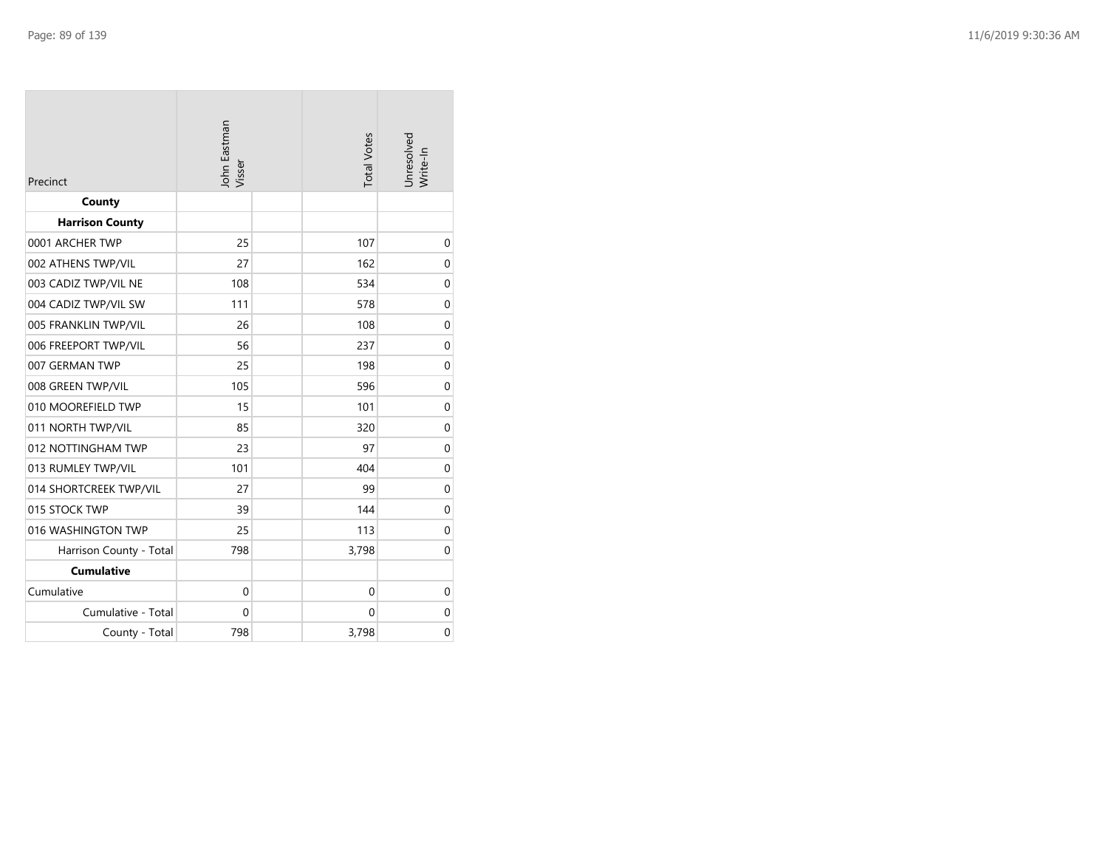| Precinct                | John Eastman<br>Visser |  | <b>Total Votes</b> | Unresolved<br>Write-In |  |
|-------------------------|------------------------|--|--------------------|------------------------|--|
| County                  |                        |  |                    |                        |  |
| <b>Harrison County</b>  |                        |  |                    |                        |  |
| 0001 ARCHER TWP         | 25                     |  | 107                | $\mathbf 0$            |  |
| 002 ATHENS TWP/VIL      | 27                     |  | 162                | 0                      |  |
| 003 CADIZ TWP/VIL NE    | 108                    |  | 534                | $\mathbf 0$            |  |
| 004 CADIZ TWP/VIL SW    | 111                    |  | 578                | 0                      |  |
| 005 FRANKLIN TWP/VIL    | 26                     |  | 108                | $\mathbf 0$            |  |
| 006 FREEPORT TWP/VIL    | 56                     |  | 237                | $\mathbf 0$            |  |
| 007 GERMAN TWP          | 25                     |  | 198                | 0                      |  |
| 008 GREEN TWP/VIL       | 105                    |  | 596                | $\mathbf 0$            |  |
| 010 MOOREFIELD TWP      | 15                     |  | 101                | 0                      |  |
| 011 NORTH TWP/VIL       | 85                     |  | 320                | $\mathbf 0$            |  |
| 012 NOTTINGHAM TWP      | 23                     |  | 97                 | $\mathbf 0$            |  |
| 013 RUMLEY TWP/VIL      | 101                    |  | 404                | $\mathbf 0$            |  |
| 014 SHORTCREEK TWP/VIL  | 27                     |  | 99                 | $\mathbf 0$            |  |
| 015 STOCK TWP           | 39                     |  | 144                | $\mathbf 0$            |  |
| 016 WASHINGTON TWP      | 25                     |  | 113                | $\mathbf 0$            |  |
| Harrison County - Total | 798                    |  | 3,798              | 0                      |  |
| <b>Cumulative</b>       |                        |  |                    |                        |  |
| Cumulative              | 0                      |  | $\mathbf 0$        | $\mathbf 0$            |  |
| Cumulative - Total      | 0                      |  | 0                  | $\mathbf 0$            |  |
| County - Total          | 798                    |  | 3,798              | 0                      |  |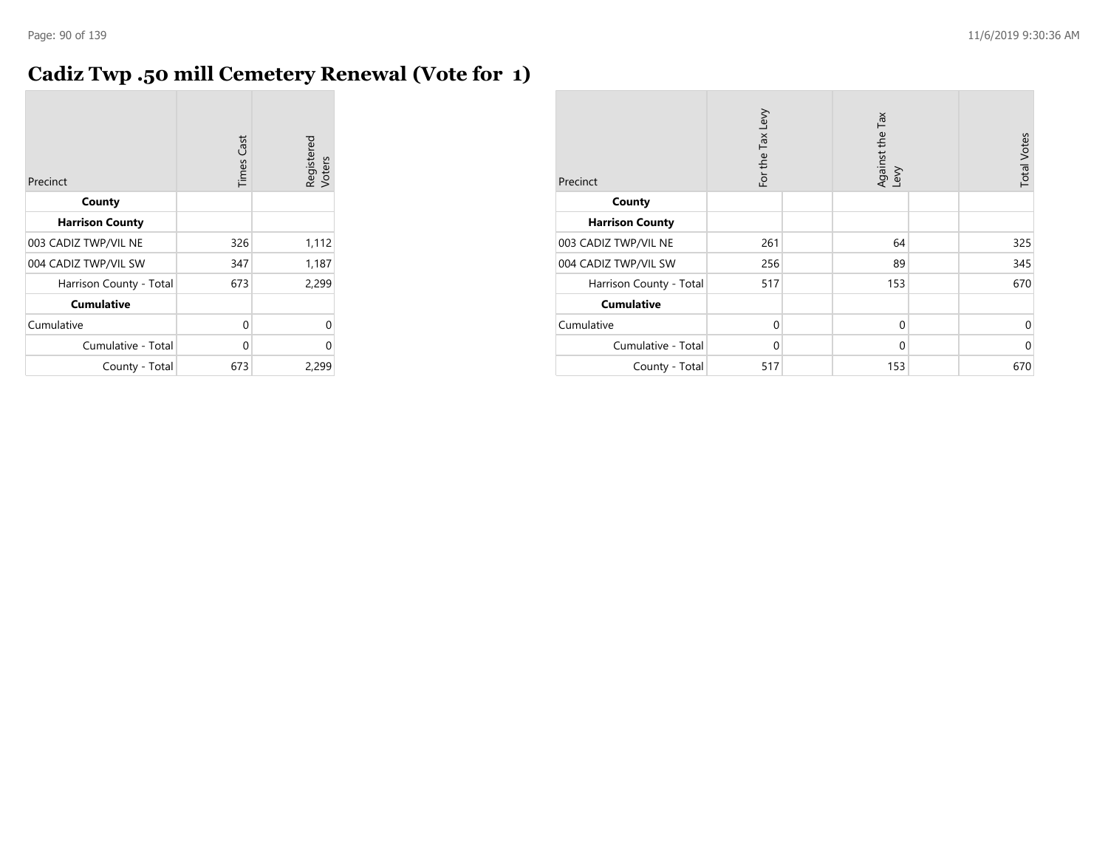## **Cadiz Twp .50 mill Cemetery Renewal (Vote for 1)**

|                         | <b>Times Cast</b> | Registered<br>Voters |
|-------------------------|-------------------|----------------------|
| Precinct                |                   |                      |
| County                  |                   |                      |
| <b>Harrison County</b>  |                   |                      |
| 003 CADIZ TWP/VIL NE    | 326               | 1,112                |
| 004 CADIZ TWP/VIL SW    | 347               | 1,187                |
| Harrison County - Total | 673               | 2,299                |
| <b>Cumulative</b>       |                   |                      |
| Cumulative              | 0                 | U                    |
| Cumulative - Total      | 0                 | U                    |
| County - Total          | 673               | 2,299                |

| Precinct                | For the Tax Levy | Against the Tax<br>Levy | <b>Total Votes</b> |
|-------------------------|------------------|-------------------------|--------------------|
| County                  |                  |                         |                    |
| <b>Harrison County</b>  |                  |                         |                    |
| 003 CADIZ TWP/VIL NE    | 261              | 64                      | 325                |
| 004 CADIZ TWP/VIL SW    | 256              | 89                      | 345                |
| Harrison County - Total | 517              | 153                     | 670                |
| <b>Cumulative</b>       |                  |                         |                    |
| Cumulative              | $\mathbf 0$      | $\mathbf 0$             | $\Omega$           |
| Cumulative - Total      | $\mathbf 0$      | $\mathbf 0$             | $\mathbf 0$        |
| County - Total          | 517              | 153                     | 670                |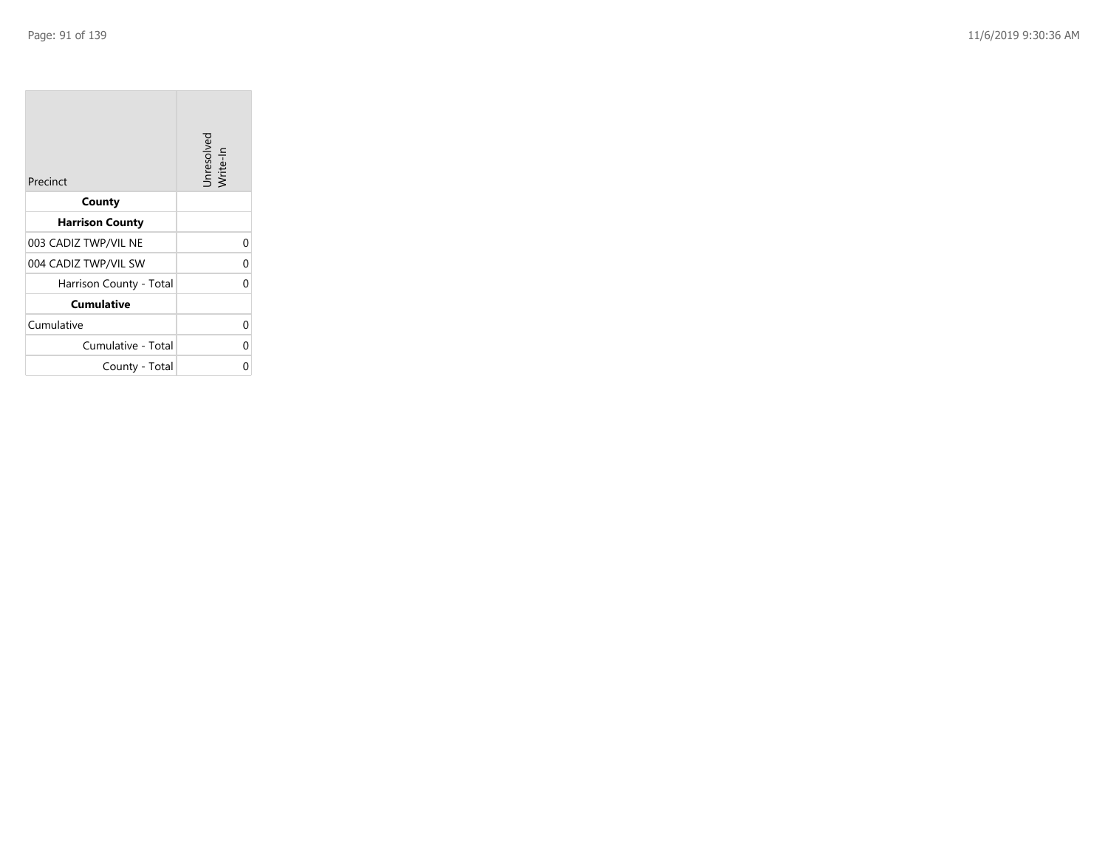**COL** 

| Precinct                | Unresolved<br>Write-In |
|-------------------------|------------------------|
| County                  |                        |
| <b>Harrison County</b>  |                        |
| 003 CADIZ TWP/VIL NE    | $\Omega$               |
| 004 CADIZ TWP/VIL SW    | 0                      |
| Harrison County - Total | ი                      |
| <b>Cumulative</b>       |                        |
| Cumulative              | 0                      |
| Cumulative - Total      | 0                      |
| County - Total          | ი                      |

the company of the company

 $\sim$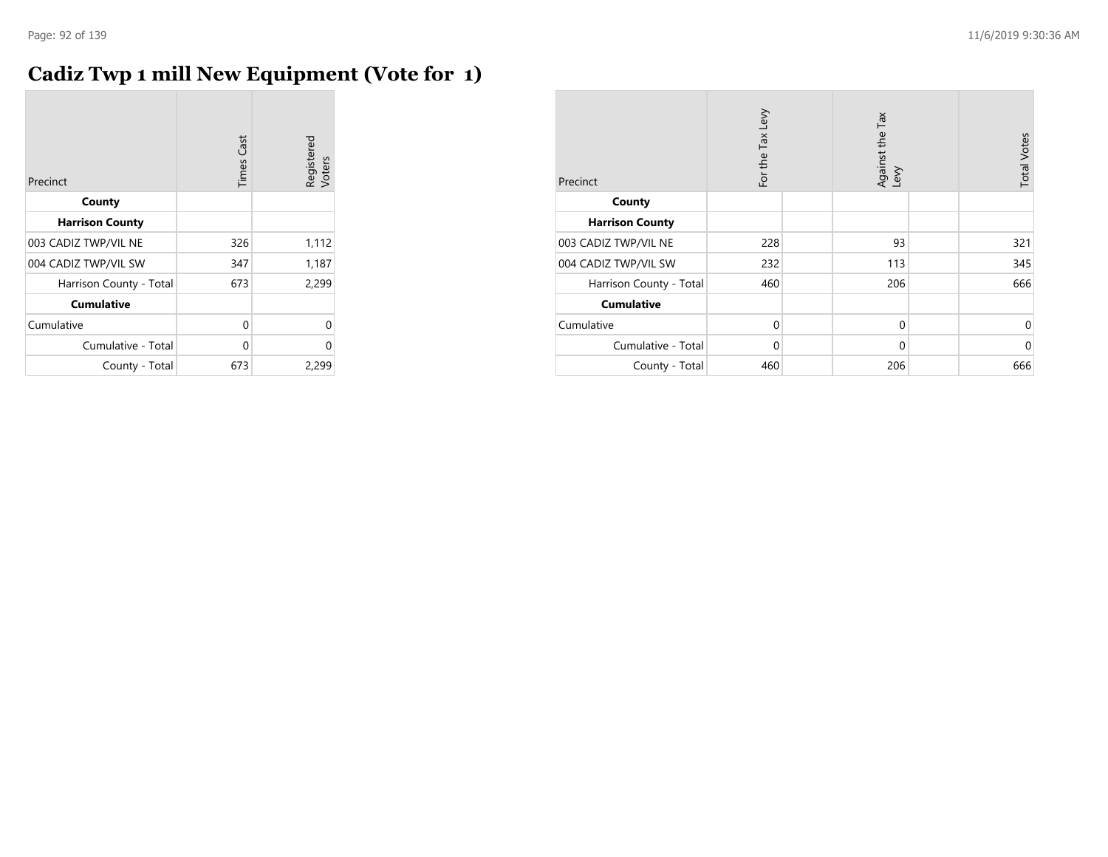## **Cadiz Twp 1 mill New Equipment (Vote for 1)**

| Precinct                | <b>Times Cast</b> | Registered<br>Voters |
|-------------------------|-------------------|----------------------|
| County                  |                   |                      |
| <b>Harrison County</b>  |                   |                      |
| 003 CADIZ TWP/VIL NE    | 326               | 1,112                |
| 004 CADIZ TWP/VIL SW    | 347               | 1,187                |
| Harrison County - Total | 673               | 2,299                |
| <b>Cumulative</b>       |                   |                      |
| Cumulative              | 0                 | 0                    |
| Cumulative - Total      | 0                 | $\Omega$             |
| County - Total          | 673               | 2,299                |

| Precinct                | For the Tax Levy | Against the Tax<br>Levy | <b>Total Votes</b> |
|-------------------------|------------------|-------------------------|--------------------|
| County                  |                  |                         |                    |
| <b>Harrison County</b>  |                  |                         |                    |
| 003 CADIZ TWP/VIL NE    | 228              | 93                      | 321                |
| 004 CADIZ TWP/VIL SW    | 232              | 113                     | 345                |
| Harrison County - Total | 460              | 206                     | 666                |
| <b>Cumulative</b>       |                  |                         |                    |
| Cumulative              | 0                | 0                       | 0                  |
| Cumulative - Total      | $\mathbf 0$      | $\mathbf 0$             | $\mathbf 0$        |
| County - Total          | 460              | 206                     | 666                |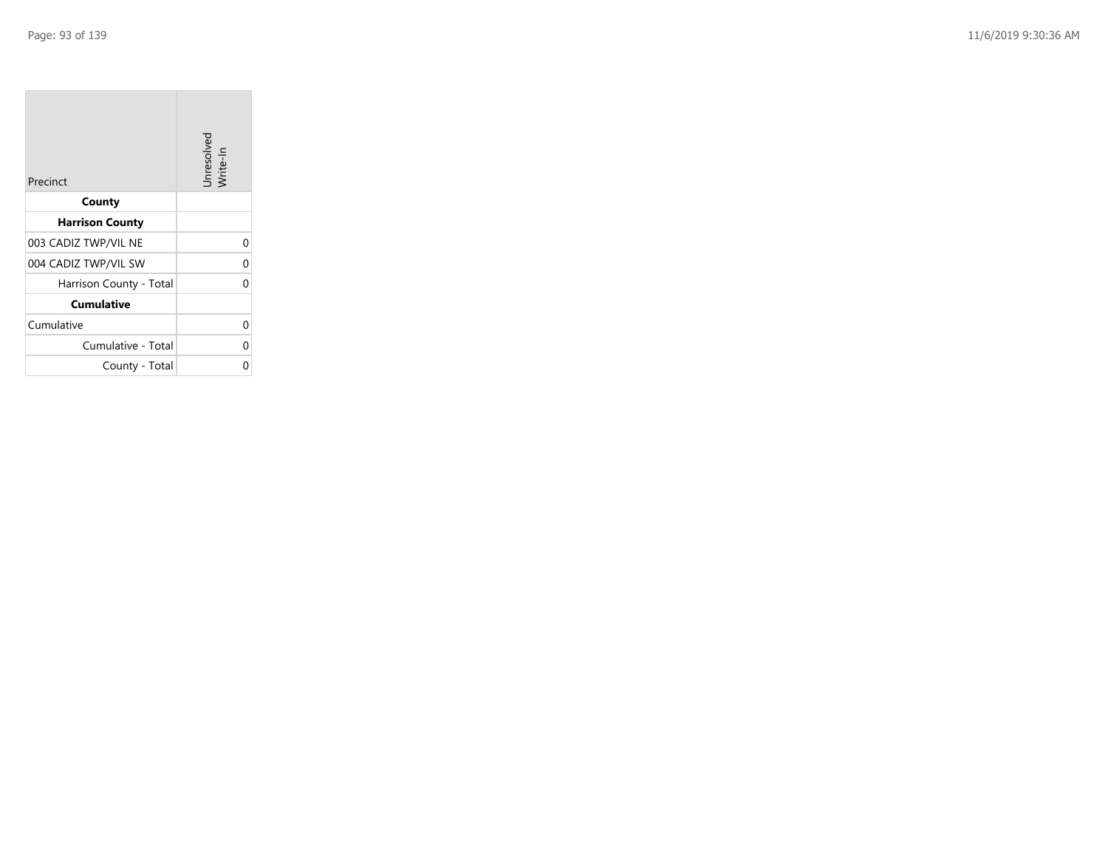**COL** 

| Precinct                | Unresolved<br>Write-In |
|-------------------------|------------------------|
| County                  |                        |
| <b>Harrison County</b>  |                        |
| 003 CADIZ TWP/VIL NE    | 0                      |
| 004 CADIZ TWP/VIL SW    | 0                      |
| Harrison County - Total | O                      |
| <b>Cumulative</b>       |                        |
| Cumulative              | O                      |
| Cumulative - Total      | 0                      |
| County - Total          | ი                      |

the company of the company

 $\sim$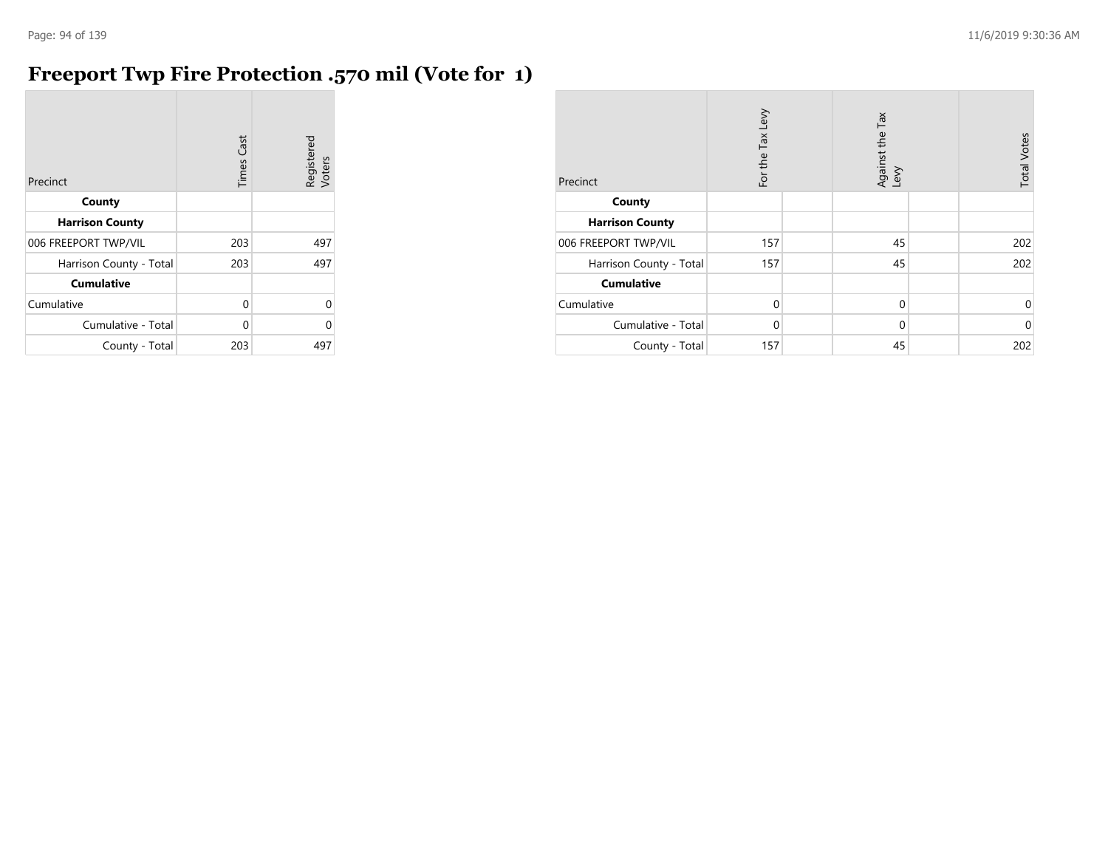# **Freeport Twp Fire Protection .570 mil (Vote for 1)**

| Precinct                | Cast<br>Times | Registered<br>Voters |
|-------------------------|---------------|----------------------|
| County                  |               |                      |
| <b>Harrison County</b>  |               |                      |
| 006 FREEPORT TWP/VIL    | 203           | 497                  |
| Harrison County - Total | 203           | 497                  |
| <b>Cumulative</b>       |               |                      |
| Cumulative              | 0             | U                    |
| Cumulative - Total      | $\Omega$      | Λ                    |
| County - Total          | 203           | 497                  |

| Precinct                | For the Tax Levy |  | Tax<br>Against the T<br>Levy |  | <b>Total Votes</b> |
|-------------------------|------------------|--|------------------------------|--|--------------------|
| County                  |                  |  |                              |  |                    |
| <b>Harrison County</b>  |                  |  |                              |  |                    |
| 006 FREEPORT TWP/VIL    | 157              |  | 45                           |  | 202                |
| Harrison County - Total | 157              |  | 45                           |  | 202                |
| <b>Cumulative</b>       |                  |  |                              |  |                    |
| Cumulative              | $\Omega$         |  | $\mathbf 0$                  |  | 0                  |
| Cumulative - Total      | $\Omega$         |  | $\mathbf 0$                  |  | $\mathbf 0$        |
| County - Total          | 157              |  | 45                           |  | 202                |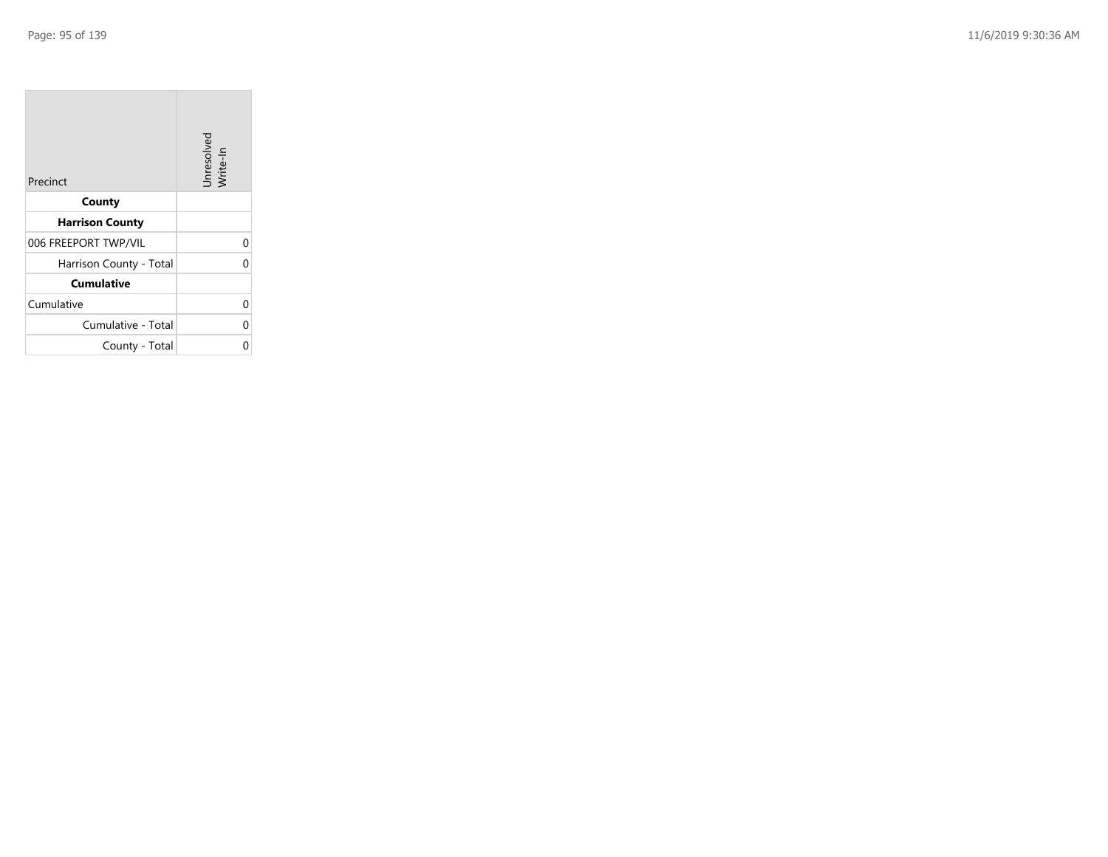| Precinct                | Unresolved<br>Write-In |
|-------------------------|------------------------|
| County                  |                        |
| <b>Harrison County</b>  |                        |
| 006 FREEPORT TWP/VIL    | 0                      |
| Harrison County - Total |                        |
| <b>Cumulative</b>       |                        |
| Cumulative              | 0                      |
| Cumulative - Total      | 0                      |
| County - Total          |                        |

the control of the con-

 $\overline{\phantom{a}}$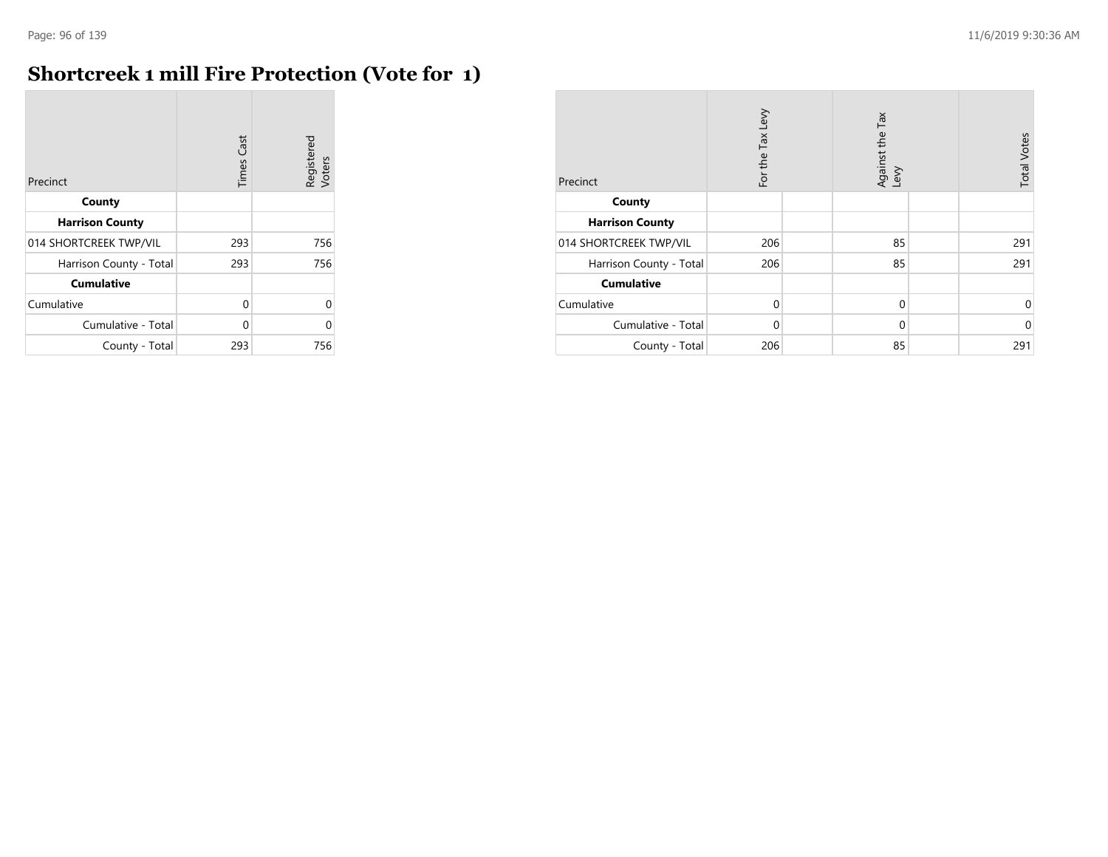r.

## **Shortcreek 1 mill Fire Protection (Vote for 1)**

| Precinct                | <b>Times Cast</b> | Registered<br>Voters |
|-------------------------|-------------------|----------------------|
| County                  |                   |                      |
| <b>Harrison County</b>  |                   |                      |
| 014 SHORTCREEK TWP/VIL  | 293               | 756                  |
| Harrison County - Total | 293               | 756                  |
| <b>Cumulative</b>       |                   |                      |
| Cumulative              | 0                 | 0                    |
| Cumulative - Total      | U                 | O                    |
| County - Total          | 293               | 756                  |

| Precinct                | For the Tax Levy | Tax<br>Against the T<br>Levy | <b>Total Votes</b> |
|-------------------------|------------------|------------------------------|--------------------|
| County                  |                  |                              |                    |
| <b>Harrison County</b>  |                  |                              |                    |
| 014 SHORTCREEK TWP/VIL  | 206              | 85                           | 291                |
| Harrison County - Total | 206              | 85                           | 291                |
| <b>Cumulative</b>       |                  |                              |                    |
| Cumulative              | $\Omega$         | $\mathbf 0$                  | 0                  |
| Cumulative - Total      | $\Omega$         | 0                            | $\mathbf 0$        |
| County - Total          | 206              | 85                           | 291                |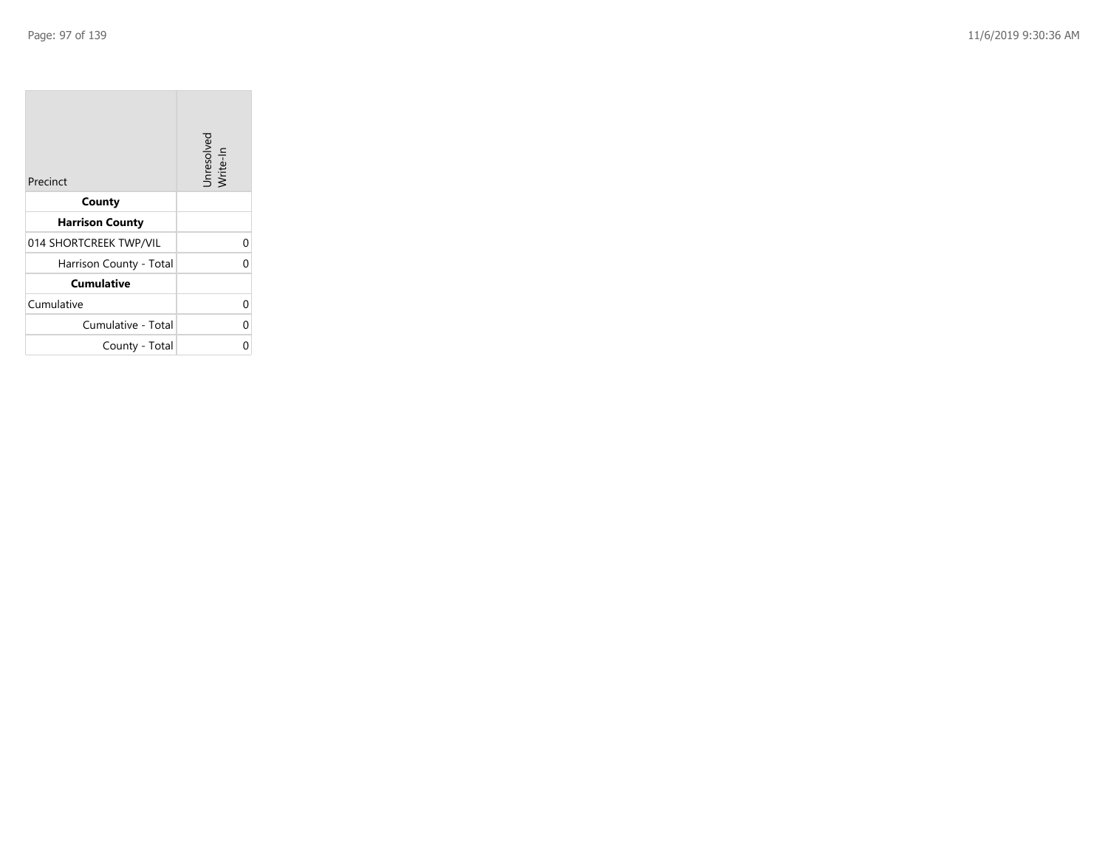| Precinct                | Unresolved<br>Write-In |
|-------------------------|------------------------|
| County                  |                        |
| <b>Harrison County</b>  |                        |
| 014 SHORTCREEK TWP/VIL  | 0                      |
| Harrison County - Total | 0                      |
| <b>Cumulative</b>       |                        |
| Cumulative              | 0                      |
| Cumulative - Total      | 0                      |
| County - Total          |                        |

the company of the company

 $\overline{\phantom{a}}$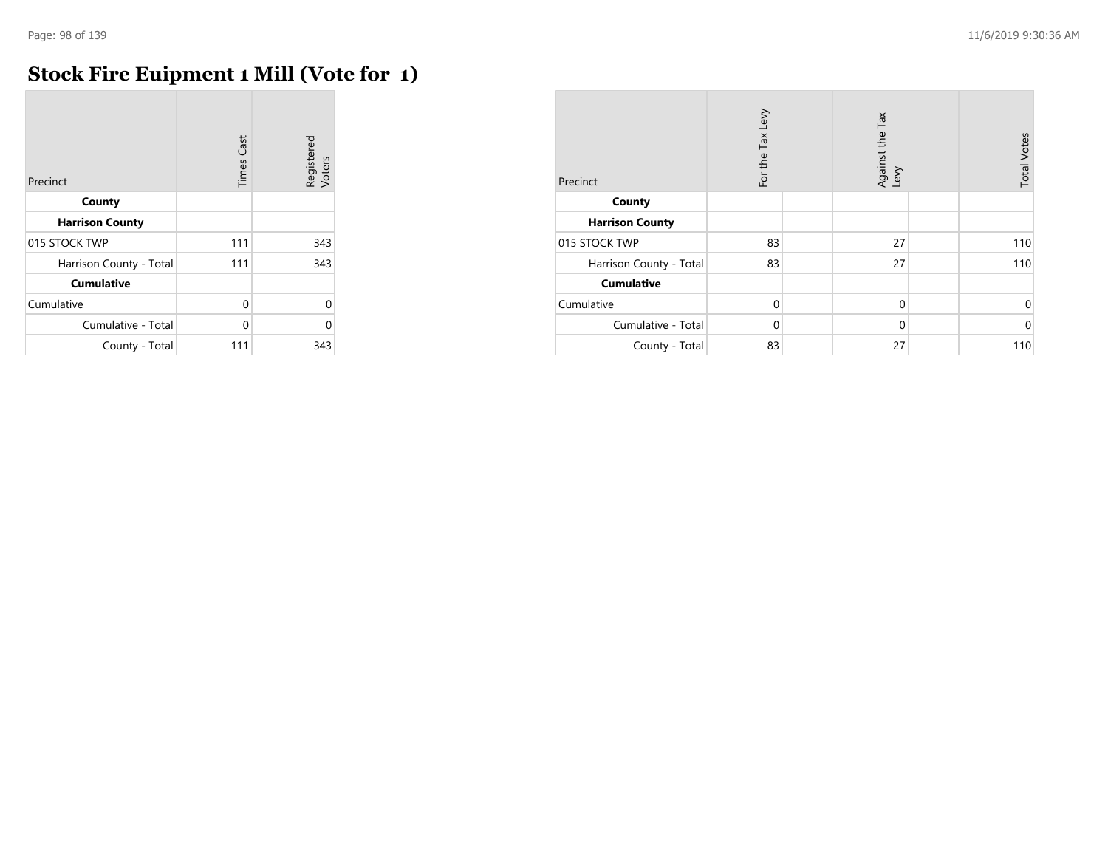$\overline{\phantom{a}}$ 

## **Stock Fire Euipment 1 Mill (Vote for 1)**

| Precinct                | <b>Times Cast</b> | Registered<br>Voters |
|-------------------------|-------------------|----------------------|
| County                  |                   |                      |
| <b>Harrison County</b>  |                   |                      |
| 015 STOCK TWP           | 111               | 343                  |
| Harrison County - Total | 111               | 343                  |
| <b>Cumulative</b>       |                   |                      |
| Cumulative              | 0                 | $\Omega$             |
| Cumulative - Total      | $\Omega$          | O                    |
| County - Total          | 111               | 343                  |

| Precinct                | For the Tax Levy | Against the Tax<br>Levy | <b>Total Votes</b> |
|-------------------------|------------------|-------------------------|--------------------|
| County                  |                  |                         |                    |
| <b>Harrison County</b>  |                  |                         |                    |
| 015 STOCK TWP           | 83               | 27                      | 110                |
| Harrison County - Total | 83               | 27                      | 110                |
| <b>Cumulative</b>       |                  |                         |                    |
| Cumulative              | $\Omega$         | $\mathbf 0$             | 0                  |
| Cumulative - Total      | $\Omega$         | $\mathbf 0$             | $\mathbf 0$        |
| County - Total          | 83               | 27                      | 110                |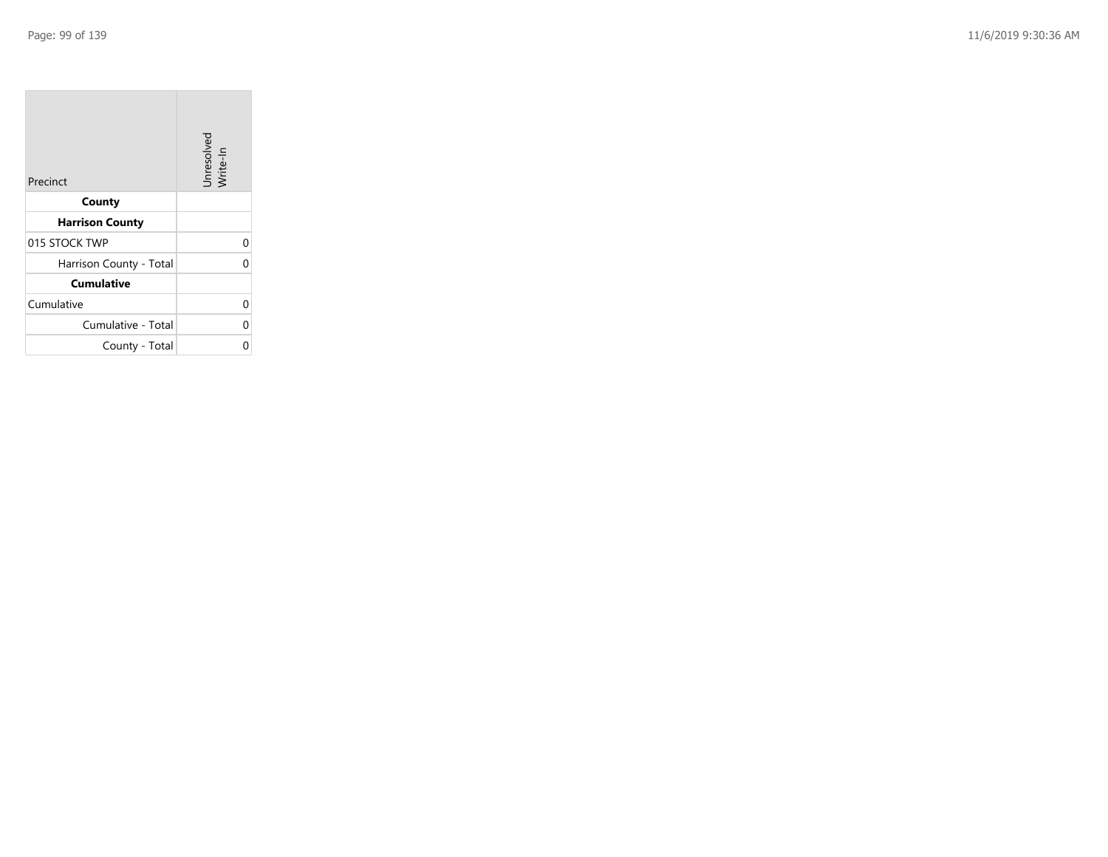| Precinct                | Unresolved<br>Write-In |
|-------------------------|------------------------|
| County                  |                        |
| <b>Harrison County</b>  |                        |
| 015 STOCK TWP           | 0                      |
| Harrison County - Total | 0                      |
| <b>Cumulative</b>       |                        |
| Cumulative              | 0                      |
| Cumulative - Total      | 0                      |
| County - Total          | ი                      |

the company of the company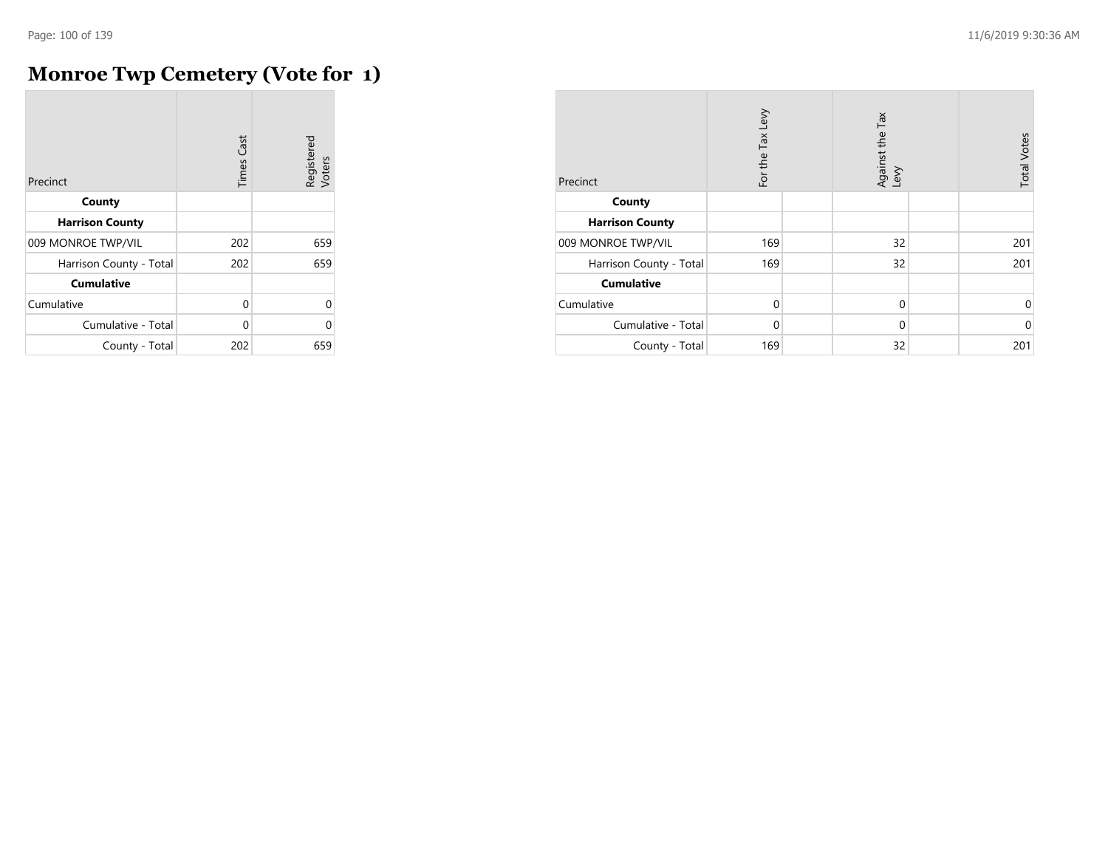## **Monroe Twp Cemetery (Vote for 1)**

| Precinct                | <b>Times Cast</b> | Registered<br>Voters |
|-------------------------|-------------------|----------------------|
| County                  |                   |                      |
| <b>Harrison County</b>  |                   |                      |
| 009 MONROE TWP/VIL      | 202               | 659                  |
| Harrison County - Total | 202               | 659                  |
| <b>Cumulative</b>       |                   |                      |
| Cumulative              | 0                 | 0                    |
| Cumulative - Total      | U                 | O                    |
| County - Total          | 202               | 659                  |

| Precinct                | For the Tax Levy | Against the Tax<br>Levy | <b>Total Votes</b> |
|-------------------------|------------------|-------------------------|--------------------|
| County                  |                  |                         |                    |
| <b>Harrison County</b>  |                  |                         |                    |
| 009 MONROE TWP/VIL      | 169              | 32                      | 201                |
| Harrison County - Total | 169              | 32                      | 201                |
| <b>Cumulative</b>       |                  |                         |                    |
| Cumulative              | $\Omega$         | $\mathbf 0$             | 0                  |
| Cumulative - Total      | $\Omega$         | 0                       | $\mathbf 0$        |
| County - Total          | 169              | 32                      | 201                |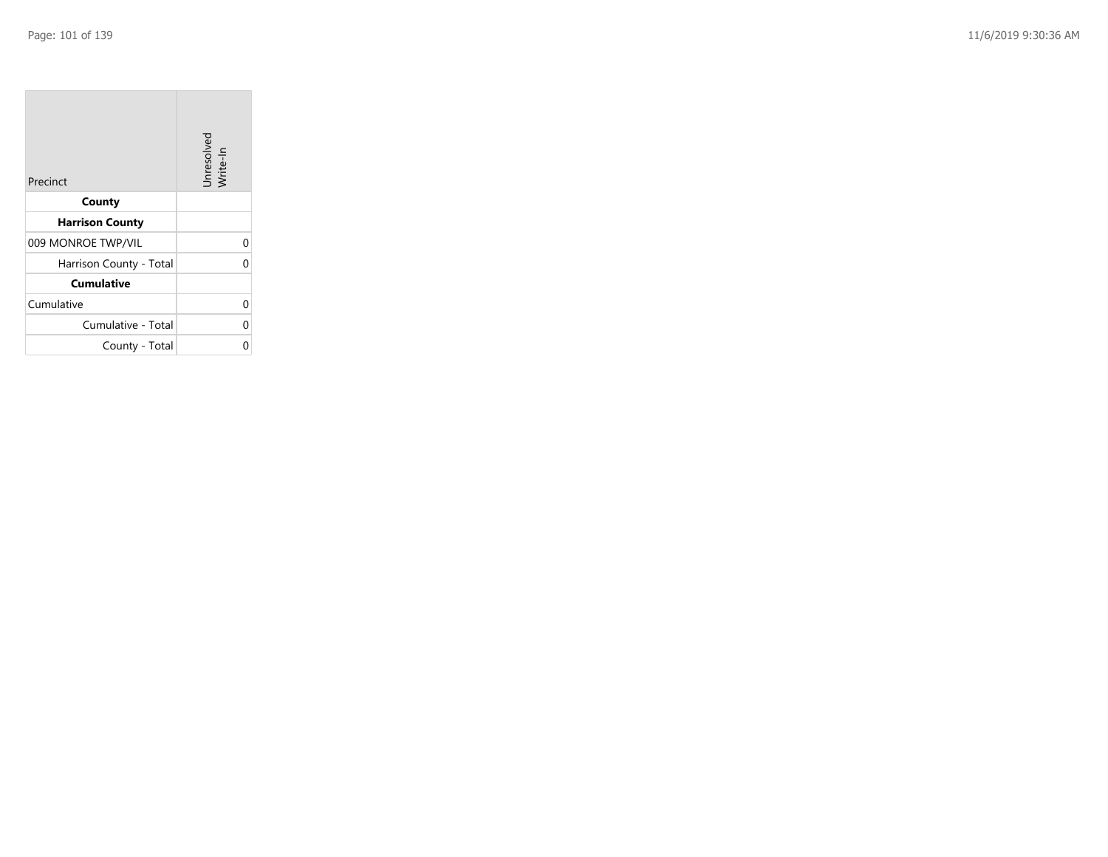| Precinct                | Unresolved<br>Write-In |
|-------------------------|------------------------|
| County                  |                        |
| <b>Harrison County</b>  |                        |
| 009 MONROE TWP/VIL      |                        |
| Harrison County - Total |                        |
| <b>Cumulative</b>       |                        |
| Cumulative              |                        |
| Cumulative - Total      |                        |
| County - Total          |                        |

the property of the con-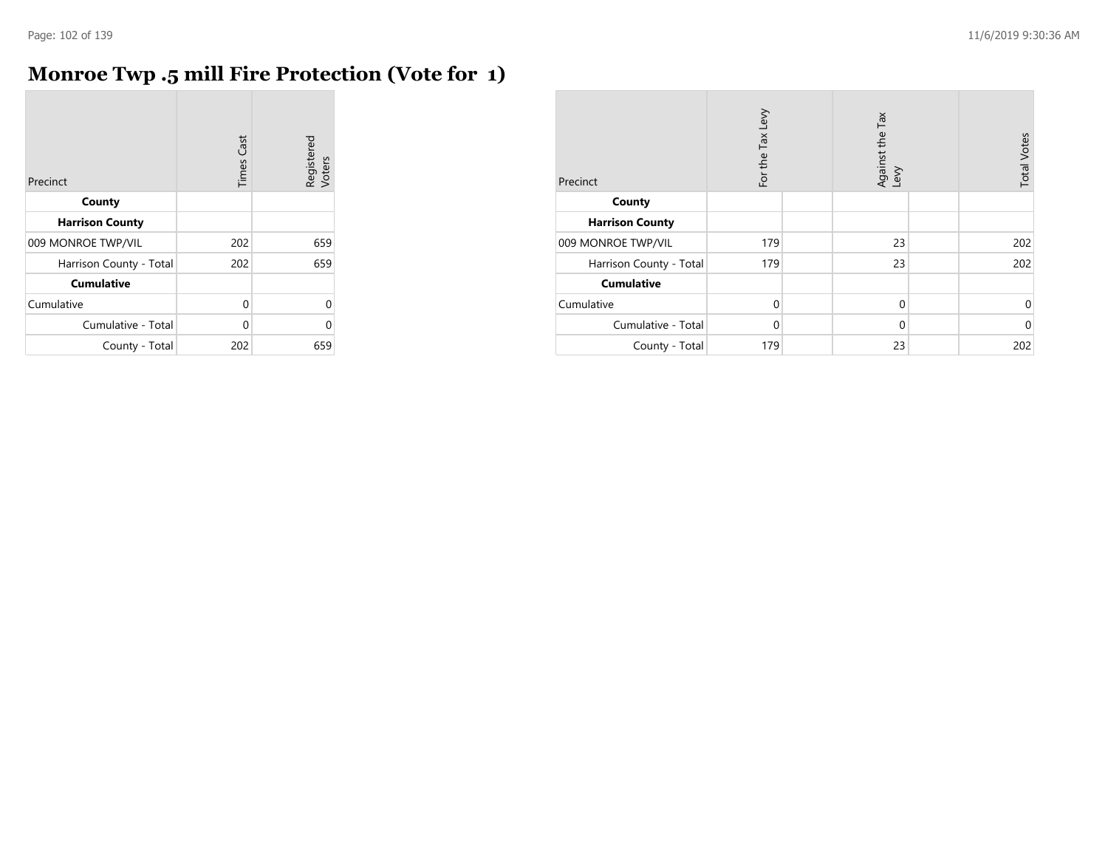## **Monroe Twp .5 mill Fire Protection (Vote for 1)**

| Precinct                | Cast<br>Times | Registered<br>Voters |
|-------------------------|---------------|----------------------|
| County                  |               |                      |
| <b>Harrison County</b>  |               |                      |
| 009 MONROE TWP/VIL      | 202           | 659                  |
| Harrison County - Total | 202           | 659                  |
| <b>Cumulative</b>       |               |                      |
| Cumulative              | 0             | 0                    |
| Cumulative - Total      | 0             | U                    |
| County - Total          | 202           | 659                  |

| Precinct                | For the Tax Levy | Against the Tax<br>Levy | <b>Total Votes</b> |
|-------------------------|------------------|-------------------------|--------------------|
| County                  |                  |                         |                    |
| <b>Harrison County</b>  |                  |                         |                    |
| 009 MONROE TWP/VIL      | 179              | 23                      | 202                |
| Harrison County - Total | 179              | 23                      | 202                |
| <b>Cumulative</b>       |                  |                         |                    |
| Cumulative              | $\Omega$         | $\mathbf 0$             | 0                  |
| Cumulative - Total      | $\Omega$         | $\mathbf 0$             | $\mathbf 0$        |
| County - Total          | 179              | 23                      | 202                |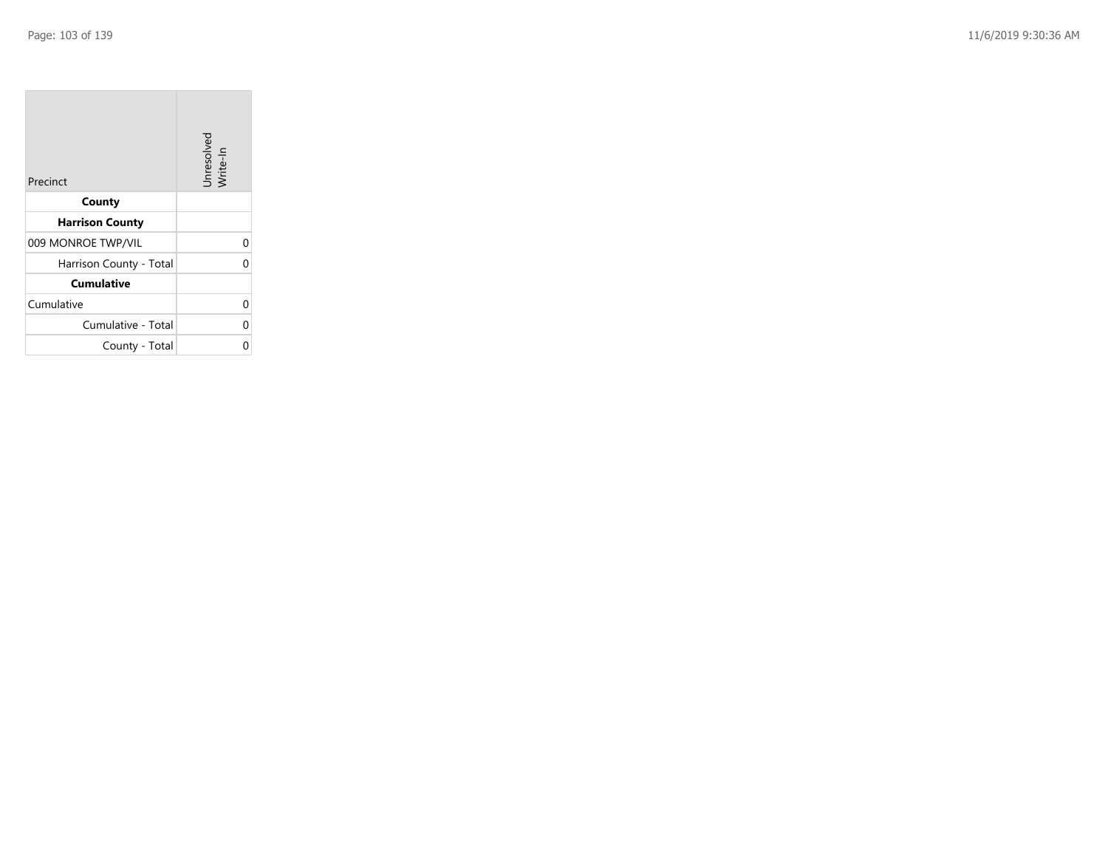| Precinct                | Unresolved<br>Write-In |
|-------------------------|------------------------|
| County                  |                        |
| <b>Harrison County</b>  |                        |
| 009 MONROE TWP/VIL      |                        |
| Harrison County - Total |                        |
| <b>Cumulative</b>       |                        |
| Cumulative              |                        |
| Cumulative - Total      |                        |
| County - Total          |                        |

the property of the control of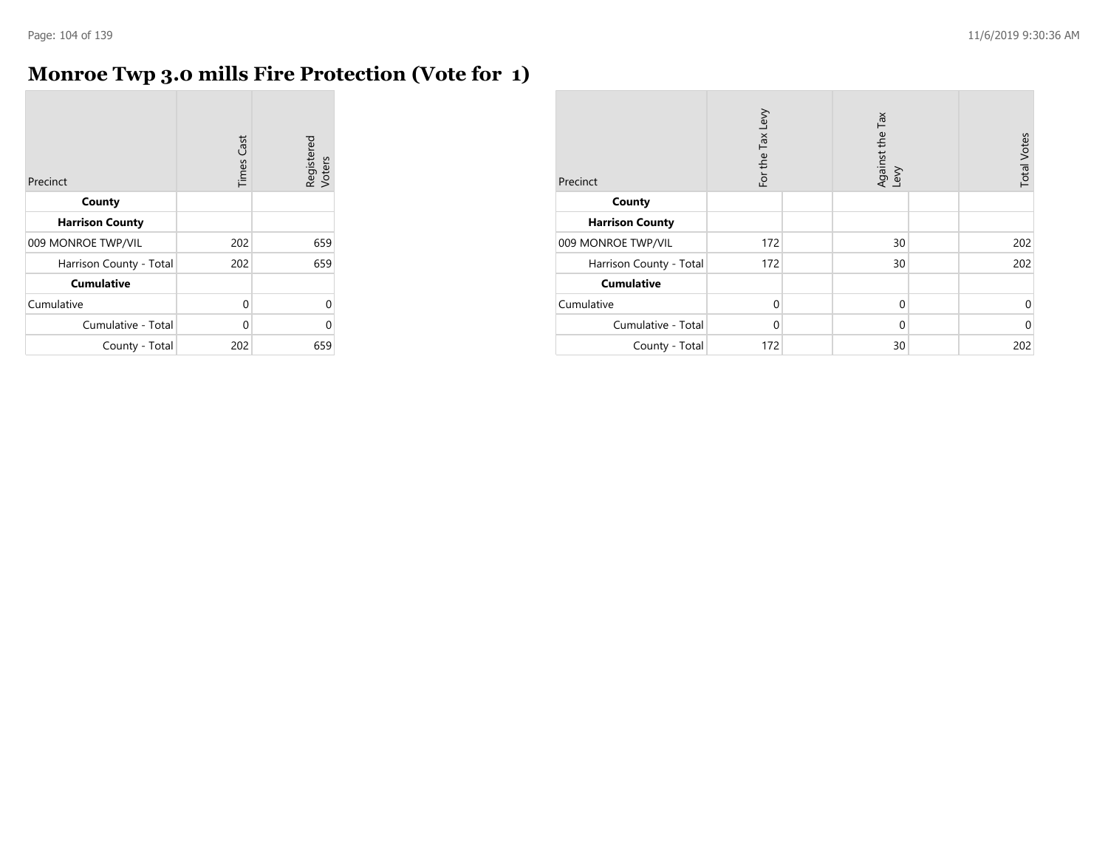## **Monroe Twp 3.0 mills Fire Protection (Vote for 1)**

| Precinct                | Cast<br>Times | Registered<br>Voters |
|-------------------------|---------------|----------------------|
| County                  |               |                      |
| <b>Harrison County</b>  |               |                      |
| 009 MONROE TWP/VIL      | 202           | 659                  |
| Harrison County - Total | 202           | 659                  |
| <b>Cumulative</b>       |               |                      |
| Cumulative              | 0             | Λ                    |
| Cumulative - Total      | 0             |                      |
| County - Total          | 202           | 659                  |

| Precinct                | For the Tax Levy | Against the Tax<br>Levy | <b>Total Votes</b> |
|-------------------------|------------------|-------------------------|--------------------|
| County                  |                  |                         |                    |
| <b>Harrison County</b>  |                  |                         |                    |
| 009 MONROE TWP/VIL      | 172              | 30                      | 202                |
| Harrison County - Total | 172              | 30                      | 202                |
| <b>Cumulative</b>       |                  |                         |                    |
| Cumulative              | $\Omega$         | $\mathbf 0$             | 0                  |
| Cumulative - Total      | $\Omega$         | $\mathbf 0$             | $\mathbf 0$        |
| County - Total          | 172              | 30                      | 202                |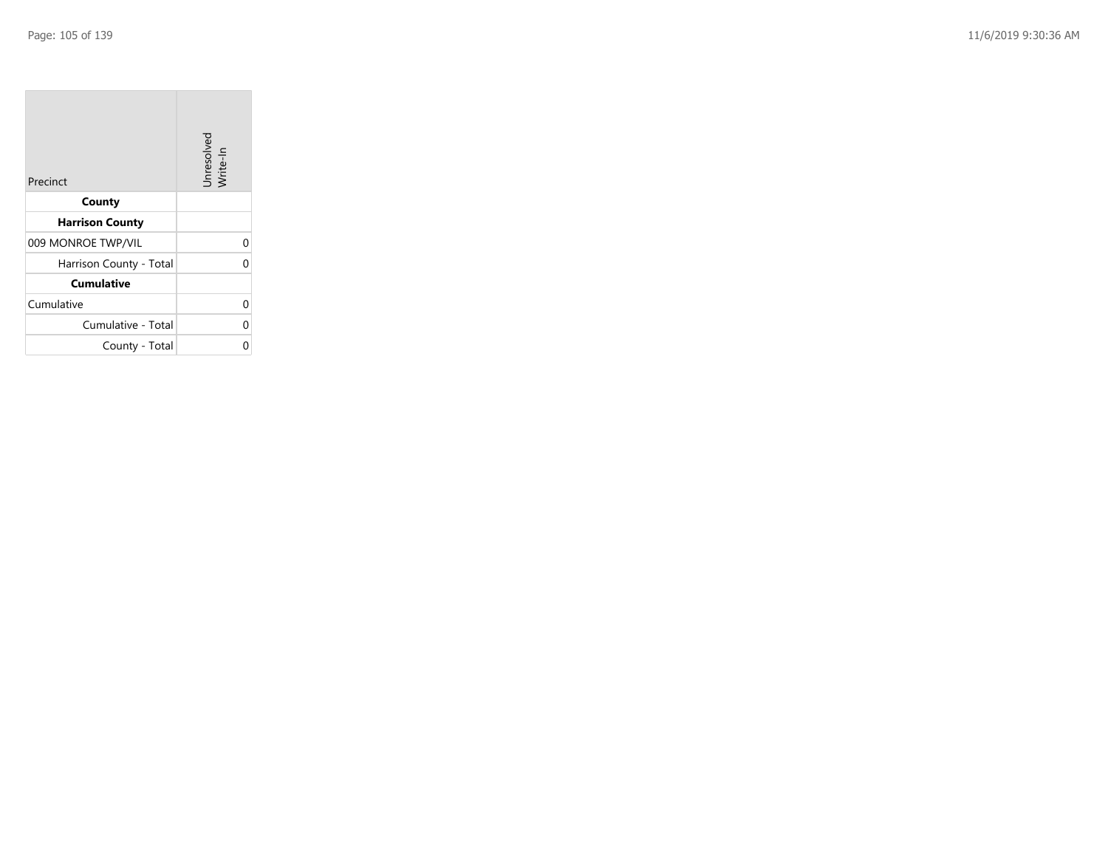| Precinct                | Unresolved<br>Write-In |
|-------------------------|------------------------|
| County                  |                        |
| <b>Harrison County</b>  |                        |
| 009 MONROE TWP/VIL      |                        |
| Harrison County - Total |                        |
| <b>Cumulative</b>       |                        |
| Cumulative              |                        |
| Cumulative - Total      |                        |
| County - Total          |                        |

the property of the control of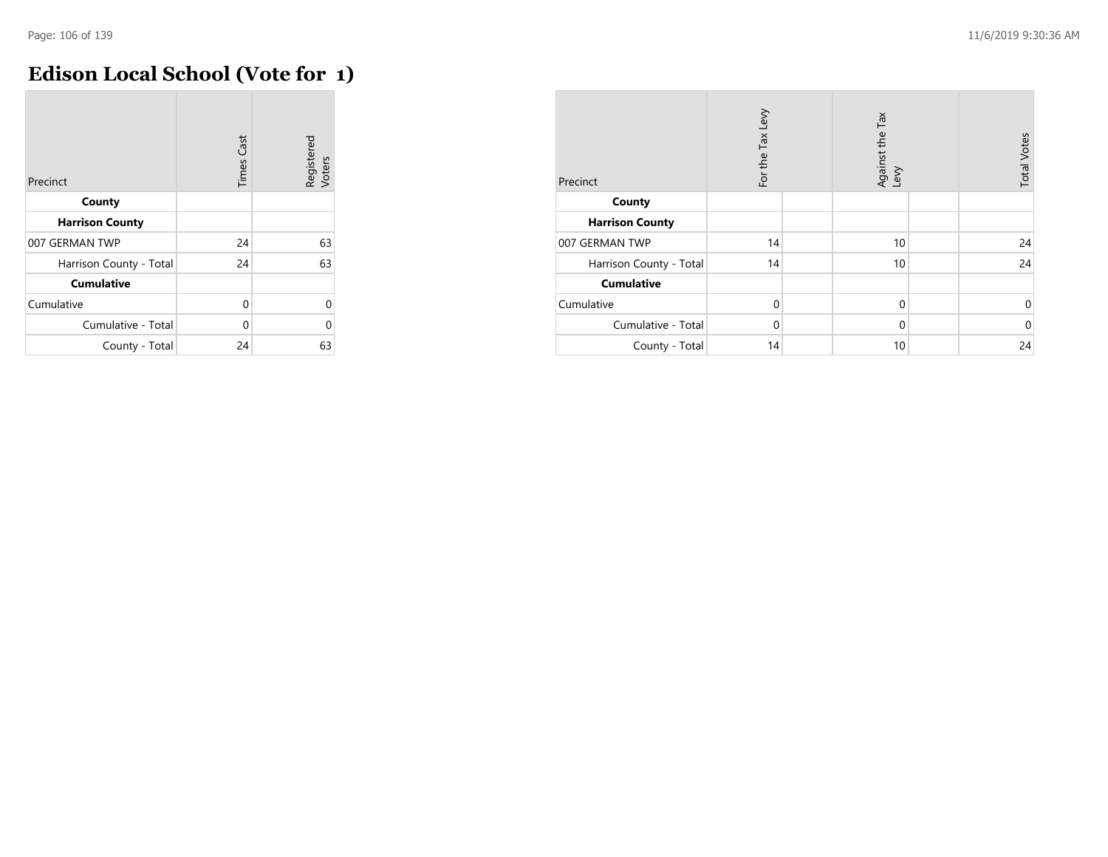## **Edison Local School (Vote for 1)**

| Precinct                | <b>Times Cast</b> | Registered<br>Voters |
|-------------------------|-------------------|----------------------|
| County                  |                   |                      |
| <b>Harrison County</b>  |                   |                      |
| 007 GERMAN TWP          | 24                | 63                   |
| Harrison County - Total | 24                | 63                   |
| <b>Cumulative</b>       |                   |                      |
| Cumulative              | 0                 | $\Omega$             |
| Cumulative - Total      | 0                 | $\Omega$             |
| County - Total          | 24                | 63                   |

| Precinct                | For the Tax Levy | Against the Tax<br>Levy | <b>Total Votes</b> |
|-------------------------|------------------|-------------------------|--------------------|
| County                  |                  |                         |                    |
| <b>Harrison County</b>  |                  |                         |                    |
| 007 GERMAN TWP          | 14               | 10                      | 24                 |
| Harrison County - Total | 14               | 10                      | 24                 |
| <b>Cumulative</b>       |                  |                         |                    |
| Cumulative              | $\Omega$         | $\mathbf 0$             | $\mathbf 0$        |
| Cumulative - Total      | $\Omega$         | $\mathbf 0$             | $\mathbf 0$        |
| County - Total          | 14               | 10                      | 24                 |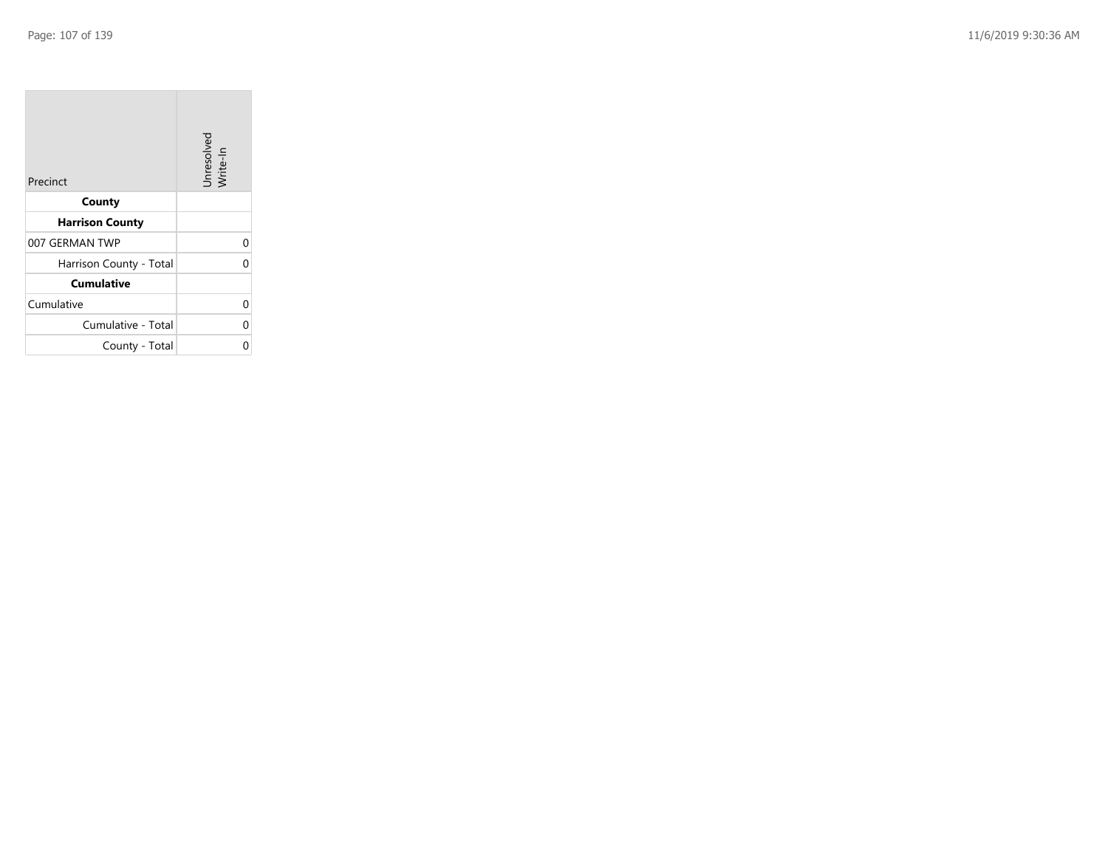| Precinct                | Unresolved<br>Write-In |
|-------------------------|------------------------|
| County                  |                        |
| <b>Harrison County</b>  |                        |
| 007 GERMAN TWP          |                        |
| Harrison County - Total |                        |
| <b>Cumulative</b>       |                        |
| Cumulative              |                        |
| Cumulative - Total      |                        |
| County - Total          |                        |

the company of the company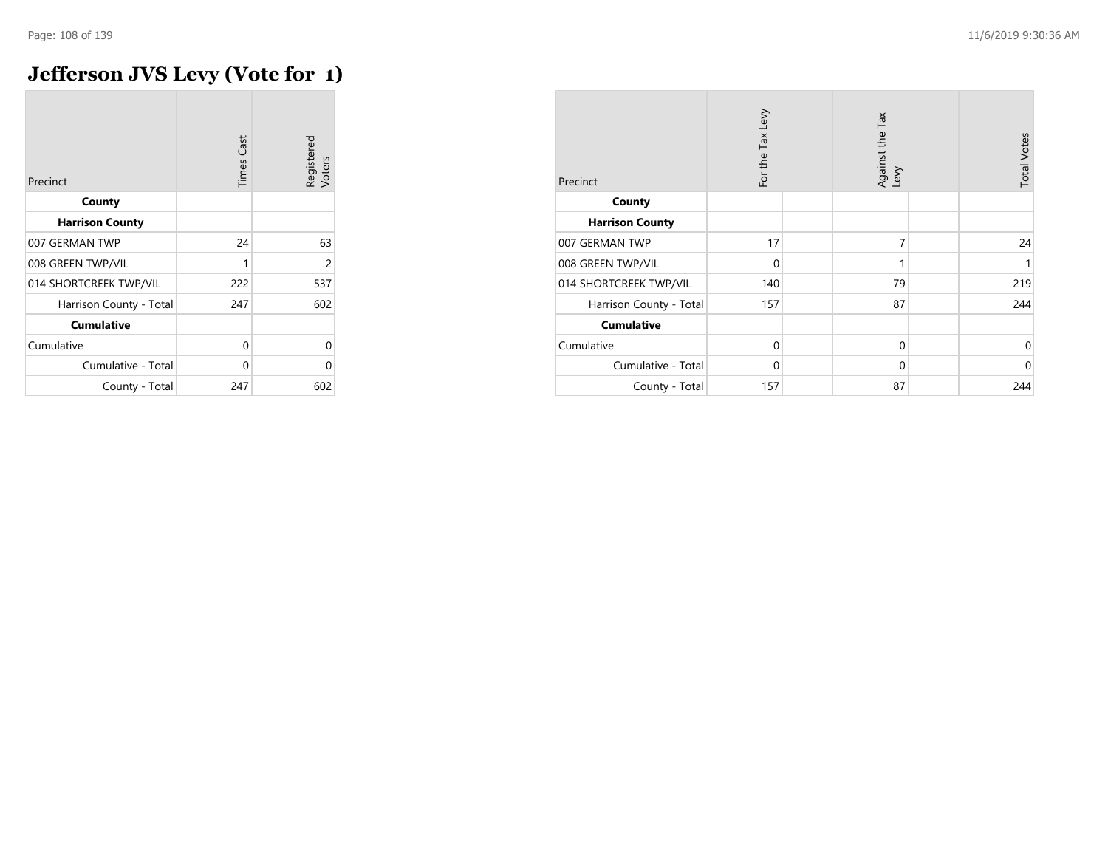## **Jefferson JVS Levy (Vote for 1)**

| Precinct                | <b>Times Cast</b> | Registered<br>Voters |
|-------------------------|-------------------|----------------------|
| County                  |                   |                      |
| <b>Harrison County</b>  |                   |                      |
| 007 GERMAN TWP          | 24                | 63                   |
| 008 GREEN TWP/VIL       | 1                 | 2                    |
| 014 SHORTCREEK TWP/VIL  | 222               | 537                  |
| Harrison County - Total | 247               | 602                  |
| <b>Cumulative</b>       |                   |                      |
| Cumulative              | 0                 | U                    |
| Cumulative - Total      | 0                 | U                    |
| County - Total          | 247               | 602                  |

| Precinct                | For the Tax Levy | Against the Tax<br>Levy | <b>Total Votes</b> |
|-------------------------|------------------|-------------------------|--------------------|
| County                  |                  |                         |                    |
| <b>Harrison County</b>  |                  |                         |                    |
| 007 GERMAN TWP          | 17               | 7                       | 24                 |
| 008 GREEN TWP/VIL       | $\Omega$         | 1                       | 1                  |
| 014 SHORTCREEK TWP/VIL  | 140              | 79                      | 219                |
| Harrison County - Total | 157              | 87                      | 244                |
| <b>Cumulative</b>       |                  |                         |                    |
| Cumulative              | $\Omega$         | $\mathbf 0$             | $\Omega$           |
| Cumulative - Total      | $\Omega$         | $\mathbf 0$             | $\Omega$           |
| County - Total          | 157              | 87                      | 244                |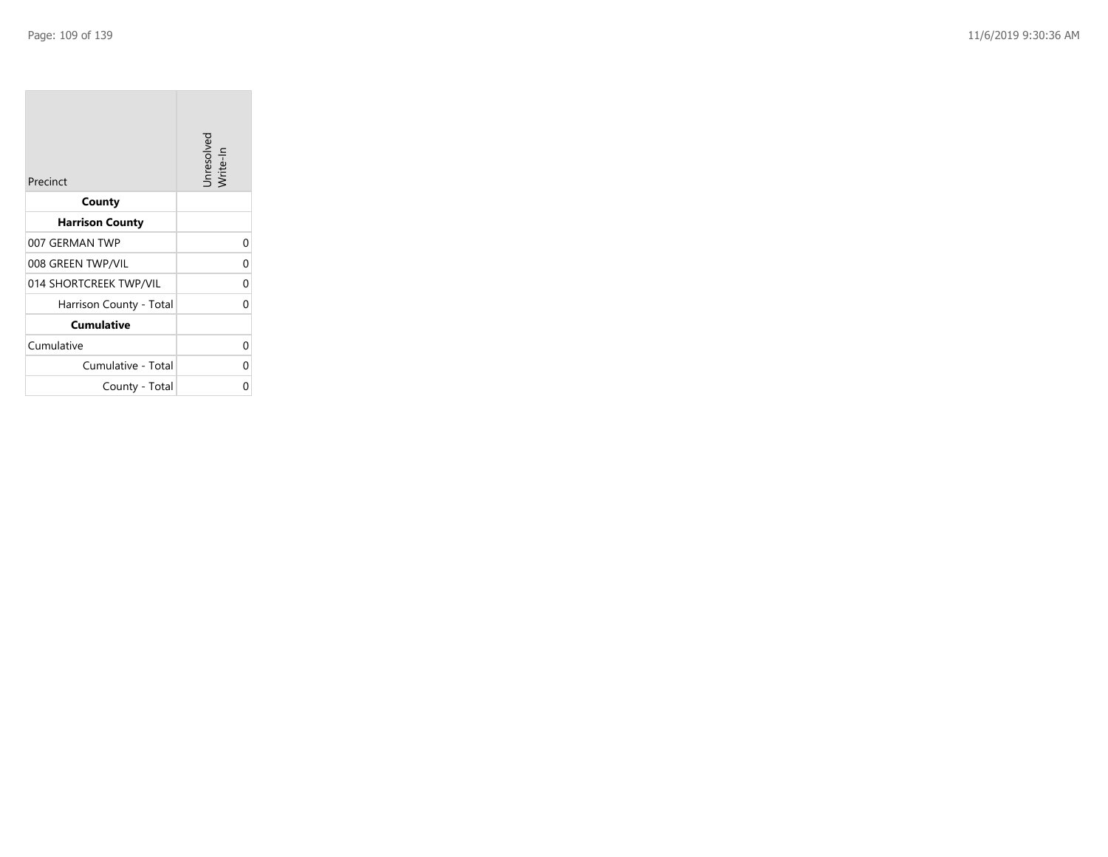**COL** 

| Precinct                | Unresolved<br>Write-In |
|-------------------------|------------------------|
| County                  |                        |
| <b>Harrison County</b>  |                        |
| 007 GERMAN TWP          | 0                      |
| 008 GREEN TWP/VIL       | 0                      |
| 014 SHORTCREEK TWP/VIL  | 0                      |
| Harrison County - Total | 0                      |
| <b>Cumulative</b>       |                        |
| Cumulative              | 0                      |
| Cumulative - Total      | ი                      |
| County - Total          | ი                      |

the company of the company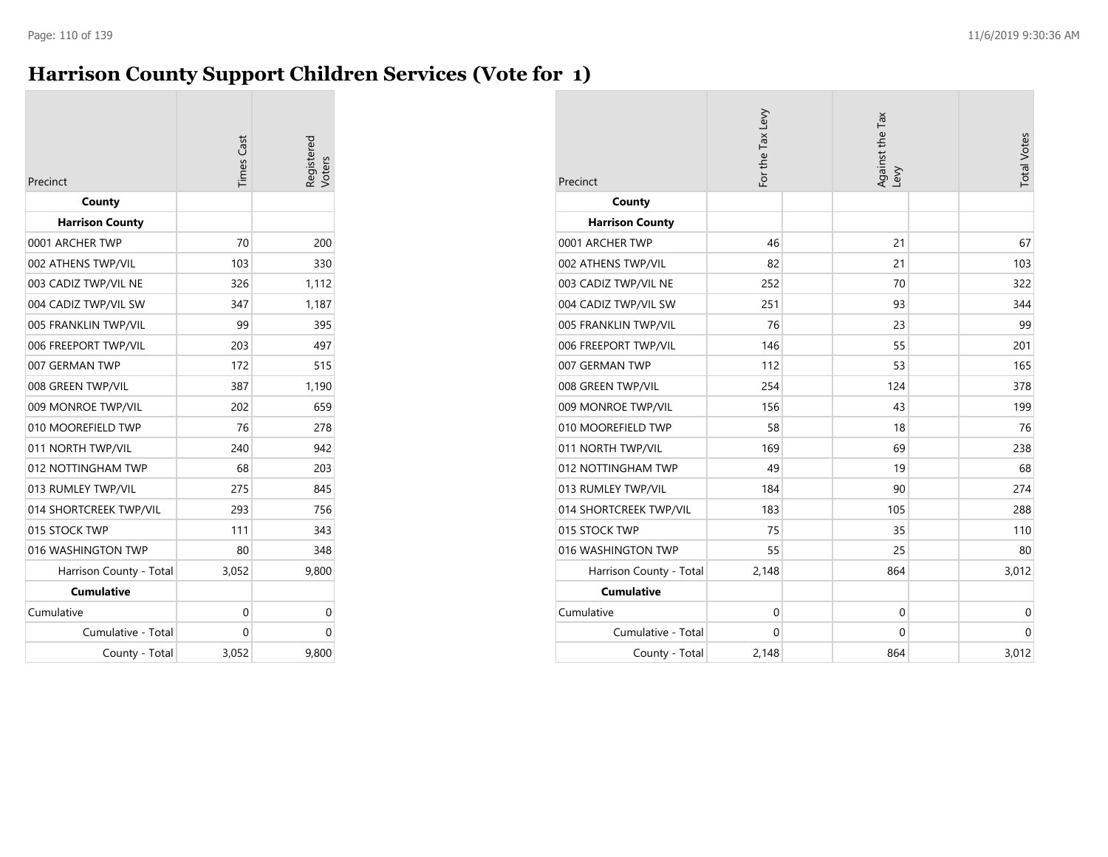# **Harrison County Support Children Services (Vote for 1)**

| Precinct                | <b>Times</b> Cast | Registered<br>/oters |
|-------------------------|-------------------|----------------------|
| County                  |                   |                      |
| <b>Harrison County</b>  |                   |                      |
| 0001 ARCHER TWP         | 70                | 200                  |
| 002 ATHENS TWP/VIL      | 103               | 330                  |
| 003 CADIZ TWP/VIL NE    | 326               | 1,112                |
| 004 CADIZ TWP/VIL SW    | 347               | 1,187                |
| 005 FRANKLIN TWP/VIL    | 99                | 395                  |
| 006 FREEPORT TWP/VIL    | 203               | 497                  |
| 007 GERMAN TWP          | 172               | 515                  |
| 008 GREEN TWP/VIL       | 387               | 1,190                |
| 009 MONROE TWP/VIL      | 202               | 659                  |
| 010 MOOREFIELD TWP      | 76                | 278                  |
| 011 NORTH TWP/VIL       | 240               | 942                  |
| 012 NOTTINGHAM TWP      | 68                | 203                  |
| 013 RUMLEY TWP/VIL      | 275               | 845                  |
| 014 SHORTCREEK TWP/VIL  | 293               | 756                  |
| 015 STOCK TWP           | 111               | 343                  |
| 016 WASHINGTON TWP      | 80                | 348                  |
| Harrison County - Total | 3,052             | 9,800                |
| <b>Cumulative</b>       |                   |                      |
| Cumulative              | 0                 | 0                    |
| Cumulative - Total      | 0                 | 0                    |
| County - Total          | 3,052             | 9,800                |

| Precinct                | For the Tax Levy | Against the Tax<br>Levy | <b>Total Votes</b> |
|-------------------------|------------------|-------------------------|--------------------|
| County                  |                  |                         |                    |
| <b>Harrison County</b>  |                  |                         |                    |
| 0001 ARCHER TWP         | 46               | 21                      | 67                 |
| 002 ATHENS TWP/VIL      | 82               | 21                      | 103                |
| 003 CADIZ TWP/VIL NE    | 252              | 70                      | 322                |
| 004 CADIZ TWP/VIL SW    | 251              | 93                      | 344                |
| 005 FRANKLIN TWP/VIL    | 76               | 23                      | 99                 |
| 006 FREEPORT TWP/VIL    | 146              | 55                      | 201                |
| 007 GERMAN TWP          | 112              | 53                      | 165                |
| 008 GREEN TWP/VIL       | 254              | 124                     | 378                |
| 009 MONROE TWP/VIL      | 156              | 43                      | 199                |
| 010 MOOREFIELD TWP      | 58               | 18                      | 76                 |
| 011 NORTH TWP/VIL       | 169              | 69                      | 238                |
| 012 NOTTINGHAM TWP      | 49               | 19                      | 68                 |
| 013 RUMLEY TWP/VIL      | 184              | 90                      | 274                |
| 014 SHORTCREEK TWP/VIL  | 183              | 105                     | 288                |
| 015 STOCK TWP           | 75               | 35                      | 110                |
| 016 WASHINGTON TWP      | 55               | 25                      | 80                 |
| Harrison County - Total | 2,148            | 864                     | 3,012              |
| <b>Cumulative</b>       |                  |                         |                    |
| Cumulative              | $\mathbf 0$      | $\mathbf 0$             | $\mathbf 0$        |
| Cumulative - Total      | $\mathbf{0}$     | $\mathbf 0$             | $\mathbf 0$        |
| County - Total          | 2,148            | 864                     | 3,012              |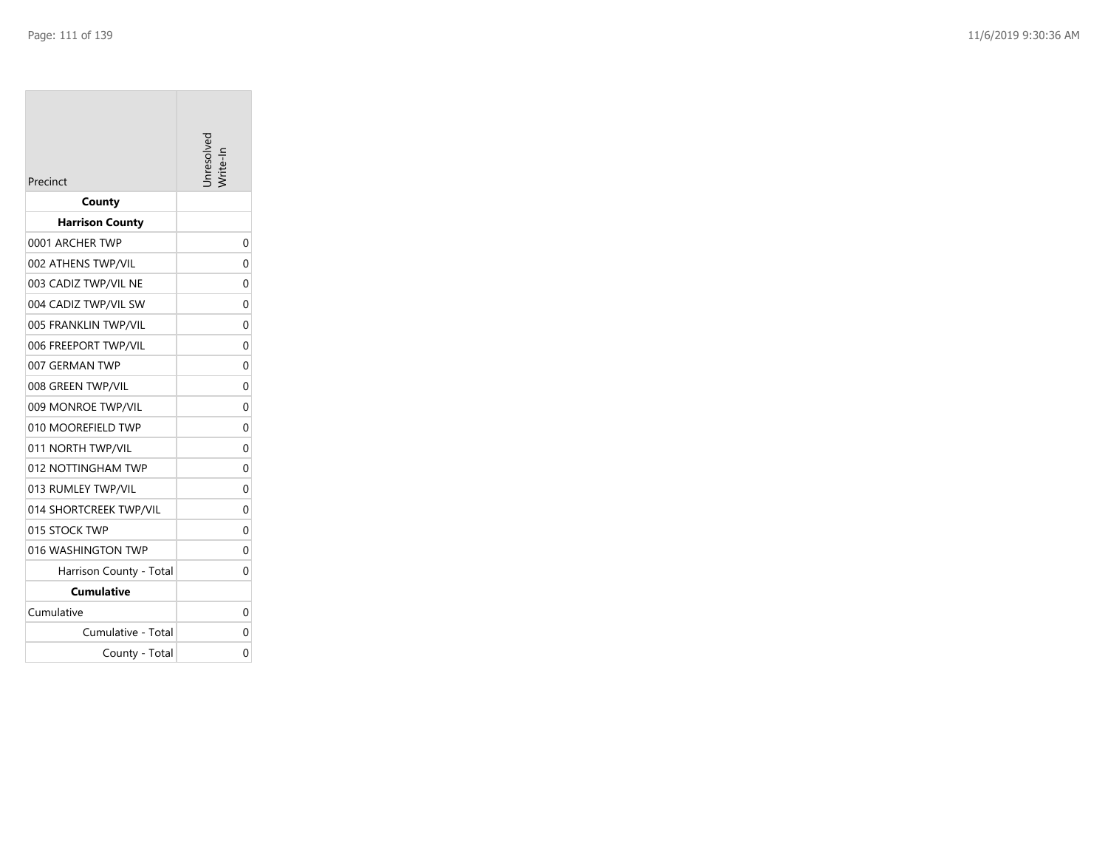| Precinct                | nresolver |
|-------------------------|-----------|
| County                  |           |
| <b>Harrison County</b>  |           |
| 0001 ARCHER TWP         | 0         |
| 002 ATHENS TWP/VIL      | 0         |
| 003 CADIZ TWP/VIL NE    | 0         |
| 004 CADIZ TWP/VIL SW    | 0         |
| 005 FRANKLIN TWP/VIL    | 0         |
| 006 FREEPORT TWP/VIL    | 0         |
| 007 GERMAN TWP          | 0         |
| 008 GREEN TWP/VIL       | 0         |
| 009 MONROE TWP/VIL      | 0         |
| 010 MOOREFIELD TWP      | 0         |
| 011 NORTH TWP/VIL       | 0         |
| 012 NOTTINGHAM TWP      | 0         |
| 013 RUMLEY TWP/VIL      | 0         |
| 014 SHORTCREEK TWP/VIL  | $\Omega$  |
| 015 STOCK TWP           | 0         |
| 016 WASHINGTON TWP      | 0         |
| Harrison County - Total | 0         |
| Cumulative              |           |
| Cumulative              | 0         |
| Cumulative - Total      | 0         |
| County - Total          | 0         |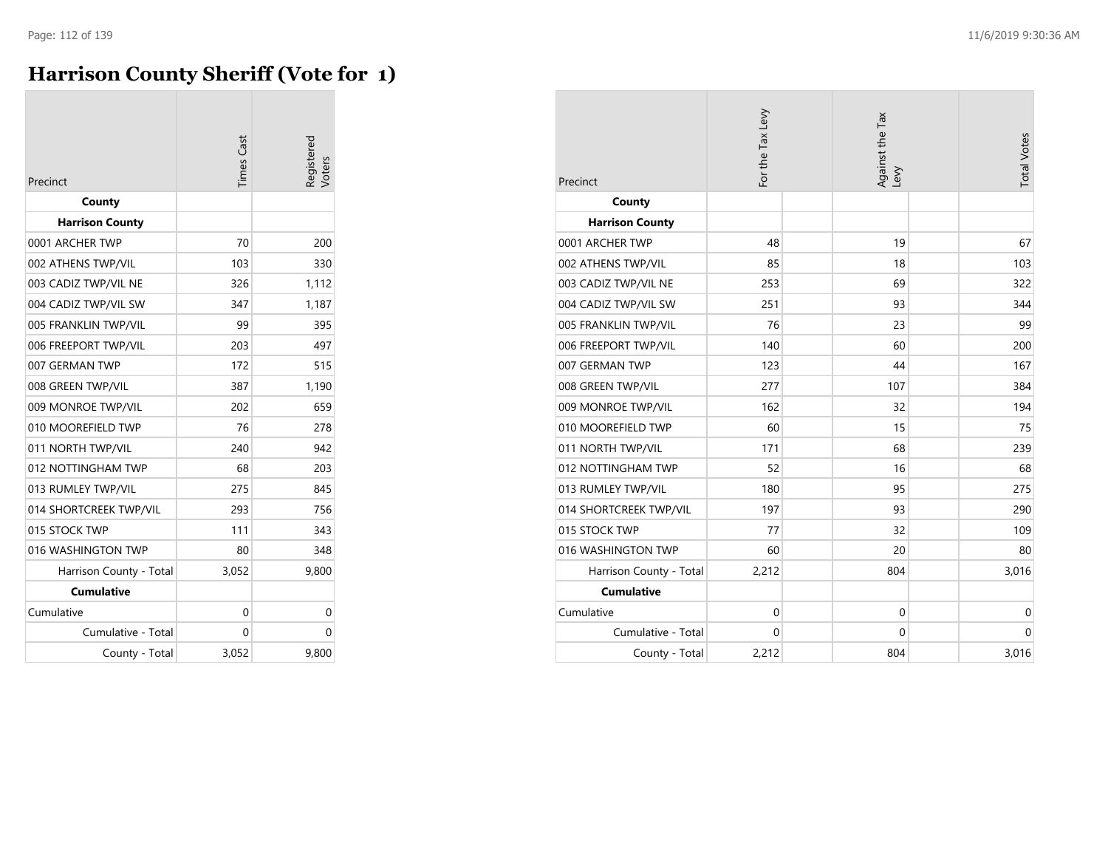# **Harrison County Sheriff (Vote for 1)**

| Precinct                         | <b>Times</b> Cast | legisterec<br>/oters |
|----------------------------------|-------------------|----------------------|
| County<br><b>Harrison County</b> |                   |                      |
| 0001 ARCHER TWP                  | 70                | 200                  |
| 002 ATHENS TWP/VIL               | 103               | 330                  |
| 003 CADIZ TWP/VIL NE             | 326               | 1,112                |
| 004 CADIZ TWP/VIL SW             | 347               | 1,187                |
| 005 FRANKLIN TWP/VIL             | 99                | 395                  |
| 006 FREEPORT TWP/VIL             | 203               | 497                  |
| 007 GERMAN TWP                   | 172               | 515                  |
| 008 GREEN TWP/VIL                | 387               | 1,190                |
| 009 MONROE TWP/VIL               | 202               | 659                  |
| 010 MOOREFIELD TWP               | 76                | 278                  |
| 011 NORTH TWP/VIL                | 240               | 942                  |
| 012 NOTTINGHAM TWP               | 68                | 203                  |
| 013 RUMLEY TWP/VIL               | 275               | 845                  |
| 014 SHORTCREEK TWP/VIL           | 293               | 756                  |
| 015 STOCK TWP                    | 111               | 343                  |
| 016 WASHINGTON TWP               | 80                | 348                  |
| Harrison County - Total          | 3,052             | 9,800                |
| <b>Cumulative</b>                |                   |                      |
| Cumulative                       | 0                 | 0                    |
| Cumulative - Total               | 0                 | 0                    |
| County - Total                   | 3,052             | 9,800                |

| Precinct                | For the Tax Levy | Against the Tax<br>Levy | <b>Total Votes</b> |
|-------------------------|------------------|-------------------------|--------------------|
| County                  |                  |                         |                    |
| <b>Harrison County</b>  |                  |                         |                    |
| 0001 ARCHER TWP         | 48               | 19                      | 67                 |
| 002 ATHENS TWP/VIL      | 85               | 18                      | 103                |
| 003 CADIZ TWP/VIL NE    | 253              | 69                      | 322                |
| 004 CADIZ TWP/VIL SW    | 251              | 93                      | 344                |
| 005 FRANKLIN TWP/VIL    | 76               | 23                      | 99                 |
| 006 FREEPORT TWP/VIL    | 140              | 60                      | 200                |
| 007 GERMAN TWP          | 123              | 44                      | 167                |
| 008 GREEN TWP/VIL       | 277              | 107                     | 384                |
| 009 MONROE TWP/VIL      | 162              | 32                      | 194                |
| 010 MOOREFIELD TWP      | 60               | 15                      | 75                 |
| 011 NORTH TWP/VIL       | 171              | 68                      | 239                |
| 012 NOTTINGHAM TWP      | 52               | 16                      | 68                 |
| 013 RUMLEY TWP/VIL      | 180              | 95                      | 275                |
| 014 SHORTCREEK TWP/VIL  | 197              | 93                      | 290                |
| 015 STOCK TWP           | 77               | 32                      | 109                |
| 016 WASHINGTON TWP      | 60               | 20                      | 80                 |
| Harrison County - Total | 2,212            | 804                     | 3,016              |
| <b>Cumulative</b>       |                  |                         |                    |
| Cumulative              | $\mathbf 0$      | 0                       | $\mathbf 0$        |
| Cumulative - Total      | 0                | 0                       | $\mathbf 0$        |
| County - Total          | 2,212            | 804                     | 3,016              |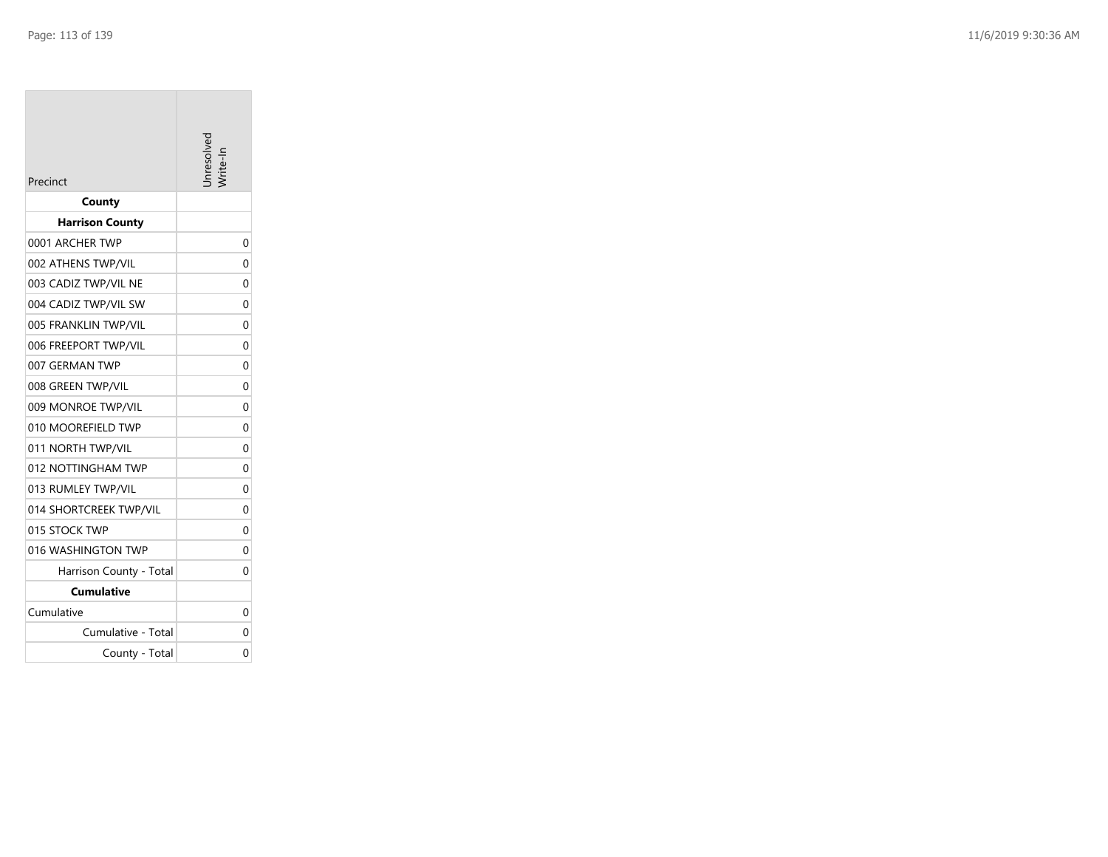| Precinct                | hresolver |
|-------------------------|-----------|
| County                  |           |
| <b>Harrison County</b>  |           |
| 0001 ARCHER TWP         | 0         |
| 002 ATHENS TWP/VIL      | 0         |
| 003 CADIZ TWP/VIL NE    | $\Omega$  |
| 004 CADIZ TWP/VIL SW    | 0         |
| 005 FRANKLIN TWP/VIL    | 0         |
| 006 FREEPORT TWP/VIL    | 0         |
| 007 GERMAN TWP          | 0         |
| 008 GREEN TWP/VIL       | 0         |
| 009 MONROE TWP/VIL      | 0         |
| 010 MOOREFIELD TWP      | 0         |
| 011 NORTH TWP/VIL       | 0         |
| 012 NOTTINGHAM TWP      | 0         |
| 013 RUMLEY TWP/VIL      | 0         |
| 014 SHORTCREEK TWP/VIL  | 0         |
| 015 STOCK TWP           | 0         |
| 016 WASHINGTON TWP      | 0         |
| Harrison County - Total | 0         |
| <b>Cumulative</b>       |           |
| Cumulative              | 0         |
| Cumulative - Total      | 0         |
| County - Total          | 0         |
|                         |           |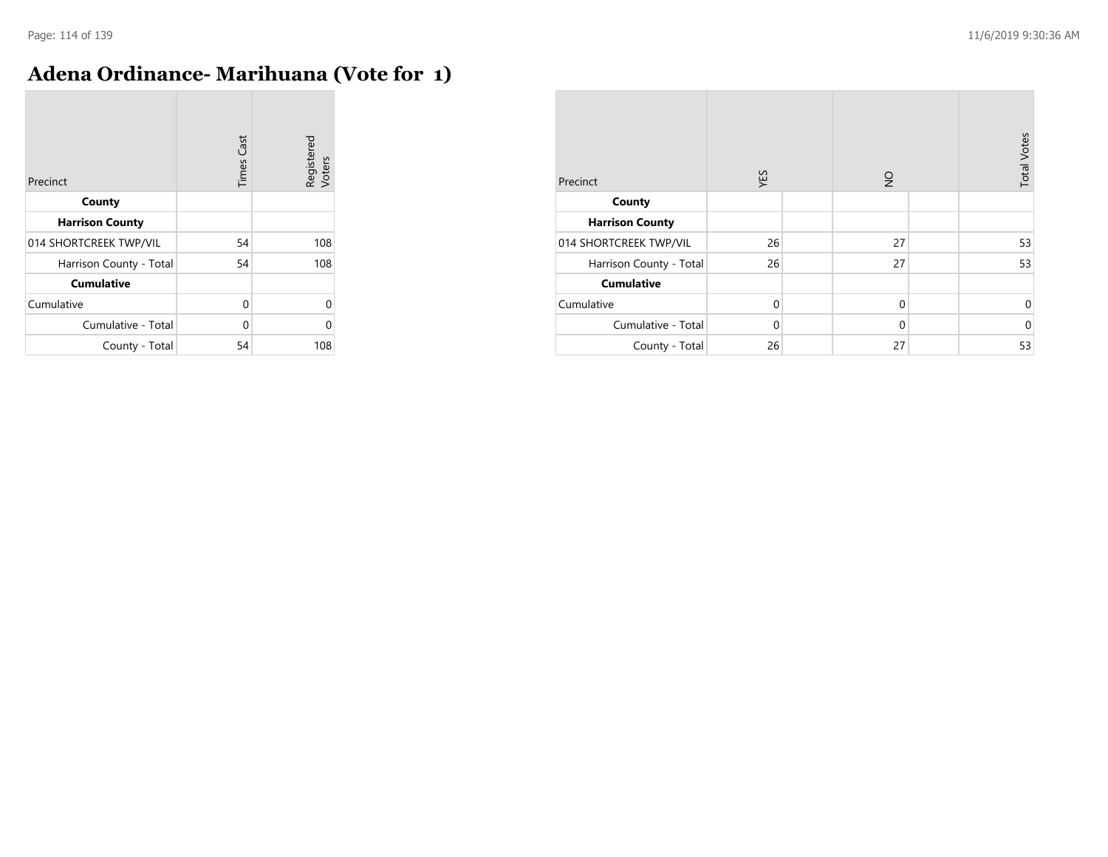$\overline{\phantom{a}}$ 

# **Adena Ordinance- Marihuana (Vote for 1)**

| Precinct                | <b>Times Cast</b> | Registered<br>Voters |
|-------------------------|-------------------|----------------------|
| County                  |                   |                      |
| <b>Harrison County</b>  |                   |                      |
| 014 SHORTCREEK TWP/VIL  | 54                | 108                  |
| Harrison County - Total | 54                | 108                  |
| <b>Cumulative</b>       |                   |                      |
| Cumulative              | 0                 | U                    |
| Cumulative - Total      | 0                 | Λ                    |
| County - Total          | 54                | 108                  |

| Precinct                | <b>S3A</b>  | $\frac{1}{2}$ | <b>Total Votes</b> |
|-------------------------|-------------|---------------|--------------------|
| County                  |             |               |                    |
| <b>Harrison County</b>  |             |               |                    |
| 014 SHORTCREEK TWP/VIL  | 26          | 27            | 53                 |
| Harrison County - Total | 26          | 27            | 53                 |
| <b>Cumulative</b>       |             |               |                    |
| Cumulative              | $\mathbf 0$ | $\mathbf 0$   | 0                  |
| Cumulative - Total      | $\Omega$    | $\Omega$      | $\mathbf 0$        |
| County - Total          | 26          | 27            | 53                 |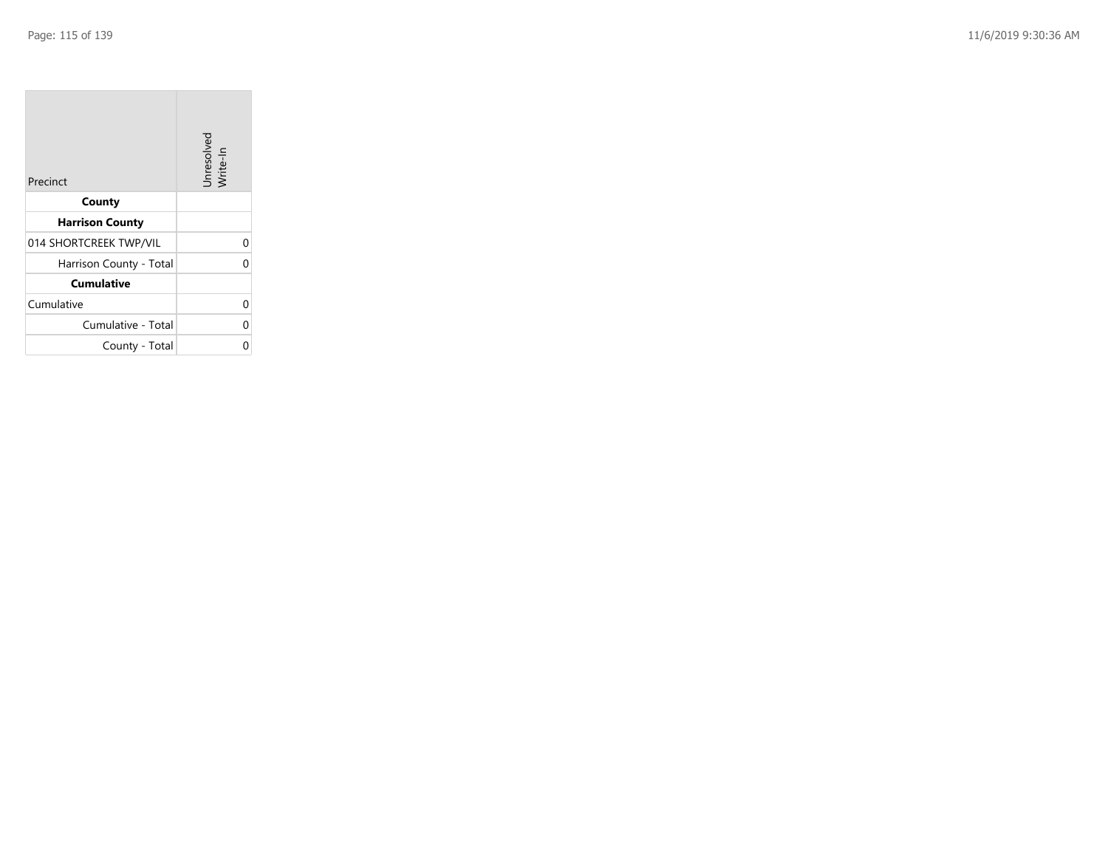| Precinct                | Unresolved<br>Write-In |
|-------------------------|------------------------|
| County                  |                        |
| <b>Harrison County</b>  |                        |
| 014 SHORTCREEK TWP/VIL  |                        |
| Harrison County - Total |                        |
| <b>Cumulative</b>       |                        |
| Cumulative              |                        |
| Cumulative - Total      |                        |
| County - Total          |                        |

the property of the con-

 $\overline{\phantom{a}}$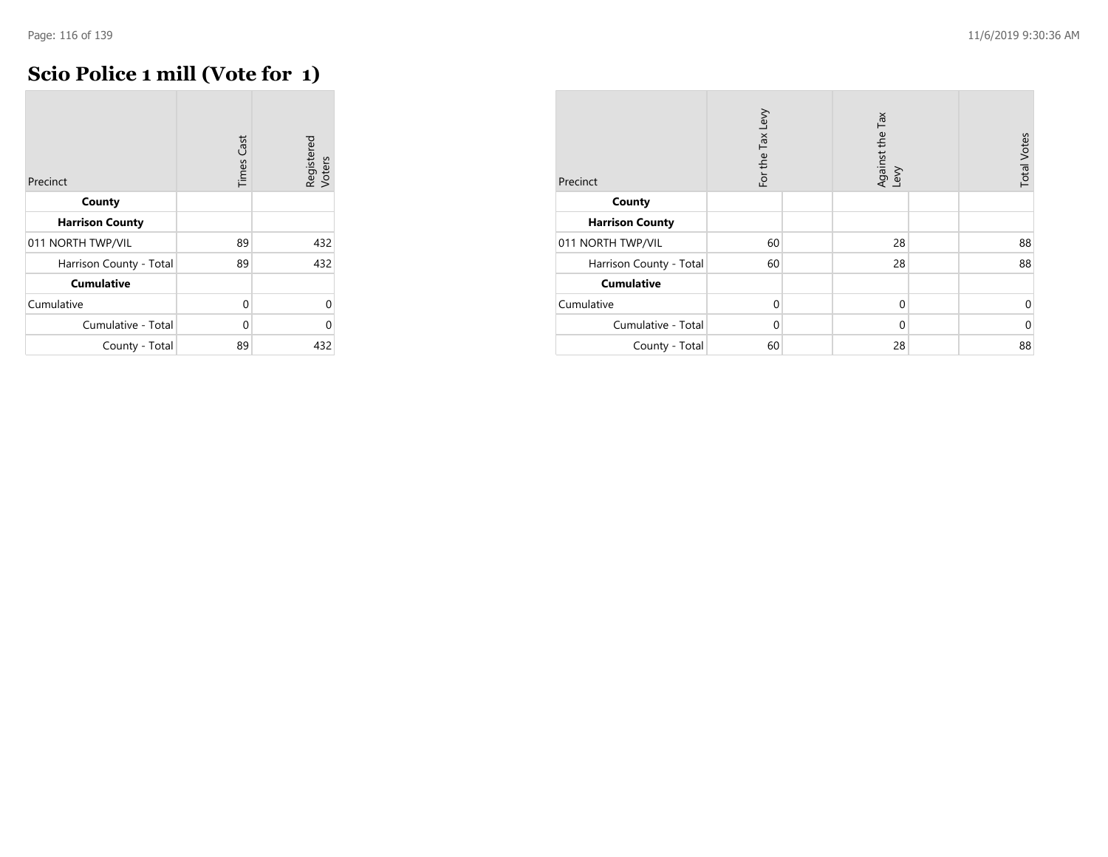# **Scio Police 1 mill (Vote for 1)**

| Precinct                | <b>Times Cast</b> | Registered<br>Voters |
|-------------------------|-------------------|----------------------|
| County                  |                   |                      |
| <b>Harrison County</b>  |                   |                      |
| 011 NORTH TWP/VIL       | 89                | 432                  |
| Harrison County - Total | 89                | 432                  |
| <b>Cumulative</b>       |                   |                      |
| Cumulative              | 0                 | Λ                    |
| Cumulative - Total      | 0                 |                      |
| County - Total          | 89                | 432                  |

| Precinct                | For the Tax Levy | Against the Tax<br>Levy | <b>Total Votes</b> |
|-------------------------|------------------|-------------------------|--------------------|
| County                  |                  |                         |                    |
| <b>Harrison County</b>  |                  |                         |                    |
| 011 NORTH TWP/VIL       | 60               | 28                      | 88                 |
| Harrison County - Total | 60               | 28                      | 88                 |
| <b>Cumulative</b>       |                  |                         |                    |
| Cumulative              | $\Omega$         | $\mathbf 0$             | 0                  |
| Cumulative - Total      | $\Omega$         | $\Omega$                | $\mathbf 0$        |
| County - Total          | 60               | 28                      | 88                 |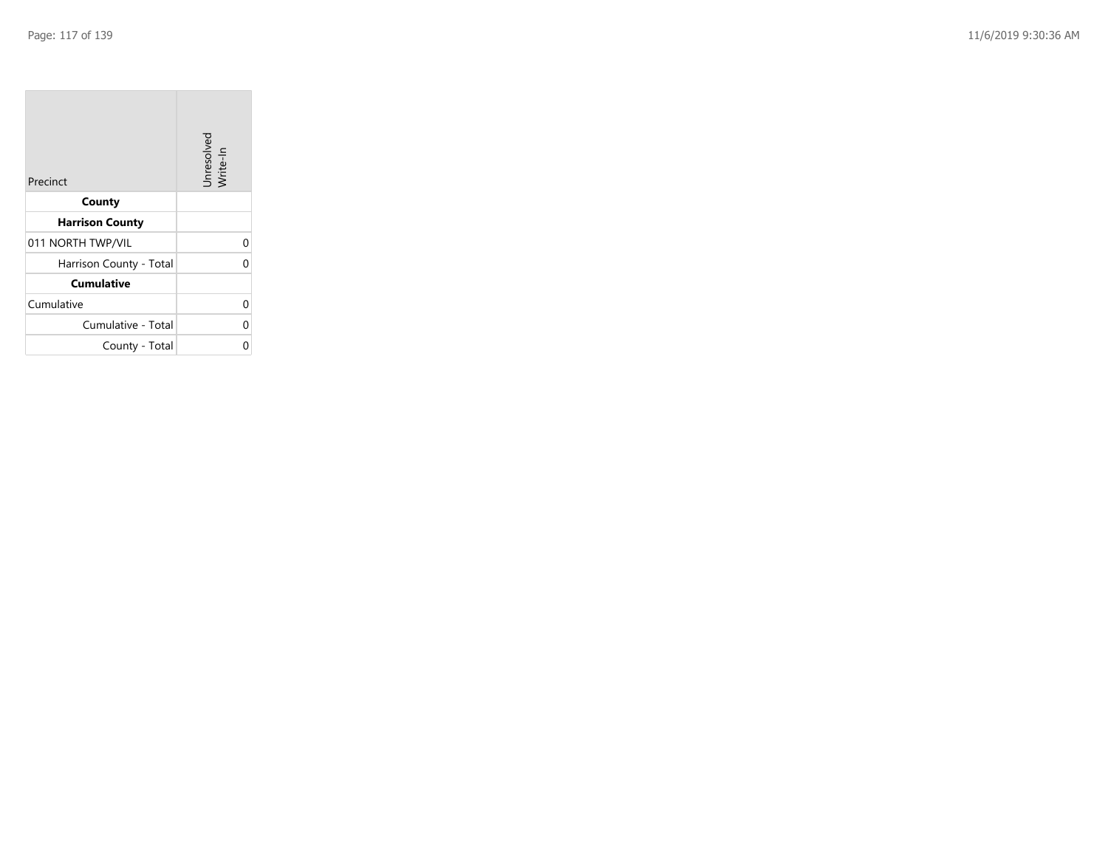| Precinct                | Unresolved<br>Write-In |
|-------------------------|------------------------|
| County                  |                        |
| <b>Harrison County</b>  |                        |
| 011 NORTH TWP/VIL       |                        |
| Harrison County - Total |                        |
| <b>Cumulative</b>       |                        |
| Cumulative              |                        |
| Cumulative - Total      |                        |
| County - Total          |                        |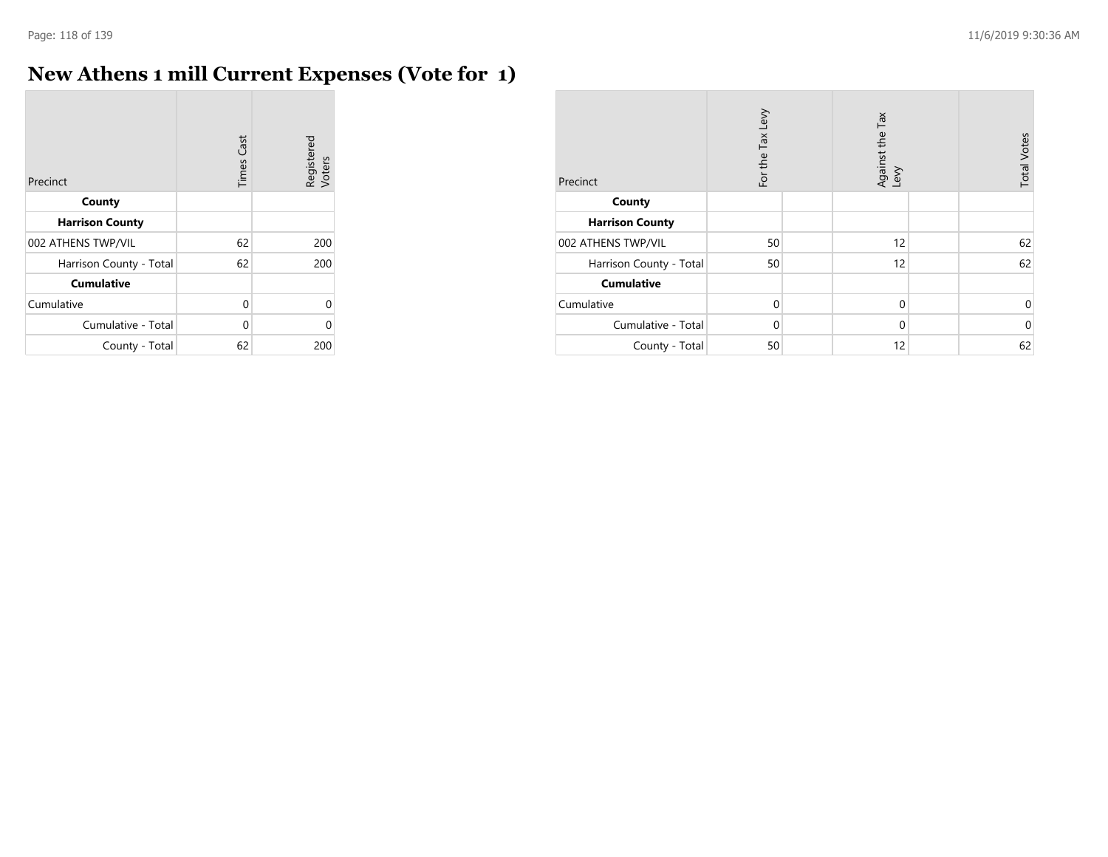÷

# **New Athens 1 mill Current Expenses (Vote for 1)**

| Precinct                | <b>Times Cast</b> | Registered<br>Voters |
|-------------------------|-------------------|----------------------|
| County                  |                   |                      |
| <b>Harrison County</b>  |                   |                      |
| 002 ATHENS TWP/VIL      | 62                | 200                  |
| Harrison County - Total | 62                | 200                  |
| <b>Cumulative</b>       |                   |                      |
| Cumulative              | 0                 | U                    |
| Cumulative - Total      | 0                 | U                    |
| County - Total          | 62                | 200                  |

| Precinct                | For the Tax Levy | Against the Tax<br>Levy | <b>Total Votes</b> |
|-------------------------|------------------|-------------------------|--------------------|
| County                  |                  |                         |                    |
| <b>Harrison County</b>  |                  |                         |                    |
| 002 ATHENS TWP/VIL      | 50               | 12                      | 62                 |
| Harrison County - Total | 50               | 12                      | 62                 |
| <b>Cumulative</b>       |                  |                         |                    |
| Cumulative              | $\mathbf 0$      | $\Omega$                | 0                  |
| Cumulative - Total      | 0                | $\Omega$                | $\mathbf 0$        |
| County - Total          | 50               | 12                      | 62                 |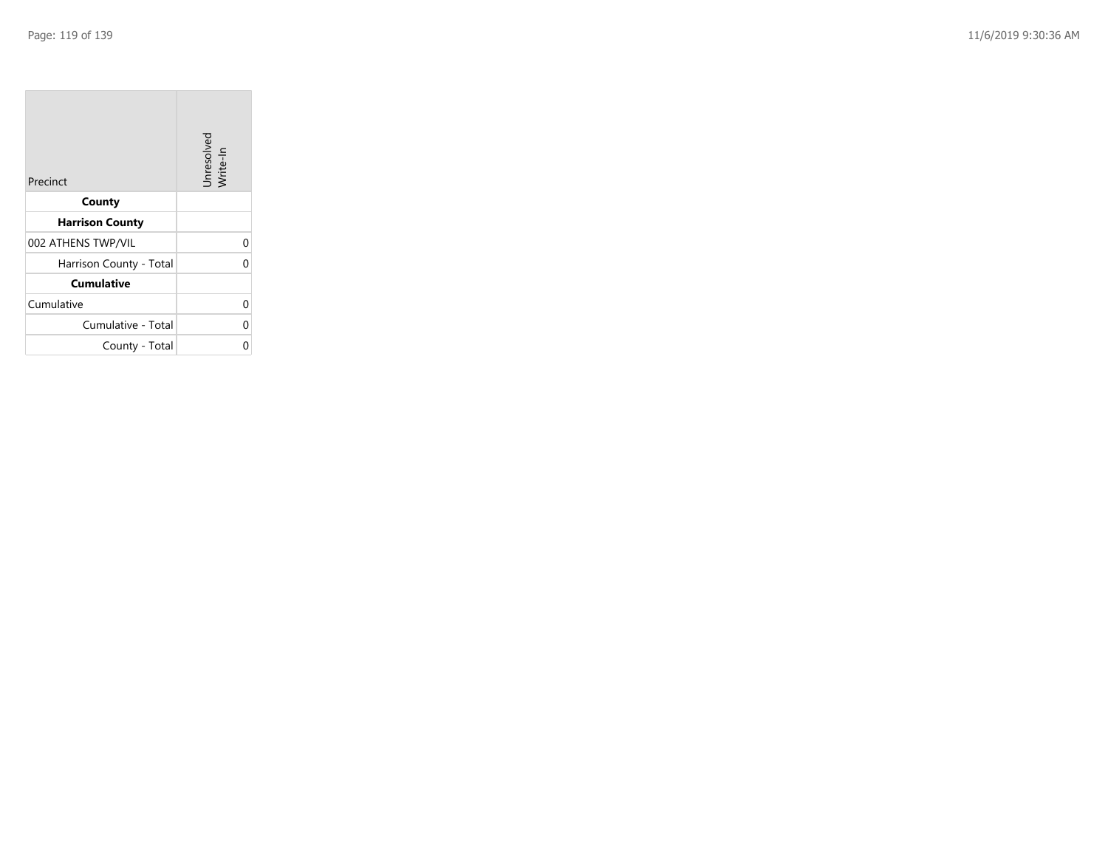| Precinct                | Unresolved<br>Write-In |
|-------------------------|------------------------|
| County                  |                        |
| <b>Harrison County</b>  |                        |
| 002 ATHENS TWP/VIL      |                        |
| Harrison County - Total |                        |
| <b>Cumulative</b>       |                        |
| Cumulative              |                        |
| Cumulative - Total      |                        |
| County - Total          |                        |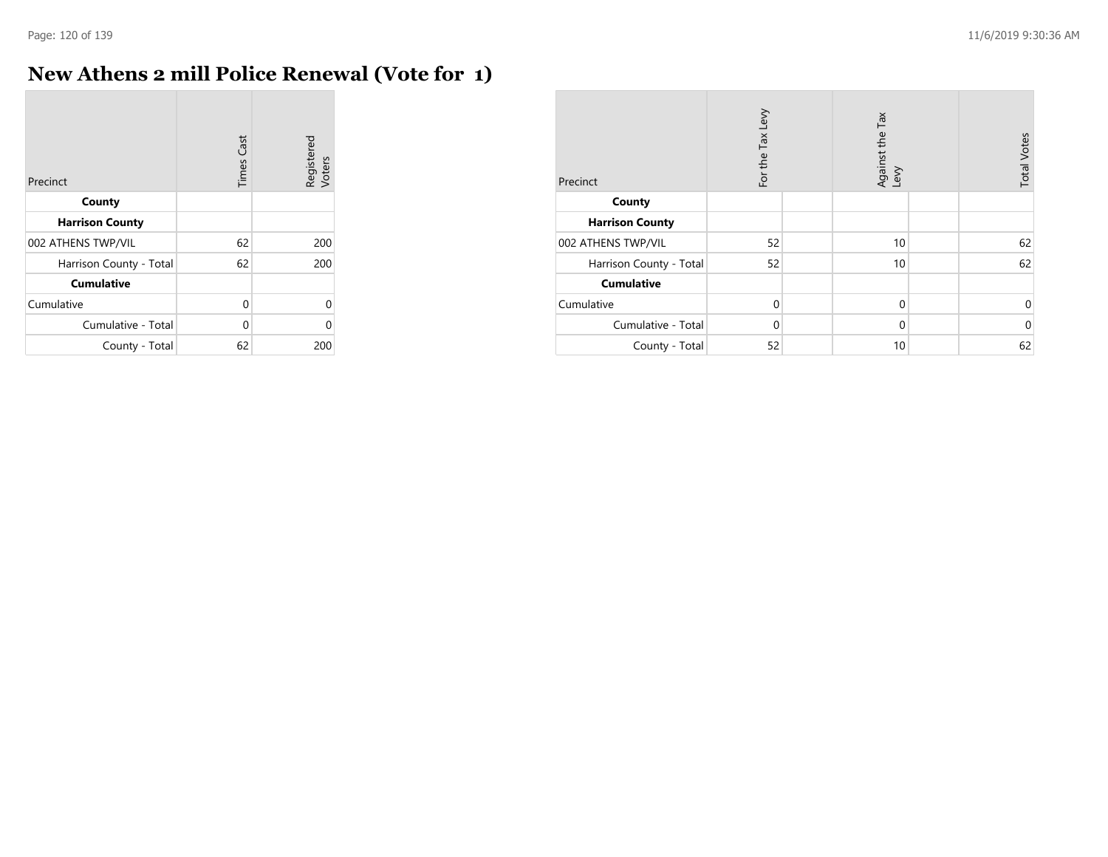**COL** 

# **New Athens 2 mill Police Renewal (Vote for 1)**

| Precinct                | <b>Times Cast</b> | Registered<br>Voters |
|-------------------------|-------------------|----------------------|
| County                  |                   |                      |
| <b>Harrison County</b>  |                   |                      |
| 002 ATHENS TWP/VIL      | 62                | 200                  |
| Harrison County - Total | 62                | 200                  |
| <b>Cumulative</b>       |                   |                      |
| Cumulative              | 0                 | U                    |
| Cumulative - Total      | 0                 | U                    |
| County - Total          | 62                | 200                  |

| Precinct                | For the Tax Levy | Tax<br>Against the T<br>Levy | <b>Total Votes</b> |
|-------------------------|------------------|------------------------------|--------------------|
| County                  |                  |                              |                    |
| <b>Harrison County</b>  |                  |                              |                    |
| 002 ATHENS TWP/VIL      | 52               | 10                           | 62                 |
| Harrison County - Total | 52               | 10                           | 62                 |
| <b>Cumulative</b>       |                  |                              |                    |
| Cumulative              | $\Omega$         | $\mathbf 0$                  | 0                  |
| Cumulative - Total      | $\Omega$         | $\mathbf 0$                  | $\mathbf 0$        |
| County - Total          | 52               | 10                           | 62                 |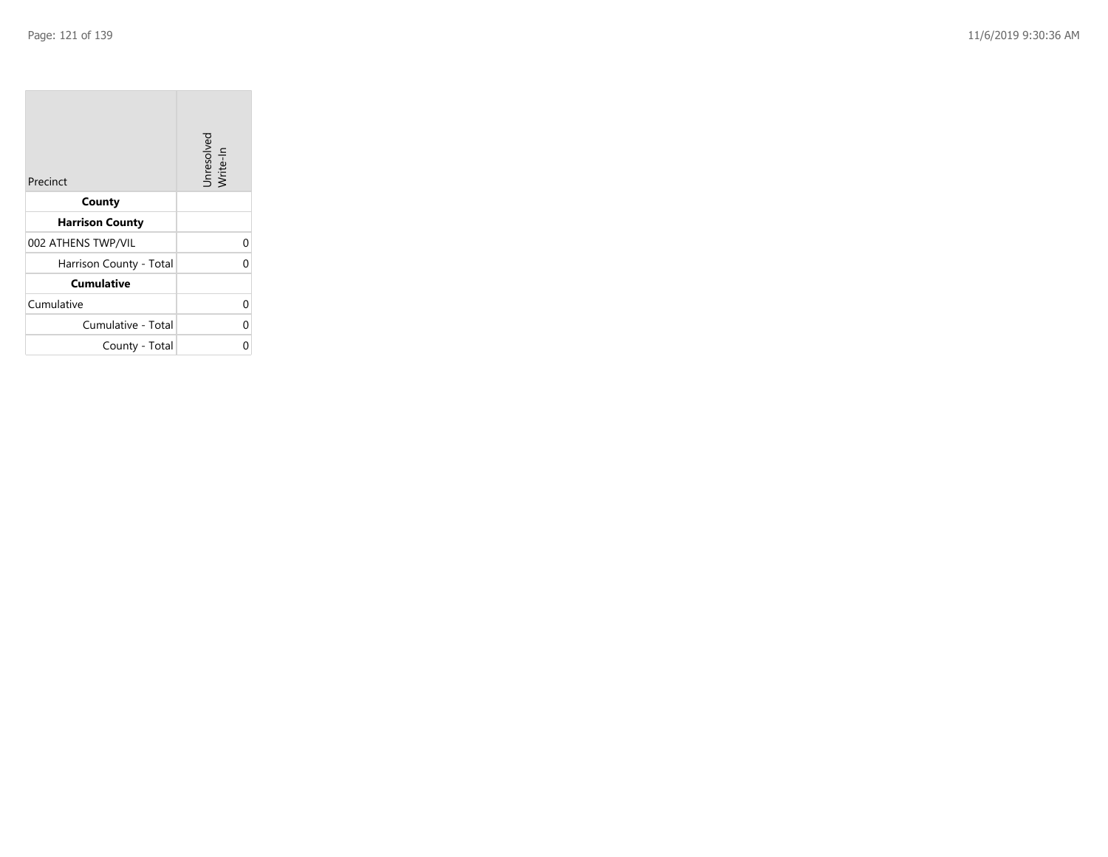| Precinct                | Unresolved<br>Write-In |
|-------------------------|------------------------|
| County                  |                        |
| <b>Harrison County</b>  |                        |
| 002 ATHENS TWP/VIL      |                        |
| Harrison County - Total |                        |
| <b>Cumulative</b>       |                        |
| Cumulative              |                        |
| Cumulative - Total      |                        |
| County - Total          |                        |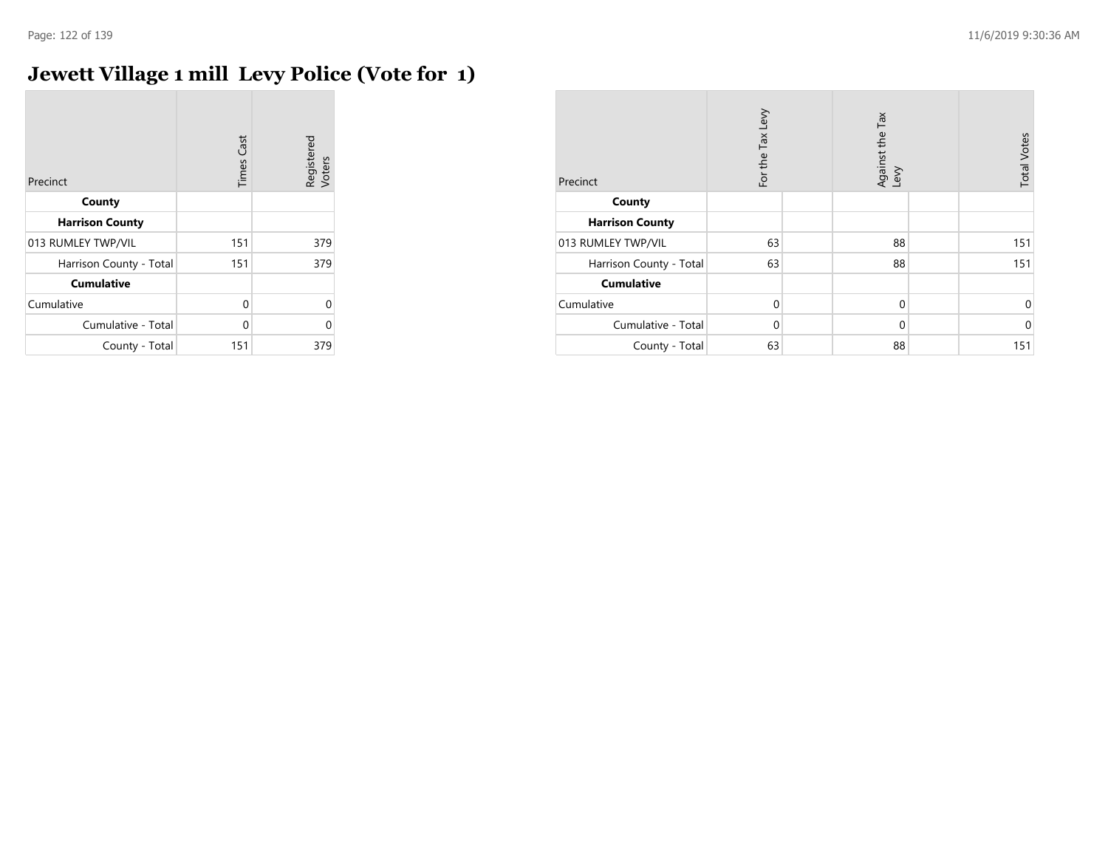# **Jewett Village 1 mill Levy Police (Vote for 1)**

| Precinct                | <b>Times Cast</b> | Registered<br>Voters |
|-------------------------|-------------------|----------------------|
| County                  |                   |                      |
| <b>Harrison County</b>  |                   |                      |
| 013 RUMLEY TWP/VIL      | 151               | 379                  |
| Harrison County - Total | 151               | 379                  |
| <b>Cumulative</b>       |                   |                      |
| Cumulative              | 0                 | $\Omega$             |
| Cumulative - Total      | U                 | O                    |
| County - Total          | 151               | 379                  |

| Precinct                | For the Tax Levy | Against the Tax<br>Levy | <b>Total Votes</b> |
|-------------------------|------------------|-------------------------|--------------------|
| County                  |                  |                         |                    |
| <b>Harrison County</b>  |                  |                         |                    |
| 013 RUMLEY TWP/VIL      | 63               | 88                      | 151                |
| Harrison County - Total | 63               | 88                      | 151                |
| <b>Cumulative</b>       |                  |                         |                    |
| Cumulative              | $\Omega$         | $\mathbf 0$             | 0                  |
| Cumulative - Total      | $\Omega$         | $\mathbf 0$             | $\Omega$           |
| County - Total          | 63               | 88                      | 151                |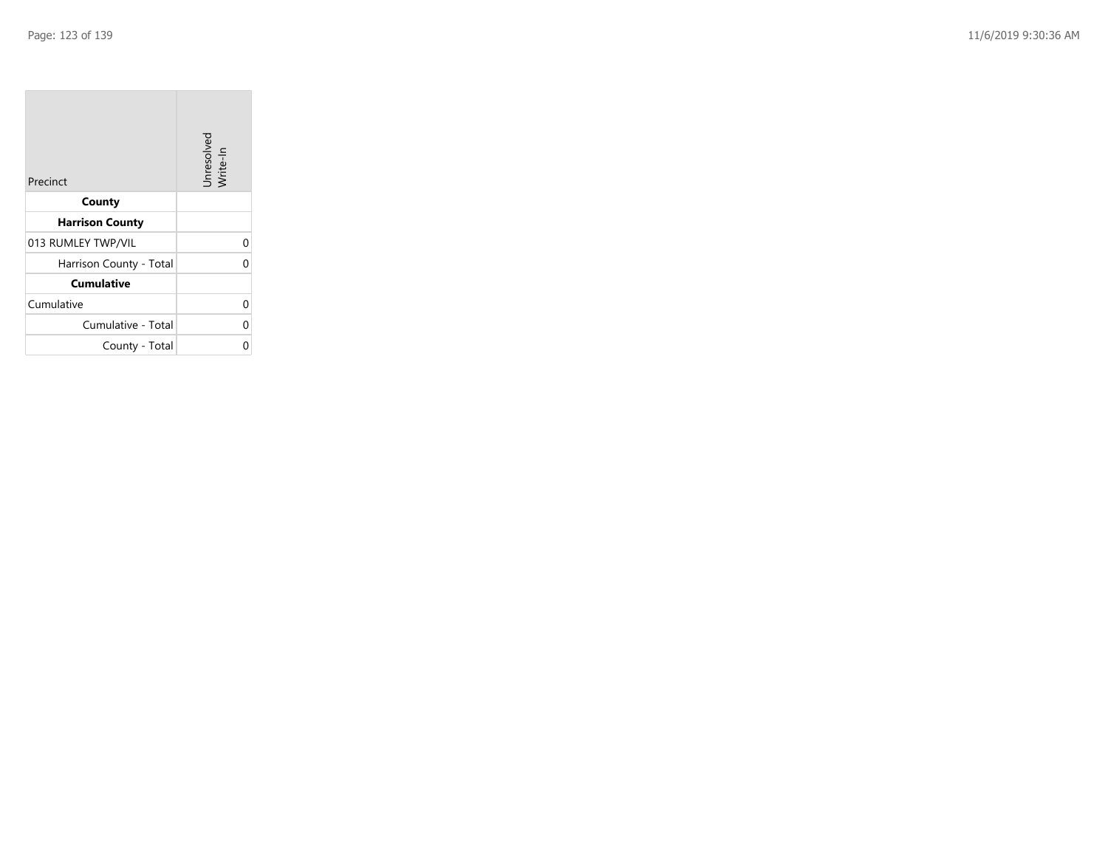| Precinct                | Unresolved<br>Write-In |
|-------------------------|------------------------|
| County                  |                        |
| <b>Harrison County</b>  |                        |
| 013 RUMLEY TWP/VIL      | 0                      |
| Harrison County - Total | በ                      |
| <b>Cumulative</b>       |                        |
| Cumulative              | 0                      |
| Cumulative - Total      | ი                      |
| County - Total          |                        |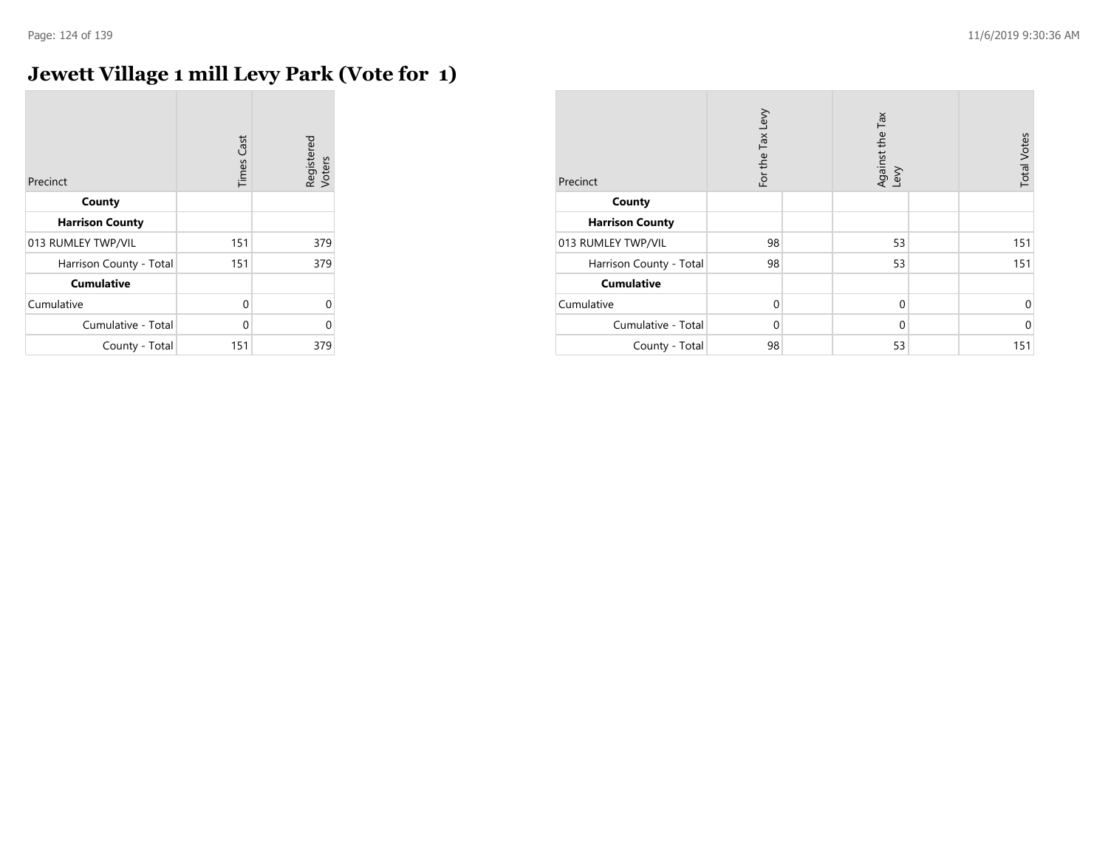$\overline{\phantom{a}}$ 

# **Jewett Village 1 mill Levy Park (Vote for 1)**

| Precinct                | <b>Times Cast</b> | Registered<br>Voters |
|-------------------------|-------------------|----------------------|
| County                  |                   |                      |
| <b>Harrison County</b>  |                   |                      |
| 013 RUMLEY TWP/VIL      | 151               | 379                  |
| Harrison County - Total | 151               | 379                  |
| <b>Cumulative</b>       |                   |                      |
| Cumulative              | $\Omega$          | $\Omega$             |
| Cumulative - Total      | U                 | 0                    |
| County - Total          | 151               | 379                  |

| Precinct                | For the Tax Levy | Against the Tax<br>Levy | <b>Total Votes</b> |
|-------------------------|------------------|-------------------------|--------------------|
| County                  |                  |                         |                    |
| <b>Harrison County</b>  |                  |                         |                    |
| 013 RUMLEY TWP/VIL      | 98               | 53                      | 151                |
| Harrison County - Total | 98               | 53                      | 151                |
| <b>Cumulative</b>       |                  |                         |                    |
| Cumulative              | $\mathbf 0$      | $\mathbf 0$             | 0                  |
| Cumulative - Total      | $\Omega$         | $\mathbf 0$             | $\Omega$           |
| County - Total          | 98               | 53                      | 151                |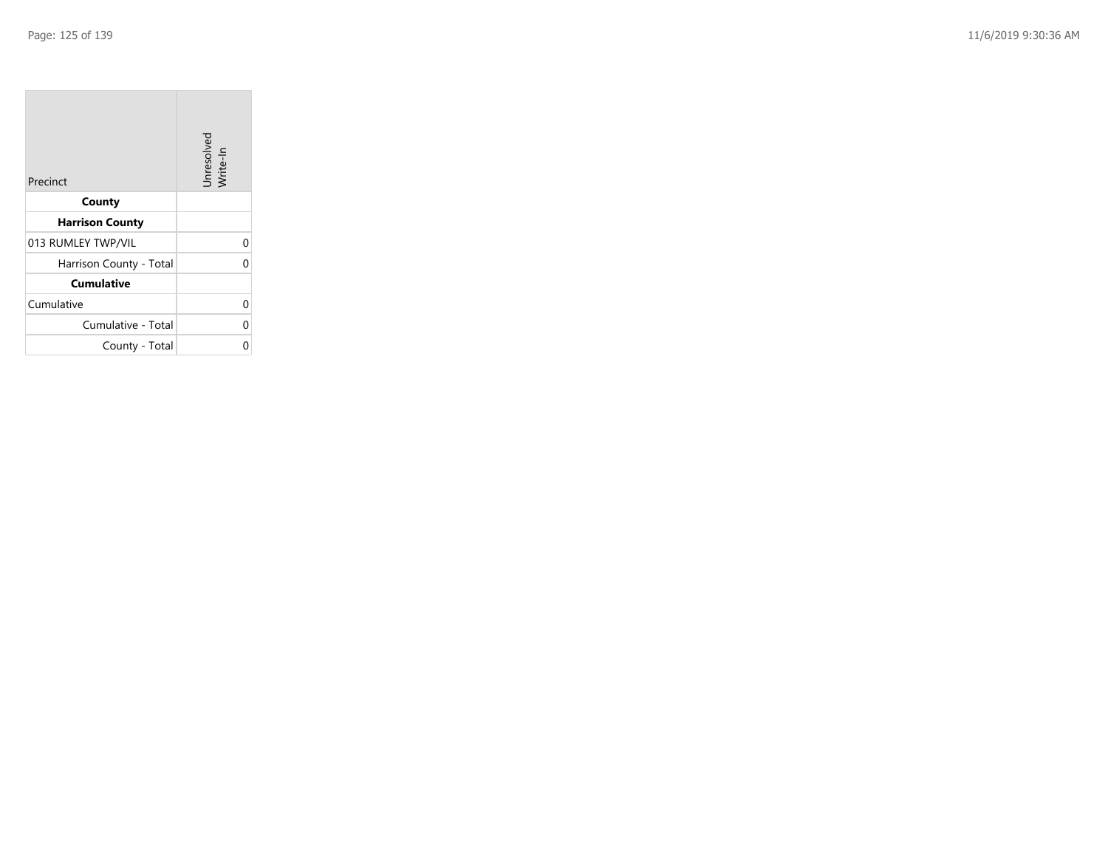| Precinct                | Unresolved<br>Write-In |
|-------------------------|------------------------|
| County                  |                        |
| <b>Harrison County</b>  |                        |
| 013 RUMLEY TWP/VIL      |                        |
| Harrison County - Total |                        |
| <b>Cumulative</b>       |                        |
| Cumulative              |                        |
| Cumulative - Total      |                        |
| County - Total          |                        |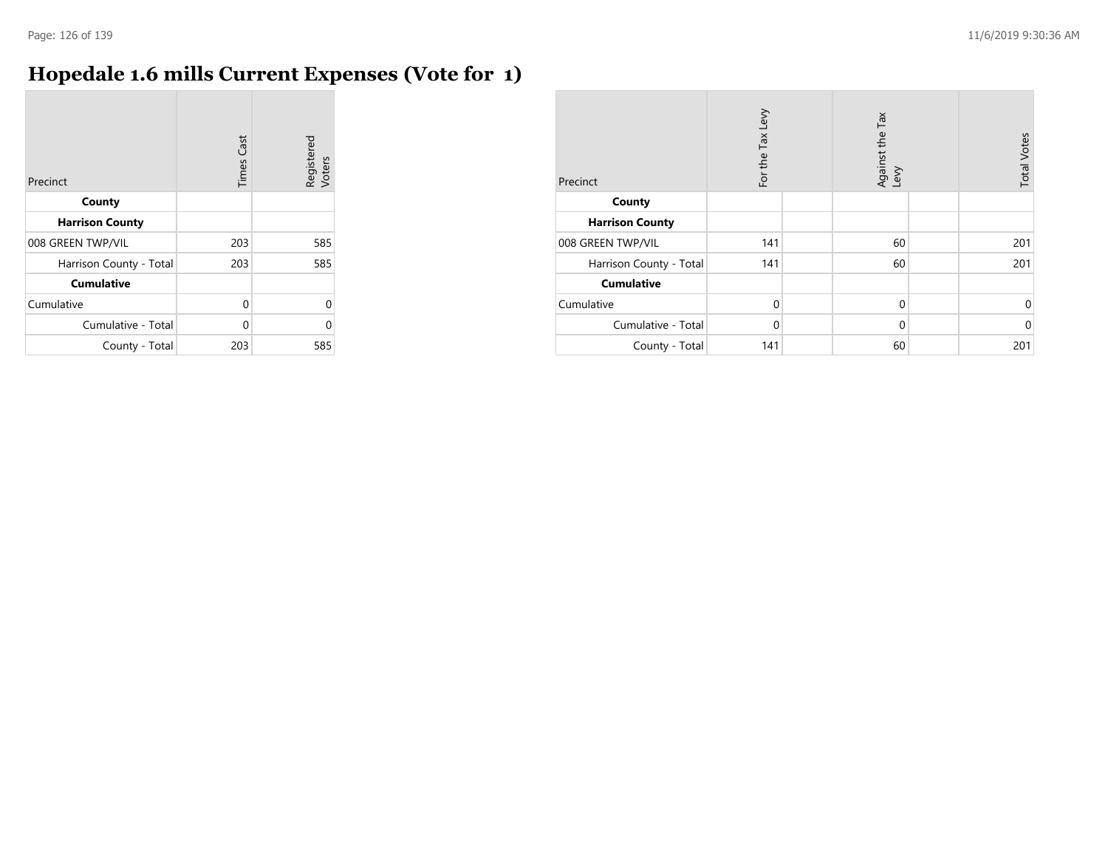# **Hopedale 1.6 mills Current Expenses (Vote for 1)**

| Precinct                | Cast<br>Times | Registered<br>Voters |
|-------------------------|---------------|----------------------|
| County                  |               |                      |
| <b>Harrison County</b>  |               |                      |
| 008 GREEN TWP/VIL       | 203           | 585                  |
| Harrison County - Total | 203           | 585                  |
| <b>Cumulative</b>       |               |                      |
| Cumulative              | 0             | U                    |
| Cumulative - Total      | 0             | Λ                    |
| County - Total          | 203           | 585                  |

| Precinct                | For the Tax Levy | Against the Tax<br>Levy | <b>Total Votes</b> |
|-------------------------|------------------|-------------------------|--------------------|
| County                  |                  |                         |                    |
| <b>Harrison County</b>  |                  |                         |                    |
| 008 GREEN TWP/VIL       | 141              | 60                      | 201                |
| Harrison County - Total | 141              | 60                      | 201                |
| <b>Cumulative</b>       |                  |                         |                    |
| Cumulative              | $\Omega$         | $\mathbf 0$             | 0                  |
| Cumulative - Total      | $\Omega$         | 0                       | $\mathbf 0$        |
| County - Total          | 141              | 60                      | 201                |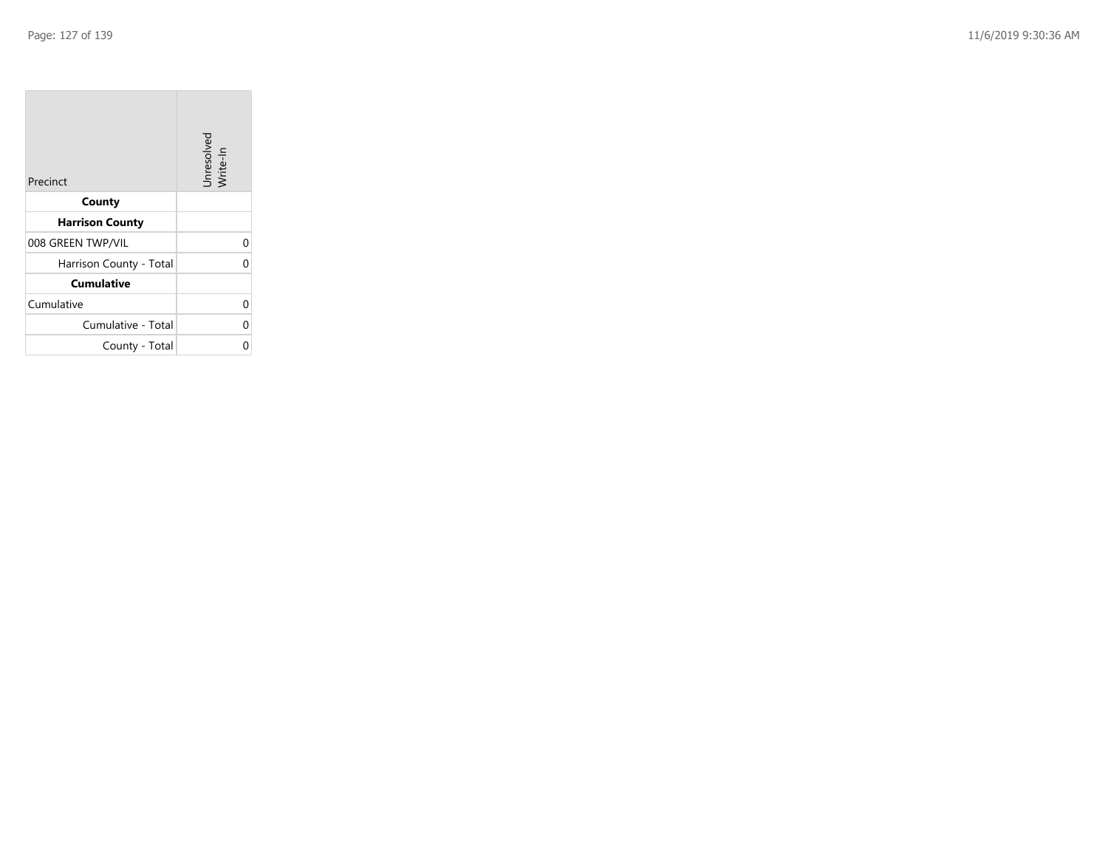| Precinct                | Unresolved<br>Write-In |
|-------------------------|------------------------|
| County                  |                        |
| <b>Harrison County</b>  |                        |
| 008 GREEN TWP/VIL       |                        |
| Harrison County - Total |                        |
| <b>Cumulative</b>       |                        |
| Cumulative              |                        |
| Cumulative - Total      |                        |
| County - Total          |                        |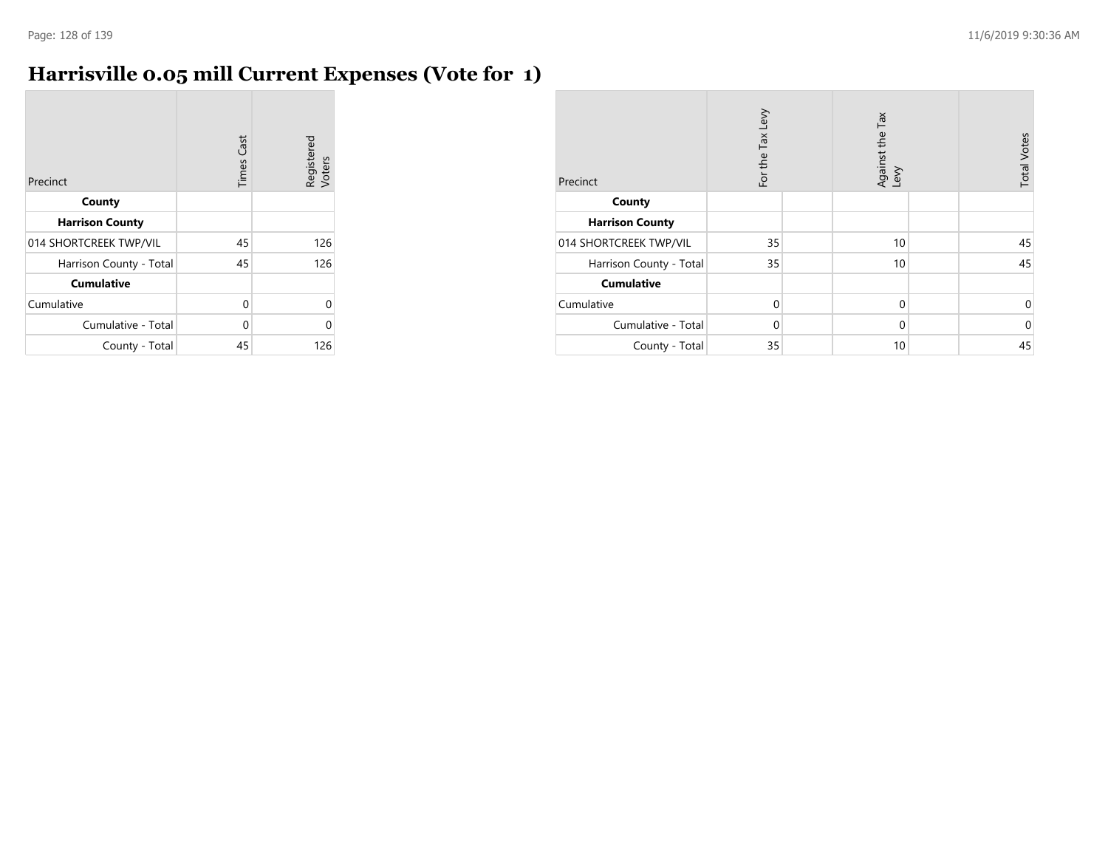# **Harrisville 0.05 mill Current Expenses (Vote for 1)**

| Precinct                | Cast<br>Times | Registered<br>Voters |
|-------------------------|---------------|----------------------|
| County                  |               |                      |
| <b>Harrison County</b>  |               |                      |
| 014 SHORTCREEK TWP/VIL  | 45            | 126                  |
| Harrison County - Total | 45            | 126                  |
| <b>Cumulative</b>       |               |                      |
| Cumulative              | 0             |                      |
| Cumulative - Total      | 0             |                      |
| County - Total          | 45            | 126                  |

| Precinct                | For the Tax Levy | Tax<br>Against the T<br>Levy | <b>Total Votes</b> |
|-------------------------|------------------|------------------------------|--------------------|
| County                  |                  |                              |                    |
| <b>Harrison County</b>  |                  |                              |                    |
| 014 SHORTCREEK TWP/VIL  | 35               | 10                           | 45                 |
| Harrison County - Total | 35               | 10                           | 45                 |
| <b>Cumulative</b>       |                  |                              |                    |
| Cumulative              | $\Omega$         | $\mathbf 0$                  | 0                  |
| Cumulative - Total      | $\Omega$         | 0                            | $\mathbf 0$        |
| County - Total          | 35               | 10                           | 45                 |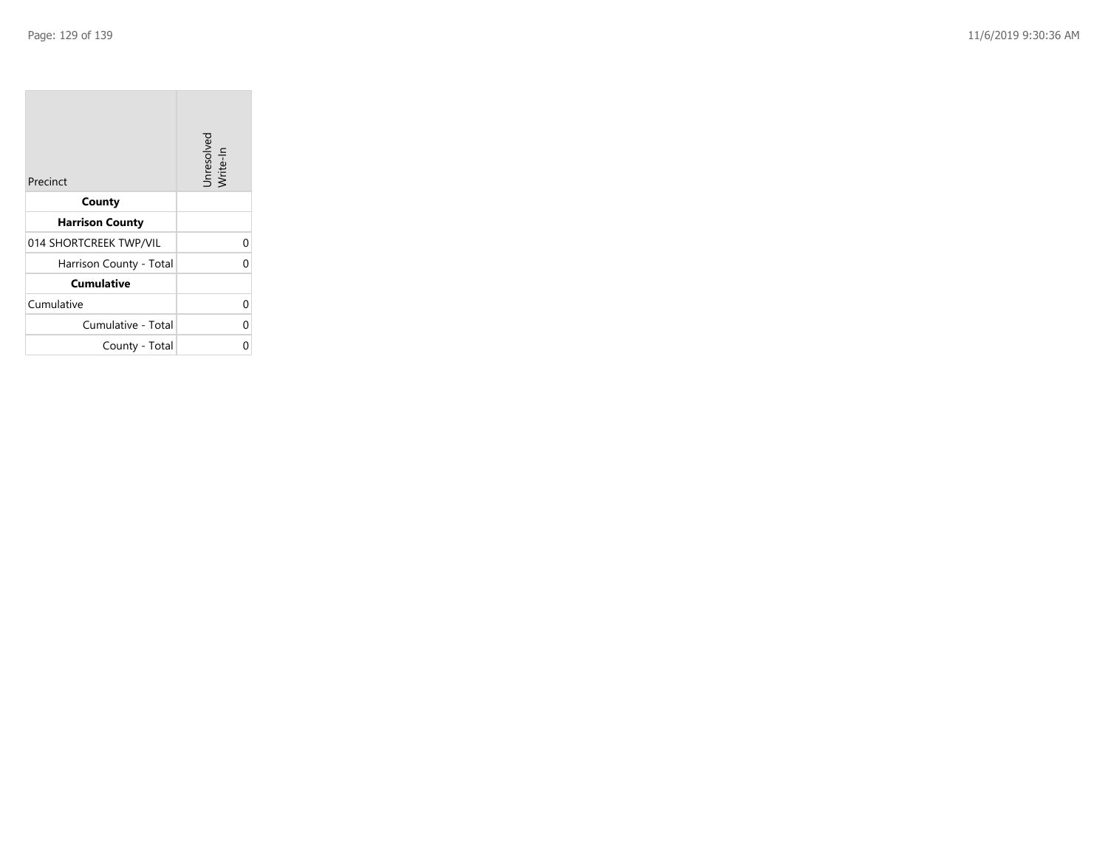| Precinct                | Unresolved<br>Write-In |
|-------------------------|------------------------|
| County                  |                        |
| <b>Harrison County</b>  |                        |
| 014 SHORTCREEK TWP/VIL  |                        |
| Harrison County - Total |                        |
| <b>Cumulative</b>       |                        |
| Cumulative              |                        |
| Cumulative - Total      |                        |
| County - Total          |                        |

the property of the con-

 $\overline{\phantom{a}}$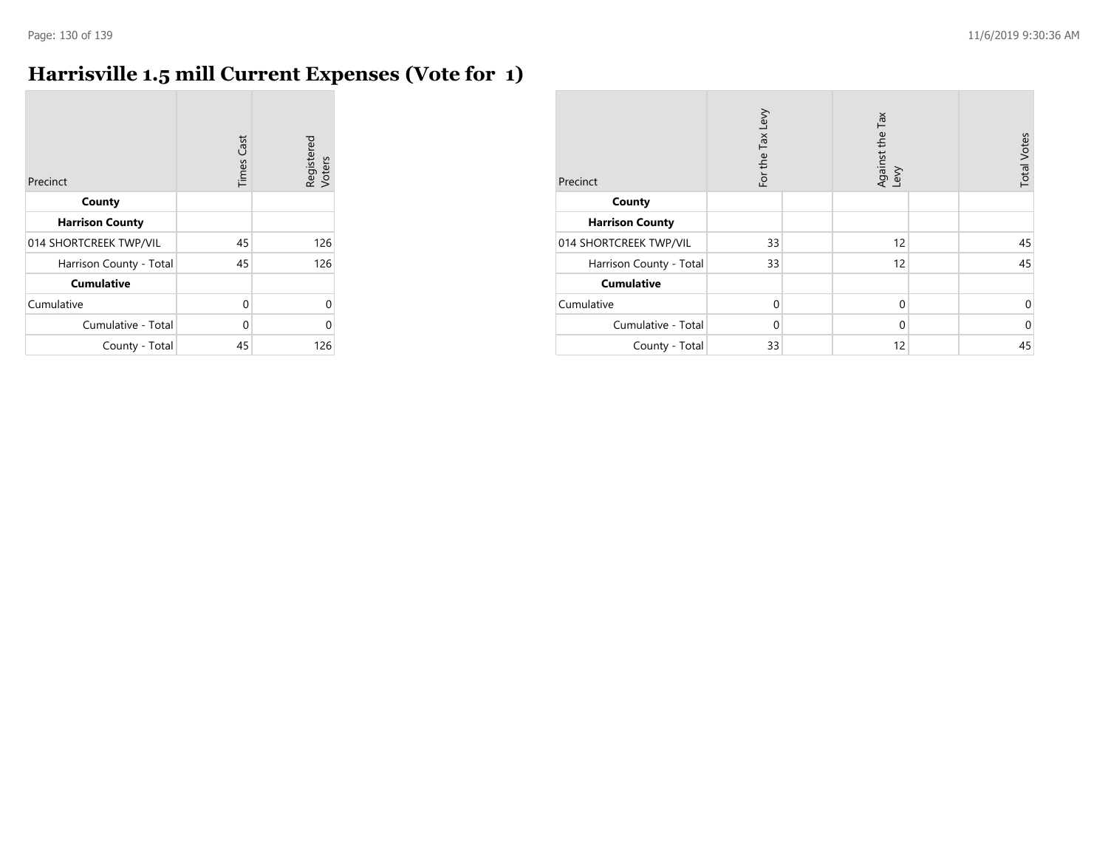# **Harrisville 1.5 mill Current Expenses (Vote for 1)**

| Precinct                | Cast<br>Times | Registered<br>Voters |
|-------------------------|---------------|----------------------|
| County                  |               |                      |
| <b>Harrison County</b>  |               |                      |
| 014 SHORTCREEK TWP/VIL  | 45            | 126                  |
| Harrison County - Total | 45            | 126                  |
| <b>Cumulative</b>       |               |                      |
| Cumulative              | 0             | Λ                    |
| Cumulative - Total      | 0             | Λ                    |
| County - Total          | 45            | 126                  |

| Precinct                | For the Tax Levy | Against the Tax<br>Levy | <b>Total Votes</b> |
|-------------------------|------------------|-------------------------|--------------------|
| County                  |                  |                         |                    |
| <b>Harrison County</b>  |                  |                         |                    |
| 014 SHORTCREEK TWP/VIL  | 33               | 12                      | 45                 |
| Harrison County - Total | 33               | 12                      | 45                 |
| <b>Cumulative</b>       |                  |                         |                    |
| Cumulative              | $\Omega$         | $\mathbf 0$             | 0                  |
| Cumulative - Total      | $\Omega$         | $\mathbf 0$             | $\mathbf 0$        |
| County - Total          | 33               | 12                      | 45                 |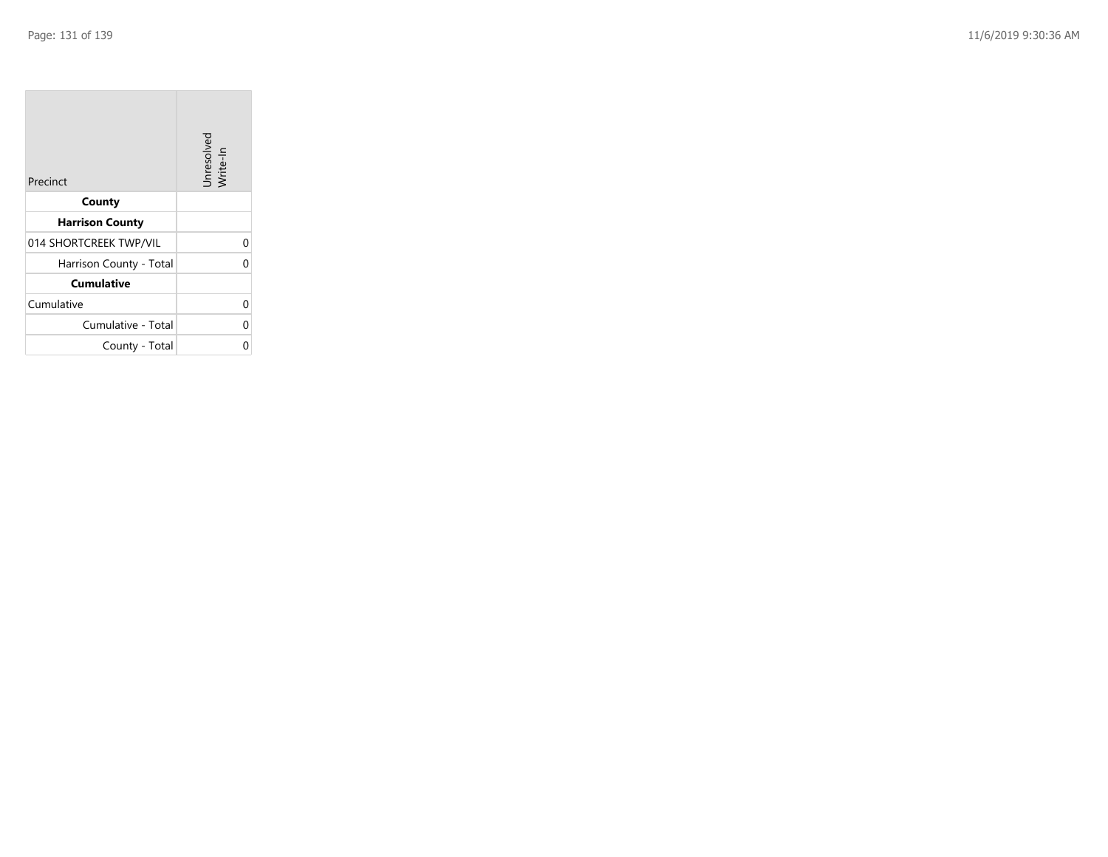| Precinct                | Unresolved<br>Write-In |
|-------------------------|------------------------|
| County                  |                        |
| <b>Harrison County</b>  |                        |
| 014 SHORTCREEK TWP/VIL  |                        |
| Harrison County - Total |                        |
| <b>Cumulative</b>       |                        |
| Cumulative              |                        |
| Cumulative - Total      |                        |
| County - Total          |                        |

the property of the con-

 $\overline{\phantom{a}}$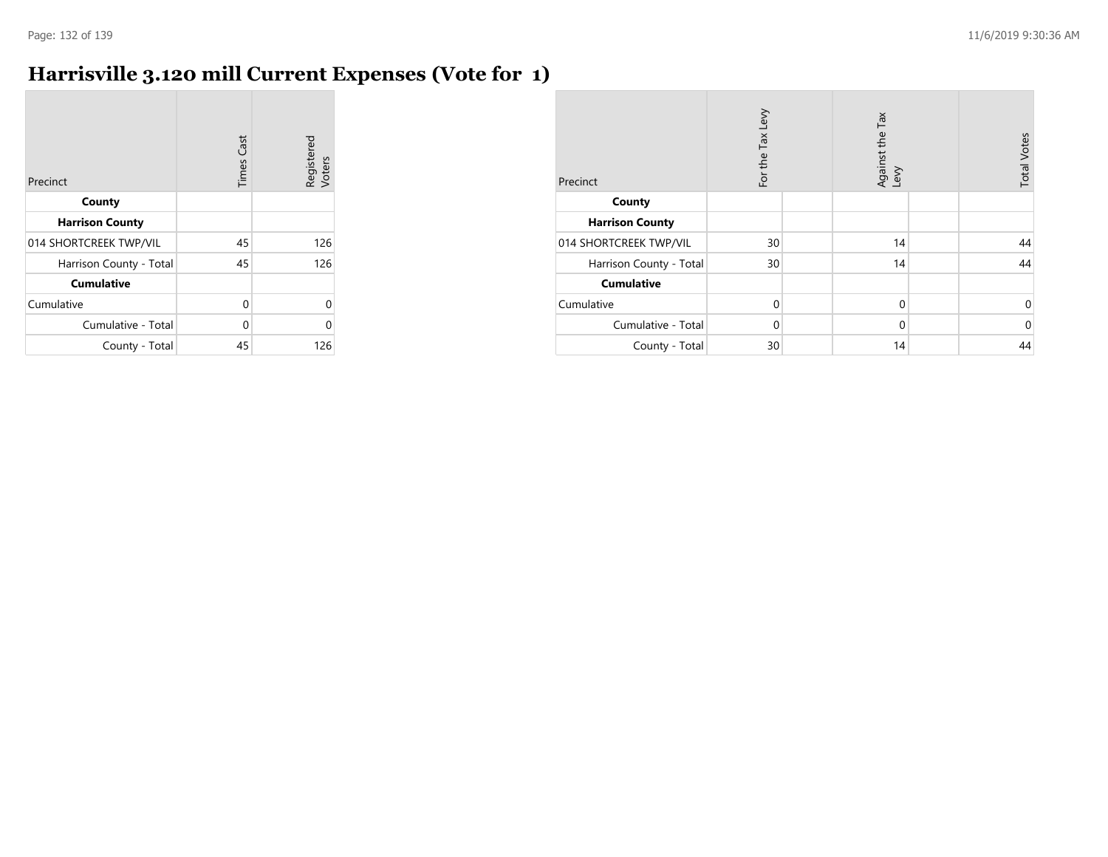# **Harrisville 3.120 mill Current Expenses (Vote for 1)**

| Precinct                | <b>Times Cast</b> | Registered<br>Voters |
|-------------------------|-------------------|----------------------|
| County                  |                   |                      |
| <b>Harrison County</b>  |                   |                      |
| 014 SHORTCREEK TWP/VIL  | 45                | 126                  |
| Harrison County - Total | 45                | 126                  |
| <b>Cumulative</b>       |                   |                      |
| Cumulative              | 0                 |                      |
| Cumulative - Total      | 0                 |                      |
| County - Total          | 45                | 126                  |

| Precinct                | For the Tax Levy | Tax<br>Against the T<br>Levy | <b>Total Votes</b> |
|-------------------------|------------------|------------------------------|--------------------|
| County                  |                  |                              |                    |
| <b>Harrison County</b>  |                  |                              |                    |
| 014 SHORTCREEK TWP/VIL  | 30               | 14                           | 44                 |
| Harrison County - Total | 30               | 14                           | 44                 |
| <b>Cumulative</b>       |                  |                              |                    |
| Cumulative              | $\Omega$         | $\mathbf 0$                  | 0                  |
| Cumulative - Total      | $\Omega$         | $\mathbf 0$                  | $\mathbf 0$        |
| County - Total          | 30               | 14                           | 44                 |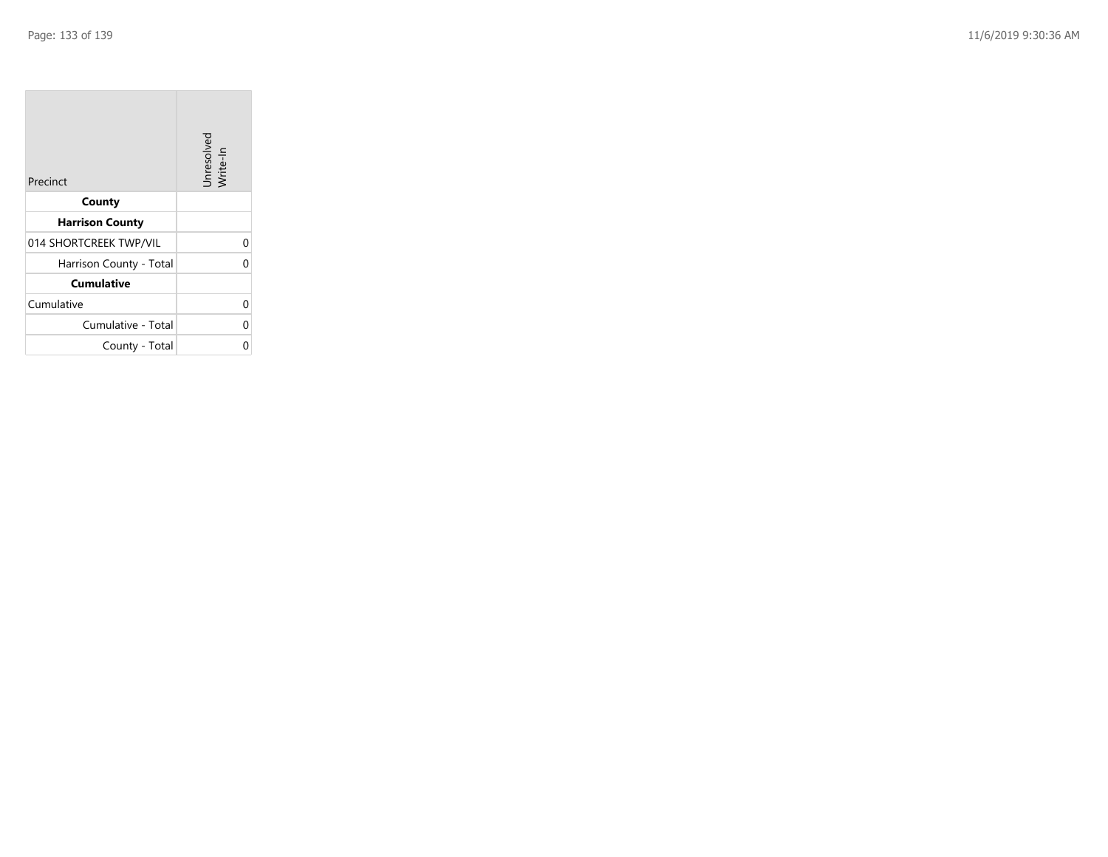| Precinct                | Unresolved<br>Write-In |
|-------------------------|------------------------|
| County                  |                        |
| <b>Harrison County</b>  |                        |
| 014 SHORTCREEK TWP/VIL  | 0                      |
| Harrison County - Total | O                      |
| <b>Cumulative</b>       |                        |
| Cumulative              | 0                      |
| Cumulative - Total      | 0                      |
| County - Total          |                        |

the property of the con-

 $\overline{\phantom{a}}$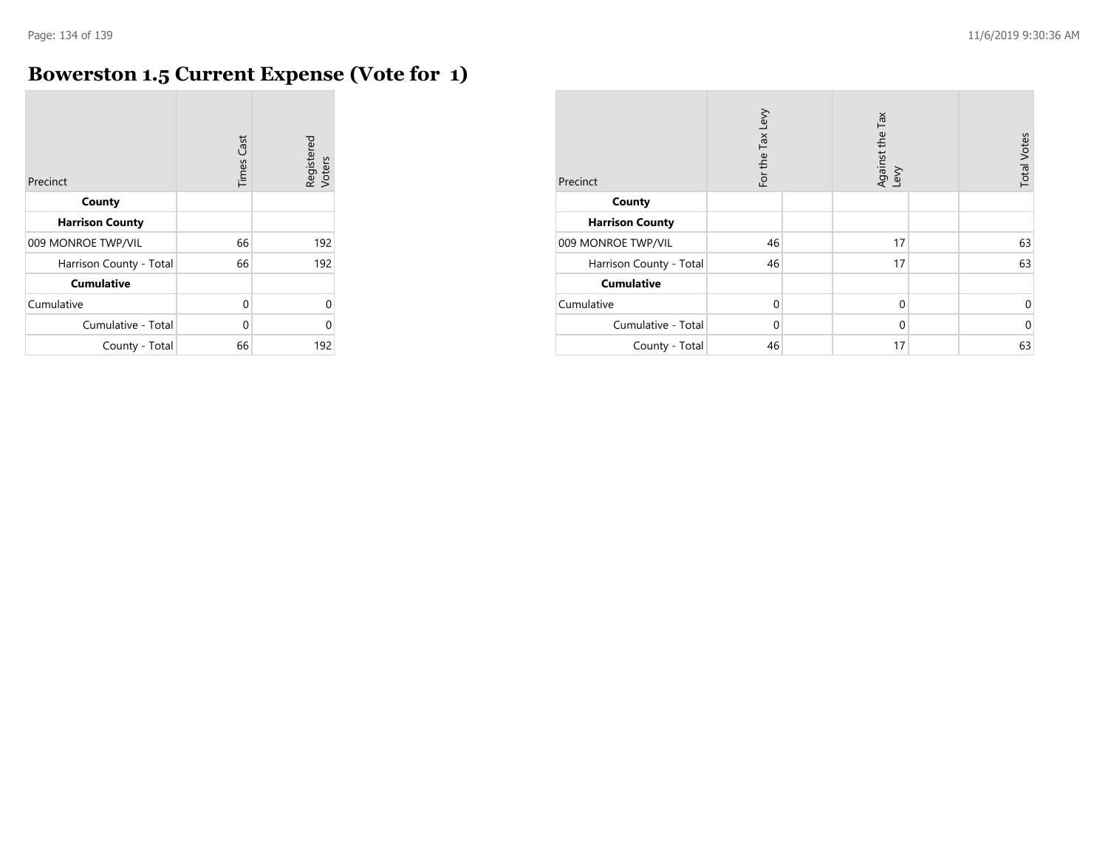r.

# **Bowerston 1.5 Current Expense (Vote for 1)**

| Precinct                | <b>Times Cast</b> | Registered<br>Voters |
|-------------------------|-------------------|----------------------|
| County                  |                   |                      |
| <b>Harrison County</b>  |                   |                      |
| 009 MONROE TWP/VIL      | 66                | 192                  |
| Harrison County - Total | 66                | 192                  |
| <b>Cumulative</b>       |                   |                      |
| Cumulative              | 0                 | $\Omega$             |
| Cumulative - Total      | 0                 | $\Omega$             |
| County - Total          | 66                | 192                  |

| Precinct                | For the Tax Levy | Tax<br>Against the T<br>Levy | <b>Total Votes</b> |
|-------------------------|------------------|------------------------------|--------------------|
| County                  |                  |                              |                    |
| <b>Harrison County</b>  |                  |                              |                    |
| 009 MONROE TWP/VIL      | 46               | 17                           | 63                 |
| Harrison County - Total | 46               | 17                           | 63                 |
| <b>Cumulative</b>       |                  |                              |                    |
| Cumulative              | $\Omega$         | $\mathbf 0$                  | 0                  |
| Cumulative - Total      | $\Omega$         | $\mathbf 0$                  | $\mathbf 0$        |
| County - Total          | 46               | 17                           | 63                 |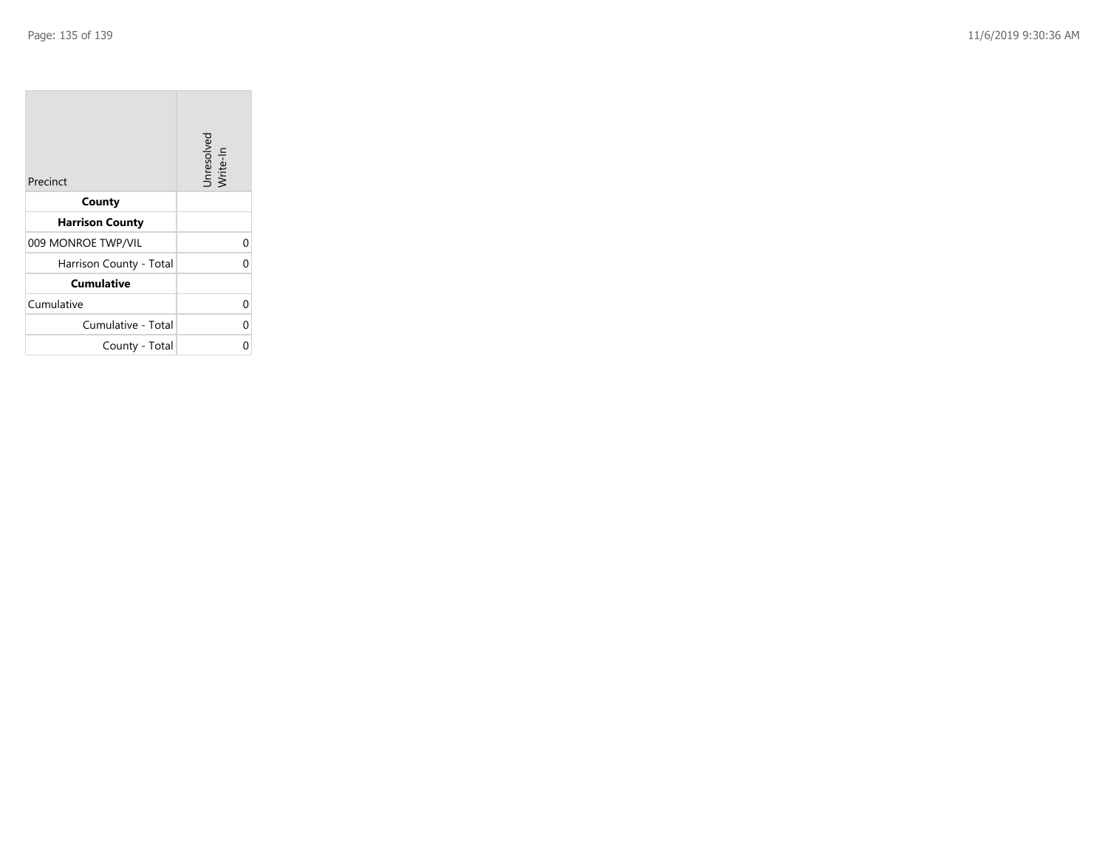| Precinct                | Unresolved<br>Write-In |
|-------------------------|------------------------|
| County                  |                        |
| <b>Harrison County</b>  |                        |
| 009 MONROE TWP/VIL      |                        |
| Harrison County - Total |                        |
| <b>Cumulative</b>       |                        |
| Cumulative              |                        |
| Cumulative - Total      |                        |
| County - Total          |                        |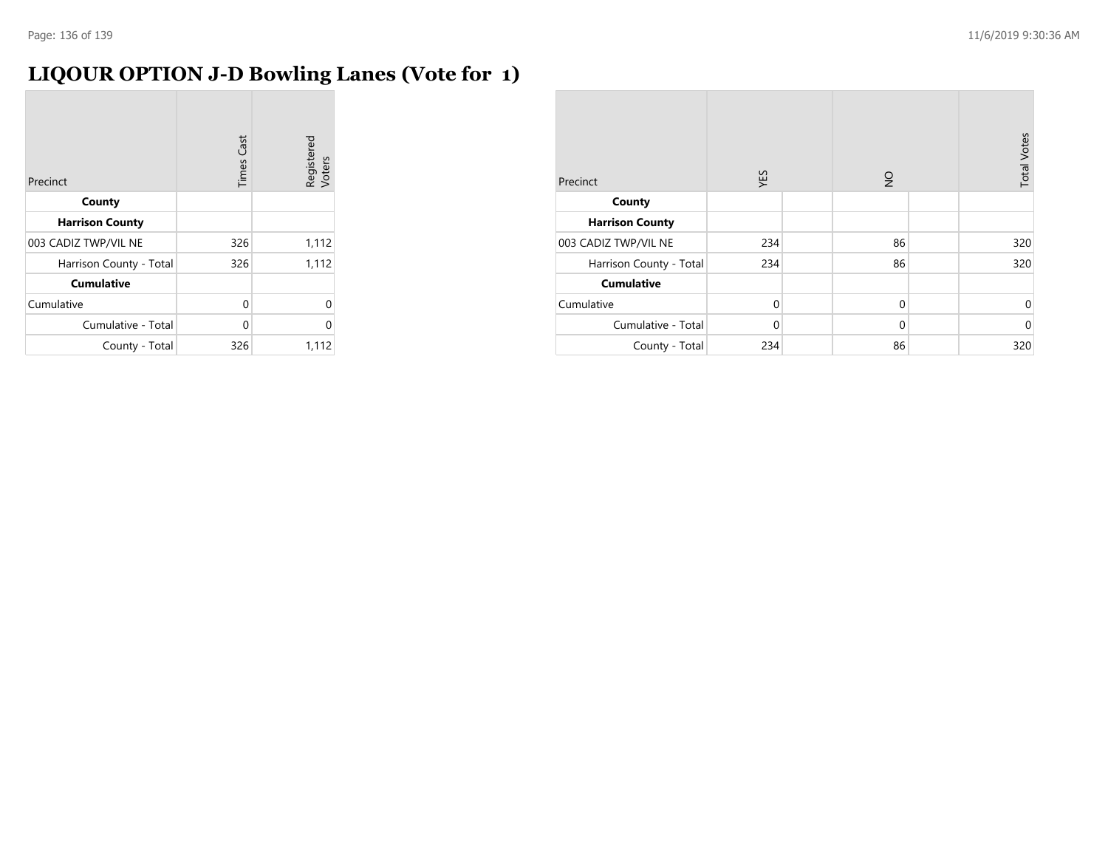# **LIQOUR OPTION J-D Bowling Lanes (Vote for 1)**

| Precinct                | <b>Times Cast</b> | Registered<br>Voters |
|-------------------------|-------------------|----------------------|
| County                  |                   |                      |
| <b>Harrison County</b>  |                   |                      |
| 003 CADIZ TWP/VIL NE    | 326               | 1,112                |
| Harrison County - Total | 326               | 1,112                |
| <b>Cumulative</b>       |                   |                      |
| Cumulative              | 0                 | Λ                    |
| Cumulative - Total      | 0                 | በ                    |
| County - Total          | 326               | 1,112                |

| Precinct                | YES      | $\frac{1}{2}$ | <b>Total Votes</b> |
|-------------------------|----------|---------------|--------------------|
| County                  |          |               |                    |
| <b>Harrison County</b>  |          |               |                    |
| 003 CADIZ TWP/VIL NE    | 234      | 86            | 320                |
| Harrison County - Total | 234      | 86            | 320                |
| <b>Cumulative</b>       |          |               |                    |
| Cumulative              | $\Omega$ | $\mathbf 0$   | 0                  |
| Cumulative - Total      | $\Omega$ | $\mathbf 0$   | $\mathbf 0$        |
| County - Total          | 234      | 86            | 320                |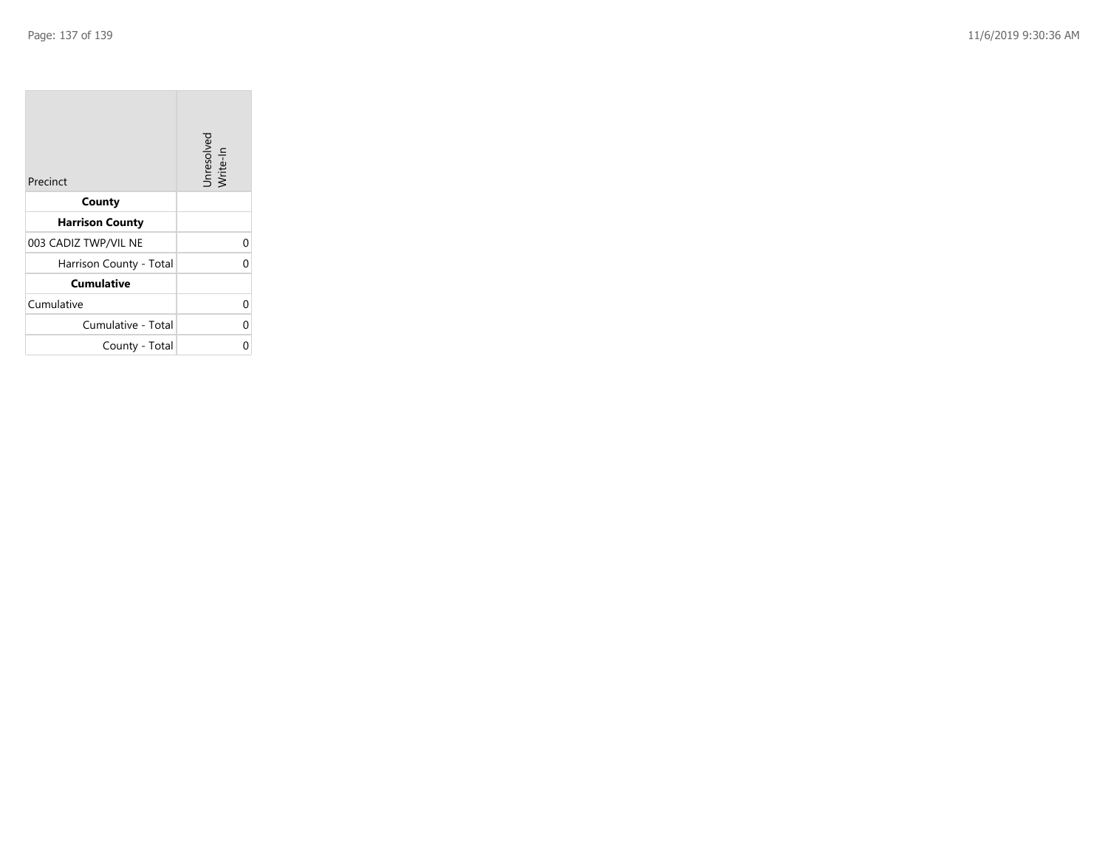| Precinct                | Unresolved<br>Write-In |
|-------------------------|------------------------|
| County                  |                        |
| <b>Harrison County</b>  |                        |
| 003 CADIZ TWP/VIL NE    | 0                      |
| Harrison County - Total | 0                      |
| <b>Cumulative</b>       |                        |
| Cumulative              | 0                      |
| Cumulative - Total      | 0                      |
| County - Total          | ი                      |

the property of the con-

 $\overline{\phantom{a}}$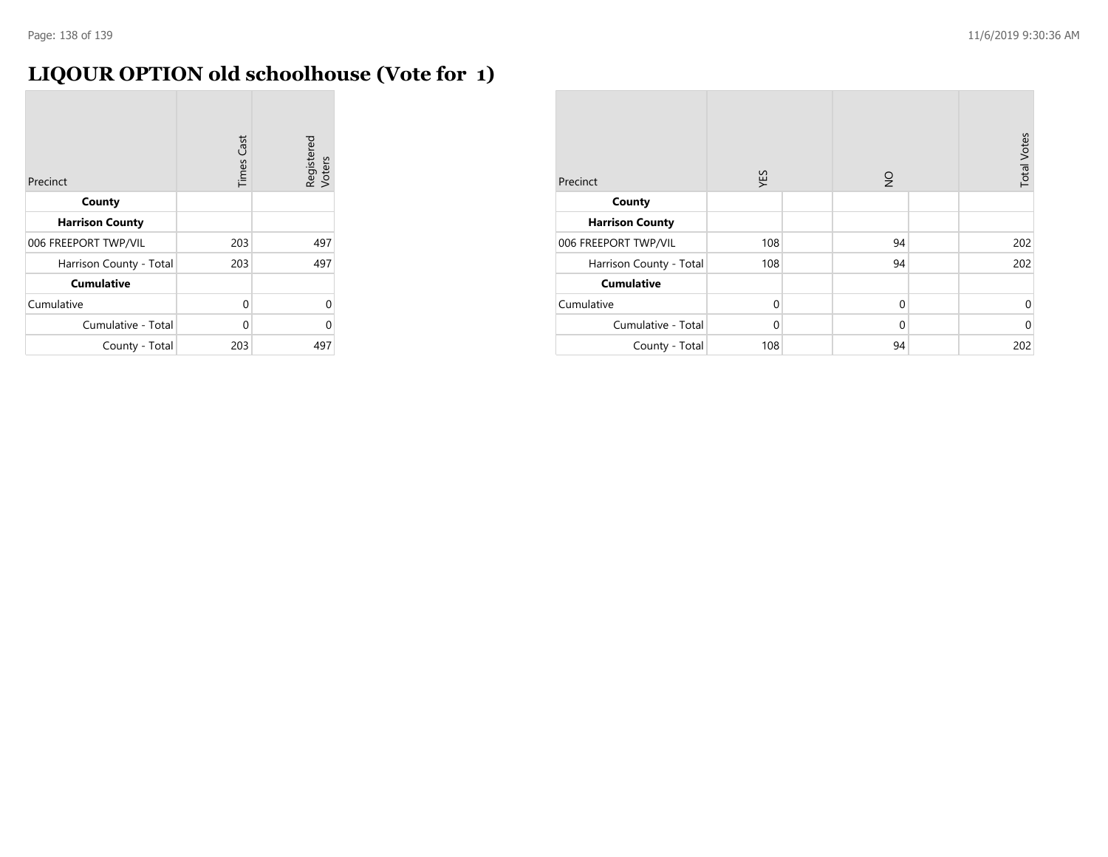# **LIQOUR OPTION old schoolhouse (Vote for 1)**

| Precinct                | <b>Times Cast</b> | Registered<br>Voters |
|-------------------------|-------------------|----------------------|
| County                  |                   |                      |
| <b>Harrison County</b>  |                   |                      |
| 006 FREEPORT TWP/VIL    | 203               | 497                  |
| Harrison County - Total | 203               | 497                  |
| <b>Cumulative</b>       |                   |                      |
| Cumulative              | 0                 | $\Omega$             |
| Cumulative - Total      | 0                 | U                    |
| County - Total          | 203               | 497                  |

| Precinct                | YES         | $\frac{1}{2}$ | <b>Total Votes</b> |
|-------------------------|-------------|---------------|--------------------|
| County                  |             |               |                    |
| <b>Harrison County</b>  |             |               |                    |
| 006 FREEPORT TWP/VIL    | 108         | 94            | 202                |
| Harrison County - Total | 108         | 94            | 202                |
| <b>Cumulative</b>       |             |               |                    |
| Cumulative              | $\mathbf 0$ | $\mathbf 0$   | 0                  |
| Cumulative - Total      | 0           | $\mathbf 0$   | $\mathbf 0$        |
| County - Total          | 108         | 94            | 202                |